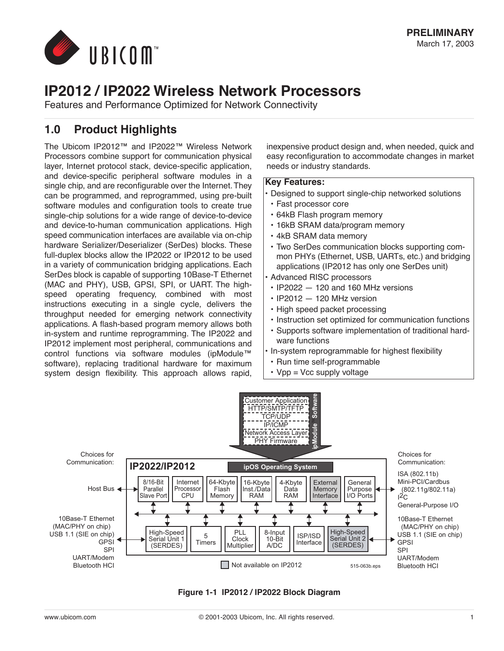

# **IP2012 / IP2022 Wireless Network Processors**

Features and Performance Optimized for Network Connectivity

# **1.0 Product Highlights**

The Ubicom IP2012™ and IP2022™ Wireless Network Processors combine support for communication physical layer, Internet protocol stack, device-specific application, and device-specific peripheral software modules in a single chip, and are reconfigurable over the Internet. They can be programmed, and reprogrammed, using pre-built software modules and configuration tools to create true single-chip solutions for a wide range of device-to-device and device-to-human communication applications. High speed communication interfaces are available via on-chip hardware Serializer/Deserializer (SerDes) blocks. These full-duplex blocks allow the IP2022 or IP2012 to be used in a variety of communication bridging applications. Each SerDes block is capable of supporting 10Base-T Ethernet (MAC and PHY), USB, GPSI, SPI, or UART. The highspeed operating frequency, combined with most instructions executing in a single cycle, delivers the throughput needed for emerging network connectivity applications. A flash-based program memory allows both in-system and runtime reprogramming. The IP2022 and IP2012 implement most peripheral, communications and control functions via software modules (ipModule™ software), replacing traditional hardware for maximum system design flexibility. This approach allows rapid,

inexpensive product design and, when needed, quick and easy reconfiguration to accommodate changes in market needs or industry standards.

#### **Key Features:**

- **•** Designed to support single-chip networked solutions
- **•** Fast processor core
- **•** 64kB Flash program memory
- **•** 16kB SRAM data/program memory
- **•** 4kB SRAM data memory
- **•** Two SerDes communication blocks supporting common PHYs (Ethernet, USB, UARTs, etc.) and bridging applications (IP2012 has only one SerDes unit)
- **•** Advanced RISC processors
- **•** IP2022 120 and 160 MHz versions
- **•** IP2012 120 MHz version
- **•** High speed packet processing
- **•** Instruction set optimized for communication functions
- **•** Supports software implementation of traditional hardware functions
- **•** In-system reprogrammable for highest flexibility
- **•** Run time self-programmable
- **•** Vpp = Vcc supply voltage



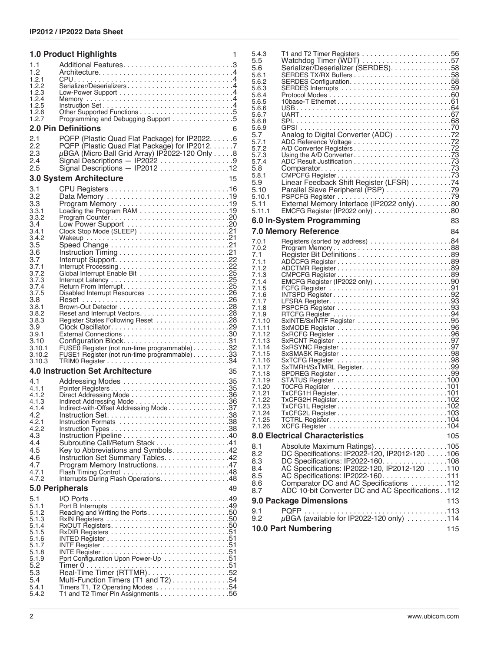|                | <b>1.0 Product Highlights</b>                                          | 1  |
|----------------|------------------------------------------------------------------------|----|
| 1.1            |                                                                        |    |
| 1.2            |                                                                        |    |
| 1.2.1<br>1.2.2 | Serializer/Deserializers4                                              |    |
| 1.2.3          |                                                                        |    |
| 1.2.4          |                                                                        |    |
| 1.2.5<br>1.2.6 |                                                                        |    |
| 1.2.7          | Programming and Debugging Support 5                                    |    |
|                | <b>2.0 Pin Definitions</b>                                             | 6  |
| 2.1            | PQFP (Plastic Quad Flat Package) for IP2022. 6                         |    |
| 2.2            | PQFP (Plastic Quad Flat Package) for IP2012. 7                         |    |
| 2.3            | $\mu$ BGA (Micro Ball Grid Array) IP2022-120 Only 8                    |    |
| 2.4            |                                                                        |    |
| $2.5\,$        | Signal Descriptions - IP2012 12                                        |    |
|                | 3.0 System Architecture                                                | 15 |
| 3.1            |                                                                        |    |
| 3.2            | Data Memory 19                                                         |    |
| 3.3<br>3.3.1   |                                                                        |    |
| 3.3.2          |                                                                        |    |
| 3.4            |                                                                        |    |
| 3.4.1          |                                                                        |    |
| 3.4.2<br>3.5   |                                                                        |    |
| 3.6            |                                                                        |    |
| 3.7            |                                                                        |    |
| 3.7.1          |                                                                        |    |
| 3.7.2<br>3.7.3 |                                                                        |    |
| 3.7.4          |                                                                        |    |
| 3.7.5          |                                                                        |    |
| 3.8            |                                                                        |    |
| 3.8.1<br>3.8.2 |                                                                        |    |
| 3.8.3          |                                                                        |    |
| 3.9            |                                                                        |    |
| 3.9.1          |                                                                        |    |
| 3.10<br>3.10.1 | FUSEO Register (not run-time programmable). 32                         |    |
| 3.10.2         | FUSE1 Register (not run-time programmable) 33                          |    |
| 3.10.3         |                                                                        |    |
|                | <b>4.0 Instruction Set Architecture</b>                                | 35 |
| 4.1            |                                                                        |    |
| 4.1.1          |                                                                        |    |
| 4.1.2<br>4.1.3 |                                                                        |    |
| 4.1.4          | Indirect-with-Offset Addressing Mode37                                 |    |
| 4.2            |                                                                        |    |
| 4.2.1<br>4.2.2 |                                                                        |    |
| 4.3            |                                                                        |    |
| 4.4            | Subroutine Call/Return Stack 41                                        |    |
| 4.5            | Key to Abbreviations and Symbols42                                     |    |
| 4.6            | Instruction Set Summary Tables. 42                                     |    |
| 4.7            | Program Memory Instructions. 47                                        |    |
| 4.7.1<br>4.7.2 |                                                                        |    |
|                | 5.0 Peripherals                                                        | 49 |
| 5.1            |                                                                        |    |
| 5.1.1          |                                                                        |    |
| 5.1.2          | Reading and Writing the Ports50                                        |    |
| 5.1.3          |                                                                        |    |
| 5.1.4<br>5.1.5 |                                                                        |    |
| 5.1.6          |                                                                        |    |
| 5.1.7          |                                                                        |    |
| 5.1.8<br>5.1.9 | Port Configuration Upon Power-Up 51                                    |    |
| 5.2            |                                                                        |    |
| 5.3            |                                                                        |    |
| 5.4            | Multi-Function Timers (T1 and T2) $\ldots \ldots \ldots \ldots 54$     |    |
| 5.4.1<br>5.4.2 | Timers T1, T2 Operating Modes 54<br>T1 and T2 Timer Pin Assignments 56 |    |
|                |                                                                        |    |

| 5.4.3<br>5.5<br>5.6<br>5.6.1<br>5.6.2<br>5.6.3<br>5.6.4<br>5.6.5<br>5.6.6<br>5.6.7<br>5.6.8<br>5.6.9<br>5.7<br>5.7.1<br>5.7.2<br>5.7.3<br>5.7.4<br>5.8<br>5.8.1<br>5.9<br>5.10<br>5.10.1<br>5.11 | Serializer/Deserializer (SERDES). 58<br>Analog to Digital Converter (ADC) 72<br>CMPCFG Register73<br>Linear Feedback Shift Register (LFSR) 74<br>Parallel Slave Peripheral (PSP) 79 |     |
|--------------------------------------------------------------------------------------------------------------------------------------------------------------------------------------------------|-------------------------------------------------------------------------------------------------------------------------------------------------------------------------------------|-----|
| 5.11.1                                                                                                                                                                                           | 6.0 In-System Programming                                                                                                                                                           | 83  |
|                                                                                                                                                                                                  | <b>7.0 Memory Reference</b>                                                                                                                                                         | 84  |
| 7.0.1                                                                                                                                                                                            |                                                                                                                                                                                     |     |
| 7.0.2                                                                                                                                                                                            | Program Memory88                                                                                                                                                                    |     |
| 7.1<br>7.1.1                                                                                                                                                                                     |                                                                                                                                                                                     |     |
| 7.1.2                                                                                                                                                                                            |                                                                                                                                                                                     |     |
| 7.1.3<br>7.1.4                                                                                                                                                                                   |                                                                                                                                                                                     |     |
| 7.1.5                                                                                                                                                                                            |                                                                                                                                                                                     |     |
| 7.1.6                                                                                                                                                                                            |                                                                                                                                                                                     |     |
| 7.1.7                                                                                                                                                                                            |                                                                                                                                                                                     |     |
| 7.1.8                                                                                                                                                                                            |                                                                                                                                                                                     |     |
| 7.1.9<br>7.1.10                                                                                                                                                                                  |                                                                                                                                                                                     |     |
| 7.1.11                                                                                                                                                                                           | SxMODE Register 96                                                                                                                                                                  |     |
| 7.1.12                                                                                                                                                                                           |                                                                                                                                                                                     |     |
| 7.1.13                                                                                                                                                                                           |                                                                                                                                                                                     |     |
| 7.1.14<br>7.1.15                                                                                                                                                                                 |                                                                                                                                                                                     |     |
| 7.1.16                                                                                                                                                                                           |                                                                                                                                                                                     |     |
| 7.1.17                                                                                                                                                                                           |                                                                                                                                                                                     |     |
| 7.1.18                                                                                                                                                                                           |                                                                                                                                                                                     |     |
| 7.1.19<br>7.1.20                                                                                                                                                                                 |                                                                                                                                                                                     |     |
| 7.1.21                                                                                                                                                                                           |                                                                                                                                                                                     |     |
| 7.1.22                                                                                                                                                                                           |                                                                                                                                                                                     |     |
| 7.1.23<br>7.1.24                                                                                                                                                                                 |                                                                                                                                                                                     |     |
| 7.1.25                                                                                                                                                                                           |                                                                                                                                                                                     |     |
| 7.1.26                                                                                                                                                                                           |                                                                                                                                                                                     |     |
|                                                                                                                                                                                                  | <b>8.0 Electrical Characteristics</b>                                                                                                                                               | 105 |
| 8.1                                                                                                                                                                                              | Absolute Maximum Ratings). 105                                                                                                                                                      |     |
| 8.2                                                                                                                                                                                              | DC Specifications: IP2022-120, IP2012-120 106                                                                                                                                       |     |
| 8.3<br>8.4                                                                                                                                                                                       | DC Specifications: IP2022-160. 108<br>AC Specifications: IP2022-120, IP2012-120 110                                                                                                 |     |
| 8.5                                                                                                                                                                                              | AC Specifications: IP2022-160. 111                                                                                                                                                  |     |
| 8.6                                                                                                                                                                                              | Comparator DC and AC Specifications 112                                                                                                                                             |     |
| 8.7                                                                                                                                                                                              | ADC 10-bit Converter DC and AC Specifications. .112                                                                                                                                 |     |
|                                                                                                                                                                                                  | 9.0 Package Dimensions                                                                                                                                                              | 113 |
| 9.1                                                                                                                                                                                              |                                                                                                                                                                                     |     |
| 9.2                                                                                                                                                                                              | µBGA (available for IP2022-120 only) 114                                                                                                                                            |     |
|                                                                                                                                                                                                  | <b>10.0 Part Numbering</b>                                                                                                                                                          | 115 |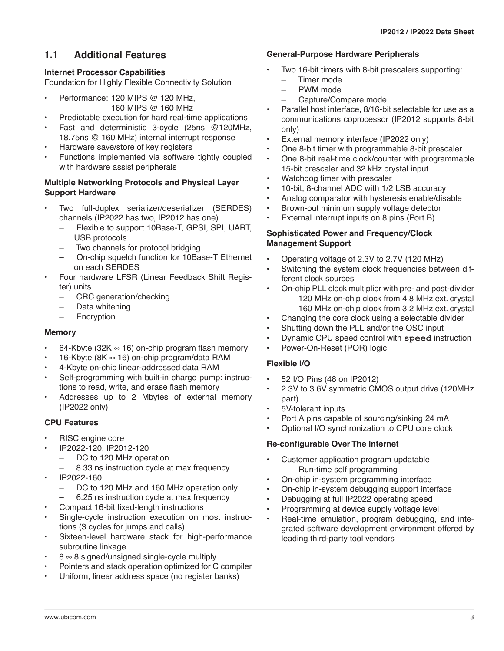# **1.1 Additional Features**

# **Internet Processor Capabilities**

Foundation for Highly Flexible Connectivity Solution

- Performance: 120 MIPS @ 120 MHz, 160 MIPS @ 160 MHz
- Predictable execution for hard real-time applications
- Fast and deterministic 3-cycle (25ns @120MHz, 18.75ns @ 160 MHz) internal interrupt response
- Hardware save/store of key registers
- Functions implemented via software tightly coupled with hardware assist peripherals

#### **Multiple Networking Protocols and Physical Layer Support Hardware**

- Two full-duplex serializer/deserializer (SERDES) channels (IP2022 has two, IP2012 has one)
	- Flexible to support 10Base-T, GPSI, SPI, UART, USB protocols
	- Two channels for protocol bridging
	- On-chip squelch function for 10Base-T Ethernet on each SERDES
- Four hardware LFSR (Linear Feedback Shift Register) units
	- CRC generation/checking
	- Data whitening
	- Encryption

#### **Memory**

- 64-Kbyte (32K  $\infty$  16) on-chip program flash memory
- 16-Kbyte (8K  $\infty$  16) on-chip program/data RAM
- 4-Kbyte on-chip linear-addressed data RAM
- Self-programming with built-in charge pump: instructions to read, write, and erase flash memory
- Addresses up to 2 Mbytes of external memory (IP2022 only)

## **CPU Features**

- RISC engine core
	- IP2022-120, IP2012-120
	- DC to 120 MHz operation
		- 8.33 ns instruction cycle at max frequency
- IP2022-160
	- DC to 120 MHz and 160 MHz operation only
	- 6.25 ns instruction cycle at max frequency
- Compact 16-bit fixed-length instructions
- Single-cycle instruction execution on most instructions (3 cycles for jumps and calls)
- Sixteen-level hardware stack for high-performance subroutine linkage
- $8 \approx 8$  signed/unsigned single-cycle multiply
- Pointers and stack operation optimized for C compiler
- Uniform, linear address space (no register banks)

## **General-Purpose Hardware Peripherals**

- Two 16-bit timers with 8-bit prescalers supporting:
	- Timer mode
	- PWM mode
	- Capture/Compare mode
- Parallel host interface, 8/16-bit selectable for use as a communications coprocessor (IP2012 supports 8-bit only)
- External memory interface (IP2022 only)
- One 8-bit timer with programmable 8-bit prescaler
- One 8-bit real-time clock/counter with programmable 15-bit prescaler and 32 kHz crystal input
- Watchdog timer with prescaler
- 10-bit, 8-channel ADC with 1/2 LSB accuracy
- Analog comparator with hysteresis enable/disable
- Brown-out minimum supply voltage detector
- External interrupt inputs on 8 pins (Port B)

#### **Sophisticated Power and Frequency/Clock Management Support**

- Operating voltage of 2.3V to 2.7V (120 MHz)
- Switching the system clock frequencies between different clock sources
- On-chip PLL clock multiplier with pre- and post-divider
	- 120 MHz on-chip clock from 4.8 MHz ext. crystal
	- 160 MHz on-chip clock from 3.2 MHz ext. crystal
- Changing the core clock using a selectable divider
- Shutting down the PLL and/or the OSC input
- Dynamic CPU speed control with **speed** instruction
- Power-On-Reset (POR) logic

# **Flexible I/O**

- 52 I/O Pins (48 on IP2012)
- 2.3V to 3.6V symmetric CMOS output drive (120MHz part)
- 5V-tolerant inputs
- Port A pins capable of sourcing/sinking 24 mA
- Optional I/O synchronization to CPU core clock

## **Re-configurable Over The Internet**

- Customer application program updatable – Run-time self programming
- On-chip in-system programming interface
- On-chip in-system debugging support interface
- Debugging at full IP2022 operating speed
- Programming at device supply voltage level
- Real-time emulation, program debugging, and integrated software development environment offered by leading third-party tool vendors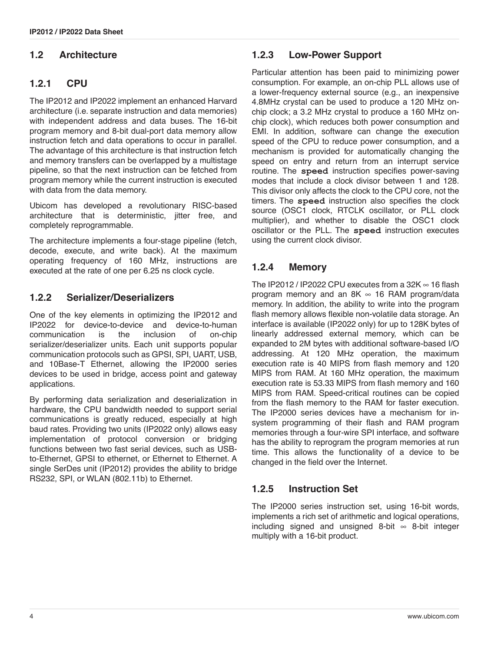# **1.2 Architecture**

# **1.2.1 CPU**

The IP2012 and IP2022 implement an enhanced Harvard architecture (i.e. separate instruction and data memories) with independent address and data buses. The 16-bit program memory and 8-bit dual-port data memory allow instruction fetch and data operations to occur in parallel. The advantage of this architecture is that instruction fetch and memory transfers can be overlapped by a multistage pipeline, so that the next instruction can be fetched from program memory while the current instruction is executed with data from the data memory.

Ubicom has developed a revolutionary RISC-based architecture that is deterministic, jitter free, and completely reprogrammable.

The architecture implements a four-stage pipeline (fetch, decode, execute, and write back). At the maximum operating frequency of 160 MHz, instructions are executed at the rate of one per 6.25 ns clock cycle.

## **1.2.2 Serializer/Deserializers**

One of the key elements in optimizing the IP2012 and IP2022 for device-to-device and device-to-human communication is the inclusion of on-chip serializer/deserializer units. Each unit supports popular communication protocols such as GPSI, SPI, UART, USB, and 10Base-T Ethernet, allowing the IP2000 series devices to be used in bridge, access point and gateway applications.

By performing data serialization and deserialization in hardware, the CPU bandwidth needed to support serial communications is greatly reduced, especially at high baud rates. Providing two units (IP2022 only) allows easy implementation of protocol conversion or bridging functions between two fast serial devices, such as USBto-Ethernet, GPSI to ethernet, or Ethernet to Ethernet. A single SerDes unit (IP2012) provides the ability to bridge RS232, SPI, or WLAN (802.11b) to Ethernet.

# **1.2.3 Low-Power Support**

Particular attention has been paid to minimizing power consumption. For example, an on-chip PLL allows use of a lower-frequency external source (e.g., an inexpensive 4.8MHz crystal can be used to produce a 120 MHz onchip clock; a 3.2 MHz crystal to produce a 160 MHz onchip clock), which reduces both power consumption and EMI. In addition, software can change the execution speed of the CPU to reduce power consumption, and a mechanism is provided for automatically changing the speed on entry and return from an interrupt service routine. The **speed** instruction specifies power-saving modes that include a clock divisor between 1 and 128. This divisor only affects the clock to the CPU core, not the timers. The **speed** instruction also specifies the clock source (OSC1 clock, RTCLK oscillator, or PLL clock multiplier), and whether to disable the OSC1 clock oscillator or the PLL. The **speed** instruction executes using the current clock divisor.

## **1.2.4 Memory**

The IP2012 / IP2022 CPU executes from a 32K  $\infty$  16 flash program memory and an  $8K \approx 16$  RAM program/data memory. In addition, the ability to write into the program flash memory allows flexible non-volatile data storage. An interface is available (IP2022 only) for up to 128K bytes of linearly addressed external memory, which can be expanded to 2M bytes with additional software-based I/O addressing. At 120 MHz operation, the maximum execution rate is 40 MIPS from flash memory and 120 MIPS from RAM. At 160 MHz operation, the maximum execution rate is 53.33 MIPS from flash memory and 160 MIPS from RAM. Speed-critical routines can be copied from the flash memory to the RAM for faster execution. The IP2000 series devices have a mechanism for insystem programming of their flash and RAM program memories through a four-wire SPI interface, and software has the ability to reprogram the program memories at run time. This allows the functionality of a device to be changed in the field over the Internet.

## **1.2.5 Instruction Set**

The IP2000 series instruction set, using 16-bit words, implements a rich set of arithmetic and logical operations, including signed and unsigned 8-bit  $\infty$  8-bit integer multiply with a 16-bit product.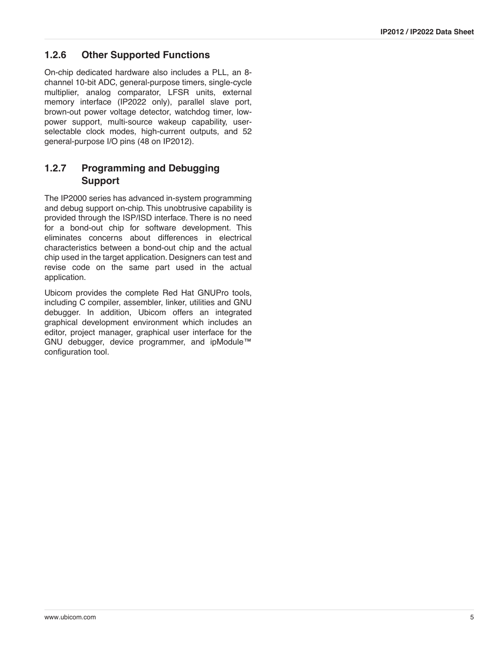## **1.2.6 Other Supported Functions**

On-chip dedicated hardware also includes a PLL, an 8 channel 10-bit ADC, general-purpose timers, single-cycle multiplier, analog comparator, LFSR units, external memory interface (IP2022 only), parallel slave port, brown-out power voltage detector, watchdog timer, lowpower support, multi-source wakeup capability, userselectable clock modes, high-current outputs, and 52 general-purpose I/O pins (48 on IP2012).

# **1.2.7 Programming and Debugging Support**

The IP2000 series has advanced in-system programming and debug support on-chip. This unobtrusive capability is provided through the ISP/ISD interface. There is no need for a bond-out chip for software development. This eliminates concerns about differences in electrical characteristics between a bond-out chip and the actual chip used in the target application. Designers can test and revise code on the same part used in the actual application.

Ubicom provides the complete Red Hat GNUPro tools, including C compiler, assembler, linker, utilities and GNU debugger. In addition, Ubicom offers an integrated graphical development environment which includes an editor, project manager, graphical user interface for the GNU debugger, device programmer, and ipModule™ configuration tool.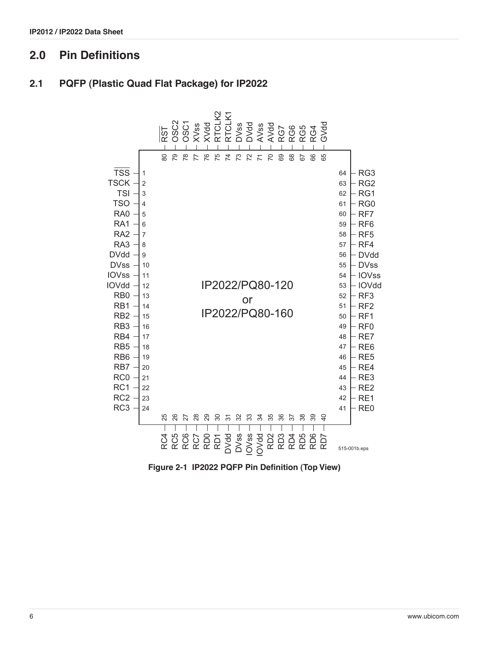# **2.0 Pin Definitions**

# **2.1 PQFP (Plastic Quad Flat Package) for IP2022**



**Figure 2-1 IP2022 PQFP Pin Definition (Top View)**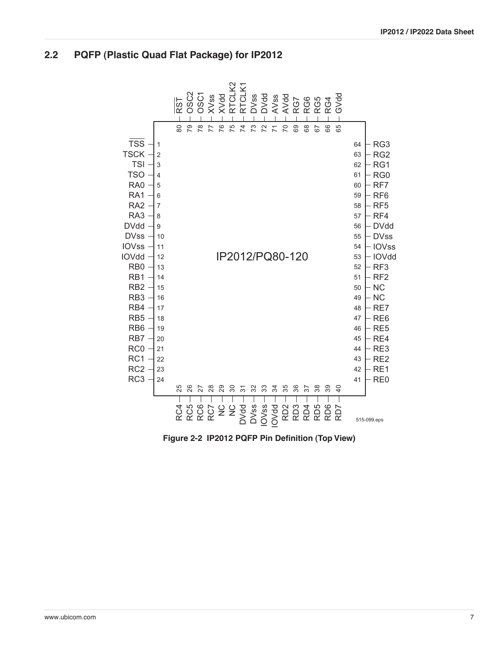#### **IP2012 / IP2022 Data Sheet**

#### **2.2 PQFP (Plastic Quad Flat Package) for IP2012**



**Figure 2-2 IP2012 PQFP Pin Definition (Top View)**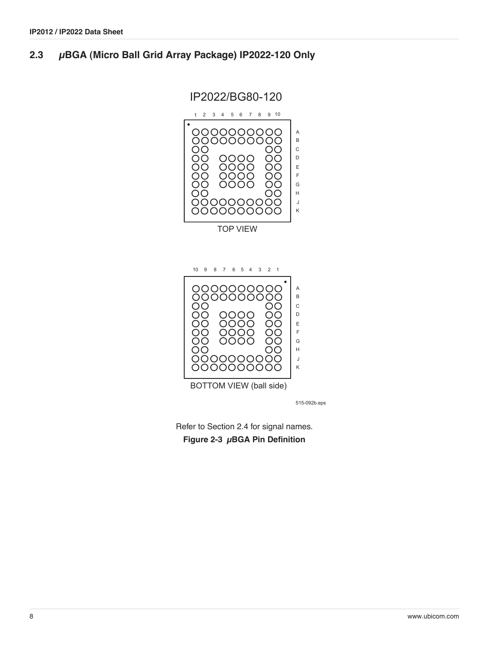## **2.3 µBGA (Micro Ball Grid Array Package) IP2022-120 Only**

IP2022/BG80-120



515-092b.eps

Refer to [Section 2.4](#page-8-0) for signal names. **Figure 2-3 µBGA Pin Definition**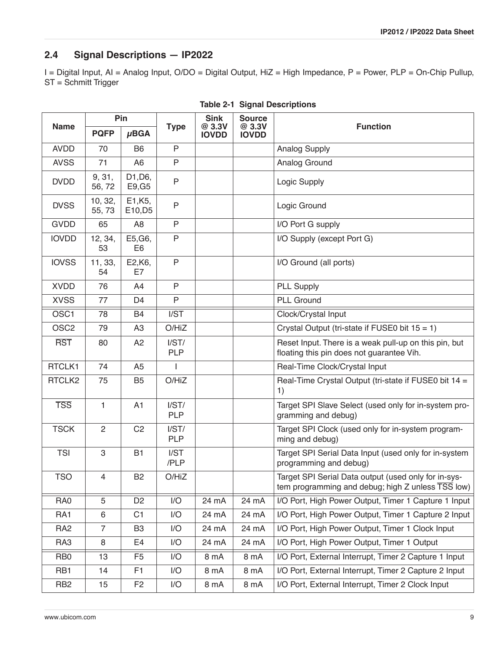# <span id="page-8-0"></span>**2.4 Signal Descriptions — IP2022**

I = Digital Input, AI = Analog Input, O/DO = Digital Output, HiZ = High Impedance, P = Power, PLP = On-Chip Pullup, ST = Schmitt Trigger

|                  |                  | Pin                            |                     | <b>Sink</b>            | <b>Source</b>          |                                                                                                           |  |
|------------------|------------------|--------------------------------|---------------------|------------------------|------------------------|-----------------------------------------------------------------------------------------------------------|--|
| <b>Name</b>      | <b>PQFP</b>      | $\mu$ BGA                      | <b>Type</b>         | @ 3.3V<br><b>IOVDD</b> | @ 3.3V<br><b>IOVDD</b> | <b>Function</b>                                                                                           |  |
| <b>AVDD</b>      | 70               | B <sub>6</sub>                 | P                   |                        |                        | <b>Analog Supply</b>                                                                                      |  |
| <b>AVSS</b>      | 71               | A <sub>6</sub>                 | $\mathsf{P}$        |                        |                        | Analog Ground                                                                                             |  |
| <b>DVDD</b>      | 9, 31,<br>56,72  | D1, D6,<br>E9, G5              | $\overline{P}$      |                        |                        | Logic Supply                                                                                              |  |
| <b>DVSS</b>      | 10, 32,<br>55,73 | E1, K <sub>5</sub> ,<br>E10,D5 | $\mathsf{P}$        |                        |                        | Logic Ground                                                                                              |  |
| <b>GVDD</b>      | 65               | A <sub>8</sub>                 | P                   |                        |                        | I/O Port G supply                                                                                         |  |
| <b>IOVDD</b>     | 12, 34,<br>53    | E5, G6,<br>E <sub>6</sub>      | $\mathsf{P}$        |                        |                        | I/O Supply (except Port G)                                                                                |  |
| <b>IOVSS</b>     | 11, 33,<br>54    | E2,K6,<br>E7                   | $\mathsf{P}$        |                        |                        | I/O Ground (all ports)                                                                                    |  |
| <b>XVDD</b>      | 76               | A4                             | $\mathsf{P}$        |                        |                        | <b>PLL Supply</b>                                                                                         |  |
| <b>XVSS</b>      | 77               | D <sub>4</sub>                 | P                   |                        |                        | <b>PLL Ground</b>                                                                                         |  |
| OSC1             | 78               | <b>B4</b>                      | I/ST                |                        |                        | Clock/Crystal Input                                                                                       |  |
| OSC <sub>2</sub> | 79               | A <sub>3</sub>                 | O/HiZ               |                        |                        | Crystal Output (tri-state if FUSE0 bit $15 = 1$ )                                                         |  |
| <b>RST</b>       | 80               | A <sub>2</sub>                 | I/ST/<br><b>PLP</b> |                        |                        | Reset Input. There is a weak pull-up on this pin, but<br>floating this pin does not guarantee Vih.        |  |
| RTCLK1           | 74               | A <sub>5</sub>                 | $\mathbf{I}$        |                        |                        | Real-Time Clock/Crystal Input                                                                             |  |
| RTCLK2           | 75               | B <sub>5</sub>                 | O/HiZ               |                        |                        | Real-Time Crystal Output (tri-state if FUSE0 bit 14 =<br>1)                                               |  |
| <b>TSS</b>       | 1                | A1                             | I/ST/<br><b>PLP</b> |                        |                        | Target SPI Slave Select (used only for in-system pro-<br>gramming and debug)                              |  |
| <b>TSCK</b>      | $\mathbf{2}$     | C <sub>2</sub>                 | I/ST/<br><b>PLP</b> |                        |                        | Target SPI Clock (used only for in-system program-<br>ming and debug)                                     |  |
| <b>TSI</b>       | 3                | <b>B1</b>                      | I/ST<br>/PLP        |                        |                        | Target SPI Serial Data Input (used only for in-system<br>programming and debug)                           |  |
| <b>TSO</b>       | $\overline{4}$   | B <sub>2</sub>                 | O/HiZ               |                        |                        | Target SPI Serial Data output (used only for in-sys-<br>tem programming and debug; high Z unless TSS low) |  |
| RA0              | 5                | D <sub>2</sub>                 | I/O                 | 24 mA                  | 24 mA                  | I/O Port, High Power Output, Timer 1 Capture 1 Input                                                      |  |
| RA <sub>1</sub>  | 6                | C <sub>1</sub>                 | I/O                 | 24 mA                  | 24 mA                  | I/O Port, High Power Output, Timer 1 Capture 2 Input                                                      |  |
| RA <sub>2</sub>  | $\overline{7}$   | B <sub>3</sub>                 | 1/O                 | 24 mA                  | 24 mA                  | I/O Port, High Power Output, Timer 1 Clock Input                                                          |  |
| RA3              | 8                | E4                             | 1/O                 | 24 mA                  | 24 mA                  | I/O Port, High Power Output, Timer 1 Output                                                               |  |
| R <sub>B</sub>   | 13               | F <sub>5</sub>                 | I/O                 | 8 mA                   | 8 mA                   | I/O Port, External Interrupt, Timer 2 Capture 1 Input                                                     |  |
| RB <sub>1</sub>  | 14               | F <sub>1</sub>                 | I/O                 | 8 mA                   | 8 mA                   | I/O Port, External Interrupt, Timer 2 Capture 2 Input                                                     |  |
| RB <sub>2</sub>  | 15               | F <sub>2</sub>                 | I/O                 | 8 mA                   | 8 mA                   | I/O Port, External Interrupt, Timer 2 Clock Input                                                         |  |

|  |  | <b>Table 2-1 Signal Descriptions</b> |
|--|--|--------------------------------------|
|--|--|--------------------------------------|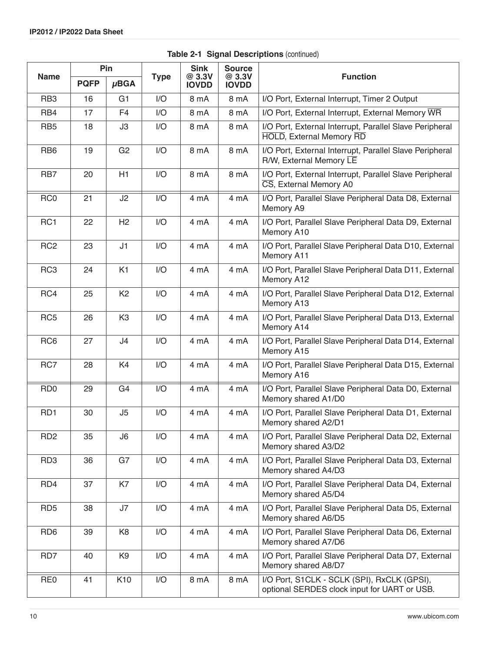|                 |             | Pin             |             | <b>Sink</b>            | <b>Source</b>          |                                                                                             |
|-----------------|-------------|-----------------|-------------|------------------------|------------------------|---------------------------------------------------------------------------------------------|
| <b>Name</b>     | <b>PQFP</b> | $\mu$ BGA       | <b>Type</b> | @ 3.3V<br><b>IOVDD</b> | @ 3.3V<br><b>IOVDD</b> | <b>Function</b>                                                                             |
| RB <sub>3</sub> | 16          | G <sub>1</sub>  | 1/O         | 8 mA                   | 8 mA                   | I/O Port, External Interrupt, Timer 2 Output                                                |
| RB4             | 17          | F <sub>4</sub>  | 1/O         | 8 mA                   | 8 mA                   | I/O Port, External Interrupt, External Memory WR                                            |
| RB <sub>5</sub> | 18          | J3              | 1/O         | 8 mA                   | 8 mA                   | I/O Port, External Interrupt, Parallel Slave Peripheral<br><b>HOLD, External Memory RD</b>  |
| RB <sub>6</sub> | 19          | G <sub>2</sub>  | 1/O         | 8 mA                   | 8 mA                   | I/O Port, External Interrupt, Parallel Slave Peripheral<br>R/W, External Memory LE          |
| RB7             | 20          | H1              | I/O         | 8 mA                   | 8 mA                   | I/O Port, External Interrupt, Parallel Slave Peripheral<br>CS, External Memory A0           |
| RC <sub>0</sub> | 21          | J2              | I/O         | 4 mA                   | 4 mA                   | I/O Port, Parallel Slave Peripheral Data D8, External<br>Memory A9                          |
| RC1             | 22          | H2              | 1/O         | 4 mA                   | 4 mA                   | I/O Port, Parallel Slave Peripheral Data D9, External<br>Memory A10                         |
| RC <sub>2</sub> | 23          | J1              | I/O         | 4 mA                   | 4 mA                   | I/O Port, Parallel Slave Peripheral Data D10, External<br>Memory A11                        |
| RC <sub>3</sub> | 24          | K <sub>1</sub>  | 1/O         | 4 mA                   | 4 mA                   | I/O Port, Parallel Slave Peripheral Data D11, External<br>Memory A12                        |
| RC4             | 25          | K <sub>2</sub>  | I/O         | 4 mA                   | 4 mA                   | I/O Port, Parallel Slave Peripheral Data D12, External<br>Memory A13                        |
| RC <sub>5</sub> | 26          | K <sub>3</sub>  | I/O         | 4 mA                   | 4 mA                   | I/O Port, Parallel Slave Peripheral Data D13, External<br>Memory A14                        |
| RC <sub>6</sub> | 27          | J <sub>4</sub>  | I/O         | 4 mA                   | 4 mA                   | I/O Port, Parallel Slave Peripheral Data D14, External<br>Memory A15                        |
| RC7             | 28          | K4              | 1/O         | 4 mA                   | 4 mA                   | I/O Port, Parallel Slave Peripheral Data D15, External<br>Memory A16                        |
| RD <sub>0</sub> | 29          | G4              | I/O         | 4 mA                   | 4 mA                   | I/O Port, Parallel Slave Peripheral Data D0, External<br>Memory shared A1/D0                |
| RD <sub>1</sub> | 30          | J5              | I/O         | 4 mA                   | 4 mA                   | I/O Port, Parallel Slave Peripheral Data D1, External<br>Memory shared A2/D1                |
| RD <sub>2</sub> | 35          | J6              | 1/O         | 4 mA                   | 4 mA                   | I/O Port, Parallel Slave Peripheral Data D2, External<br>Memory shared A3/D2                |
| RD <sub>3</sub> | 36          | G7              | 1/O         | 4 mA                   | 4 mA                   | I/O Port, Parallel Slave Peripheral Data D3, External<br>Memory shared A4/D3                |
| RD4             | 37          | K7              | I/O         | 4 mA                   | 4 mA                   | I/O Port, Parallel Slave Peripheral Data D4, External<br>Memory shared A5/D4                |
| RD <sub>5</sub> | 38          | J7              | 1/O         | 4 mA                   | 4 mA                   | I/O Port, Parallel Slave Peripheral Data D5, External<br>Memory shared A6/D5                |
| RD <sub>6</sub> | 39          | K <sub>8</sub>  | I/O         | 4 mA                   | 4 mA                   | I/O Port, Parallel Slave Peripheral Data D6, External<br>Memory shared A7/D6                |
| RD7             | 40          | K <sub>9</sub>  | 1/O         | 4 mA                   | 4 mA                   | I/O Port, Parallel Slave Peripheral Data D7, External<br>Memory shared A8/D7                |
| RE <sub>0</sub> | 41          | K <sub>10</sub> | 1/O         | 8 mA                   | 8 mA                   | I/O Port, S1CLK - SCLK (SPI), RxCLK (GPSI),<br>optional SERDES clock input for UART or USB. |

**Table 2-1 Signal Descriptions (continued)**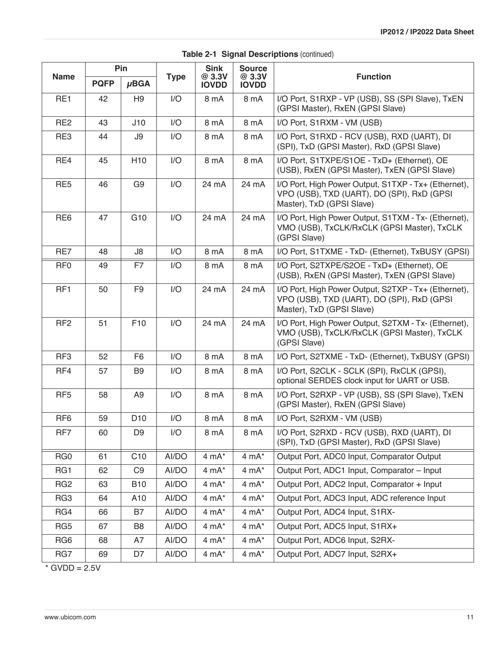|                 |             | Pin             |             | <b>Sink</b>            | <b>Source</b>          |                                                                                                                                 |  |
|-----------------|-------------|-----------------|-------------|------------------------|------------------------|---------------------------------------------------------------------------------------------------------------------------------|--|
| <b>Name</b>     | <b>PQFP</b> | $\mu$ BGA       | <b>Type</b> | @ 3.3V<br><b>IOVDD</b> | @ 3.3V<br><b>IOVDD</b> | <b>Function</b>                                                                                                                 |  |
| RE1             | 42          | H <sub>9</sub>  | 1/O         | 8 mA                   | 8 mA                   | I/O Port, S1RXP - VP (USB), SS (SPI Slave), TxEN<br>(GPSI Master), RxEN (GPSI Slave)                                            |  |
| RE <sub>2</sub> | 43          | J10             | 1/O         | 8 mA                   | 8 mA                   | I/O Port, S1RXM - VM (USB)                                                                                                      |  |
| RE3             | 44          | J9              | I/O         | 8 mA                   | 8 mA                   | I/O Port, S1RXD - RCV (USB), RXD (UART), DI<br>(SPI), TxD (GPSI Master), RxD (GPSI Slave)                                       |  |
| RE4             | 45          | H <sub>10</sub> | I/O         | 8 mA                   | 8 mA                   | I/O Port, S1TXPE/S1OE - TxD+ (Ethernet), OE<br>(USB), RxEN (GPSI Master), TxEN (GPSI Slave)                                     |  |
| RE <sub>5</sub> | 46          | G <sub>9</sub>  | I/O         | 24 mA                  | 24 mA                  | I/O Port, High Power Output, S1TXP - Tx+ (Ethernet),<br>VPO (USB), TXD (UART), DO (SPI), RxD (GPSI<br>Master), TxD (GPSI Slave) |  |
| RE <sub>6</sub> | 47          | G <sub>10</sub> | I/O         | 24 mA                  | 24 mA                  | I/O Port, High Power Output, S1TXM - Tx- (Ethernet),<br>VMO (USB), TxCLK/RxCLK (GPSI Master), TxCLK<br>(GPSI Slave)             |  |
| RE7             | 48          | J8              | I/O         | 8 mA                   | 8 mA                   | I/O Port, S1TXME - TxD- (Ethernet), TxBUSY (GPSI)                                                                               |  |
| RF <sub>0</sub> | 49          | F7              | I/O         | 8 mA                   | 8 mA                   | I/O Port, S2TXPE/S2OE - TxD+ (Ethernet), OE<br>(USB), RxEN (GPSI Master), TxEN (GPSI Slave)                                     |  |
| RF <sub>1</sub> | 50          | F <sub>9</sub>  | I/O         | 24 mA                  | 24 mA                  | I/O Port, High Power Output, S2TXP - Tx+ (Ethernet),<br>VPO (USB), TXD (UART), DO (SPI), RxD (GPSI<br>Master), TxD (GPSI Slave) |  |
| RF <sub>2</sub> | 51          | F10             | I/O         | 24 mA                  | 24 mA                  | I/O Port, High Power Output, S2TXM - Tx- (Ethernet),<br>VMO (USB), TxCLK/RxCLK (GPSI Master), TxCLK<br>(GPSI Slave)             |  |
| RF <sub>3</sub> | 52          | F <sub>6</sub>  | 1/O         | 8 mA                   | 8 mA                   | I/O Port, S2TXME - TxD- (Ethernet), TxBUSY (GPSI)                                                                               |  |
| RF4             | 57          | B <sub>9</sub>  | 1/O         | 8 mA                   | 8 mA                   | I/O Port, S2CLK - SCLK (SPI), RxCLK (GPSI),<br>optional SERDES clock input for UART or USB.                                     |  |
| RF <sub>5</sub> | 58          | A <sub>9</sub>  | 1/O         | 8 mA                   | 8 mA                   | I/O Port, S2RXP - VP (USB), SS (SPI Slave), TxEN<br>(GPSI Master), RxEN (GPSI Slave)                                            |  |
| RF <sub>6</sub> | 59          | D <sub>10</sub> | I/O         | 8 mA                   | 8 mA                   | I/O Port, S2RXM - VM (USB)                                                                                                      |  |
| RF7             | 60          | D <sub>9</sub>  | I/O         | 8 mA                   | 8 mA                   | I/O Port, S2RXD - RCV (USB), RXD (UART), DI<br>(SPI), TxD (GPSI Master), RxD (GPSI Slave)                                       |  |
| RG <sub>0</sub> | 61          | C10             | AI/DO       | $4 mA^*$               | $4 mA^*$               | Output Port, ADC0 Input, Comparator Output                                                                                      |  |
| RG1             | 62          | C <sub>9</sub>  | AI/DO       | $4 mA^*$               | $4 \text{ mA}^*$       | Output Port, ADC1 Input, Comparator - Input                                                                                     |  |
| RG <sub>2</sub> | 63          | <b>B10</b>      | AI/DO       | $4 \text{ mA}^*$       | $4 mA^*$               | Output Port, ADC2 Input, Comparator + Input                                                                                     |  |
| RG3             | 64          | A10             | AI/DO       | $4 mA^*$               | $4 mA^*$               | Output Port, ADC3 Input, ADC reference Input                                                                                    |  |
| RG4             | 66          | B7              | AI/DO       | $4 \text{ mA}^*$       | $4 \text{ mA}^*$       | Output Port, ADC4 Input, S1RX-                                                                                                  |  |
| RG5             | 67          | B8              | AI/DO       | $4 mA^*$               | $4 mA^*$               | Output Port, ADC5 Input, S1RX+                                                                                                  |  |
| RG <sub>6</sub> | 68          | A7              | AI/DO       | $4 \text{ mA}^*$       | $4 \text{ mA}^*$       | Output Port, ADC6 Input, S2RX-                                                                                                  |  |
| RG7             | 69          | D7              | AI/DO       | $4 mA^*$               | $4 \text{ mA}^*$       | Output Port, ADC7 Input, S2RX+                                                                                                  |  |

|  |  | Table 2-1 Signal Descriptions (continued) |  |  |
|--|--|-------------------------------------------|--|--|
|--|--|-------------------------------------------|--|--|

 $*$  GVDD = 2.5V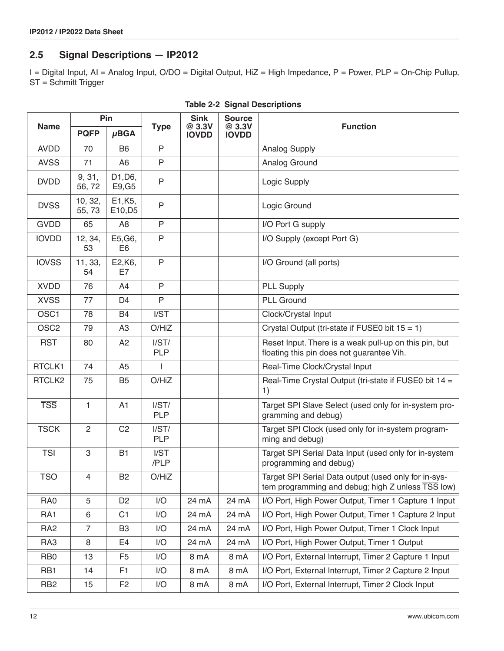# **2.5 Signal Descriptions — IP2012**

I = Digital Input, AI = Analog Input, O/DO = Digital Output, HiZ = High Impedance, P = Power, PLP = On-Chip Pullup, ST = Schmitt Trigger

|                  |                  | Pin                            |                     | <b>Sink</b>            | <b>Source</b>          |                                                                                                           |  |
|------------------|------------------|--------------------------------|---------------------|------------------------|------------------------|-----------------------------------------------------------------------------------------------------------|--|
| <b>Name</b>      | <b>PQFP</b>      | $\mu$ BGA                      | <b>Type</b>         | @ 3.3V<br><b>IOVDD</b> | @ 3.3V<br><b>IOVDD</b> | <b>Function</b>                                                                                           |  |
| <b>AVDD</b>      | 70               | B <sub>6</sub>                 | $\mathsf{P}$        |                        |                        | <b>Analog Supply</b>                                                                                      |  |
| <b>AVSS</b>      | 71               | A6                             | $\mathsf{P}$        |                        |                        | Analog Ground                                                                                             |  |
| <b>DVDD</b>      | 9, 31,<br>56,72  | D1, D6,<br>E9, G5              | $\mathsf{P}$        |                        |                        | Logic Supply                                                                                              |  |
| <b>DVSS</b>      | 10, 32,<br>55,73 | E1, K <sub>5</sub> ,<br>E10,D5 | $\mathsf{P}$        |                        |                        | Logic Ground                                                                                              |  |
| <b>GVDD</b>      | 65               | A <sub>8</sub>                 | P                   |                        |                        | I/O Port G supply                                                                                         |  |
| <b>IOVDD</b>     | 12, 34,<br>53    | E5, G6,<br>E6                  | $\mathsf{P}$        |                        |                        | I/O Supply (except Port G)                                                                                |  |
| <b>IOVSS</b>     | 11, 33,<br>54    | E2, K6,<br>E7                  | $\mathsf{P}$        |                        |                        | I/O Ground (all ports)                                                                                    |  |
| <b>XVDD</b>      | 76               | A4                             | $\mathsf{P}$        |                        |                        | <b>PLL Supply</b>                                                                                         |  |
| <b>XVSS</b>      | 77               | D <sub>4</sub>                 | $\mathsf{P}$        |                        |                        | <b>PLL Ground</b>                                                                                         |  |
| OSC1             | 78               | <b>B4</b>                      | I/ST                |                        |                        | Clock/Crystal Input                                                                                       |  |
| OSC <sub>2</sub> | 79               | A <sub>3</sub>                 | O/HiZ               |                        |                        | Crystal Output (tri-state if FUSE0 bit $15 = 1$ )                                                         |  |
| <b>RST</b>       | 80               | A <sub>2</sub>                 | I/ST/<br><b>PLP</b> |                        |                        | Reset Input. There is a weak pull-up on this pin, but<br>floating this pin does not guarantee Vih.        |  |
| RTCLK1           | 74               | A <sub>5</sub>                 | ı                   |                        |                        | Real-Time Clock/Crystal Input                                                                             |  |
| RTCLK2           | 75               | B <sub>5</sub>                 | O/HiZ               |                        |                        | Real-Time Crystal Output (tri-state if FUSE0 bit 14 =<br>1)                                               |  |
| <b>TSS</b>       | 1                | A1                             | I/ST/<br><b>PLP</b> |                        |                        | Target SPI Slave Select (used only for in-system pro-<br>gramming and debug)                              |  |
| <b>TSCK</b>      | $\mathbf{2}$     | C <sub>2</sub>                 | I/ST/<br><b>PLP</b> |                        |                        | Target SPI Clock (used only for in-system program-<br>ming and debug)                                     |  |
| <b>TSI</b>       | 3                | <b>B1</b>                      | I/ST<br>/PLP        |                        |                        | Target SPI Serial Data Input (used only for in-system<br>programming and debug)                           |  |
| <b>TSO</b>       | 4                | B <sub>2</sub>                 | O/HiZ               |                        |                        | Target SPI Serial Data output (used only for in-sys-<br>tem programming and debug; high Z unless TSS low) |  |
| RA <sub>0</sub>  | 5                | D <sub>2</sub>                 | I/O                 | 24 mA                  | 24 mA                  | I/O Port, High Power Output, Timer 1 Capture 1 Input                                                      |  |
| RA <sub>1</sub>  | 6                | C <sub>1</sub>                 | I/O                 | 24 mA                  | 24 mA                  | I/O Port, High Power Output, Timer 1 Capture 2 Input                                                      |  |
| RA <sub>2</sub>  | $\overline{7}$   | B <sub>3</sub>                 | 1/O                 | 24 mA                  | 24 mA                  | I/O Port, High Power Output, Timer 1 Clock Input                                                          |  |
| RA3              | 8                | E <sub>4</sub>                 | I/O                 | 24 mA                  | 24 mA                  | I/O Port, High Power Output, Timer 1 Output                                                               |  |
| R <sub>B</sub>   | 13               | F <sub>5</sub>                 | I/O                 | 8 mA                   | 8 mA                   | I/O Port, External Interrupt, Timer 2 Capture 1 Input                                                     |  |
| RB <sub>1</sub>  | 14               | F <sub>1</sub>                 | I/O                 | 8 mA                   | 8 mA                   | I/O Port, External Interrupt, Timer 2 Capture 2 Input                                                     |  |
| RB <sub>2</sub>  | 15               | F <sub>2</sub>                 | 1/O                 | 8 mA                   | 8 mA                   | I/O Port, External Interrupt, Timer 2 Clock Input                                                         |  |

#### **Table 2-2 Signal Descriptions**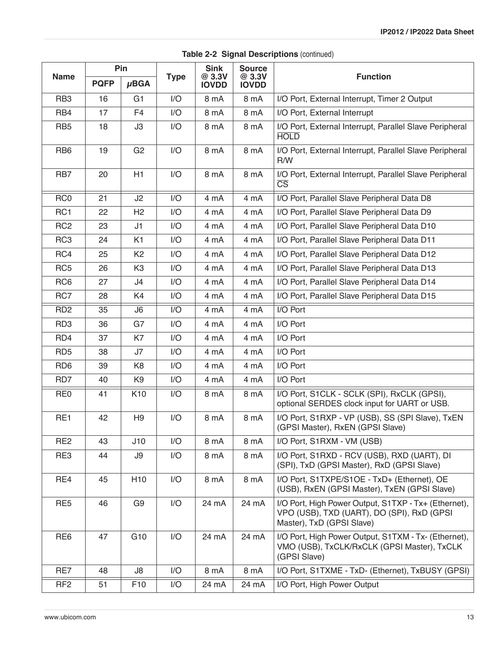| <b>Name</b>     | <b>PQFP</b> | Pin<br>$\mu$ BGA | <b>Type</b> | <b>Sink</b><br>@ 3.3V<br><b>IOVDD</b> | <b>Source</b><br>@ 3.3V<br><b>IOVDD</b> | <b>Function</b>                                                                                                                 |
|-----------------|-------------|------------------|-------------|---------------------------------------|-----------------------------------------|---------------------------------------------------------------------------------------------------------------------------------|
| RB <sub>3</sub> | 16          | G <sub>1</sub>   | I/O         | 8 mA                                  | 8 mA                                    | I/O Port, External Interrupt, Timer 2 Output                                                                                    |
| RB4             | 17          | F <sub>4</sub>   | 1/O         | 8 mA                                  | 8 mA                                    | I/O Port, External Interrupt                                                                                                    |
| RB <sub>5</sub> | 18          | J3               | I/O         | 8 mA                                  | 8 mA                                    | I/O Port, External Interrupt, Parallel Slave Peripheral<br><b>HOLD</b>                                                          |
| RB <sub>6</sub> | 19          | G <sub>2</sub>   | I/O         | 8 mA                                  | 8 mA                                    | I/O Port, External Interrupt, Parallel Slave Peripheral<br>R/W                                                                  |
| RB7             | 20          | H1               | I/O         | 8 mA                                  | 8 mA                                    | I/O Port, External Interrupt, Parallel Slave Peripheral<br>$\overline{\text{CS}}$                                               |
| RC <sub>0</sub> | 21          | J2               | 1/O         | 4 mA                                  | 4 mA                                    | I/O Port, Parallel Slave Peripheral Data D8                                                                                     |
| RC <sub>1</sub> | 22          | H <sub>2</sub>   | I/O         | 4 mA                                  | 4 mA                                    | I/O Port, Parallel Slave Peripheral Data D9                                                                                     |
| RC <sub>2</sub> | 23          | J1               | I/O         | 4 mA                                  | 4 mA                                    | I/O Port, Parallel Slave Peripheral Data D10                                                                                    |
| RC <sub>3</sub> | 24          | K <sub>1</sub>   | I/O         | 4 mA                                  | 4 mA                                    | I/O Port, Parallel Slave Peripheral Data D11                                                                                    |
| RC4             | 25          | K <sub>2</sub>   | I/O         | 4 mA                                  | 4 mA                                    | I/O Port, Parallel Slave Peripheral Data D12                                                                                    |
| RC <sub>5</sub> | 26          | K <sub>3</sub>   | I/O         | 4 mA                                  | 4 mA                                    | I/O Port, Parallel Slave Peripheral Data D13                                                                                    |
| RC <sub>6</sub> | 27          | J4               | I/O         | 4 mA                                  | 4 mA                                    | I/O Port, Parallel Slave Peripheral Data D14                                                                                    |
| RC7             | 28          | K4               | I/O         | 4 mA                                  | 4 mA                                    | I/O Port, Parallel Slave Peripheral Data D15                                                                                    |
| RD <sub>2</sub> | 35          | J6               | 1/O         | 4 mA                                  | 4 mA                                    | I/O Port                                                                                                                        |
| RD <sub>3</sub> | 36          | G7               | I/O         | 4 mA                                  | 4 mA                                    | I/O Port                                                                                                                        |
| RD4             | 37          | K7               | I/O         | 4 mA                                  | 4 mA                                    | I/O Port                                                                                                                        |
| RD <sub>5</sub> | 38          | J7               | I/O         | 4 mA                                  | 4 mA                                    | I/O Port                                                                                                                        |
| RD <sub>6</sub> | 39          | K8               | I/O         | 4 mA                                  | 4 mA                                    | I/O Port                                                                                                                        |
| RD7             | 40          | K <sub>9</sub>   | I/O         | 4 mA                                  | 4 mA                                    | I/O Port                                                                                                                        |
| RE <sub>0</sub> | 41          | K <sub>10</sub>  | I/O         | 8 mA                                  | 8 mA                                    | I/O Port, S1CLK - SCLK (SPI), RxCLK (GPSI),<br>optional SERDES clock input for UART or USB.                                     |
| RE1             | 42          | H <sub>9</sub>   | I/O         | 8 mA                                  | 8 mA                                    | I/O Port, S1RXP - VP (USB), SS (SPI Slave), TxEN<br>(GPSI Master), RxEN (GPSI Slave)                                            |
| RE <sub>2</sub> | 43          | J10              | 1/O         | 8 mA                                  | 8 mA                                    | I/O Port, S1RXM - VM (USB)                                                                                                      |
| RE3             | 44          | J9               | I/O         | 8 mA                                  | 8 mA                                    | I/O Port, S1RXD - RCV (USB), RXD (UART), DI<br>(SPI), TxD (GPSI Master), RxD (GPSI Slave)                                       |
| RE4             | 45          | H <sub>10</sub>  | I/O         | 8 mA                                  | 8 mA                                    | I/O Port, S1TXPE/S1OE - TxD+ (Ethernet), OE<br>(USB), RxEN (GPSI Master), TxEN (GPSI Slave)                                     |
| RE <sub>5</sub> | 46          | G <sub>9</sub>   | I/O         | 24 mA                                 | 24 mA                                   | I/O Port, High Power Output, S1TXP - Tx+ (Ethernet),<br>VPO (USB), TXD (UART), DO (SPI), RxD (GPSI<br>Master), TxD (GPSI Slave) |
| RE <sub>6</sub> | 47          | G10              | I/O         | 24 mA                                 | 24 mA                                   | I/O Port, High Power Output, S1TXM - Tx- (Ethernet),<br>VMO (USB), TxCLK/RxCLK (GPSI Master), TxCLK<br>(GPSI Slave)             |
| RE7             | 48          | J8               | I/O         | 8 mA                                  | 8 mA                                    | I/O Port, S1TXME - TxD- (Ethernet), TxBUSY (GPSI)                                                                               |
| RF <sub>2</sub> | 51          | F <sub>10</sub>  | I/O         | 24 mA                                 | 24 mA                                   | I/O Port, High Power Output                                                                                                     |

#### **Table 2-2 Signal Descriptions (continued)**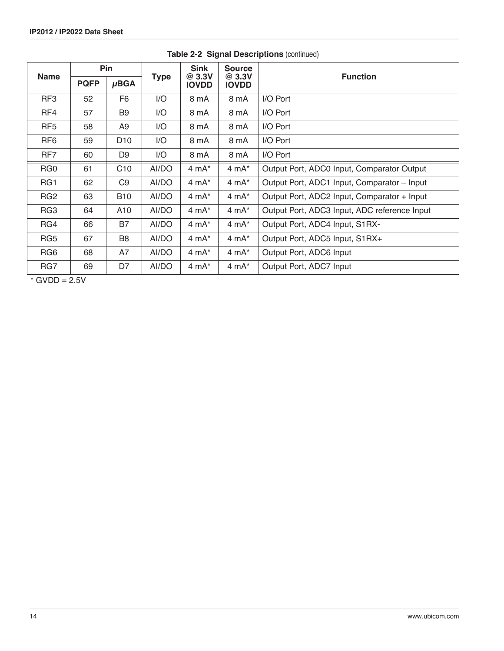|                 | Pin         |                 |             | <b>Sink</b>            | <b>Source</b>          |                                              |  |
|-----------------|-------------|-----------------|-------------|------------------------|------------------------|----------------------------------------------|--|
| <b>Name</b>     | <b>PQFP</b> | $\mu$ BGA       | <b>Type</b> | @ 3.3V<br><b>IOVDD</b> | @ 3.3V<br><b>IOVDD</b> | <b>Function</b>                              |  |
| RF3             | 52          | F <sub>6</sub>  | 1/O         | 8 mA                   | 8 mA                   | I/O Port                                     |  |
| RF4             | 57          | B <sub>9</sub>  | 1/O         | 8 mA                   | 8 mA                   | I/O Port                                     |  |
| RF <sub>5</sub> | 58          | A9              | 1/O         | 8 mA                   | 8 mA                   | I/O Port                                     |  |
| RF <sub>6</sub> | 59          | D <sub>10</sub> | 1/O         | 8 mA                   | 8 mA                   | I/O Port                                     |  |
| RF7             | 60          | D <sub>9</sub>  | 1/O         | 8 mA                   | 8 mA                   | I/O Port                                     |  |
| RG <sub>0</sub> | 61          | C10             | AI/DO       | 4 mA*                  | $4 \text{ mA}^*$       | Output Port, ADC0 Input, Comparator Output   |  |
| RG1             | 62          | C <sub>9</sub>  | AI/DO       | 4 mA*                  | $4 \text{ mA}^*$       | Output Port, ADC1 Input, Comparator - Input  |  |
| RG <sub>2</sub> | 63          | <b>B10</b>      | AI/DO       | $4 \text{ mA}^*$       | $4 \text{ mA}^*$       | Output Port, ADC2 Input, Comparator + Input  |  |
| RG3             | 64          | A10             | AI/DO       | $4 \text{ mA}^*$       | $4 \text{ mA}^*$       | Output Port, ADC3 Input, ADC reference Input |  |
| RG4             | 66          | <b>B7</b>       | AI/DO       | $4 \text{ mA}^*$       | $4 \text{ mA}^*$       | Output Port, ADC4 Input, S1RX-               |  |
| RG5             | 67          | B <sub>8</sub>  | AI/DO       | $4 \text{ mA}^*$       | $4 \text{ mA}^*$       | Output Port, ADC5 Input, S1RX+               |  |
| RG <sub>6</sub> | 68          | A7              | AI/DO       | $4 \text{ mA}^*$       | $4 \text{ mA}^*$       | Output Port, ADC6 Input                      |  |
| RG7             | 69          | D7              | AI/DO       | $4 \text{ mA}^*$       | $4 \text{ mA}^*$       | Output Port, ADC7 Input                      |  |

**Table 2-2 Signal Descriptions** (continued)

 $*$  GVDD = 2.5V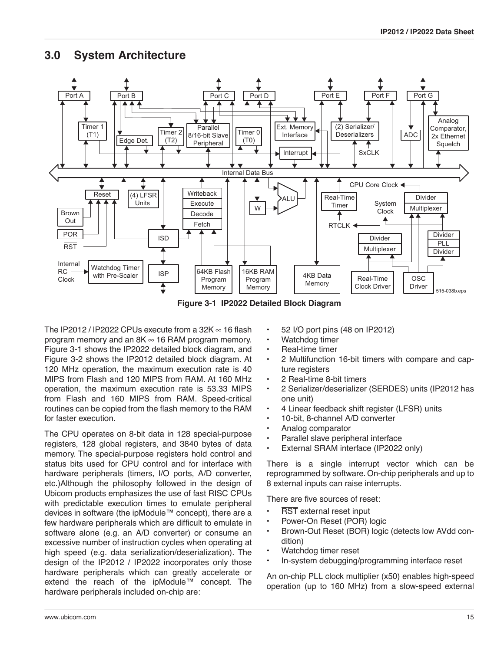# **3.0 System Architecture**



**Figure 3-1 IP2022 Detailed Block Diagram**

The IP2012 / IP2022 CPUs execute from a 32K  $\infty$  16 flash program memory and an  $8K \approx 16$  RAM program memory. Figure 3-1 shows the IP2022 detailed block diagram, and [Figure 3-2](#page-15-0) shows the IP2012 detailed block diagram. At 120 MHz operation, the maximum execution rate is 40 MIPS from Flash and 120 MIPS from RAM. At 160 MHz operation, the maximum execution rate is 53.33 MIPS from Flash and 160 MIPS from RAM. Speed-critical routines can be copied from the flash memory to the RAM for faster execution.

The CPU operates on 8-bit data in 128 special-purpose registers, 128 global registers, and 3840 bytes of data memory. The special-purpose registers hold control and status bits used for CPU control and for interface with hardware peripherals (timers, I/O ports, A/D converter, etc.)Although the philosophy followed in the design of Ubicom products emphasizes the use of fast RISC CPUs with predictable execution times to emulate peripheral devices in software (the ipModule™ concept), there are a few hardware peripherals which are difficult to emulate in software alone (e.g. an A/D converter) or consume an excessive number of instruction cycles when operating at high speed (e.g. data serialization/deserialization). The design of the IP2012 / IP2022 incorporates only those hardware peripherals which can greatly accelerate or extend the reach of the ipModule™ concept. The hardware peripherals included on-chip are:

- 52 I/O port pins (48 on IP2012)
- Watchdog timer
- Real-time timer
- 2 Multifunction 16-bit timers with compare and capture registers
- 2 Real-time 8-bit timers
- 2 Serializer/deserializer (SERDES) units (IP2012 has one unit)
- 4 Linear feedback shift register (LFSR) units
- 10-bit, 8-channel A/D converter
- Analog comparator
- Parallel slave peripheral interface
- External SRAM interface (IP2022 only)

There is a single interrupt vector which can be reprogrammed by software. On-chip peripherals and up to 8 external inputs can raise interrupts.

There are five sources of reset:

- **RST** external reset input
- Power-On Reset (POR) logic
- Brown-Out Reset (BOR) logic (detects low AVdd condition)
- Watchdog timer reset
- In-system debugging/programming interface reset

An on-chip PLL clock multiplier (x50) enables high-speed operation (up to 160 MHz) from a slow-speed external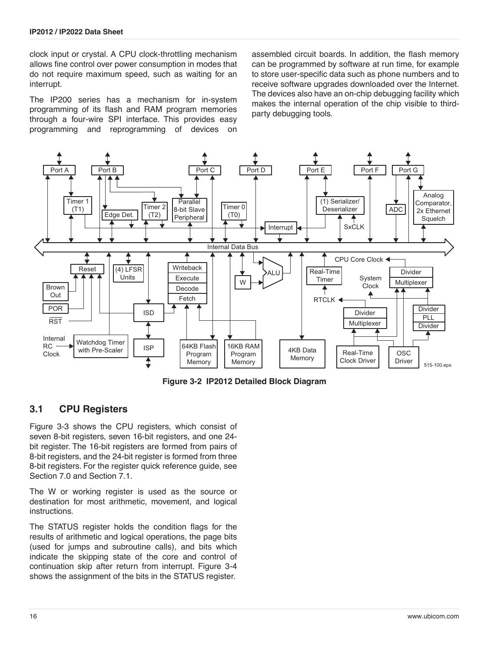clock input or crystal. A CPU clock-throttling mechanism allows fine control over power consumption in modes that do not require maximum speed, such as waiting for an interrupt.

The IP200 series has a mechanism for in-system programming of its flash and RAM program memories through a four-wire SPI interface. This provides easy programming and reprogramming of devices on assembled circuit boards. In addition, the flash memory can be programmed by software at run time, for example to store user-specific data such as phone numbers and to receive software upgrades downloaded over the Internet. The devices also have an on-chip debugging facility which makes the internal operation of the chip visible to thirdparty debugging tools.



**Figure 3-2 IP2012 Detailed Block Diagram**

## <span id="page-15-0"></span>**3.1 CPU Registers**

[Figure 3-3](#page-16-0) shows the CPU registers, which consist of seven 8-bit registers, seven 16-bit registers, and one 24 bit register. The 16-bit registers are formed from pairs of 8-bit registers, and the 24-bit register is formed from three 8-bit registers. For the register quick reference guide, see [Section 7.0](#page-83-0) and [Section 7.1](#page-88-0).

The W or working register is used as the source or destination for most arithmetic, movement, and logical instructions.

The STATUS register holds the condition flags for the results of arithmetic and logical operations, the page bits (used for jumps and subroutine calls), and bits which indicate the skipping state of the core and control of continuation skip after return from interrupt. [Figure 3-4](#page-16-1) shows the assignment of the bits in the STATUS register.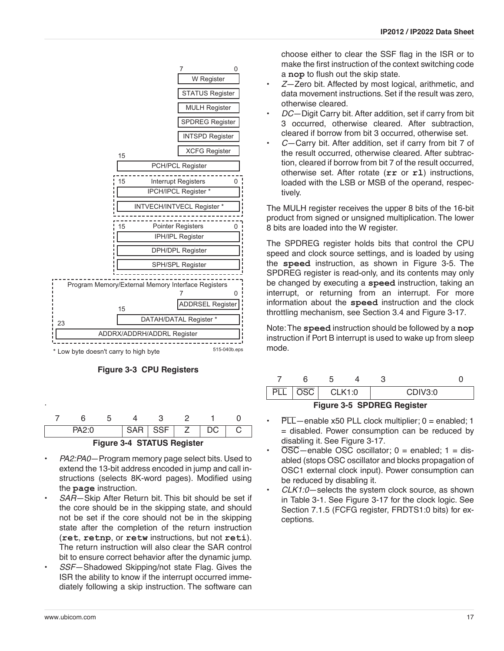



|                            | ∩∙כ∆⊂ |  |  | SAR I SSF I |  |  |  |  |
|----------------------------|-------|--|--|-------------|--|--|--|--|
| Figure 3-4 STATUS Register |       |  |  |             |  |  |  |  |

- <span id="page-16-1"></span>• *PA2:PA0*—Program memory page select bits. Used to extend the 13-bit address encoded in jump and call instructions (selects 8K-word pages). Modified using the **page** instruction.
- SAR-Skip After Return bit. This bit should be set if the core should be in the skipping state, and should not be set if the core should not be in the skipping state after the completion of the return instruction (**ret**, **retnp**, or **retw** instructions, but not **reti**). The return instruction will also clear the SAR control bit to ensure correct behavior after the dynamic jump.
- *SSF*—Shadowed Skipping/not state Flag. Gives the ISR the ability to know if the interrupt occurred immediately following a skip instruction. The software can

choose either to clear the SSF flag in the ISR or to make the first instruction of the context switching code a **nop** to flush out the skip state.

- *Z*—Zero bit. Affected by most logical, arithmetic, and data movement instructions. Set if the result was zero, otherwise cleared.
- *DC*—Digit Carry bit. After addition, set if carry from bit 3 occurred, otherwise cleared. After subtraction, cleared if borrow from bit 3 occurred, otherwise set.
- *C*—Carry bit. After addition, set if carry from bit 7 of the result occurred, otherwise cleared. After subtraction, cleared if borrow from bit 7 of the result occurred, otherwise set. After rotate (**rr** or **rl**) instructions, loaded with the LSB or MSB of the operand, respectively.

The MULH register receives the upper 8 bits of the 16-bit product from signed or unsigned multiplication. The lower 8 bits are loaded into the W register.

The SPDREG register holds bits that control the CPU speed and clock source settings, and is loaded by using the **speed** instruction, as shown in [Figure 3-5](#page-16-2). The SPDREG register is read-only, and its contents may only be changed by executing a **speed** instruction, taking an interrupt, or returning from an interrupt. For more information about the **speed** instruction and the clock throttling mechanism, see [Section 3.4](#page-19-0) and [Figure 3-17](#page-28-0).

Note: The **speed** instruction should be followed by a **nop** instruction if Port B interrupt is used to wake up from sleep mode.



- <span id="page-16-2"></span> $\overline{PLL}$  - enable x50 PLL clock multiplier; 0 = enabled; 1 = disabled. Power consumption can be reduced by disabling it. See [Figure 3-17.](#page-28-0)
- $\overline{OSC}$  enable OSC oscillator; 0 = enabled; 1 = disabled (stops OSC oscillator and blocks propagation of OSC1 external clock input). Power consumption can be reduced by disabling it.
- *CLK1:0*—selects the system clock source, as shown in [Table 3-1.](#page-17-0) See [Figure 3-17](#page-28-0) for the clock logic. See [Section 7.1.5](#page-90-0) (FCFG register, FRDTS1:0 bits) for exceptions.

<span id="page-16-0"></span>.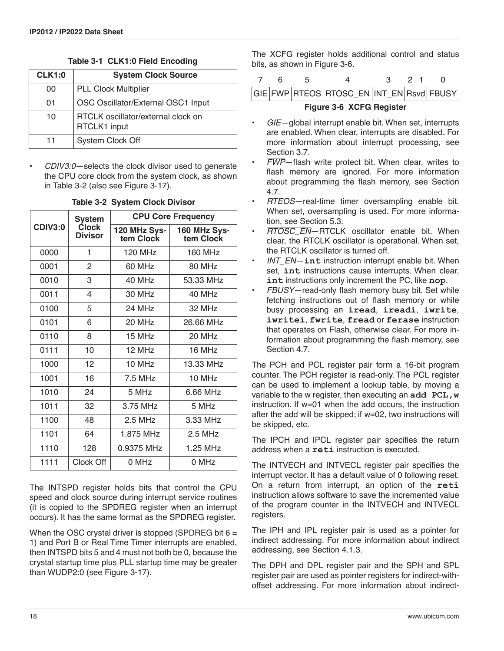|  |  |  | Table 3-1 CLK1:0 Field Encoding |
|--|--|--|---------------------------------|
|--|--|--|---------------------------------|

<span id="page-17-0"></span>

| <b>CLK1:0</b> | <b>System Clock Source</b>                         |
|---------------|----------------------------------------------------|
| 00            | <b>PLL Clock Multiplier</b>                        |
| 01            | OSC Oscillator/External OSC1 Input                 |
| 10            | RTCLK oscillator/external clock on<br>RTCLK1 input |
| 11            | System Clock Off                                   |

• *CDIV3:0*—selects the clock divisor used to generate the CPU core clock from the system clock, as shown in Table 3-2 (also see [Figure 3-17\)](#page-28-0).

|                | <b>System</b>                  |                           | <b>CPU Core Frequency</b> |  |  |  |  |  |  |  |
|----------------|--------------------------------|---------------------------|---------------------------|--|--|--|--|--|--|--|
| <b>CDIV3:0</b> | <b>Clock</b><br><b>Divisor</b> | 120 MHz Sys-<br>tem Clock | 160 MHz Sys-<br>tem Clock |  |  |  |  |  |  |  |
| 0000           | 1                              | 120 MHz                   | 160 MHz                   |  |  |  |  |  |  |  |
| 0001           | $\mathfrak{p}$                 | 60 MHz                    | 80 MHz                    |  |  |  |  |  |  |  |
| 0010           | 3                              | 40 MHz                    | 53.33 MHz                 |  |  |  |  |  |  |  |
| 0011           | 4                              | 30 MHz                    | 40 MHz                    |  |  |  |  |  |  |  |
| 0100           | 5                              | 24 MHz                    | 32 MHz                    |  |  |  |  |  |  |  |
| 0101           | 6                              | 20 MHz                    | 26.66 MHz                 |  |  |  |  |  |  |  |
| 0110           | 8                              | 15 MHz                    | 20 MHz                    |  |  |  |  |  |  |  |
| 0111           | 10                             | 12 MHz                    | 16 MHz                    |  |  |  |  |  |  |  |
| 1000           | 12                             | 10 MHz                    | 13.33 MHz                 |  |  |  |  |  |  |  |
| 1001           | 16                             | 7.5 MHz                   | 10 MHz                    |  |  |  |  |  |  |  |
| 1010           | 24                             | 5 MHz                     | 6.66 MHz                  |  |  |  |  |  |  |  |
| 1011           | 32                             | 3.75 MHz                  | 5 MHz                     |  |  |  |  |  |  |  |
| 1100           | 48                             | 2.5 MHz                   | 3.33 MHz                  |  |  |  |  |  |  |  |
| 1101           | 64                             | 1.875 MHz                 | $2.5$ MHz                 |  |  |  |  |  |  |  |
| 1110           | 128                            | 0.9375 MHz                | 1.25 MHz                  |  |  |  |  |  |  |  |
| 1111           | Clock Off                      | 0 MHz                     | 0 MHz                     |  |  |  |  |  |  |  |

#### **Table 3-2 System Clock Divisor**

The INTSPD register holds bits that control the CPU speed and clock source during interrupt service routines (it is copied to the SPDREG register when an interrupt occurs). It has the same format as the SPDREG register.

When the OSC crystal driver is stopped (SPDREG bit  $6 =$ 1) and Port B or Real Time Timer interrupts are enabled, then INTSPD bits 5 and 4 must not both be 0, because the crystal startup time plus PLL startup time may be greater than WUDP2:0 (see [Figure 3-17](#page-28-0)).

The XCFG register holds additional control and status bits, as shown in [Figure 3-6.](#page-17-1)

<span id="page-17-1"></span>GIE FWP RTEOS RTOSC\_EN INT\_EN Rsvd FBUSY **Figure 3-6 XCFG Register**

- *GIE*—global interrupt enable bit. When set, interrupts are enabled. When clear, interrupts are disabled. For more information about interrupt processing, see [Section 3.7](#page-21-0).
- *FWP*—flash write protect bit. When clear, writes to flash memory are ignored. For more information about programming the flash memory, see [Section](#page-46-0) [4.7.](#page-46-0)
- *RTEOS*—real-time timer oversampling enable bit. When set, oversampling is used. For more information, see [Section 5.3.](#page-51-0)
- *RTOSC\_EN*—RTCLK oscillator enable bit. When clear, the RTCLK oscillator is operational. When set, the RTCLK oscillator is turned off.
- *INT\_EN*—**int** instruction interrupt enable bit. When set, **int** instructions cause interrupts. When clear, **int** instructions only increment the PC, like **nop**.
- *FBUSY*—read-only flash memory busy bit. Set while fetching instructions out of flash memory or while busy processing an **iread**, **ireadi**, **iwrite**, **iwritei**, **fwrite**, **fread** or **ferase** instruction that operates on Flash, otherwise clear. For more information about programming the flash memory, see [Section 4.7](#page-46-0).

The PCH and PCL register pair form a 16-bit program counter. The PCH register is read-only. The PCL register can be used to implement a lookup table, by moving a variable to the w register, then executing an **add PCL,w** instruction. If w=01 when the add occurs, the instruction after the add will be skipped; if w=02, two instructions will be skipped, etc.

The IPCH and IPCL register pair specifies the return address when a **reti** instruction is executed.

The INTVECH and INTVECL register pair specifies the interrupt vector. It has a default value of 0 following reset. On a return from interrupt, an option of the **reti** instruction allows software to save the incremented value of the program counter in the INTVECH and INTVECL registers.

The IPH and IPL register pair is used as a pointer for indirect addressing. For more information about indirect addressing, see [Section 4.1.3.](#page-35-0)

The DPH and DPL register pair and the SPH and SPL register pair are used as pointer registers for indirect-withoffset addressing. For more information about indirect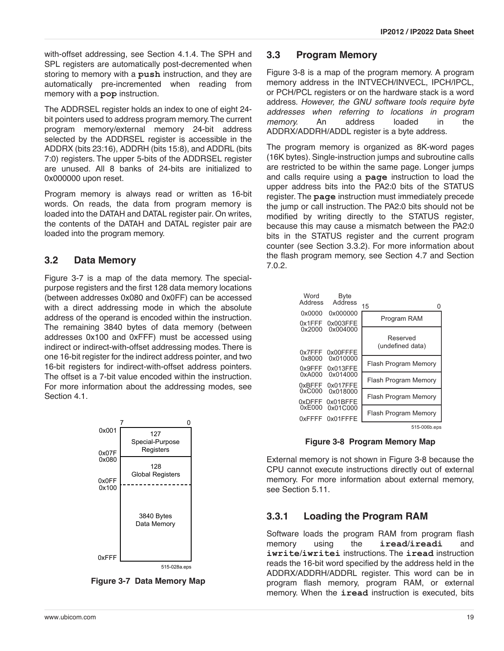with-offset addressing, see [Section 4.1.4](#page-36-0). The SPH and SPL registers are automatically post-decremented when storing to memory with a **push** instruction, and they are automatically pre-incremented when reading from memory with a **pop** instruction.

The ADDRSEL register holds an index to one of eight 24 bit pointers used to address program memory. The current program memory/external memory 24-bit address selected by the ADDRSEL register is accessible in the ADDRX (bits 23:16), ADDRH (bits 15:8), and ADDRL (bits 7:0) registers. The upper 5-bits of the ADDRSEL register are unused. All 8 banks of 24-bits are initialized to 0x000000 upon reset.

Program memory is always read or written as 16-bit words. On reads, the data from program memory is loaded into the DATAH and DATAL register pair. On writes, the contents of the DATAH and DATAL register pair are loaded into the program memory.

# **3.2 Data Memory**

[Figure 3-7](#page-18-0) is a map of the data memory. The specialpurpose registers and the first 128 data memory locations (between addresses 0x080 and 0x0FF) can be accessed with a direct addressing mode in which the absolute address of the operand is encoded within the instruction. The remaining 3840 bytes of data memory (between addresses 0x100 and 0xFFF) must be accessed using indirect or indirect-with-offset addressing modes. There is one 16-bit register for the indirect address pointer, and two 16-bit registers for indirect-with-offset address pointers. The offset is a 7-bit value encoded within the instruction. For more information about the addressing modes, see [Section 4.1](#page-34-0).



<span id="page-18-0"></span>**Figure 3-7 Data Memory Map**

# **3.3 Program Memory**

[Figure 3-8](#page-18-1) is a map of the program memory. A program memory address in the INTVECH/INVECL, IPCH/IPCL, or PCH/PCL registers or on the hardware stack is a word address. *However, the GNU software tools require byte addresses when referring to locations in program memory.* An address loaded in the ADDRX/ADDRH/ADDL register is a byte address.

The program memory is organized as 8K-word pages (16K bytes). Single-instruction jumps and subroutine calls are restricted to be within the same page. Longer jumps and calls require using a **page** instruction to load the upper address bits into the PA2:0 bits of the STATUS register. The **page** instruction must immediately precede the jump or call instruction. The PA2:0 bits should not be modified by writing directly to the STATUS register, because this may cause a mismatch between the PA2:0 bits in the STATUS register and the current program counter (see [Section 3.3.2\)](#page-19-1). For more information about the flash program memory, see [Section 4.7](#page-46-0) and [Section](#page-87-0) [7.0.2](#page-87-0).



**Figure 3-8 Program Memory Map**

<span id="page-18-1"></span>External memory is not shown in [Figure 3-8](#page-18-1) because the CPU cannot execute instructions directly out of external memory. For more information about external memory, see [Section 5.11](#page-79-0).

# **3.3.1 Loading the Program RAM**

Software loads the program RAM from program flash memory using the **iread**/**ireadi** and **iwrite**/**iwritei** instructions. The **iread** instruction reads the 16-bit word specified by the address held in the ADDRX/ADDRH/ADDRL register. This word can be in program flash memory, program RAM, or external memory. When the **iread** instruction is executed, bits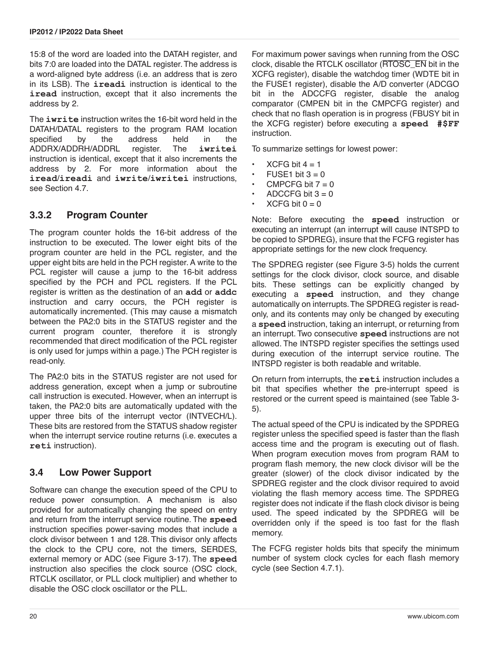15:8 of the word are loaded into the DATAH register, and bits 7:0 are loaded into the DATAL register. The address is a word-aligned byte address (i.e. an address that is zero in its LSB). The **ireadi** instruction is identical to the **iread** instruction, except that it also increments the address by 2.

The **iwrite** instruction writes the 16-bit word held in the DATAH/DATAL registers to the program RAM location specified by the address held in the ADDRX/ADDRH/ADDRL register. The **iwritei** instruction is identical, except that it also increments the address by 2. For more information about the **iread**/**ireadi** and **iwrite**/**iwritei** instructions, see [Section 4.7.](#page-46-0)

#### <span id="page-19-1"></span>**3.3.2 Program Counter**

The program counter holds the 16-bit address of the instruction to be executed. The lower eight bits of the program counter are held in the PCL register, and the upper eight bits are held in the PCH register. A write to the PCL register will cause a jump to the 16-bit address specified by the PCH and PCL registers. If the PCL register is written as the destination of an **add** or **addc** instruction and carry occurs, the PCH register is automatically incremented. (This may cause a mismatch between the PA2:0 bits in the STATUS register and the current program counter, therefore it is strongly recommended that direct modification of the PCL register is only used for jumps within a page.) The PCH register is read-only.

The PA2:0 bits in the STATUS register are not used for address generation, except when a jump or subroutine call instruction is executed. However, when an interrupt is taken, the PA2:0 bits are automatically updated with the upper three bits of the interrupt vector (INTVECH/L). These bits are restored from the STATUS shadow register when the interrupt service routine returns (i.e. executes a **reti** instruction).

## <span id="page-19-0"></span>**3.4 Low Power Support**

Software can change the execution speed of the CPU to reduce power consumption. A mechanism is also provided for automatically changing the speed on entry and return from the interrupt service routine. The **speed** instruction specifies power-saving modes that include a clock divisor between 1 and 128. This divisor only affects the clock to the CPU core, not the timers, SERDES, external memory or ADC (see [Figure 3-17\)](#page-28-0). The **speed** instruction also specifies the clock source (OSC clock, RTCLK oscillator, or PLL clock multiplier) and whether to disable the OSC clock oscillator or the PLL.

For maximum power savings when running from the OSC clock, disable the RTCLK oscillator (RTOSC\_EN bit in the XCFG register), disable the watchdog timer (WDTE bit in the FUSE1 register), disable the A/D converter (ADCGO bit in the ADCCFG register, disable the analog comparator (CMPEN bit in the CMPCFG register) and check that no flash operation is in progress (FBUSY bit in the XCFG register) before executing a **speed #\$FF** instruction.

To summarize settings for lowest power:

- $XCFG$  bit  $4 = 1$
- $FUSE1 bit 3 = 0$
- CMPCFG bit  $7 = 0$
- ADCCFG bit  $3 = 0$
- $XCFG$  bit  $0 = 0$

Note: Before executing the **speed** instruction or executing an interrupt (an interrupt will cause INTSPD to be copied to SPDREG), insure that the FCFG register has appropriate settings for the new clock frequency.

The SPDREG register (see [Figure 3-5](#page-16-2)) holds the current settings for the clock divisor, clock source, and disable bits. These settings can be explicitly changed by executing a **speed** instruction, and they change automatically on interrupts. The SPDREG register is readonly, and its contents may only be changed by executing a **speed** instruction, taking an interrupt, or returning from an interrupt. Two consecutive **speed** instructions are not allowed. The INTSPD register specifies the settings used during execution of the interrupt service routine. The INTSPD register is both readable and writable.

On return from interrupts, the **reti** instruction includes a bit that specifies whether the pre-interrupt speed is restored or the current speed is maintained (see [Table 3-](#page-24-0) [5\)](#page-24-0).

The actual speed of the CPU is indicated by the SPDREG register unless the specified speed is faster than the flash access time and the program is executing out of flash. When program execution moves from program RAM to program flash memory, the new clock divisor will be the greater (slower) of the clock divisor indicated by the SPDREG register and the clock divisor required to avoid violating the flash memory access time. The SPDREG register does not indicate if the flash clock divisor is being used. The speed indicated by the SPDREG will be overridden only if the speed is too fast for the flash memory.

The FCFG register holds bits that specify the minimum number of system clock cycles for each flash memory cycle (see [Section 4.7.1](#page-47-0)).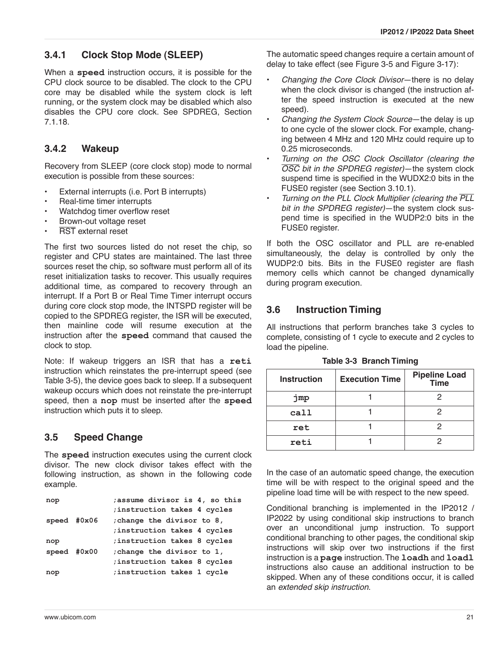# **3.4.1 Clock Stop Mode (SLEEP)**

When a **speed** instruction occurs, it is possible for the CPU clock source to be disabled. The clock to the CPU core may be disabled while the system clock is left running, or the system clock may be disabled which also disables the CPU core clock. See SPDREG, [Section](#page-98-0) [7.1.18.](#page-98-0)

# **3.4.2 Wakeup**

Recovery from SLEEP (core clock stop) mode to normal execution is possible from these sources:

- External interrupts (i.e. Port B interrupts)
- Real-time timer interrupts
- Watchdog timer overflow reset
- Brown-out voltage reset
- **RST** external reset

The first two sources listed do not reset the chip, so register and CPU states are maintained. The last three sources reset the chip, so software must perform all of its reset initialization tasks to recover. This usually requires additional time, as compared to recovery through an interrupt. If a Port B or Real Time Timer interrupt occurs during core clock stop mode, the INTSPD register will be copied to the SPDREG register, the ISR will be executed, then mainline code will resume execution at the instruction after the **speed** command that caused the clock to stop.

Note: If wakeup triggers an ISR that has a **reti** instruction which reinstates the pre-interrupt speed (see [Table 3-5\)](#page-24-0), the device goes back to sleep. If a subsequent wakeup occurs which does not reinstate the pre-interrupt speed, then a **nop** must be inserted after the **speed** instruction which puts it to sleep.

# <span id="page-20-0"></span>**3.5 Speed Change**

The **speed** instruction executes using the current clock divisor. The new clock divisor takes effect with the following instruction, as shown in the following code example.

| nop           | assume divisor is 4, so this |
|---------------|------------------------------|
|               | ; instruction takes 4 cycles |
| speed $#0x06$ | ; change the divisor to 8,   |
|               | instruction takes 4 cycles;  |
| nop           | instruction takes 8 cycles   |
| speed $#0x00$ | ; change the divisor to 1,   |
|               | ; instruction takes 8 cycles |
| nop           | ; instruction takes 1 cycle  |
|               |                              |

The automatic speed changes require a certain amount of delay to take effect (see [Figure 3-5](#page-16-2) and [Figure 3-17](#page-28-0)):

- *Changing the Core Clock Divisor*—there is no delay when the clock divisor is changed (the instruction after the speed instruction is executed at the new speed).
- *Changing the System Clock Source*—the delay is up to one cycle of the slower clock. For example, changing between 4 MHz and 120 MHz could require up to 0.25 microseconds.
- *Turning on the OSC Clock Oscillator (clearing the OSC bit in the SPDREG register)*—the system clock suspend time is specified in the WUDX2:0 bits in the FUSE0 register (see [Section 3.10.1](#page-31-0)).
- *Turning on the PLL Clock Multiplier (clearing the PLL bit in the SPDREG register)*—the system clock suspend time is specified in the WUDP2:0 bits in the FUSE0 register.

If both the OSC oscillator and PLL are re-enabled simultaneously, the delay is controlled by only the WUDP2:0 bits. Bits in the FUSE0 register are flash memory cells which cannot be changed dynamically during program execution.

# **3.6 Instruction Timing**

All instructions that perform branches take 3 cycles to complete, consisting of 1 cycle to execute and 2 cycles to load the pipeline.

| <b>Instruction</b> | <b>Execution Time</b> | <b>Pipeline Load</b><br>Time |  |  |  |  |
|--------------------|-----------------------|------------------------------|--|--|--|--|
| jmp                |                       |                              |  |  |  |  |
| call               |                       | 2                            |  |  |  |  |
| ret                |                       | 2                            |  |  |  |  |
| reti               |                       |                              |  |  |  |  |

**Table 3-3 Branch Timing**

In the case of an automatic speed change, the execution time will be with respect to the original speed and the pipeline load time will be with respect to the new speed.

Conditional branching is implemented in the IP2012 / IP2022 by using conditional skip instructions to branch over an unconditional jump instruction. To support conditional branching to other pages, the conditional skip instructions will skip over two instructions if the first instruction is a **page** instruction. The **loadh** and **loadl** instructions also cause an additional instruction to be skipped. When any of these conditions occur, it is called an *extended skip instruction*.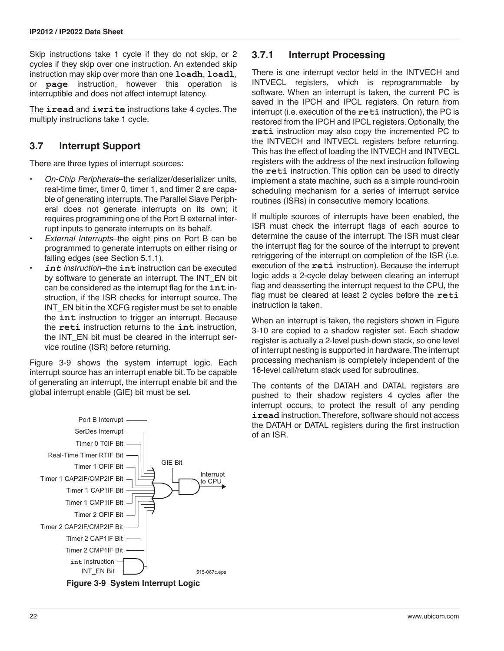Skip instructions take 1 cycle if they do not skip, or 2 cycles if they skip over one instruction. An extended skip instruction may skip over more than one **loadh**, **loadl**, **page** instruction, however this operation is interruptible and does not affect interrupt latency.

The **iread** and **iwrite** instructions take 4 cycles. The multiply instructions take 1 cycle.

### <span id="page-21-0"></span>**3.7 Interrupt Support**

There are three types of interrupt sources:

- *On-Chip Peripherals*–the serializer/deserializer units, real-time timer, timer 0, timer 1, and timer 2 are capable of generating interrupts. The Parallel Slave Peripheral does not generate interrupts on its own; it requires programming one of the Port B external interrupt inputs to generate interrupts on its behalf.
- *External Interrupts*–the eight pins on Port B can be programmed to generate interrupts on either rising or falling edges (see [Section 5.1.1](#page-48-0)).
- *int Instruction*–the **int** instruction can be executed by software to generate an interrupt. The INT\_EN bit can be considered as the interrupt flag for the **int** instruction, if the ISR checks for interrupt source. The INT\_EN bit in the XCFG register must be set to enable the **int** instruction to trigger an interrupt. Because the **reti** instruction returns to the **int** instruction, the INT\_EN bit must be cleared in the interrupt service routine (ISR) before returning.

[Figure 3-9](#page-21-1) shows the system interrupt logic. Each interrupt source has an interrupt enable bit. To be capable of generating an interrupt, the interrupt enable bit and the global interrupt enable (GIE) bit must be set.

### **3.7.1 Interrupt Processing**

There is one interrupt vector held in the INTVECH and INTVECL registers, which is reprogrammable by software. When an interrupt is taken, the current PC is saved in the IPCH and IPCL registers. On return from interrupt (i.e. execution of the **reti** instruction), the PC is restored from the IPCH and IPCL registers. Optionally, the **reti** instruction may also copy the incremented PC to the INTVECH and INTVECL registers before returning. This has the effect of loading the INTVECH and INTVECL registers with the address of the next instruction following the **reti** instruction. This option can be used to directly implement a state machine, such as a simple round-robin scheduling mechanism for a series of interrupt service routines (ISRs) in consecutive memory locations.

If multiple sources of interrupts have been enabled, the ISR must check the interrupt flags of each source to determine the cause of the interrupt. The ISR must clear the interrupt flag for the source of the interrupt to prevent retriggering of the interrupt on completion of the ISR (i.e. execution of the **reti** instruction). Because the interrupt logic adds a 2-cycle delay between clearing an interrupt flag and deasserting the interrupt request to the CPU, the flag must be cleared at least 2 cycles before the **reti** instruction is taken.

When an interrupt is taken, the registers shown in [Figure](#page-22-0) [3-10](#page-22-0) are copied to a shadow register set. Each shadow register is actually a 2-level push-down stack, so one level of interrupt nesting is supported in hardware. The interrupt processing mechanism is completely independent of the 16-level call/return stack used for subroutines.

The contents of the DATAH and DATAL registers are pushed to their shadow registers 4 cycles after the interrupt occurs, to protect the result of any pending **iread** instruction. Therefore, software should not access the DATAH or DATAL registers during the first instruction of an ISR.



<span id="page-21-1"></span>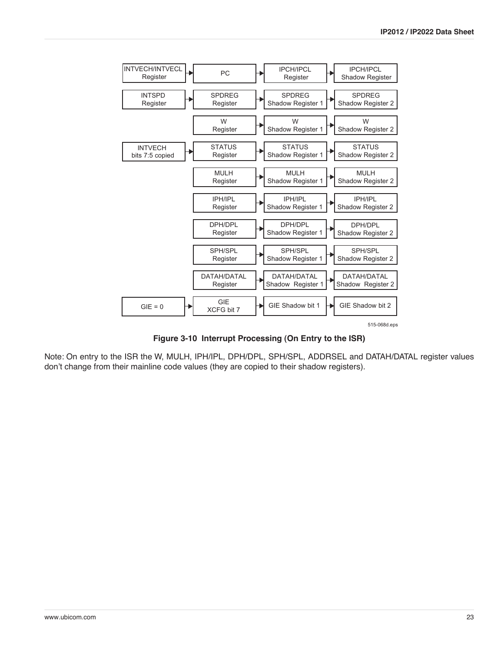

**Figure 3-10 Interrupt Processing (On Entry to the ISR)**

<span id="page-22-0"></span>Note: On entry to the ISR the W, MULH, IPH/IPL, DPH/DPL, SPH/SPL, ADDRSEL and DATAH/DATAL register values don't change from their mainline code values (they are copied to their shadow registers).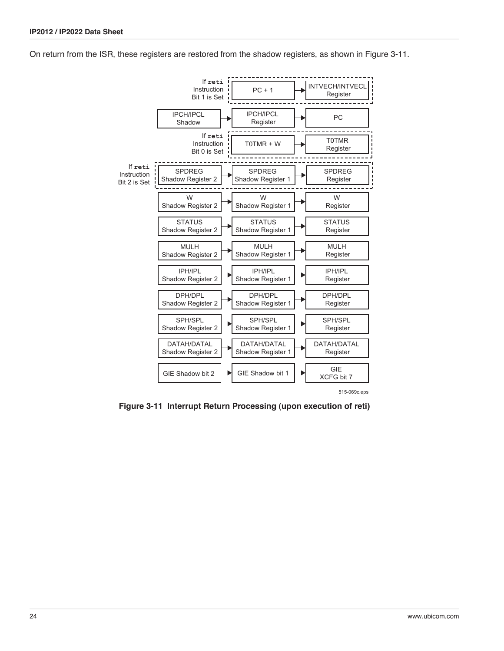On return from the ISR, these registers are restored from the shadow registers, as shown in [Figure 3-11.](#page-23-0)



<span id="page-23-0"></span>**Figure 3-11 Interrupt Return Processing (upon execution of reti)**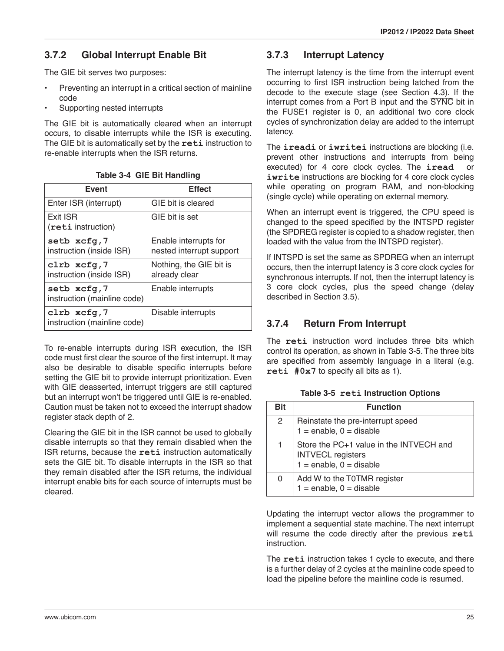# <span id="page-24-1"></span>**3.7.2 Global Interrupt Enable Bit**

The GIE bit serves two purposes:

- Preventing an interrupt in a critical section of mainline code
- Supporting nested interrupts

The GIE bit is automatically cleared when an interrupt occurs, to disable interrupts while the ISR is executing. The GIE bit is automatically set by the **reti** instruction to re-enable interrupts when the ISR returns.

| <b>Event</b>                               | <b>Effect</b>                                     |
|--------------------------------------------|---------------------------------------------------|
| Enter ISR (interrupt)                      | GIE bit is cleared                                |
| Exit ISR<br>(reti instruction)             | GIE bit is set                                    |
| setb xcfq,7<br>instruction (inside ISR)    | Enable interrupts for<br>nested interrupt support |
| clrb xcfq,7<br>instruction (inside ISR)    | Nothing, the GIE bit is<br>already clear          |
| setb xcfq,7<br>instruction (mainline code) | Enable interrupts                                 |
| clrb xcfq,7<br>instruction (mainline code) | Disable interrupts                                |

**Table 3-4 GIE Bit Handling** 

To re-enable interrupts during ISR execution, the ISR code must first clear the source of the first interrupt. It may also be desirable to disable specific interrupts before setting the GIE bit to provide interrupt prioritization. Even with GIE deasserted, interrupt triggers are still captured but an interrupt won't be triggered until GIE is re-enabled. Caution must be taken not to exceed the interrupt shadow register stack depth of 2.

Clearing the GIE bit in the ISR cannot be used to globally disable interrupts so that they remain disabled when the ISR returns, because the **reti** instruction automatically sets the GIE bit. To disable interrupts in the ISR so that they remain disabled after the ISR returns, the individual interrupt enable bits for each source of interrupts must be cleared.

# **3.7.3 Interrupt Latency**

The interrupt latency is the time from the interrupt event occurring to first ISR instruction being latched from the decode to the execute stage (see [Section 4.3\)](#page-39-0). If the interrupt comes from a Port B input and the SYNC bit in the FUSE1 register is 0, an additional two core clock cycles of synchronization delay are added to the interrupt latency.

The **ireadi** or **iwritei** instructions are blocking (i.e. prevent other instructions and interrupts from being executed) for 4 core clock cycles. The **iread** or **iwrite** instructions are blocking for 4 core clock cycles while operating on program RAM, and non-blocking (single cycle) while operating on external memory.

When an interrupt event is triggered, the CPU speed is changed to the speed specified by the INTSPD register (the SPDREG register is copied to a shadow register, then loaded with the value from the INTSPD register).

If INTSPD is set the same as SPDREG when an interrupt occurs, then the interrupt latency is 3 core clock cycles for synchronous interrupts. If not, then the interrupt latency is 3 core clock cycles, plus the speed change (delay described in [Section 3.5\)](#page-20-0).

# **3.7.4 Return From Interrupt**

The **reti** instruction word includes three bits which control its operation, as shown in [Table 3-5](#page-24-0). The three bits are specified from assembly language in a literal (e.g. **reti #0x7** to specify all bits as 1).

**Table 3-5 reti Instruction Options**

<span id="page-24-0"></span>

| <b>Bit</b> | <b>Function</b>                                                                                    |
|------------|----------------------------------------------------------------------------------------------------|
| 2          | Reinstate the pre-interrupt speed<br>$1 =$ enable, $0 =$ disable                                   |
|            | Store the PC+1 value in the INTVECH and<br><b>INTVECL registers</b><br>$1 =$ enable, $0 =$ disable |
| 0          | Add W to the T0TMR register<br>$1 =$ enable, $0 =$ disable                                         |

Updating the interrupt vector allows the programmer to implement a sequential state machine. The next interrupt will resume the code directly after the previous **reti** instruction.

The **reti** instruction takes 1 cycle to execute, and there is a further delay of 2 cycles at the mainline code speed to load the pipeline before the mainline code is resumed.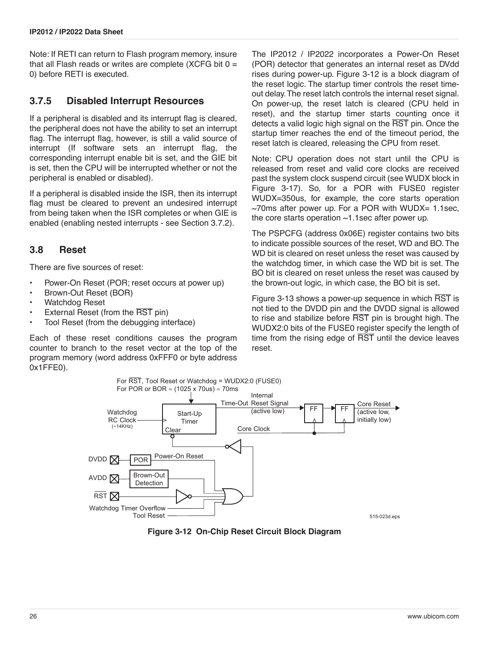Note: If RETI can return to Flash program memory, insure that all Flash reads or writes are complete (XCFG bit  $0 =$ 0) before RETI is executed.

### **3.7.5 Disabled Interrupt Resources**

If a peripheral is disabled and its interrupt flag is cleared, the peripheral does not have the ability to set an interrupt flag. The interrupt flag, however, is still a valid source of interrupt (If software sets an interrupt flag, the corresponding interrupt enable bit is set, and the GIE bit is set, then the CPU will be interrupted whether or not the peripheral is enabled or disabled).

If a peripheral is disabled inside the ISR, then its interrupt flag must be cleared to prevent an undesired interrupt from being taken when the ISR completes or when GIE is enabled (enabling nested interrupts - see [Section 3.7.2\)](#page-24-1).

#### **3.8 Reset**

There are five sources of reset:

- Power-On Reset (POR; reset occurs at power up)
- Brown-Out Reset (BOR)
- Watchdog Reset
- External Reset (from the RST pin)
- Tool Reset (from the debugging interface)

Each of these reset conditions causes the program counter to branch to the reset vector at the top of the program memory (word address 0xFFF0 or byte address 0x1FFE0).

The IP2012 / IP2022 incorporates a Power-On Reset (POR) detector that generates an internal reset as DVdd rises during power-up. [Figure 3-12](#page-25-0) is a block diagram of the reset logic. The startup timer controls the reset timeout delay. The reset latch controls the internal reset signal. On power-up, the reset latch is cleared (CPU held in reset), and the startup timer starts counting once it detects a valid logic high signal on the RST pin. Once the startup timer reaches the end of the timeout period, the reset latch is cleared, releasing the CPU from reset.

Note: CPU operation does not start until the CPU is released from reset and valid core clocks are received past the system clock suspend circuit (see WUDX block in [Figure 3-17](#page-28-0)). So, for a POR with FUSE0 register WUDX=350us, for example, the core starts operation  $\sim$ 70ms after power up. For a POR with WUDX= 1.1sec, the core starts operation  $\sim$ 1.1sec after power up.

The PSPCFG (address 0x06E) register contains two bits to indicate possible sources of the reset, WD and BO. The WD bit is cleared on reset unless the reset was caused by the watchdog timer, in which case the WD bit is set. The BO bit is cleared on reset unless the reset was caused by the brown-out logic, in which case, the BO bit is set.

[Figure 3-13](#page-26-0) shows a power-up sequence in which RST is not tied to the DVDD pin and the DVDD signal is allowed to rise and stabilize before RST pin is brought high. The WUDX2:0 bits of the FUSE0 register specify the length of time from the rising edge of  $\overline{RST}$  until the device leaves reset.



<span id="page-25-0"></span>**Figure 3-12 On-Chip Reset Circuit Block Diagram**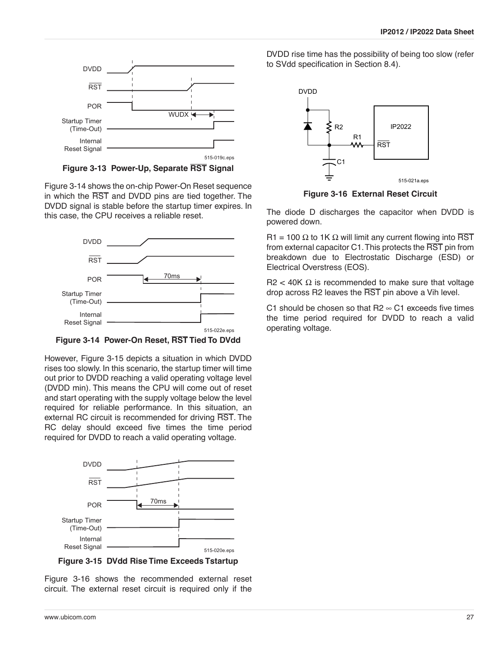

**Figure 3-13 Power-Up, Separate RST Signal**

<span id="page-26-0"></span>[Figure 3-14](#page-26-1) shows the on-chip Power-On Reset sequence in which the RST and DVDD pins are tied together. The DVDD signal is stable before the startup timer expires. In this case, the CPU receives a reliable reset.



<span id="page-26-1"></span>**Figure 3-14 Power-On Reset, RST Tied To DVdd**

However, [Figure 3-15](#page-26-2) depicts a situation in which DVDD rises too slowly. In this scenario, the startup timer will time out prior to DVDD reaching a valid operating voltage level (DVDD min). This means the CPU will come out of reset and start operating with the supply voltage below the level required for reliable performance. In this situation, an external RC circuit is recommended for driving RST. The RC delay should exceed five times the time period required for DVDD to reach a valid operating voltage.



<span id="page-26-2"></span>**Figure 3-15 DVdd Rise Time Exceeds Tstartup**

[Figure 3-16](#page-26-3) shows the recommended external reset circuit. The external reset circuit is required only if the

DVDD rise time has the possibility of being too slow (refer to SVdd specification in [Section 8.4\)](#page-109-0).



**Figure 3-16 External Reset Circuit**

<span id="page-26-3"></span>The diode D discharges the capacitor when DVDD is powered down.

R1 = 100  $\Omega$  to 1K  $\Omega$  will limit any current flowing into RST from external capacitor C1. This protects the RST pin from breakdown due to Electrostatic Discharge (ESD) or Electrical Overstress (EOS).

R2 < 40K Ω is recommended to make sure that voltage drop across R2 leaves the RST pin above a Vih level.

C1 should be chosen so that  $R2 \approx C1$  exceeds five times the time period required for DVDD to reach a valid operating voltage.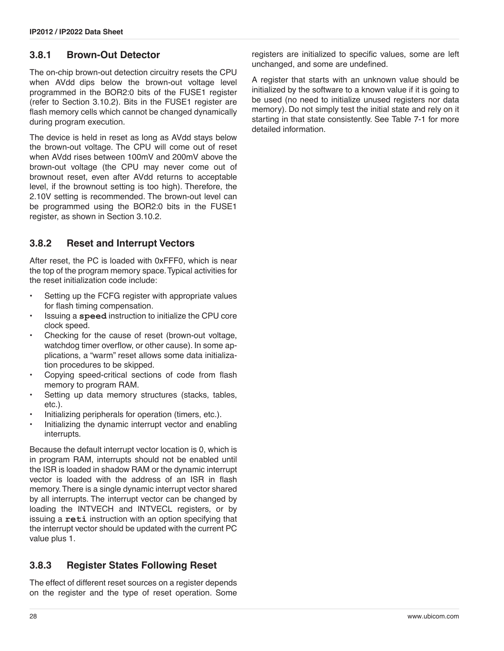# **3.8.1 Brown-Out Detector**

The on-chip brown-out detection circuitry resets the CPU when AVdd dips below the brown-out voltage level programmed in the BOR2:0 bits of the FUSE1 register (refer to [Section 3.10.2\)](#page-32-0). Bits in the FUSE1 register are flash memory cells which cannot be changed dynamically during program execution.

The device is held in reset as long as AVdd stays below the brown-out voltage. The CPU will come out of reset when AVdd rises between 100mV and 200mV above the brown-out voltage (the CPU may never come out of brownout reset, even after AVdd returns to acceptable level, if the brownout setting is too high). Therefore, the 2.10V setting is recommended. The brown-out level can be programmed using the BOR2:0 bits in the FUSE1 register, as shown in [Section 3.10.2.](#page-32-0)

# **3.8.2 Reset and Interrupt Vectors**

After reset, the PC is loaded with 0xFFF0, which is near the top of the program memory space. Typical activities for the reset initialization code include:

- Setting up the FCFG register with appropriate values for flash timing compensation.
- Issuing a **speed** instruction to initialize the CPU core clock speed.
- Checking for the cause of reset (brown-out voltage, watchdog timer overflow, or other cause). In some applications, a "warm" reset allows some data initialization procedures to be skipped.
- Copying speed-critical sections of code from flash memory to program RAM.
- Setting up data memory structures (stacks, tables, etc.).
- Initializing peripherals for operation (timers, etc.).
- Initializing the dynamic interrupt vector and enabling interrupts.

Because the default interrupt vector location is 0, which is in program RAM, interrupts should not be enabled until the ISR is loaded in shadow RAM or the dynamic interrupt vector is loaded with the address of an ISR in flash memory. There is a single dynamic interrupt vector shared by all interrupts. The interrupt vector can be changed by loading the INTVECH and INTVECL registers, or by issuing a **reti** instruction with an option specifying that the interrupt vector should be updated with the current PC value plus 1.

# **3.8.3 Register States Following Reset**

The effect of different reset sources on a register depends on the register and the type of reset operation. Some registers are initialized to specific values, some are left unchanged, and some are undefined.

A register that starts with an unknown value should be initialized by the software to a known value if it is going to be used (no need to initialize unused registers nor data memory). Do not simply test the initial state and rely on it starting in that state consistently. See [Table 7-1](#page-83-1) for more detailed information.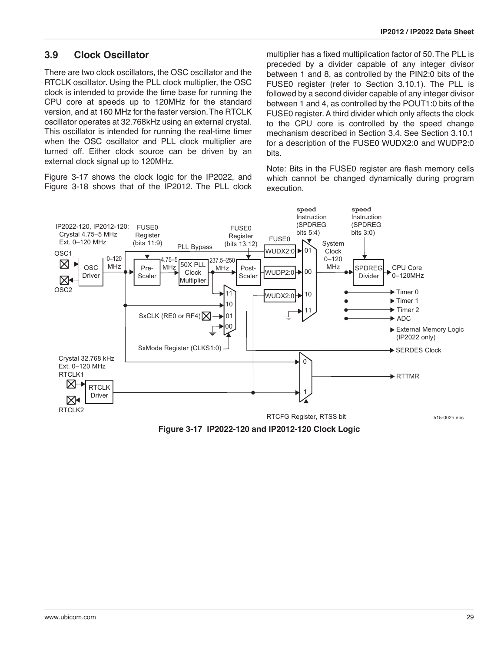### **3.9 Clock Oscillator**

There are two clock oscillators, the OSC oscillator and the RTCLK oscillator. Using the PLL clock multiplier, the OSC clock is intended to provide the time base for running the CPU core at speeds up to 120MHz for the standard version, and at 160 MHz for the faster version. The RTCLK oscillator operates at 32.768kHz using an external crystal. This oscillator is intended for running the real-time timer when the OSC oscillator and PLL clock multiplier are turned off. Either clock source can be driven by an external clock signal up to 120MHz.

[Figure 3-17](#page-28-0) shows the clock logic for the IP2022, and [Figure 3-18](#page-29-0) shows that of the IP2012. The PLL clock multiplier has a fixed multiplication factor of 50. The PLL is preceded by a divider capable of any integer divisor between 1 and 8, as controlled by the PIN2:0 bits of the FUSE0 register (refer to [Section 3.10.1](#page-31-0)). The PLL is followed by a second divider capable of any integer divisor between 1 and 4, as controlled by the POUT1:0 bits of the FUSE0 register. A third divider which only affects the clock to the CPU core is controlled by the speed change mechanism described in [Section 3.4.](#page-19-0) See [Section 3.10.1](#page-31-0) for a description of the FUSE0 WUDX2:0 and WUDP2:0 bits.

Note: Bits in the FUSE0 register are flash memory cells which cannot be changed dynamically during program execution.



<span id="page-28-0"></span>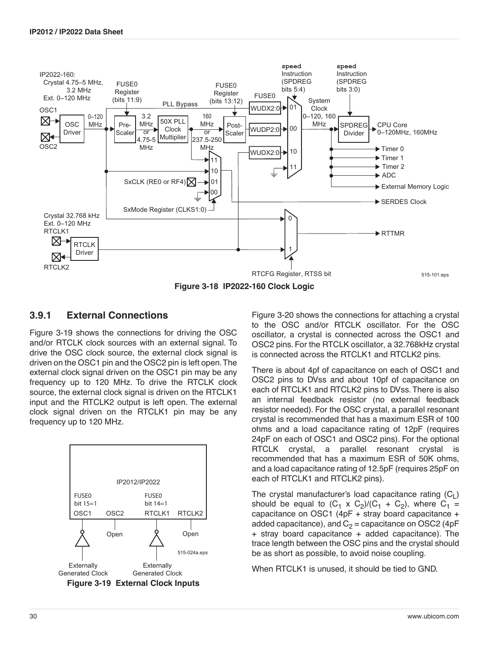

#### <span id="page-29-0"></span>**3.9.1 External Connections**

[Figure 3-19](#page-29-1) shows the connections for driving the OSC and/or RTCLK clock sources with an external signal. To drive the OSC clock source, the external clock signal is driven on the OSC1 pin and the OSC2 pin is left open. The external clock signal driven on the OSC1 pin may be any frequency up to 120 MHz. To drive the RTCLK clock source, the external clock signal is driven on the RTCLK1 input and the RTCLK2 output is left open. The external clock signal driven on the RTCLK1 pin may be any frequency up to 120 MHz.

<span id="page-29-1"></span>

[Figure 3-20](#page-30-0) shows the connections for attaching a crystal to the OSC and/or RTCLK oscillator. For the OSC oscillator, a crystal is connected across the OSC1 and OSC2 pins. For the RTCLK oscillator, a 32.768kHz crystal is connected across the RTCLK1 and RTCLK2 pins.

There is about 4pf of capacitance on each of OSC1 and OSC2 pins to DVss and about 10pf of capacitance on each of RTCLK1 and RTCLK2 pins to DVss. There is also an internal feedback resistor (no external feedback resistor needed). For the OSC crystal, a parallel resonant crystal is recommended that has a maximum ESR of 100 ohms and a load capacitance rating of 12pF (requires 24pF on each of OSC1 and OSC2 pins). For the optional RTCLK crystal, a parallel resonant crystal is recommended that has a maximum ESR of 50K ohms, and a load capacitance rating of 12.5pF (requires 25pF on each of RTCLK1 and RTCLK2 pins).

The crystal manufacturer's load capacitance rating  $(C_1)$ should be equal to  $(C_1 \times C_2)/(C_1 + C_2)$ , where  $C_1$  = capacitance on OSC1 (4pF + stray board capacitance + added capacitance), and  $C_2$  = capacitance on OSC2 (4pF + stray board capacitance + added capacitance). The trace length between the OSC pins and the crystal should be as short as possible, to avoid noise coupling.

When RTCLK1 is unused, it should be tied to GND.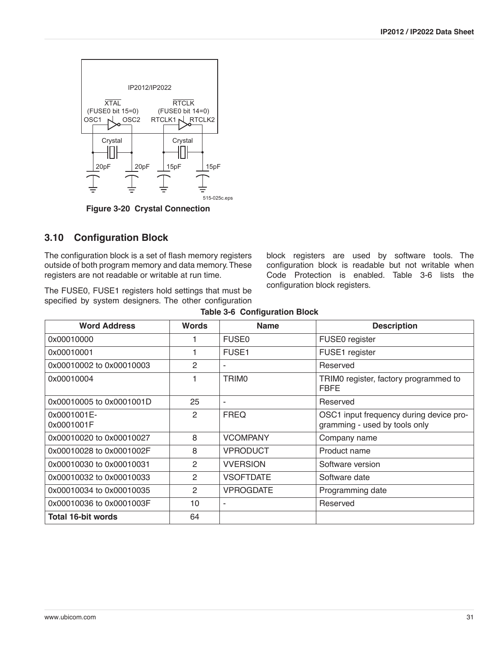

**Figure 3-20 Crystal Connection**

# <span id="page-30-0"></span>**3.10 Configuration Block**

The configuration block is a set of flash memory registers outside of both program memory and data memory. These registers are not readable or writable at run time.

The FUSE0, FUSE1 registers hold settings that must be specified by system designers. The other configuration block registers are used by software tools. The configuration block is readable but not writable when Code Protection is enabled. [Table 3-6](#page-30-1) lists the configuration block registers.

<span id="page-30-1"></span>

| <b>Word Address</b>       | <b>Words</b>   | <b>Name</b>      | <b>Description</b>                                                       |
|---------------------------|----------------|------------------|--------------------------------------------------------------------------|
| 0x00010000                |                | <b>FUSE0</b>     | FUSE0 register                                                           |
| 0x00010001                |                | <b>FUSE1</b>     | FUSE1 register                                                           |
| 0x00010002 to 0x00010003  | 2              |                  | Reserved                                                                 |
| 0x00010004                | 1              | <b>TRIMO</b>     | TRIMO register, factory programmed to<br><b>FBFE</b>                     |
| 0x00010005 to 0x0001001D  | 25             | $\sim$           | Reserved                                                                 |
| 0x0001001E-<br>0x0001001F | $\overline{2}$ | <b>FREQ</b>      | OSC1 input frequency during device pro-<br>gramming - used by tools only |
| 0x00010020 to 0x00010027  | 8              | <b>VCOMPANY</b>  | Company name                                                             |
| 0x00010028 to 0x0001002F  | 8              | <b>VPRODUCT</b>  | Product name                                                             |
| 0x00010030 to 0x00010031  | $\mathcal{P}$  | <b>VVERSION</b>  | Software version                                                         |
| 0x00010032 to 0x00010033  | 2              | <b>VSOFTDATE</b> | Software date                                                            |
| 0x00010034 to 0x00010035  | 2              | <b>VPROGDATE</b> | Programming date                                                         |
| 0x00010036 to 0x0001003F  | 10             | ٠                | Reserved                                                                 |
| <b>Total 16-bit words</b> | 64             |                  |                                                                          |

|  | <b>Table 3-6 Configuration Block</b> |  |
|--|--------------------------------------|--|
|--|--------------------------------------|--|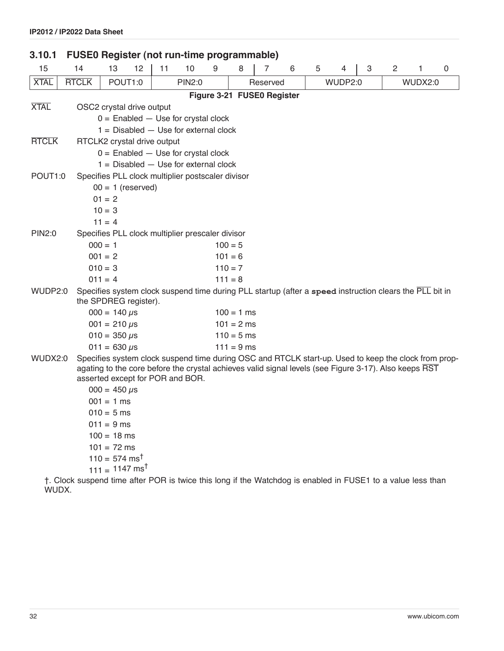<span id="page-31-0"></span>

| 3.10.1       | <b>FUSE0 Register (not run-time programmable)</b> |                             |                           |    |                                                   |   |                                                  |          |                                                                                                                                                                                                               |   |         |   |                |         |   |  |  |
|--------------|---------------------------------------------------|-----------------------------|---------------------------|----|---------------------------------------------------|---|--------------------------------------------------|----------|---------------------------------------------------------------------------------------------------------------------------------------------------------------------------------------------------------------|---|---------|---|----------------|---------|---|--|--|
| 15           | 14                                                | 13                          | 12                        | 11 | 10                                                | 9 | 8                                                | 7        | 6                                                                                                                                                                                                             | 5 | 4       | 3 | $\overline{2}$ | 1       | 0 |  |  |
| <b>XTAL</b>  | <b>RTCLK</b>                                      |                             | POUT1:0                   |    | <b>PIN2:0</b>                                     |   |                                                  | Reserved |                                                                                                                                                                                                               |   | WUDP2:0 |   |                | WUDX2:0 |   |  |  |
|              |                                                   |                             |                           |    |                                                   |   |                                                  |          | Figure 3-21 FUSE0 Register                                                                                                                                                                                    |   |         |   |                |         |   |  |  |
| <b>XTAL</b>  |                                                   |                             | OSC2 crystal drive output |    |                                                   |   |                                                  |          |                                                                                                                                                                                                               |   |         |   |                |         |   |  |  |
|              |                                                   |                             |                           |    | $0 =$ Enabled $-$ Use for crystal clock           |   |                                                  |          |                                                                                                                                                                                                               |   |         |   |                |         |   |  |  |
|              | $1 =$ Disabled $-$ Use for external clock         |                             |                           |    |                                                   |   |                                                  |          |                                                                                                                                                                                                               |   |         |   |                |         |   |  |  |
| <b>RTCLK</b> | RTCLK2 crystal drive output                       |                             |                           |    |                                                   |   |                                                  |          |                                                                                                                                                                                                               |   |         |   |                |         |   |  |  |
|              | $0 =$ Enabled $-$ Use for crystal clock           |                             |                           |    |                                                   |   |                                                  |          |                                                                                                                                                                                                               |   |         |   |                |         |   |  |  |
|              | $1 =$ Disabled $-$ Use for external clock         |                             |                           |    |                                                   |   |                                                  |          |                                                                                                                                                                                                               |   |         |   |                |         |   |  |  |
| POUT1:0      |                                                   |                             |                           |    | Specifies PLL clock multiplier postscaler divisor |   |                                                  |          |                                                                                                                                                                                                               |   |         |   |                |         |   |  |  |
|              |                                                   |                             | $00 = 1$ (reserved)       |    |                                                   |   |                                                  |          |                                                                                                                                                                                                               |   |         |   |                |         |   |  |  |
|              |                                                   | $01 = 2$                    |                           |    |                                                   |   |                                                  |          |                                                                                                                                                                                                               |   |         |   |                |         |   |  |  |
|              |                                                   | $10 = 3$                    |                           |    |                                                   |   |                                                  |          |                                                                                                                                                                                                               |   |         |   |                |         |   |  |  |
|              |                                                   | $11 = 4$                    |                           |    |                                                   |   |                                                  |          |                                                                                                                                                                                                               |   |         |   |                |         |   |  |  |
| PIN2:0       |                                                   |                             |                           |    |                                                   |   | Specifies PLL clock multiplier prescaler divisor |          |                                                                                                                                                                                                               |   |         |   |                |         |   |  |  |
|              |                                                   | $000 = 1$                   |                           |    |                                                   |   | $100 = 5$                                        |          |                                                                                                                                                                                                               |   |         |   |                |         |   |  |  |
|              |                                                   | $001 = 2$                   |                           |    |                                                   |   | $101 = 6$                                        |          |                                                                                                                                                                                                               |   |         |   |                |         |   |  |  |
|              |                                                   | $010 = 3$                   |                           |    |                                                   |   | $110 = 7$                                        |          |                                                                                                                                                                                                               |   |         |   |                |         |   |  |  |
|              |                                                   | $011 = 4$                   |                           |    |                                                   |   | $111 = 8$                                        |          |                                                                                                                                                                                                               |   |         |   |                |         |   |  |  |
| WUDP2:0      |                                                   |                             | the SPDREG register).     |    |                                                   |   |                                                  |          | Specifies system clock suspend time during PLL startup (after a speed instruction clears the PLL bit in                                                                                                       |   |         |   |                |         |   |  |  |
|              |                                                   | $000 = 140 \,\mu s$         |                           |    |                                                   |   | $100 = 1$ ms                                     |          |                                                                                                                                                                                                               |   |         |   |                |         |   |  |  |
|              |                                                   | $001 = 210 \,\mu s$         |                           |    |                                                   |   | $101 = 2$ ms                                     |          |                                                                                                                                                                                                               |   |         |   |                |         |   |  |  |
|              |                                                   | $010 = 350 \,\mu s$         |                           |    |                                                   |   | $110 = 5$ ms                                     |          |                                                                                                                                                                                                               |   |         |   |                |         |   |  |  |
|              |                                                   | $011 = 630 \,\mu s$         |                           |    |                                                   |   | $111 = 9$ ms                                     |          |                                                                                                                                                                                                               |   |         |   |                |         |   |  |  |
| WUDX2:0      |                                                   |                             |                           |    | asserted except for POR and BOR.                  |   |                                                  |          | Specifies system clock suspend time during OSC and RTCLK start-up. Used to keep the clock from prop-<br>agating to the core before the crystal achieves valid signal levels (see Figure 3-17). Also keeps RST |   |         |   |                |         |   |  |  |
|              |                                                   | $000 = 450 \,\mu s$         |                           |    |                                                   |   |                                                  |          |                                                                                                                                                                                                               |   |         |   |                |         |   |  |  |
|              |                                                   | $001 = 1$ ms                |                           |    |                                                   |   |                                                  |          |                                                                                                                                                                                                               |   |         |   |                |         |   |  |  |
|              |                                                   | $010 = 5$ ms                |                           |    |                                                   |   |                                                  |          |                                                                                                                                                                                                               |   |         |   |                |         |   |  |  |
|              |                                                   | $011 = 9$ ms                |                           |    |                                                   |   |                                                  |          |                                                                                                                                                                                                               |   |         |   |                |         |   |  |  |
|              |                                                   | $100 = 18$ ms               |                           |    |                                                   |   |                                                  |          |                                                                                                                                                                                                               |   |         |   |                |         |   |  |  |
|              |                                                   | $101 = 72$ ms               |                           |    |                                                   |   |                                                  |          |                                                                                                                                                                                                               |   |         |   |                |         |   |  |  |
|              |                                                   | $110 = 574$ ms <sup>t</sup> |                           |    |                                                   |   |                                                  |          |                                                                                                                                                                                                               |   |         |   |                |         |   |  |  |

111  $=$  1147 ms $^{\dagger}$ 

<span id="page-31-1"></span>†. Clock suspend time after POR is twice this long if the Watchdog is enabled in FUSE1 to a value less than WUDX.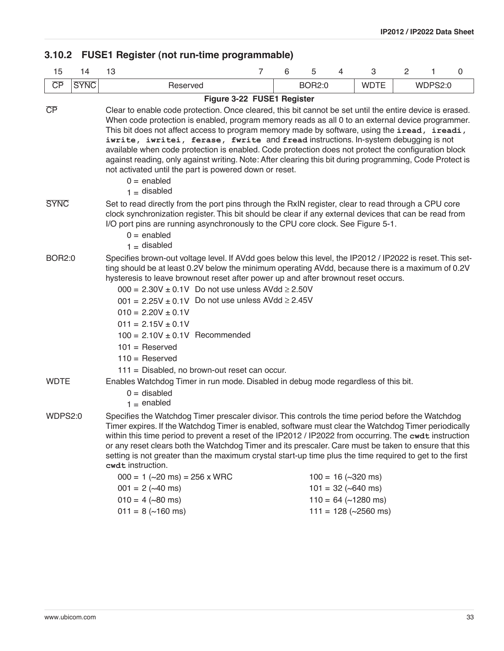# <span id="page-32-0"></span>**3.10.2 FUSE1 Register (not run-time programmable)**

| 15                                                                                                                                                                                                                                                                                                                                                                                                                                                                                                                                                                                                                                                                                       | 14          | $\overline{7}$<br>13                                                                                                                                                                                                                                                                                                                                                                                                                                                                                                                                                                                                                                                                             |  | 6 | 5             | 4 | 3                      | $\overline{c}$ | 1       | $\mathbf 0$ |  |  |  |
|------------------------------------------------------------------------------------------------------------------------------------------------------------------------------------------------------------------------------------------------------------------------------------------------------------------------------------------------------------------------------------------------------------------------------------------------------------------------------------------------------------------------------------------------------------------------------------------------------------------------------------------------------------------------------------------|-------------|--------------------------------------------------------------------------------------------------------------------------------------------------------------------------------------------------------------------------------------------------------------------------------------------------------------------------------------------------------------------------------------------------------------------------------------------------------------------------------------------------------------------------------------------------------------------------------------------------------------------------------------------------------------------------------------------------|--|---|---------------|---|------------------------|----------------|---------|-------------|--|--|--|
| $\overline{CP}$                                                                                                                                                                                                                                                                                                                                                                                                                                                                                                                                                                                                                                                                          | <b>SYNC</b> | Reserved                                                                                                                                                                                                                                                                                                                                                                                                                                                                                                                                                                                                                                                                                         |  |   | <b>BOR2:0</b> |   | <b>WDTE</b>            |                | WDPS2:0 |             |  |  |  |
|                                                                                                                                                                                                                                                                                                                                                                                                                                                                                                                                                                                                                                                                                          |             | Figure 3-22 FUSE1 Register                                                                                                                                                                                                                                                                                                                                                                                                                                                                                                                                                                                                                                                                       |  |   |               |   |                        |                |         |             |  |  |  |
| $\overline{CP}$                                                                                                                                                                                                                                                                                                                                                                                                                                                                                                                                                                                                                                                                          |             | Clear to enable code protection. Once cleared, this bit cannot be set until the entire device is erased.<br>When code protection is enabled, program memory reads as all 0 to an external device programmer.<br>This bit does not affect access to program memory made by software, using the iread, ireadi,<br>iwrite, iwritei, ferase, fwrite and fread instructions. In-system debugging is not<br>available when code protection is enabled. Code protection does not protect the configuration block<br>against reading, only against writing. Note: After clearing this bit during programming, Code Protect is<br>not activated until the part is powered down or reset.<br>$0 =$ enabled |  |   |               |   |                        |                |         |             |  |  |  |
|                                                                                                                                                                                                                                                                                                                                                                                                                                                                                                                                                                                                                                                                                          |             |                                                                                                                                                                                                                                                                                                                                                                                                                                                                                                                                                                                                                                                                                                  |  |   |               |   |                        |                |         |             |  |  |  |
| <b>SYNC</b>                                                                                                                                                                                                                                                                                                                                                                                                                                                                                                                                                                                                                                                                              |             | Set to read directly from the port pins through the RxIN register, clear to read through a CPU core<br>clock synchronization register. This bit should be clear if any external devices that can be read from<br>I/O port pins are running asynchronously to the CPU core clock. See Figure 5-1.<br>$0 =$ enabled<br>$1 =$ disabled                                                                                                                                                                                                                                                                                                                                                              |  |   |               |   |                        |                |         |             |  |  |  |
| <b>BOR2:0</b>                                                                                                                                                                                                                                                                                                                                                                                                                                                                                                                                                                                                                                                                            |             | Specifies brown-out voltage level. If AVdd goes below this level, the IP2012 / IP2022 is reset. This set-<br>ting should be at least 0.2V below the minimum operating AVdd, because there is a maximum of 0.2V<br>hysteresis to leave brownout reset after power up and after brownout reset occurs.<br>$000 = 2.30V \pm 0.1V$ Do not use unless AVdd $\ge 2.50V$<br>$001 = 2.25V \pm 0.1V$ Do not use unless AVdd $\ge 2.45V$<br>$010 = 2.20V \pm 0.1V$<br>$011 = 2.15V \pm 0.1V$<br>$100 = 2.10V \pm 0.1V$ Recommended<br>$101 =$ Reserved<br>$110 =$ Reserved<br>111 = Disabled, no brown-out reset can occur.                                                                                |  |   |               |   |                        |                |         |             |  |  |  |
| <b>WDTE</b>                                                                                                                                                                                                                                                                                                                                                                                                                                                                                                                                                                                                                                                                              |             | Enables Watchdog Timer in run mode. Disabled in debug mode regardless of this bit.<br>$0 =$ disabled<br>$1 =$ enabled                                                                                                                                                                                                                                                                                                                                                                                                                                                                                                                                                                            |  |   |               |   |                        |                |         |             |  |  |  |
| WDPS2:0<br>Specifies the Watchdog Timer prescaler divisor. This controls the time period before the Watchdog<br>Timer expires. If the Watchdog Timer is enabled, software must clear the Watchdog Timer periodically<br>within this time period to prevent a reset of the IP2012 / IP2022 from occurring. The cwdt instruction<br>or any reset clears both the Watchdog Timer and its prescaler. Care must be taken to ensure that this<br>setting is not greater than the maximum crystal start-up time plus the time required to get to the first<br>cwdt instruction.<br>$000 = 1$ (~20 ms) = 256 x WRC<br>$100 = 16$ (~320 ms)<br>$001 = 2$ (~40 ms)<br>$101 = 32 (-640 \text{ ms})$ |             |                                                                                                                                                                                                                                                                                                                                                                                                                                                                                                                                                                                                                                                                                                  |  |   |               |   |                        |                |         |             |  |  |  |
|                                                                                                                                                                                                                                                                                                                                                                                                                                                                                                                                                                                                                                                                                          |             | $010 = 4$ (~80 ms)                                                                                                                                                                                                                                                                                                                                                                                                                                                                                                                                                                                                                                                                               |  |   |               |   | $110 = 64$ (~1280 ms)  |                |         |             |  |  |  |
|                                                                                                                                                                                                                                                                                                                                                                                                                                                                                                                                                                                                                                                                                          |             | $011 = 8$ (~160 ms)                                                                                                                                                                                                                                                                                                                                                                                                                                                                                                                                                                                                                                                                              |  |   |               |   | $111 = 128$ (~2560 ms) |                |         |             |  |  |  |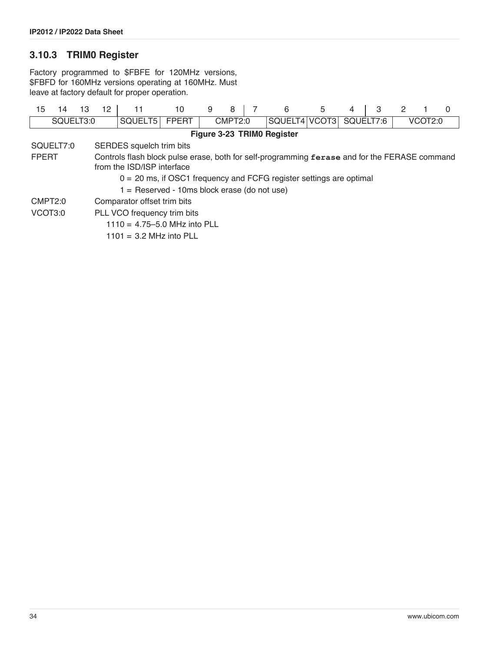# **3.10.3 TRIM0 Register**

Factory programmed to \$FBFE for 120MHz versions, \$FBFD for 160MHz versions operating at 160MHz. Must leave at factory default for proper operation.

| 15                        | 14                                                                                            | 13 | 12                       | 11                                                                    | 10           | 9 | 8       |  | 6             | 5 | 4         | 3 |         |  | 0 |  |
|---------------------------|-----------------------------------------------------------------------------------------------|----|--------------------------|-----------------------------------------------------------------------|--------------|---|---------|--|---------------|---|-----------|---|---------|--|---|--|
| SQUELT3:0                 |                                                                                               |    |                          | SQUELT <sub>5</sub>                                                   | <b>FPERT</b> |   | CMPT2:0 |  | SQUELT4 VCOT3 |   | SQUELT7:6 |   | VCOT2:0 |  |   |  |
|                           | Figure 3-23 TRIMO Register                                                                    |    |                          |                                                                       |              |   |         |  |               |   |           |   |         |  |   |  |
|                           | SQUELT7:0                                                                                     |    | SERDES squelch trim bits |                                                                       |              |   |         |  |               |   |           |   |         |  |   |  |
| <b>FPERT</b>              | Controls flash block pulse erase, both for self-programming ferase and for the FERASE command |    |                          |                                                                       |              |   |         |  |               |   |           |   |         |  |   |  |
|                           |                                                                                               |    |                          | from the ISD/ISP interface                                            |              |   |         |  |               |   |           |   |         |  |   |  |
|                           |                                                                                               |    |                          | $0 = 20$ ms, if OSC1 frequency and FCFG register settings are optimal |              |   |         |  |               |   |           |   |         |  |   |  |
|                           |                                                                                               |    |                          | $1 =$ Reserved - 10ms block erase (do not use)                        |              |   |         |  |               |   |           |   |         |  |   |  |
| CMPT <sub>2:0</sub>       |                                                                                               |    |                          | Comparator offset trim bits                                           |              |   |         |  |               |   |           |   |         |  |   |  |
| VCOT3:0                   |                                                                                               |    |                          | PLL VCO frequency trim bits                                           |              |   |         |  |               |   |           |   |         |  |   |  |
|                           |                                                                                               |    |                          | $1110 = 4.75 - 5.0$ MHz into PLL                                      |              |   |         |  |               |   |           |   |         |  |   |  |
| $1101 = 3.2$ MHz into PLL |                                                                                               |    |                          |                                                                       |              |   |         |  |               |   |           |   |         |  |   |  |
|                           |                                                                                               |    |                          |                                                                       |              |   |         |  |               |   |           |   |         |  |   |  |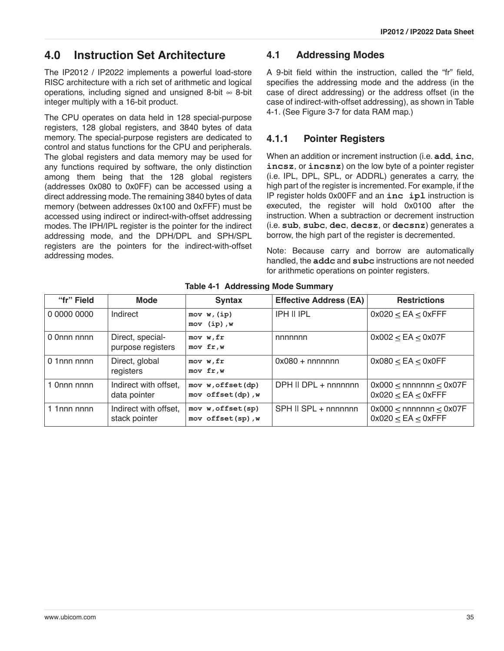# **4.0 Instruction Set Architecture**

The IP2012 / IP2022 implements a powerful load-store RISC architecture with a rich set of arithmetic and logical operations, including signed and unsigned 8-bit  $\infty$  8-bit integer multiply with a 16-bit product.

The CPU operates on data held in 128 special-purpose registers, 128 global registers, and 3840 bytes of data memory. The special-purpose registers are dedicated to control and status functions for the CPU and peripherals. The global registers and data memory may be used for any functions required by software, the only distinction among them being that the 128 global registers (addresses 0x080 to 0x0FF) can be accessed using a direct addressing mode. The remaining 3840 bytes of data memory (between addresses 0x100 and 0xFFF) must be accessed using indirect or indirect-with-offset addressing modes. The IPH/IPL register is the pointer for the indirect addressing mode, and the DPH/DPL and SPH/SPL registers are the pointers for the indirect-with-offset addressing modes.

### <span id="page-34-0"></span>**4.1 Addressing Modes**

A 9-bit field within the instruction, called the "fr" field, specifies the addressing mode and the address (in the case of direct addressing) or the address offset (in the case of indirect-with-offset addressing), as shown in [Table](#page-34-1) [4-1](#page-34-1). (See [Figure 3-7](#page-18-0) for data RAM map.)

# **4.1.1 Pointer Registers**

When an addition or increment instruction (i.e. **add**, **inc**, **incsz**, or **incsnz**) on the low byte of a pointer register (i.e. IPL, DPL, SPL, or ADDRL) generates a carry, the high part of the register is incremented. For example, if the IP register holds 0x00FF and an **inc ipl** instruction is executed, the register will hold 0x0100 after the instruction. When a subtraction or decrement instruction (i.e. **sub**, **subc**, **dec**, **decsz**, or **decsnz**) generates a borrow, the high part of the register is decremented.

Note: Because carry and borrow are automatically handled, the **addc** and **subc** instructions are not needed for arithmetic operations on pointer registers.

<span id="page-34-1"></span>

| "fr" Field     | <b>Mode</b>                            | <b>Syntax</b>                          | <b>Effective Address (EA)</b> | <b>Restrictions</b>                                          |
|----------------|----------------------------------------|----------------------------------------|-------------------------------|--------------------------------------------------------------|
| 0 0000 0000    | Indirect                               | mov w, (ip)<br>$mov$ (ip), $w$         | <b>IPH II IPL</b>             | $0x020 < EA$ < $0x$ FFF                                      |
| 0 0nnn nnnn    | Direct, special-<br>purpose registers  | mov w, fr<br>mov fr, w                 | nnnnnn                        | $0x002 < EA$ < $0x07F$                                       |
| $0$ 1 nnn nnnn | Direct, global<br>registers            | mov w, fr<br>mov fr, w                 | $0x080 + nnnnnnn$             | $0x080 < EA$ < $0x0FF$                                       |
| 1 0nnn nnnn    | Indirect with offset,<br>data pointer  | mov w, offset(dp)<br>mov offset(dp), w | DPH II DPL + nnnnnnn          | $0x000 \leq$ nnnnnn $\leq 0x07F$<br>$0x020 \le EA \le 0xFFF$ |
| 1 1nnn nnnn    | Indirect with offset,<br>stack pointer | mov w, offset(sp)<br>mov offset(sp), w | SPH II SPL + nnnnnnn          | $0x000$ < nnnnnnn < $0x07F$<br>$0x020 \le EA \le 0xFFF$      |

#### **Table 4-1 Addressing Mode Summary**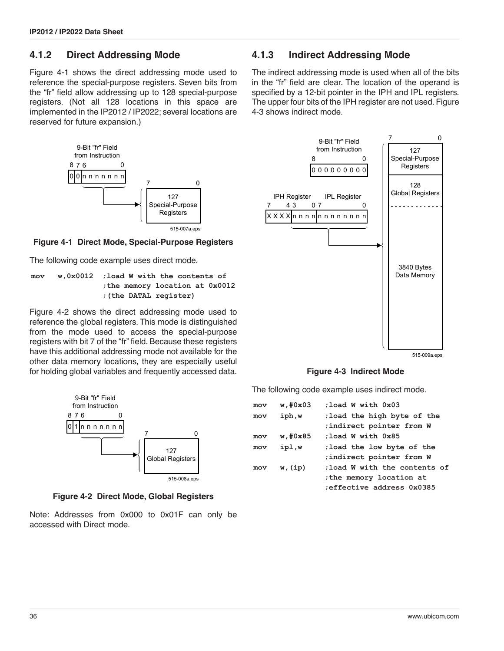#### **4.1.2 Direct Addressing Mode**

[Figure 4-1](#page-35-1) shows the direct addressing mode used to reference the special-purpose registers. Seven bits from the "fr" field allow addressing up to 128 special-purpose registers. (Not all 128 locations in this space are implemented in the IP2012 / IP2022; several locations are reserved for future expansion.)



#### <span id="page-35-1"></span>**Figure 4-1 Direct Mode, Special-Purpose Registers**

The following code example uses direct mode.

**mov w,0x0012 ;load W with the contents of ;the memory location at 0x0012 ;(the DATAL register)**

[Figure 4-2](#page-35-2) shows the direct addressing mode used to reference the global registers. This mode is distinguished from the mode used to access the special-purpose registers with bit 7 of the "fr" field. Because these registers have this additional addressing mode not available for the other data memory locations, they are especially useful for holding global variables and frequently accessed data.



**Figure 4-2 Direct Mode, Global Registers**

<span id="page-35-2"></span>Note: Addresses from 0x000 to 0x01F can only be accessed with Direct mode.

#### <span id="page-35-0"></span>**4.1.3 Indirect Addressing Mode**

The indirect addressing mode is used when all of the bits in the "fr" field are clear. The location of the operand is specified by a 12-bit pointer in the IPH and IPL registers. The upper four bits of the IPH register are not used. [Figure](#page-35-3) [4-3](#page-35-3) shows indirect mode.



**Figure 4-3 Indirect Mode**

<span id="page-35-3"></span>The following code example uses indirect mode.

| mov | $w$ , #0 $x$ 03 | :load W with 0x03                                                                    |
|-----|-----------------|--------------------------------------------------------------------------------------|
| mov | iph,w           | ; load the high byte of the<br>indirect pointer from W                               |
| mov | w, #0x85        | :load W with 0x85                                                                    |
| mov | ipl,w           | ; load the low byte of the<br>; indirect pointer from W                              |
| mov | w, (ip)         | ; load W with the contents of<br>the memory location at<br>effective address 0x0385; |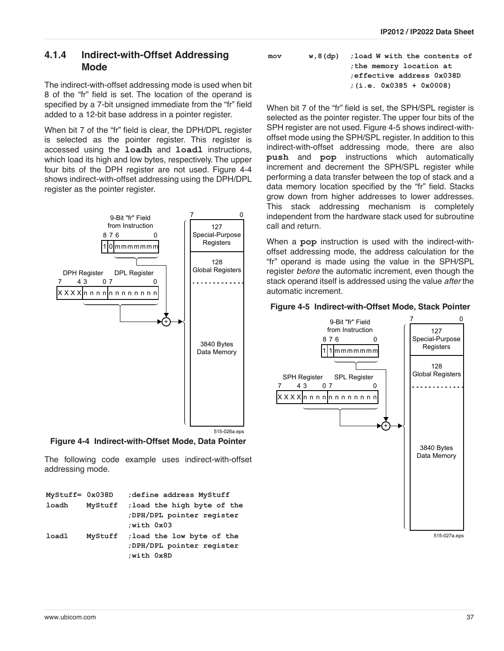## **4.1.4 Indirect-with-Offset Addressing Mode**

The indirect-with-offset addressing mode is used when bit 8 of the "fr" field is set. The location of the operand is specified by a 7-bit unsigned immediate from the "fr" field added to a 12-bit base address in a pointer register.

When bit 7 of the "fr" field is clear, the DPH/DPL register is selected as the pointer register. This register is accessed using the **loadh** and **loadl** instructions, which load its high and low bytes, respectively. The upper four bits of the DPH register are not used. [Figure 4-4](#page-36-0) shows indirect-with-offset addressing using the DPH/DPL register as the pointer register.



<span id="page-36-0"></span>**Figure 4-4 Indirect-with-Offset Mode, Data Pointer**

The following code example uses indirect-with-offset addressing mode.

| $MyStuff = 0x038D$ |         | define address MyStuff;                                               |
|--------------------|---------|-----------------------------------------------------------------------|
| loadh              | MyStuff | ; load the high byte of the<br>;DPH/DPL pointer register<br>with 0x03 |
| loadl              | MyStuff | ; load the low byte of the<br>;DPH/DPL pointer register<br>:with 0x8D |

| mov | $w, 8$ (dp) | : load W with the contents of |
|-----|-------------|-------------------------------|
|     |             | the memory location at        |
|     |             | effective address 0x038D      |
|     |             | $: (i.e. 0x0385 + 0x0008)$    |

When bit 7 of the "fr" field is set, the SPH/SPL register is selected as the pointer register. The upper four bits of the SPH register are not used. [Figure 4-5](#page-36-1) shows indirect-withoffset mode using the SPH/SPL register. In addition to this indirect-with-offset addressing mode, there are also **push** and **pop** instructions which automatically increment and decrement the SPH/SPL register while performing a data transfer between the top of stack and a data memory location specified by the "fr" field. Stacks grow down from higher addresses to lower addresses. This stack addressing mechanism is completely independent from the hardware stack used for subroutine call and return.

When a **pop** instruction is used with the indirect-withoffset addressing mode, the address calculation for the "fr" operand is made using the value in the SPH/SPL register *before* the automatic increment, even though the stack operand itself is addressed using the value *after* the automatic increment.

### <span id="page-36-1"></span>**Figure 4-5 Indirect-with-Offset Mode, Stack Pointer**



515-027a.eps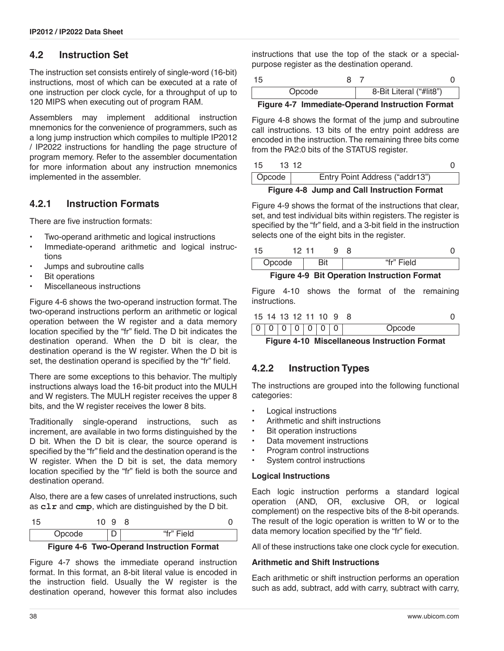## **4.2 Instruction Set**

The instruction set consists entirely of single-word (16-bit) instructions, most of which can be executed at a rate of one instruction per clock cycle, for a throughput of up to 120 MIPS when executing out of program RAM.

Assemblers may implement additional instruction mnemonics for the convenience of programmers, such as a long jump instruction which compiles to multiple IP2012 / IP2022 instructions for handling the page structure of program memory. Refer to the assembler documentation for more information about any instruction mnemonics implemented in the assembler.

## **4.2.1 Instruction Formats**

There are five instruction formats:

- Two-operand arithmetic and logical instructions
- Immediate-operand arithmetic and logical instructions
- Jumps and subroutine calls
- **Bit operations**
- Miscellaneous instructions

[Figure 4-6](#page-37-0) shows the two-operand instruction format. The two-operand instructions perform an arithmetic or logical operation between the W register and a data memory location specified by the "fr" field. The D bit indicates the destination operand. When the D bit is clear, the destination operand is the W register. When the D bit is set, the destination operand is specified by the "fr" field.

There are some exceptions to this behavior. The multiply instructions always load the 16-bit product into the MULH and W registers. The MULH register receives the upper 8 bits, and the W register receives the lower 8 bits.

Traditionally single-operand instructions, such as increment, are available in two forms distinguished by the D bit. When the D bit is clear, the source operand is specified by the "fr" field and the destination operand is the W register. When the D bit is set, the data memory location specified by the "fr" field is both the source and destination operand.

Also, there are a few cases of unrelated instructions, such as **clr** and **cmp**, which are distinguished by the D bit.

| 15 |        | u<br>ັ |            |  |
|----|--------|--------|------------|--|
|    | Opcode |        | "fr" Field |  |

**Figure 4-6 Two-Operand Instruction Format**

<span id="page-37-0"></span>[Figure 4-7](#page-37-1) shows the immediate operand instruction format. In this format, an 8-bit literal value is encoded in the instruction field. Usually the W register is the destination operand, however this format also includes instructions that use the top of the stack or a specialpurpose register as the destination operand.

| Opcode |  | 8-Bit Literal ("#lit8") |  |
|--------|--|-------------------------|--|

### <span id="page-37-1"></span>**Figure 4-7 Immediate-Operand Instruction Format**

[Figure 4-8](#page-37-2) shows the format of the jump and subroutine call instructions. 13 bits of the entry point address are encoded in the instruction. The remaining three bits come from the PA2:0 bits of the STATUS register.

| 15     | 13 12 |                                |  |  |  |
|--------|-------|--------------------------------|--|--|--|
| Opcode |       | Entry Point Address ("addr13") |  |  |  |
|        |       |                                |  |  |  |

**Figure 4-8 Jump and Call Instruction Format**

<span id="page-37-2"></span>[Figure 4-9](#page-37-3) shows the format of the instructions that clear, set, and test individual bits within registers. The register is specified by the "fr" field, and a 3-bit field in the instruction selects one of the eight bits in the register.

|        |      |  | $\Gamma$ : $\ldots$ $\ldots$ $\Lambda$ $\Omega$ $\Gamma$ : $\Lambda$ $\ldots$ $\Lambda$ : $\Lambda$ is a line-transition $\Gamma$ are $\Lambda$ |  |
|--------|------|--|-------------------------------------------------------------------------------------------------------------------------------------------------|--|
| Opcode |      |  | "fr" Field                                                                                                                                      |  |
| 15     | 1211 |  |                                                                                                                                                 |  |

**Figure 4-9 Bit Operation Instruction Format**

<span id="page-37-3"></span>[Figure 4-10](#page-37-4) shows the format of the remaining instructions.

|  |  | 15 14 13 12 11 10 9 8 |        |  |
|--|--|-----------------------|--------|--|
|  |  | 0 0 0 0 0 0 0         | Opcode |  |

<span id="page-37-4"></span>**Figure 4-10 Miscellaneous Instruction Format**

### **4.2.2 Instruction Types**

The instructions are grouped into the following functional categories:

- Logical instructions
- Arithmetic and shift instructions
- Bit operation instructions
- Data movement instructions
- Program control instructions
- System control instructions

#### **Logical Instructions**

Each logic instruction performs a standard logical operation (AND, OR, exclusive OR, or logical complement) on the respective bits of the 8-bit operands. The result of the logic operation is written to W or to the data memory location specified by the "fr" field.

All of these instructions take one clock cycle for execution.

#### **Arithmetic and Shift Instructions**

Each arithmetic or shift instruction performs an operation such as add, subtract, add with carry, subtract with carry,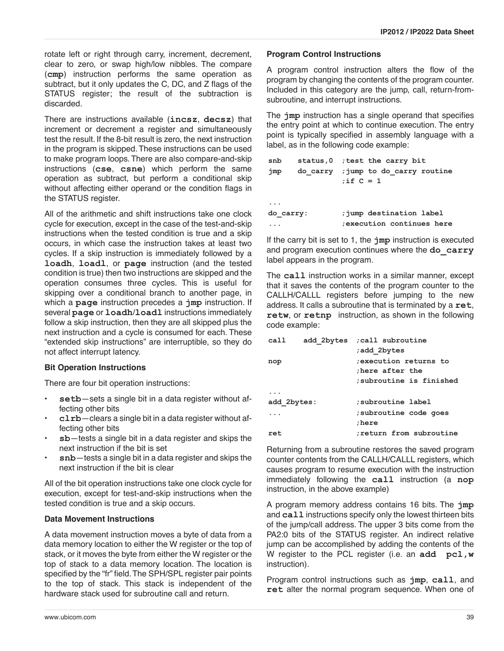rotate left or right through carry, increment, decrement, clear to zero, or swap high/low nibbles. The compare (**cmp**) instruction performs the same operation as subtract, but it only updates the C, DC, and Z flags of the STATUS register; the result of the subtraction is discarded.

There are instructions available (**incsz**, **decsz**) that increment or decrement a register and simultaneously test the result. If the 8-bit result is zero, the next instruction in the program is skipped. These instructions can be used to make program loops. There are also compare-and-skip instructions (**cse**, **csne**) which perform the same operation as subtract, but perform a conditional skip without affecting either operand or the condition flags in the STATUS register.

All of the arithmetic and shift instructions take one clock cycle for execution, except in the case of the test-and-skip instructions when the tested condition is true and a skip occurs, in which case the instruction takes at least two cycles. If a skip instruction is immediately followed by a **loadh**, **loadl**, or **page** instruction (and the tested condition is true) then two instructions are skipped and the operation consumes three cycles. This is useful for skipping over a conditional branch to another page, in which a **page** instruction precedes a **jmp** instruction. If several **page** or **loadh**/**loadl** instructions immediately follow a skip instruction, then they are all skipped plus the next instruction and a cycle is consumed for each. These "extended skip instructions" are interruptible, so they do not affect interrupt latency.

### **Bit Operation Instructions**

There are four bit operation instructions:

- setb-sets a single bit in a data register without affecting other bits
- **clrb**—clears a single bit in a data register without affecting other bits
- **sb**—tests a single bit in a data register and skips the next instruction if the bit is set
- **snb**—tests a single bit in a data register and skips the next instruction if the bit is clear

All of the bit operation instructions take one clock cycle for execution, except for test-and-skip instructions when the tested condition is true and a skip occurs.

#### **Data Movement Instructions**

A data movement instruction moves a byte of data from a data memory location to either the W register or the top of stack, or it moves the byte from either the W register or the top of stack to a data memory location. The location is specified by the "fr" field. The SPH/SPL register pair points to the top of stack. This stack is independent of the hardware stack used for subroutine call and return.

#### **Program Control Instructions**

A program control instruction alters the flow of the program by changing the contents of the program counter. Included in this category are the jump, call, return-fromsubroutine, and interrupt instructions.

The **jmp** instruction has a single operand that specifies the entry point at which to continue execution. The entry point is typically specified in assembly language with a label, as in the following code example:

| snb       | status, 0 ; test the carry bit                      |  |
|-----------|-----------------------------------------------------|--|
| jmp       | do carry ; jump to do carry routine<br>; if $C = 1$ |  |
|           |                                                     |  |
| do carry: | ; jump destination label                            |  |
|           | execution continues here                            |  |

If the carry bit is set to 1, the **jmp** instruction is executed and program execution continues where the **do\_carry** label appears in the program.

The **call** instruction works in a similar manner, except that it saves the contents of the program counter to the CALLH/CALLL registers before jumping to the new address. It calls a subroutine that is terminated by a **ret**, **retw**, or **retnp** instruction, as shown in the following code example:

| call        | add 2bytes ; call subroutine |
|-------------|------------------------------|
|             | add 2bytes;                  |
| nop         | execution returns to:        |
|             | there after the              |
|             | subroutine is finished:      |
|             |                              |
| add 2bytes: | subroutine label:            |
|             | subroutine code goes;        |
|             | :here                        |
| ret         | return from subroutine:      |

Returning from a subroutine restores the saved program counter contents from the CALLH/CALLL registers, which causes program to resume execution with the instruction immediately following the **call** instruction (a **nop** instruction, in the above example)

A program memory address contains 16 bits. The **jmp** and **call** instructions specify only the lowest thirteen bits of the jump/call address. The upper 3 bits come from the PA2:0 bits of the STATUS register. An indirect relative jump can be accomplished by adding the contents of the W register to the PCL register (i.e. an **add pcl,w** instruction).

Program control instructions such as **jmp**, **call**, and **ret** alter the normal program sequence. When one of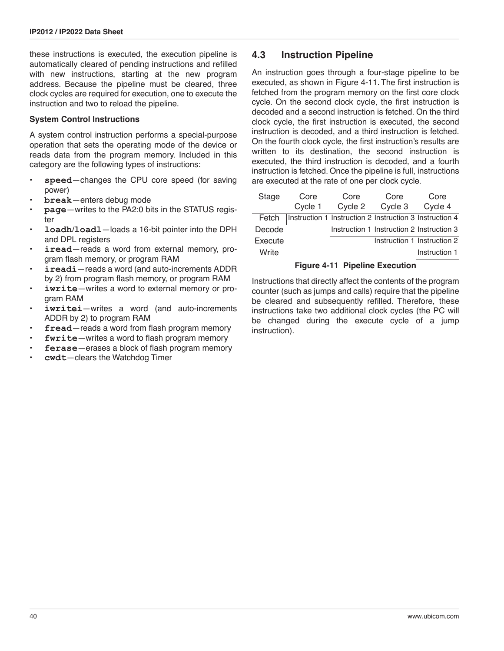these instructions is executed, the execution pipeline is automatically cleared of pending instructions and refilled with new instructions, starting at the new program address. Because the pipeline must be cleared, three clock cycles are required for execution, one to execute the instruction and two to reload the pipeline.

#### **System Control Instructions**

A system control instruction performs a special-purpose operation that sets the operating mode of the device or reads data from the program memory. Included in this category are the following types of instructions:

- speed-changes the CPU core speed (for saving power)
- **break**—enters debug mode
- **page**—writes to the PA2:0 bits in the STATUS register
- **loadh**/**loadl**—loads a 16-bit pointer into the DPH and DPL registers
- iread–reads a word from external memory, program flash memory, or program RAM
- **ireadi**—reads a word (and auto-increments ADDR by 2) from program flash memory, or program RAM
- iwrite-writes a word to external memory or program RAM
- iwritei-writes a word (and auto-increments ADDR by 2) to program RAM
- fread—reads a word from flash program memory
- fwrite-writes a word to flash program memory
- ferase-erases a block of flash program memory
- **cwdt**—clears the Watchdog Timer

### **4.3 Instruction Pipeline**

An instruction goes through a four-stage pipeline to be executed, as shown in [Figure 4-11.](#page-39-0) The first instruction is fetched from the program memory on the first core clock cycle. On the second clock cycle, the first instruction is decoded and a second instruction is fetched. On the third clock cycle, the first instruction is executed, the second instruction is decoded, and a third instruction is fetched. On the fourth clock cycle, the first instruction's results are written to its destination, the second instruction is executed, the third instruction is decoded, and a fourth instruction is fetched. Once the pipeline is full, instructions are executed at the rate of one per clock cycle.

| Stage   | Core    | Core    | Core    | Core                                                    |
|---------|---------|---------|---------|---------------------------------------------------------|
|         | Cycle 1 | Cycle 2 | Cycle 3 | Cycle 4                                                 |
| Fetch   |         |         |         | Instruction 1 Instruction 2 Instruction 3 Instruction 4 |
| Decode  |         |         |         | Instruction 1 Instruction 2 Instruction 3               |
| Execute |         |         |         | Instruction 1 Instruction 2                             |
| Write   |         |         |         | Instruction 1                                           |

#### **Figure 4-11 Pipeline Execution**

<span id="page-39-0"></span>Instructions that directly affect the contents of the program counter (such as jumps and calls) require that the pipeline be cleared and subsequently refilled. Therefore, these instructions take two additional clock cycles (the PC will be changed during the execute cycle of a jump instruction).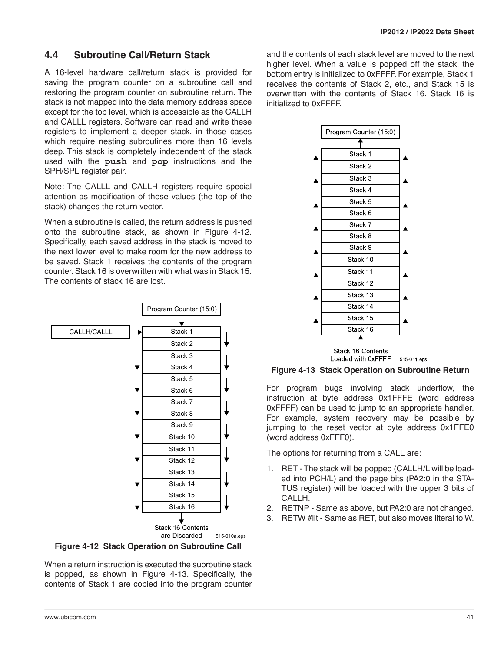### **4.4 Subroutine Call/Return Stack**

A 16-level hardware call/return stack is provided for saving the program counter on a subroutine call and restoring the program counter on subroutine return. The stack is not mapped into the data memory address space except for the top level, which is accessible as the CALLH and CALLL registers. Software can read and write these registers to implement a deeper stack, in those cases which require nesting subroutines more than 16 levels deep. This stack is completely independent of the stack used with the **push** and **pop** instructions and the SPH/SPL register pair.

Note: The CALLL and CALLH registers require special attention as modification of these values (the top of the stack) changes the return vector.

When a subroutine is called, the return address is pushed onto the subroutine stack, as shown in [Figure 4-12](#page-40-0). Specifically, each saved address in the stack is moved to the next lower level to make room for the new address to be saved. Stack 1 receives the contents of the program counter. Stack 16 is overwritten with what was in Stack 15. The contents of stack 16 are lost.



<span id="page-40-0"></span>**Figure 4-12 Stack Operation on Subroutine Call**

When a return instruction is executed the subroutine stack is popped, as shown in [Figure 4-13.](#page-40-1) Specifically, the contents of Stack 1 are copied into the program counter

and the contents of each stack level are moved to the next higher level. When a value is popped off the stack, the bottom entry is initialized to 0xFFFF. For example, Stack 1 receives the contents of Stack 2, etc., and Stack 15 is overwritten with the contents of Stack 16. Stack 16 is initialized to 0xFFFF.



<span id="page-40-1"></span>**Figure 4-13 Stack Operation on Subroutine Return**

For program bugs involving stack underflow, the instruction at byte address 0x1FFFE (word address 0xFFFF) can be used to jump to an appropriate handler. For example, system recovery may be possible by jumping to the reset vector at byte address 0x1FFE0 (word address 0xFFF0).

The options for returning from a CALL are:

- 1. RET The stack will be popped (CALLH/L will be loaded into PCH/L) and the page bits (PA2:0 in the STA-TUS register) will be loaded with the upper 3 bits of CALLH.
- 2. RETNP Same as above, but PA2:0 are not changed.
- 3. RETW #lit Same as RET, but also moves literal to W.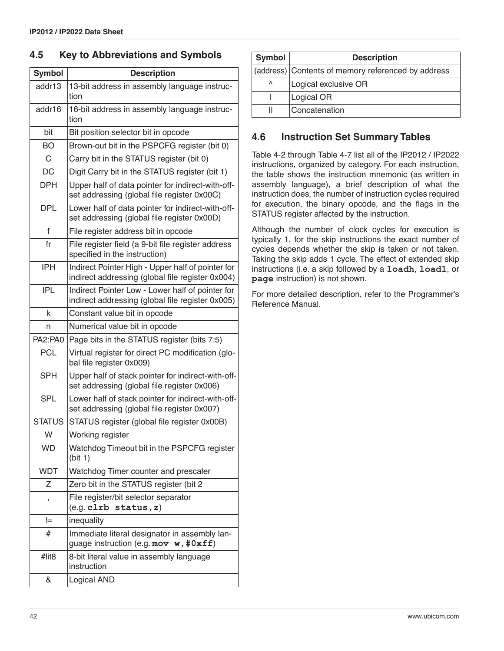### **4.5 Key to Abbreviations and Symbols**

| <b>Symbol</b> | <b>Description</b>                                                                                    |
|---------------|-------------------------------------------------------------------------------------------------------|
| addr13        | 13-bit address in assembly language instruc-<br>tion                                                  |
| addr16        | 16-bit address in assembly language instruc-<br>tion                                                  |
| bit           | Bit position selector bit in opcode                                                                   |
| BO            | Brown-out bit in the PSPCFG register (bit 0)                                                          |
| C             | Carry bit in the STATUS register (bit 0)                                                              |
| <b>DC</b>     | Digit Carry bit in the STATUS register (bit 1)                                                        |
| DPH           | Upper half of data pointer for indirect-with-off-<br>set addressing (global file register 0x00C)      |
| <b>DPL</b>    | Lower half of data pointer for indirect-with-off-<br>set addressing (global file register 0x00D)      |
| f             | File register address bit in opcode                                                                   |
| fr            | File register field (a 9-bit file register address<br>specified in the instruction)                   |
| <b>IPH</b>    | Indirect Pointer High - Upper half of pointer for<br>indirect addressing (global file register 0x004) |
| <b>IPL</b>    | Indirect Pointer Low - Lower half of pointer for<br>indirect addressing (global file register 0x005)  |
| k             | Constant value bit in opcode                                                                          |
| n             | Numerical value bit in opcode                                                                         |
| PA2:PA0       | Page bits in the STATUS register (bits 7:5)                                                           |
| <b>PCL</b>    | Virtual register for direct PC modification (glo-<br>bal file register 0x009)                         |
| <b>SPH</b>    | Upper half of stack pointer for indirect-with-off-<br>set addressing (global file register 0x006)     |
| <b>SPL</b>    | Lower half of stack pointer for indirect-with-off-<br>set addressing (global file register 0x007)     |
| <b>STATUS</b> | STATUS register (global file register 0x00B)                                                          |
| W             | Working register                                                                                      |
| <b>WD</b>     | Watchdog Timeout bit in the PSPCFG register<br>(bit 1)                                                |
| <b>WDT</b>    | Watchdog Timer counter and prescaler                                                                  |
| Ζ             | Zero bit in the STATUS register (bit 2                                                                |
| ,             | File register/bit selector separator<br>(e.g. c1rb status, z)                                         |
| !=            | inequality                                                                                            |
| #             | Immediate literal designator in assembly lan-<br>guage instruction (e.g. mov $w$ , #0xff)             |
| #lit8         | 8-bit literal value in assembly language<br>instruction                                               |
| &             | Logical AND                                                                                           |

| <b>Symbol</b> | <b>Description</b>                                 |
|---------------|----------------------------------------------------|
|               | (address) Contents of memory referenced by address |
| ٨             | Logical exclusive OR                               |
|               | Logical OR                                         |
| Ш             | Concatenation                                      |

## **4.6 Instruction Set Summary Tables**

[Table 4-2](#page-42-0) through [Table 4-7](#page-45-0) list all of the IP2012 / IP2022 instructions, organized by category. For each instruction, the table shows the instruction mnemonic (as written in assembly language), a brief description of what the instruction does, the number of instruction cycles required for execution, the binary opcode, and the flags in the STATUS register affected by the instruction.

Although the number of clock cycles for execution is typically 1, for the skip instructions the exact number of cycles depends whether the skip is taken or not taken. Taking the skip adds 1 cycle. The effect of extended skip instructions (i.e. a skip followed by a **loadh**, **loadl**, or **page** instruction) is not shown.

For more detailed description, refer to the Programmer's Reference Manual.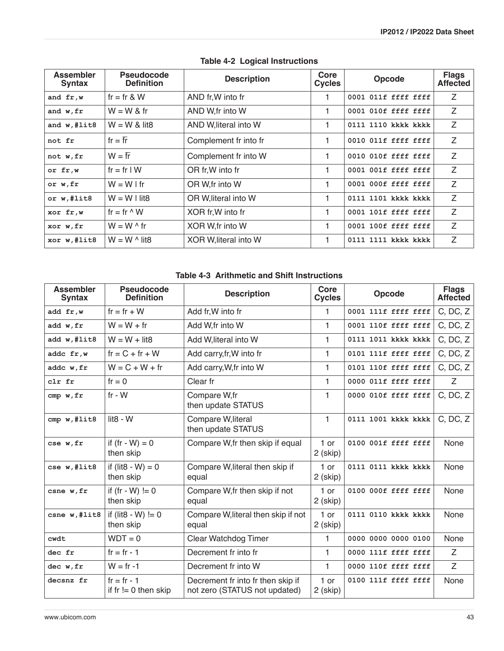<span id="page-42-0"></span>

| <b>Assembler</b><br><b>Syntax</b> | <b>Pseudocode</b><br><b>Definition</b> | <b>Description</b>    | Core<br><b>Cycles</b> | Opcode              | <b>Flags</b><br><b>Affected</b> |
|-----------------------------------|----------------------------------------|-----------------------|-----------------------|---------------------|---------------------------------|
| and fr,w                          | fr = fr & W                            | AND fr, W into fr     | 1.                    | 0001 011f ffff ffff | Ζ                               |
| and w, fr                         | $W = W &$ fr                           | AND W.fr into W       |                       | 0001 010f ffff ffff | Ζ                               |
| and $w$ , #lit8                   | $W = W &$ lit8                         | AND W, literal into W |                       | 0111 1110 kkkk kkkk | Z                               |
| not fr                            | $fr = \overline{fr}$                   | Complement fr into fr |                       | 0010 011f ffff ffff | Z                               |
| not w, fr                         | $W = \overline{fr}$                    | Complement fr into W  | 1                     | 0010 010f ffff ffff | Z                               |
| or fr,w                           | $fr = fr l W$                          | OR fr, W into fr      | 1                     | 0001 001f ffff ffff | Z                               |
| or w, fr                          | $W = W$ I fr                           | OR W, fr into W       |                       | 0001 000f ffff ffff | Z                               |
| or w,#lit8                        | $W = W \cup it8$                       | OR W, literal into W  |                       | 0111 1101 kkkk kkkk | Z                               |
| xor fr,w                          | fr = fr $\wedge$ W                     | XOR fr, W into fr     |                       | 0001 101f ffff ffff | Z                               |
| xor w, fr                         | $W = W \wedge$ fr                      | XOR W, fr into W      |                       | 0001 100f ffff ffff | Z                               |
| xor w,#lit8                       | $W = W \wedge$ lit 8                   | XOR W, literal into W |                       | 0111 1111 kkkk kkkk | Z                               |

## **Table 4-2 Logical Instructions**

### **Table 4-3 Arithmetic and Shift Instructions**

| <b>Assembler</b><br><b>Syntax</b> | <b>Pseudocode</b><br><b>Definition</b> | <b>Description</b>                                                 | Core<br><b>Cycles</b> | Opcode              | <b>Flags</b><br><b>Affected</b> |
|-----------------------------------|----------------------------------------|--------------------------------------------------------------------|-----------------------|---------------------|---------------------------------|
| add fr, w                         | $fr = fr + W$                          | Add fr, W into fr                                                  | 1                     | 0001 111f ffff ffff | C, DC, Z                        |
| add w, fr                         | $W = W + fr$                           | Add W.fr into W                                                    | 1                     | 0001 110f ffff ffff | C, DC, Z                        |
| add w,#lit8                       | $W = W +$ lit <sub>8</sub>             | Add W, literal into W                                              | 1                     | 0111 1011 kkkk kkkk | C, DC, Z                        |
| addc fr, w                        | $fr = C + fr + W$                      | Add carry, fr, W into fr                                           | 1                     | 0101 111f ffff ffff | C, DC, Z                        |
| addc w, fr                        | $W = C + W + fr$                       | Add carry, W, fr into W                                            | 1                     | 0101 110f ffff ffff | C, DC, Z                        |
| clr fr                            | $fr = 0$                               | Clear fr                                                           | 1                     | 0000 011f ffff ffff | Z                               |
| cmp w, fr                         | $fr - W$                               | Compare W.fr<br>then update STATUS                                 | 1                     | 0000 010f ffff ffff | C, DC, Z                        |
| cmp w, #list8                     | lit <sub>8</sub> - W                   | Compare W, literal<br>then update STATUS                           | 1                     | 0111 1001 kkkk kkkk | C, DC, Z                        |
| cse w, fr                         | if $(fr - W) = 0$<br>then skip         | Compare W, fr then skip if equal                                   | $1$ or<br>2 (skip)    | 0100 001f ffff ffff | None                            |
| cse w, #lit8                      | if (lit8 - W) = $0$<br>then skip       | Compare W, literal then skip if<br>equal                           | $1$ or<br>2 (skip)    | 0111 0111 kkkk kkkk | None                            |
| csne w, fr                        | if $(fr - W) = 0$<br>then skip         | Compare W, fr then skip if not<br>equal                            | 1 or<br>2 (skip)      | 0100 000f ffff ffff | None                            |
| csne w, #list8                    | if (lit8 - W) $!= 0$<br>then skip      | Compare W, literal then skip if not<br>equal                       | 1 or<br>2 (skip)      | 0111 0110 kkkk kkkk | None                            |
| cwdt                              | $WDT = 0$                              | Clear Watchdog Timer                                               | 1.                    | 0000 0000 0000 0100 | None                            |
| dec fr                            | $fr = fr - 1$                          | Decrement fr into fr                                               | $\mathbf{1}$          | 0000 111f ffff ffff | Z                               |
| dec w, fr                         | $W = fr -1$                            | Decrement fr into W                                                | 1                     | 0000 110f ffff ffff | Z                               |
| decsnz fr                         | $fr = fr - 1$<br>if $f = 0$ then skip  | Decrement fr into fr then skip if<br>not zero (STATUS not updated) | 1 or<br>2 (skip)      | 0100 111f ffff ffff | None                            |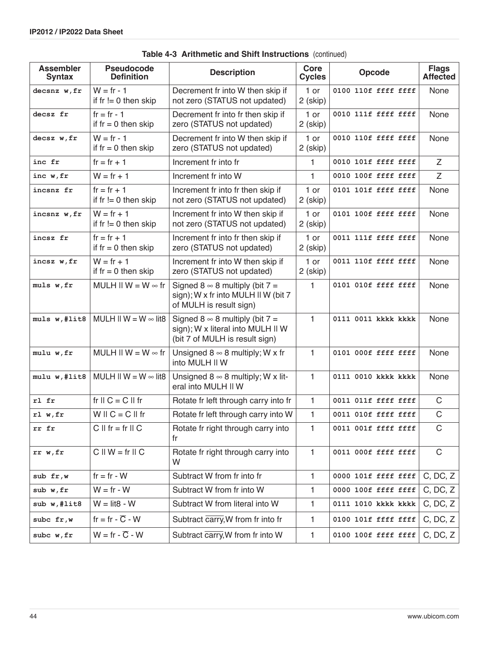| <b>Assembler</b><br><b>Syntax</b> | <b>Pseudocode</b><br><b>Definition</b> | <b>Description</b>                                                                                              | Core<br><b>Cycles</b> | Opcode              | <b>Flags</b><br><b>Affected</b> |
|-----------------------------------|----------------------------------------|-----------------------------------------------------------------------------------------------------------------|-----------------------|---------------------|---------------------------------|
| decsnz w, fr                      | $W = fr - 1$<br>if $r = 0$ then skip   | Decrement fr into W then skip if<br>not zero (STATUS not updated)                                               | 1 or<br>2 (skip)      | 0100 110f ffff ffff | None                            |
| decsz fr                          | $fr = fr - 1$<br>if $r = 0$ then skip  | Decrement fr into fr then skip if<br>zero (STATUS not updated)                                                  | 1 or<br>2 (skip)      | 0010 111f ffff ffff | None                            |
| decsz w, fr                       | $W = fr - 1$<br>if $fr = 0$ then skip  | Decrement fr into W then skip if<br>zero (STATUS not updated)                                                   | $1$ or<br>2 (skip)    | 0010 110f ffff ffff | None                            |
| inc fr                            | $fr = fr + 1$                          | Increment fr into fr                                                                                            | 1.                    | 0010 101f ffff ffff | Z                               |
| inc w, fr                         | $W = fr + 1$                           | Increment fr into W                                                                                             | $\mathbf{1}$          | 0010 100f ffff ffff | Z                               |
| incsnz fr                         | $fr = fr + 1$<br>if $r = 0$ then skip  | Increment fr into fr then skip if<br>not zero (STATUS not updated)                                              | 1 or<br>2 (skip)      | 0101 101f ffff ffff | None                            |
| incsnz w, fr                      | $W = fr + 1$<br>if $r = 0$ then skip   | Increment fr into W then skip if<br>not zero (STATUS not updated)                                               | 1 or<br>2 (skip)      | 0101 100f ffff ffff | None                            |
| incsz fr                          | $fr = fr + 1$<br>if $r = 0$ then skip  | Increment fr into fr then skip if<br>zero (STATUS not updated)                                                  | 1 or<br>2 (skip)      | 0011 111f ffff ffff | None                            |
| incsz w, fr                       | $W = fr + 1$<br>if $r = 0$ then skip   | Increment fr into W then skip if<br>zero (STATUS not updated)                                                   | 1 or<br>2 (skip)      | 0011 110f ffff ffff | None                            |
| muls w, fr                        | MULH II W = $W \approx fr$             | Signed 8 $\infty$ 8 multiply (bit 7 =<br>sign); W x fr into MULH II W (bit 7<br>of MULH is result sign)         | $\mathbf{1}$          | 0101 010f ffff ffff | None                            |
| muls w, #lit8                     | MULH II W = $W \approx$ lit8           | Signed $8 \approx 8$ multiply (bit $7 =$<br>sign); W x literal into MULH II W<br>(bit 7 of MULH is result sign) | $\mathbf{1}$          | 0111 0011 kkkk kkkk | None                            |
| mulu w, fr                        | MULH II W = $W \approx fr$             | Unsigned $8 \approx 8$ multiply; W x fr<br>into MULH II W                                                       | $\mathbf{1}$          | 0101 000f ffff ffff | None                            |
| mulu w, #lit8                     | MULH II W = $W \approx$ lit8           | Unsigned $8 \approx 8$ multiply; W x lit-<br>eral into MULH II W                                                | $\mathbf{1}$          | 0111 0010 kkkk kkkk | None                            |
| rl fr                             | fr $II C = C II$ fr                    | Rotate fr left through carry into fr                                                                            | 1                     | 0011 011f ffff ffff | C                               |
| r1 w, fr                          | $W \parallel C = C \parallel fr$       | Rotate fr left through carry into W                                                                             | 1                     | 0011 010f ffff ffff | C                               |
| rr fr                             | $C \parallel fr = fr \parallel C$      | Rotate fr right through carry into<br>fr                                                                        | $\mathbf{1}$          | 0011 001f ffff ffff | $\mathsf C$                     |
| rr w, fr                          | $C \parallel W = fr \parallel C$       | Rotate fr right through carry into<br>W                                                                         | $\mathbf{1}$          | 0011 000f ffff ffff | $\mathsf C$                     |
| sub fr,w                          | $fr = fr - W$                          | Subtract W from fr into fr                                                                                      | $\mathbf{1}$          | 0000 101f ffff ffff | C, DC, Z                        |
| sub w, fr                         | $W = fr - W$                           | Subtract W from fr into W                                                                                       | 1                     | 0000 100f ffff ffff | C, DC, Z                        |
| sub w,#lit8                       | $W =$ lit8 - W                         | Subtract W from literal into W                                                                                  | 1                     | 0111 1010 kkkk kkkk | C, DC, Z                        |
| subc fr, w                        | $fr = fr - \overline{C} - W$           | Subtract carry, W from fr into fr                                                                               | 1                     | 0100 101f ffff ffff | C, DC, Z                        |
| subc w, fr                        | $W = fr - \overline{C} - W$            | Subtract carry, W from fr into W                                                                                | 1                     | 0100 100f ffff ffff | C, DC, Z                        |

**Table 4-3 Arithmetic and Shift Instructions** (continued)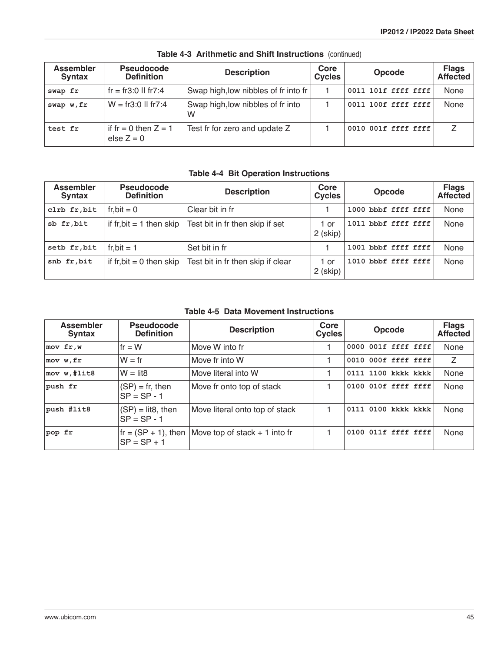| <b>Assembler</b><br><b>Syntax</b> | <b>Pseudocode</b><br><b>Definition</b> | <b>Description</b>                     | Core<br><b>Cycles</b> | <b>Opcode</b>       | <b>Flags</b><br><b>Affected</b> |
|-----------------------------------|----------------------------------------|----------------------------------------|-----------------------|---------------------|---------------------------------|
| swap fr                           | fr = fr3:0 II fr7:4                    | Swap high, low nibbles of fr into fr   |                       | 0011 101f ffff ffff | None                            |
| swap w, fr                        | $W = fr3:0$ II fr7:4                   | Swap high, low nibbles of fr into<br>W |                       | 0011 100f ffff ffff | None                            |
| test fr                           | if fr = 0 then $Z = 1$<br>else $Z = 0$ | Test fr for zero and update Z          |                       | 0010 001f ffff ffff |                                 |

**Table 4-3 Arithmetic and Shift Instructions** (continued)

## **Table 4-4 Bit Operation Instructions**

| <b>Assembler</b><br><b>Syntax</b> | <b>Pseudocode</b><br><b>Definition</b> | <b>Description</b>                | Core<br><b>Cycles</b> | <b>Opcode</b>       | <b>Flags</b><br><b>Affected</b> |
|-----------------------------------|----------------------------------------|-----------------------------------|-----------------------|---------------------|---------------------------------|
| clrb fr, bit                      | $fr, bit = 0$                          | Clear bit in fr                   |                       | 1000 bbbf ffff ffff | None                            |
| sb fr, bit                        | if fr, bit $= 1$ then skip             | Test bit in fr then skip if set   | 1 or<br>2 (skip)      | 1011 bbbf ffff ffff | None                            |
| setb fr, bit                      | fr.bit = $1$                           | Set bit in fr                     |                       | 1001 bbbf ffff ffff | None                            |
| snb fr, bit                       | if $fr, bit = 0$ then skip             | Test bit in fr then skip if clear | 1 or<br>2 (skip)      | 1010 bbbf ffff ffff | None                            |

**Table 4-5 Data Movement Instructions** 

| <b>Assembler</b><br><b>Syntax</b> | <b>Pseudocode</b><br><b>Definition</b>         | <b>Description</b>             | Core<br><b>Cycles</b> | <b>Opcode</b>       |  | <b>Flags</b><br><b>Affected</b> |
|-----------------------------------|------------------------------------------------|--------------------------------|-----------------------|---------------------|--|---------------------------------|
| $mov$ fr, $w$                     | If $r = W$                                     | Move W into fr                 |                       | 0000 001f ffff ffff |  | None                            |
| mov w, fr                         | $W = fr$                                       | Move fr into W                 |                       | 0010 000f ffff ffff |  | Z                               |
| mov w, #list8                     | $W =$ lit <sub>8</sub>                         | Move literal into W            |                       | 0111 1100 kkkk kkkk |  | None                            |
| push fr                           | $(SP) = fr$ , then<br>$SP = SP - 1$            | Move fr onto top of stack      |                       | 0100 010f ffff ffff |  | None                            |
| push #lit8                        | $(SP) =$ lit8, then<br>$SP = SP - 1$           | Move literal onto top of stack |                       | 0111 0100 kkkk kkkk |  | None                            |
| pop fr                            | $\text{fr} = (SP + 1)$ , then<br>$SP = SP + 1$ | Move top of stack + 1 into fr  |                       | 0100 011f ffff ffff |  | None                            |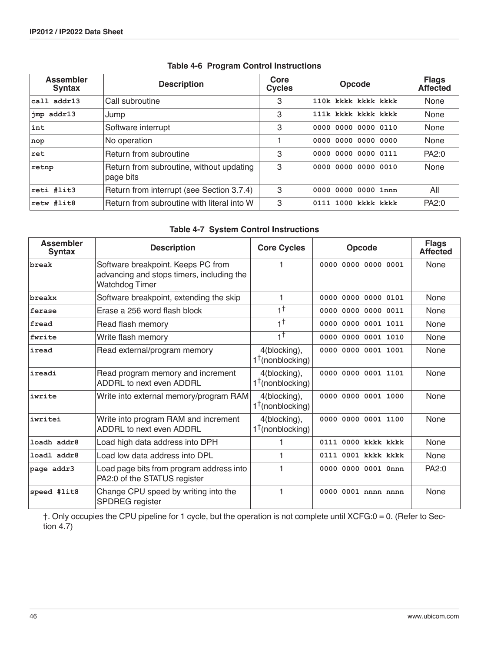| <b>Assembler</b><br><b>Syntax</b> | <b>Description</b>                                    | Core<br><b>Cycles</b> | Opcode                 | <b>Flags</b><br><b>Affected</b> |
|-----------------------------------|-------------------------------------------------------|-----------------------|------------------------|---------------------------------|
| call addr13                       | Call subroutine                                       | 3                     | 110k kkkk kkkk kkkk    | None                            |
| jmp addr13                        | Jump                                                  |                       | 111k kkkk kkkk kkkk    | None                            |
| int                               | Software interrupt                                    | 3                     | 0000 0000 0000 0110    | None                            |
| nop                               | No operation                                          |                       | 0000 0000 0000<br>0000 | None                            |
| ret                               | Return from subroutine                                |                       | 0000 0000 0000 0111    | PA2:0                           |
| retnp                             | Return from subroutine, without updating<br>page bits |                       | 0000 0000 0000 0010    | None                            |
| reti #lit3                        | Return from interrupt (see Section 3.7.4)             | 3                     | $0000000000001$ nnn    | All                             |
| retw #lit8                        | Return from subroutine with literal into W            | 3                     | 0111 1000 kkkk kkkk    | PA2:0                           |

### **Table 4-6 Program Control Instructions**

### **Table 4-7 System Control Instructions**

<span id="page-45-0"></span>

| <b>Assembler</b><br><b>Syntax</b> | <b>Description</b>                                                                                | <b>Core Cycles</b>                          | <b>Opcode</b>          | <b>Flags</b><br><b>Affected</b> |
|-----------------------------------|---------------------------------------------------------------------------------------------------|---------------------------------------------|------------------------|---------------------------------|
| break                             | Software breakpoint. Keeps PC from<br>advancing and stops timers, including the<br>Watchdog Timer |                                             | 0000 0000 0000 0001    | None                            |
| breakx                            | Software breakpoint, extending the skip                                                           | 1                                           | 0000 0000 0000 0101    | <b>None</b>                     |
| ferase                            | Erase a 256 word flash block                                                                      | $1^{\dagger}$                               | 0000 0000 0000 0011    | None                            |
| fread                             | Read flash memory                                                                                 | $1^{\dagger}$                               | 0000 0000 0001 1011    | <b>None</b>                     |
| fwrite                            | Write flash memory                                                                                | $1^{\dagger}$                               | 0000 0000 0001 1010    | None                            |
| iread                             | Read external/program memory                                                                      | 4(blocking),<br>$1^{\dagger}$ (nonblocking) | 0000 0000 0001 1001    | <b>None</b>                     |
| ireadi                            | Read program memory and increment<br>ADDRL to next even ADDRL                                     | 4(blocking),<br>$1^{\dagger}$ (nonblocking) | 0000 0000 0001 1101    | <b>None</b>                     |
| iwrite                            | Write into external memory/program RAM                                                            | 4(blocking),<br>$1^{\dagger}$ (nonblocking) | 0000 0000 0001 1000    | <b>None</b>                     |
| iwritei                           | Write into program RAM and increment<br>ADDRL to next even ADDRL                                  | 4(blocking),<br>$1^{\dagger}$ (nonblocking) | 0000 0000 0001 1100    | <b>None</b>                     |
| loadh addr8                       | Load high data address into DPH                                                                   |                                             | 0000 kkkk kkkk<br>0111 | <b>None</b>                     |
| loadl addr8                       | Load low data address into DPL                                                                    | 1                                           | 0111 0001 kkkk kkkk    | <b>None</b>                     |
| page addr3                        | Load page bits from program address into<br>PA2:0 of the STATUS register                          |                                             | 0000 0000 0001 0nnn    | PA2:0                           |
| speed #lit8                       | Change CPU speed by writing into the<br>SPDREG register                                           | 1                                           | 0000 0001 nnnn nnnn    | <b>None</b>                     |

†. Only occupies the CPU pipeline for 1 cycle, but the operation is not complete until XCFG:0 = 0. (Refer to [Sec](#page-46-0)tion  $4.7$ )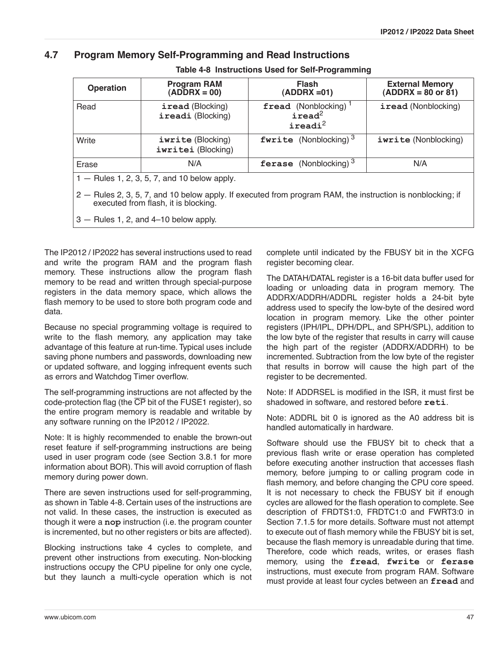### <span id="page-46-0"></span>**4.7 Program Memory Self-Programming and Read Instructions**

<span id="page-46-1"></span>

| <b>Operation</b>                                                                                                                                   | <b>Program RAM</b><br>$(ADDRX = 00)$           | <b>Flash</b><br>$(ADDRX = 01)$                                          | <b>External Memory</b><br>$(ADDRX = 80 \text{ or } 81)$ |  |  |
|----------------------------------------------------------------------------------------------------------------------------------------------------|------------------------------------------------|-------------------------------------------------------------------------|---------------------------------------------------------|--|--|
| Read                                                                                                                                               | iread (Blocking)<br>ireadi (Blocking)          | fread (Nonblocking) <sup>1</sup><br>iread <sup>2</sup><br>$i$ readi $i$ | iread (Nonblocking)                                     |  |  |
| Write                                                                                                                                              | iwrite (Blocking)<br>iwritei (Blocking)        | <b>fwrite</b> (Nonblocking) <sup>3</sup>                                | iwrite (Nonblocking)                                    |  |  |
| Erase                                                                                                                                              | N/A                                            | ferase (Nonblocking) <sup>3</sup>                                       | N/A                                                     |  |  |
|                                                                                                                                                    | $1 -$ Rules 1, 2, 3, 5, 7, and 10 below apply. |                                                                         |                                                         |  |  |
| 2 – Rules 2, 3, 5, 7, and 10 below apply. If executed from program RAM, the instruction is nonblocking; if<br>executed from flash, it is blocking. |                                                |                                                                         |                                                         |  |  |
| $3$ – Rules 1, 2, and 4–10 below apply.                                                                                                            |                                                |                                                                         |                                                         |  |  |

**Table 4-8 Instructions Used for Self-Programming**

The IP2012 / IP2022 has several instructions used to read and write the program RAM and the program flash memory. These instructions allow the program flash memory to be read and written through special-purpose registers in the data memory space, which allows the flash memory to be used to store both program code and data.

Because no special programming voltage is required to write to the flash memory, any application may take advantage of this feature at run-time. Typical uses include saving phone numbers and passwords, downloading new or updated software, and logging infrequent events such as errors and Watchdog Timer overflow.

The self-programming instructions are not affected by the code-protection flag (the  $\overline{\text{CP}}$  bit of the FUSE1 register), so the entire program memory is readable and writable by any software running on the IP2012 / IP2022.

Note: It is highly recommended to enable the brown-out reset feature if self-programming instructions are being used in user program code (see [Section 3.8.1](#page-27-0) for more information about BOR). This will avoid corruption of flash memory during power down.

There are seven instructions used for self-programming, as shown in [Table 4-8.](#page-46-1) Certain uses of the instructions are not valid. In these cases, the instruction is executed as though it were a **nop** instruction (i.e. the program counter is incremented, but no other registers or bits are affected).

Blocking instructions take 4 cycles to complete, and prevent other instructions from executing. Non-blocking instructions occupy the CPU pipeline for only one cycle, but they launch a multi-cycle operation which is not complete until indicated by the FBUSY bit in the XCFG register becoming clear.

The DATAH/DATAL register is a 16-bit data buffer used for loading or unloading data in program memory. The ADDRX/ADDRH/ADDRL register holds a 24-bit byte address used to specify the low-byte of the desired word location in program memory. Like the other pointer registers (IPH/IPL, DPH/DPL, and SPH/SPL), addition to the low byte of the register that results in carry will cause the high part of the register (ADDRX/ADDRH) to be incremented. Subtraction from the low byte of the register that results in borrow will cause the high part of the register to be decremented.

Note: If ADDRSEL is modified in the ISR, it must first be shadowed in software, and restored before **reti**.

Note: ADDRL bit 0 is ignored as the A0 address bit is handled automatically in hardware.

Software should use the FBUSY bit to check that a previous flash write or erase operation has completed before executing another instruction that accesses flash memory, before jumping to or calling program code in flash memory, and before changing the CPU core speed. It is not necessary to check the FBUSY bit if enough cycles are allowed for the flash operation to complete. See description of FRDTS1:0, FRDTC1:0 and FWRT3:0 in [Section 7.1.5](#page-90-0) for more details. Software must not attempt to execute out of flash memory while the FBUSY bit is set, because the flash memory is unreadable during that time. Therefore, code which reads, writes, or erases flash memory, using the **fread**, **fwrite** or **ferase** instructions, must execute from program RAM. Software must provide at least four cycles between an **fread** and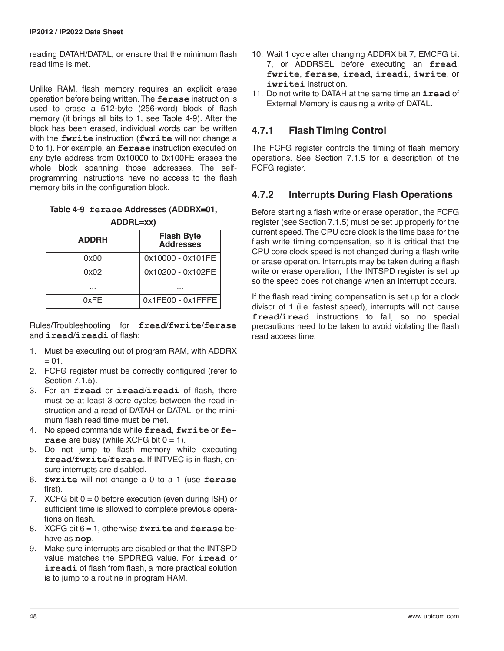reading DATAH/DATAL, or ensure that the minimum flash read time is met.

Unlike RAM, flash memory requires an explicit erase operation before being written. The **ferase** instruction is used to erase a 512-byte (256-word) block of flash memory (it brings all bits to 1, see [Table 4-9\)](#page-47-0). After the block has been erased, individual words can be written with the **fwrite** instruction (**fwrite** will not change a 0 to 1). For example, an **ferase** instruction executed on any byte address from 0x10000 to 0x100FE erases the whole block spanning those addresses. The selfprogramming instructions have no access to the flash memory bits in the configuration block.

### <span id="page-47-0"></span>**Table 4-9 ferase Addresses (ADDRX=01, ADDRL=xx)**

| <b>ADDRH</b> | <b>Flash Byte<br/>Addresses</b> |
|--------------|---------------------------------|
| 0x00         | 0x10000 - 0x101FE               |
| 0x02         | 0x10200 - 0x102FE               |
|              |                                 |
| 0xFF         | $0x1FE00 - 0x1FFFE$             |

Rules/Troubleshooting for **fread**/**fwrite**/**ferase** and **iread**/**ireadi** of flash:

- 1. Must be executing out of program RAM, with ADDRX  $= 01$ .
- 2. FCFG register must be correctly configured (refer to [Section 7.1.5](#page-90-0)).
- 3. For an **fread** or **iread**/**ireadi** of flash, there must be at least 3 core cycles between the read instruction and a read of DATAH or DATAL, or the minimum flash read time must be met.
- 4. No speed commands while **fread**, **fwrite** or **ferase** are busy (while XCFG bit  $0 = 1$ ).
- 5. Do not jump to flash memory while executing **fread**/**fwrite**/**ferase**. If INTVEC is in flash, ensure interrupts are disabled.
- 6. **fwrite** will not change a 0 to a 1 (use **ferase** first).
- 7. XCFG bit 0 = 0 before execution (even during ISR) or sufficient time is allowed to complete previous operations on flash.
- 8. XCFG bit 6 = 1, otherwise **fwrite** and **ferase** behave as **nop**.
- 9. Make sure interrupts are disabled or that the INTSPD value matches the SPDREG value. For **iread** or **ireadi** of flash from flash, a more practical solution is to jump to a routine in program RAM.
- 10. Wait 1 cycle after changing ADDRX bit 7, EMCFG bit 7, or ADDRSEL before executing an **fread**, **fwrite**, **ferase**, **iread**, **ireadi**, **iwrite**, or **iwritei** instruction.
- 11. Do not write to DATAH at the same time an **iread** of External Memory is causing a write of DATAL.

## **4.7.1 Flash Timing Control**

The FCFG register controls the timing of flash memory operations. See [Section 7.1.5](#page-90-0) for a description of the FCFG register.

## **4.7.2 Interrupts During Flash Operations**

Before starting a flash write or erase operation, the FCFG register (see [Section 7.1.5\)](#page-90-0) must be set up properly for the current speed. The CPU core clock is the time base for the flash write timing compensation, so it is critical that the CPU core clock speed is not changed during a flash write or erase operation. Interrupts may be taken during a flash write or erase operation, if the INTSPD register is set up so the speed does not change when an interrupt occurs.

If the flash read timing compensation is set up for a clock divisor of 1 (i.e. fastest speed), interrupts will not cause **fread**/**iread** instructions to fail, so no special precautions need to be taken to avoid violating the flash read access time.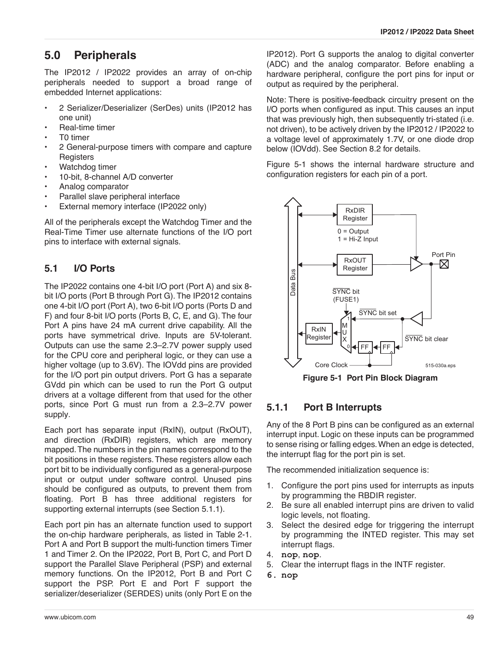# **5.0 Peripherals**

The IP2012 / IP2022 provides an array of on-chip peripherals needed to support a broad range of embedded Internet applications:

- 2 Serializer/Deserializer (SerDes) units (IP2012 has one unit)
- Real-time timer
- T0 timer
- 2 General-purpose timers with compare and capture **Registers**
- Watchdog timer
- 10-bit, 8-channel A/D converter
- Analog comparator
- Parallel slave peripheral interface
- External memory interface (IP2022 only)

All of the peripherals except the Watchdog Timer and the Real-Time Timer use alternate functions of the I/O port pins to interface with external signals.

## **5.1 I/O Ports**

The IP2022 contains one 4-bit I/O port (Port A) and six 8 bit I/O ports (Port B through Port G). The IP2012 contains one 4-bit I/O port (Port A), two 6-bit I/O ports (Ports D and F) and four 8-bit I/O ports (Ports B, C, E, and G). The four Port A pins have 24 mA current drive capability. All the ports have symmetrical drive. Inputs are 5V-tolerant. Outputs can use the same 2.3–2.7V power supply used for the CPU core and peripheral logic, or they can use a higher voltage (up to 3.6V). The IOVdd pins are provided for the I/O port pin output drivers. Port G has a separate GVdd pin which can be used to run the Port G output drivers at a voltage different from that used for the other ports, since Port G must run from a 2.3–2.7V power supply.

Each port has separate input (RxIN), output (RxOUT), and direction (RxDIR) registers, which are memory mapped. The numbers in the pin names correspond to the bit positions in these registers. These registers allow each port bit to be individually configured as a general-purpose input or output under software control. Unused pins should be configured as outputs, to prevent them from floating. Port B has three additional registers for supporting external interrupts (see [Section 5.1.1](#page-48-0)).

Each port pin has an alternate function used to support the on-chip hardware peripherals, as listed in [Table 2-1](#page-8-0). Port A and Port B support the multi-function timers Timer 1 and Timer 2. On the IP2022, Port B, Port C, and Port D support the Parallel Slave Peripheral (PSP) and external memory functions. On the IP2012, Port B and Port C support the PSP. Port E and Port F support the serializer/deserializer (SERDES) units (only Port E on the

IP2012). Port G supports the analog to digital converter (ADC) and the analog comparator. Before enabling a hardware peripheral, configure the port pins for input or output as required by the peripheral.

Note: There is positive-feedback circuitry present on the I/O ports when configured as input. This causes an input that was previously high, then subsequently tri-stated (i.e. not driven), to be actively driven by the IP2012 / IP2022 to a voltage level of approximately 1.7V, or one diode drop below (IOVdd). See [Section 8.2](#page-105-0) for details.

Figure 5-1 shows the internal hardware structure and configuration registers for each pin of a port.



**Figure 5-1 Port Pin Block Diagram**

### <span id="page-48-0"></span>**5.1.1 Port B Interrupts**

Any of the 8 Port B pins can be configured as an external interrupt input. Logic on these inputs can be programmed to sense rising or falling edges. When an edge is detected, the interrupt flag for the port pin is set.

The recommended initialization sequence is:

- 1. Configure the port pins used for interrupts as inputs by programming the RBDIR register.
- 2. Be sure all enabled interrupt pins are driven to valid logic levels, not floating.
- 3. Select the desired edge for triggering the interrupt by programming the INTED register. This may set interrupt flags.
- 4. **nop**, **nop**.
- 5. Clear the interrupt flags in the INTF register.
- **6. nop**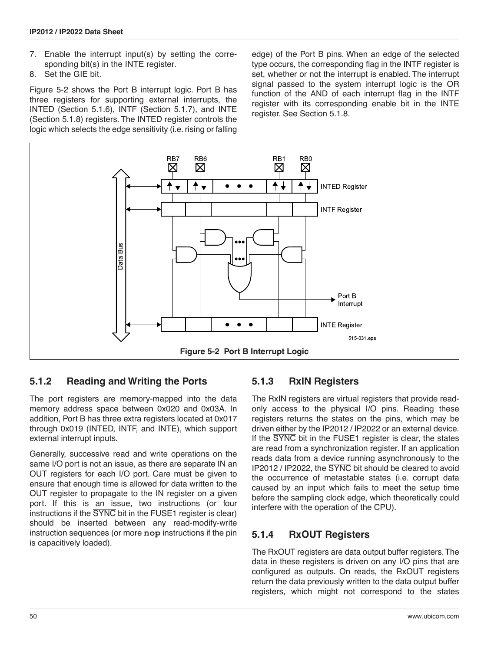- 7. Enable the interrupt input(s) by setting the corresponding bit(s) in the INTE register.
- 8. Set the GIE bit.

[Figure 5-2](#page-49-0) shows the Port B interrupt logic. Port B has three registers for supporting external interrupts, the INTED ([Section 5.1.6\)](#page-50-0), INTF ([Section 5.1.7\)](#page-50-1), and INTE [\(Section 5.1.8\)](#page-50-2) registers. The INTED register controls the logic which selects the edge sensitivity (i.e. rising or falling edge) of the Port B pins. When an edge of the selected type occurs, the corresponding flag in the INTF register is set, whether or not the interrupt is enabled. The interrupt signal passed to the system interrupt logic is the OR function of the AND of each interrupt flag in the INTF register with its corresponding enable bit in the INTE register. See [Section 5.1.8.](#page-50-2)



### <span id="page-49-0"></span>**5.1.2 Reading and Writing the Ports**

The port registers are memory-mapped into the data memory address space between 0x020 and 0x03A. In addition, Port B has three extra registers located at 0x017 through 0x019 (INTED, INTF, and INTE), which support external interrupt inputs.

Generally, successive read and write operations on the same I/O port is not an issue, as there are separate IN an OUT registers for each I/O port. Care must be given to ensure that enough time is allowed for data written to the OUT register to propagate to the IN register on a given port. If this is an issue, two instructions (or four instructions if the SYNC bit in the FUSE1 register is clear) should be inserted between any read-modify-write instruction sequences (or more **nop** instructions if the pin is capacitively loaded).

### **5.1.3 RxIN Registers**

The RxIN registers are virtual registers that provide readonly access to the physical I/O pins. Reading these registers returns the states on the pins, which may be driven either by the IP2012 / IP2022 or an external device. If the SYNC bit in the FUSE1 register is clear, the states are read from a synchronization register. If an application reads data from a device running asynchronously to the IP2012 / IP2022, the SYNC bit should be cleared to avoid the occurrence of metastable states (i.e. corrupt data caused by an input which fails to meet the setup time before the sampling clock edge, which theoretically could interfere with the operation of the CPU).

### **5.1.4 RxOUT Registers**

The RxOUT registers are data output buffer registers. The data in these registers is driven on any I/O pins that are configured as outputs. On reads, the RxOUT registers return the data previously written to the data output buffer registers, which might not correspond to the states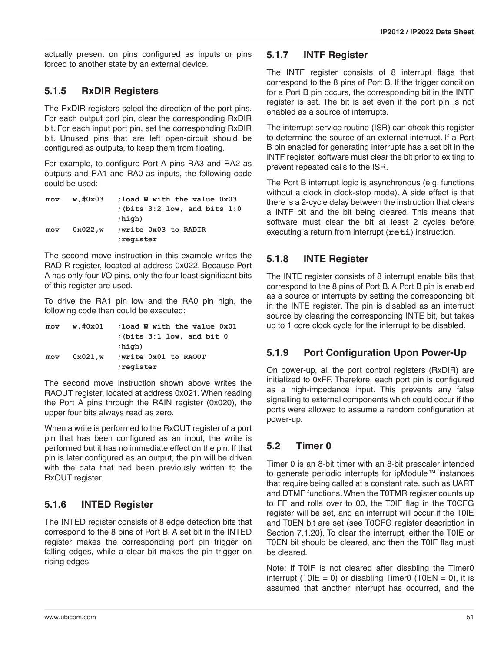actually present on pins configured as inputs or pins forced to another state by an external device.

## **5.1.5 RxDIR Registers**

The RxDIR registers select the direction of the port pins. For each output port pin, clear the corresponding RxDIR bit. For each input port pin, set the corresponding RxDIR bit. Unused pins that are left open-circuit should be configured as outputs, to keep them from floating.

For example, to configure Port A pins RA3 and RA2 as outputs and RA1 and RA0 as inputs, the following code could be used:

| mov | w,#0x03 | : load W with the value 0x03        |
|-----|---------|-------------------------------------|
|     |         | $:$ (bits $3:2$ low, and bits $1:0$ |
|     |         | ;high)                              |
| mov | 0x022,w | ; write 0x03 to RADIR               |
|     |         | register;                           |

The second move instruction in this example writes the RADIR register, located at address 0x022. Because Port A has only four I/O pins, only the four least significant bits of this register are used.

To drive the RA1 pin low and the RA0 pin high, the following code then could be executed:

| mov | w,#0x01 | : load W with the value 0x01     |
|-----|---------|----------------------------------|
|     |         | $:$ (bits $3:1$ low, and bit $0$ |
|     |         | ;high)                           |
| mov | 0x021,w | write 0x01 to RAOUT              |
|     |         | register;                        |

The second move instruction shown above writes the RAOUT register, located at address 0x021. When reading the Port A pins through the RAIN register (0x020), the upper four bits always read as zero.

When a write is performed to the RxOUT register of a port pin that has been configured as an input, the write is performed but it has no immediate effect on the pin. If that pin is later configured as an output, the pin will be driven with the data that had been previously written to the RxOUT register.

## <span id="page-50-0"></span>**5.1.6 INTED Register**

The INTED register consists of 8 edge detection bits that correspond to the 8 pins of Port B. A set bit in the INTED register makes the corresponding port pin trigger on falling edges, while a clear bit makes the pin trigger on rising edges.

### <span id="page-50-1"></span>**5.1.7 INTF Register**

The INTF register consists of 8 interrupt flags that correspond to the 8 pins of Port B. If the trigger condition for a Port B pin occurs, the corresponding bit in the INTF register is set. The bit is set even if the port pin is not enabled as a source of interrupts.

The interrupt service routine (ISR) can check this register to determine the source of an external interrupt. If a Port B pin enabled for generating interrupts has a set bit in the INTF register, software must clear the bit prior to exiting to prevent repeated calls to the ISR.

The Port B interrupt logic is asynchronous (e.g. functions without a clock in clock-stop mode). A side effect is that there is a 2-cycle delay between the instruction that clears a INTF bit and the bit being cleared. This means that software must clear the bit at least 2 cycles before executing a return from interrupt (**reti**) instruction.

## <span id="page-50-2"></span>**5.1.8 INTE Register**

The INTE register consists of 8 interrupt enable bits that correspond to the 8 pins of Port B. A Port B pin is enabled as a source of interrupts by setting the corresponding bit in the INTE register. The pin is disabled as an interrupt source by clearing the corresponding INTE bit, but takes up to 1 core clock cycle for the interrupt to be disabled.

## **5.1.9 Port Configuration Upon Power-Up**

On power-up, all the port control registers (RxDIR) are initialized to 0xFF. Therefore, each port pin is configured as a high-impedance input. This prevents any false signalling to external components which could occur if the ports were allowed to assume a random configuration at power-up.

## **5.2 Timer 0**

Timer 0 is an 8-bit timer with an 8-bit prescaler intended to generate periodic interrupts for ipModule™ instances that require being called at a constant rate, such as UART and DTMF functions. When the T0TMR register counts up to FF and rolls over to 00, the T0IF flag in the T0CFG register will be set, and an interrupt will occur if the T0IE and T0EN bit are set (see T0CFG register description in [Section 7.1.20\)](#page-100-0). To clear the interrupt, either the T0IE or T0EN bit should be cleared, and then the T0IF flag must be cleared.

Note: If T0IF is not cleared after disabling the Timer0 interrupt (T0IE = 0) or disabling Timer0 (T0EN = 0), it is assumed that another interrupt has occurred, and the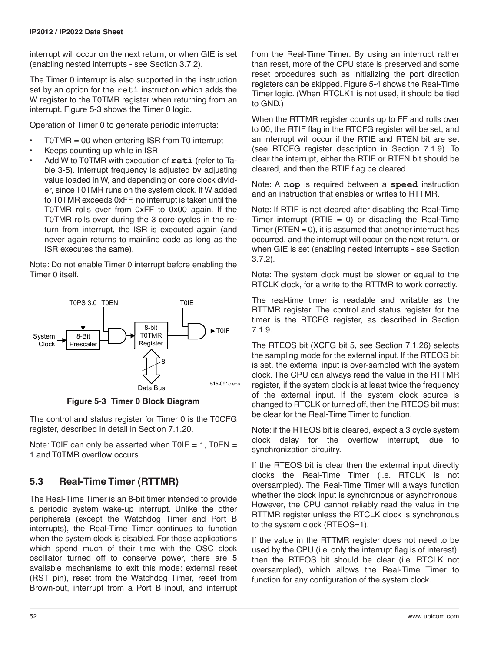interrupt will occur on the next return, or when GIE is set (enabling nested interrupts - see [Section 3.7.2](#page-24-1)).

The Timer 0 interrupt is also supported in the instruction set by an option for the **reti** instruction which adds the W register to the T0TMR register when returning from an interrupt. [Figure 5-3](#page-51-0) shows the Timer 0 logic.

Operation of Timer 0 to generate periodic interrupts:

- $TOTMR = 00$  when entering ISR from T0 interrupt
- Keeps counting up while in ISR
- Add W to T0TMR with execution of **reti** (refer to [Ta](#page-24-2)[ble 3-5](#page-24-2)). Interrupt frequency is adjusted by adjusting value loaded in W, and depending on core clock divider, since T0TMR runs on the system clock. If W added to T0TMR exceeds 0xFF, no interrupt is taken until the T0TMR rolls over from 0xFF to 0x00 again. If the T0TMR rolls over during the 3 core cycles in the return from interrupt, the ISR is executed again (and never again returns to mainline code as long as the ISR executes the same).

Note: Do not enable Timer 0 interrupt before enabling the Timer 0 itself.



**Figure 5-3 Timer 0 Block Diagram**

<span id="page-51-0"></span>The control and status register for Timer 0 is the T0CFG register, described in detail in [Section 7.1.20](#page-100-0).

Note: T0IF can only be asserted when  $T0IE = 1$ ,  $T0EN =$ 1 and T0TMR overflow occurs.

## **5.3 Real-Time Timer (RTTMR)**

The Real-Time Timer is an 8-bit timer intended to provide a periodic system wake-up interrupt. Unlike the other peripherals (except the Watchdog Timer and Port B interrupts), the Real-Time Timer continues to function when the system clock is disabled. For those applications which spend much of their time with the OSC clock oscillator turned off to conserve power, there are 5 available mechanisms to exit this mode: external reset (RST pin), reset from the Watchdog Timer, reset from Brown-out, interrupt from a Port B input, and interrupt from the Real-Time Timer. By using an interrupt rather than reset, more of the CPU state is preserved and some reset procedures such as initializing the port direction registers can be skipped. [Figure 5-4](#page-52-0) shows the Real-Time Timer logic. (When RTCLK1 is not used, it should be tied to GND.)

When the RTTMR register counts up to FF and rolls over to 00, the RTIF flag in the RTCFG register will be set, and an interrupt will occur if the RTIE and RTEN bit are set (see RTCFG register description in [Section 7.1.9](#page-93-0)). To clear the interrupt, either the RTIE or RTEN bit should be cleared, and then the RTIF flag be cleared.

Note: A **nop** is required between a **speed** instruction and an instruction that enables or writes to RTTMR.

Note: If RTIF is not cleared after disabling the Real-Time Timer interrupt (RTIE  $= 0$ ) or disabling the Real-Time Timer (RTEN  $= 0$ ), it is assumed that another interrupt has occurred, and the interrupt will occur on the next return, or when GIE is set (enabling nested interrupts - see [Section](#page-24-1) [3.7.2](#page-24-1)).

Note: The system clock must be slower or equal to the RTCLK clock, for a write to the RTTMR to work correctly.

The real-time timer is readable and writable as the RTTMR register. The control and status register for the timer is the RTCFG register, as described in [Section](#page-93-0) [7.1.9](#page-93-0).

The RTEOS bit (XCFG bit 5, see [Section 7.1.26](#page-103-0)) selects the sampling mode for the external input. If the RTEOS bit is set, the external input is over-sampled with the system clock. The CPU can always read the value in the RTTMR register, if the system clock is at least twice the frequency of the external input. If the system clock source is changed to RTCLK or turned off, then the RTEOS bit must be clear for the Real-Time Timer to function.

Note: if the RTEOS bit is cleared, expect a 3 cycle system clock delay for the overflow interrupt, due to synchronization circuitry.

If the RTEOS bit is clear then the external input directly clocks the Real-Time Timer (i.e. RTCLK is not oversampled). The Real-Time Timer will always function whether the clock input is synchronous or asynchronous. However, the CPU cannot reliably read the value in the RTTMR register unless the RTCLK clock is synchronous to the system clock (RTEOS=1).

If the value in the RTTMR register does not need to be used by the CPU (i.e. only the interrupt flag is of interest), then the RTEOS bit should be clear (i.e. RTCLK not oversampled), which allows the Real-Time Timer to function for any configuration of the system clock.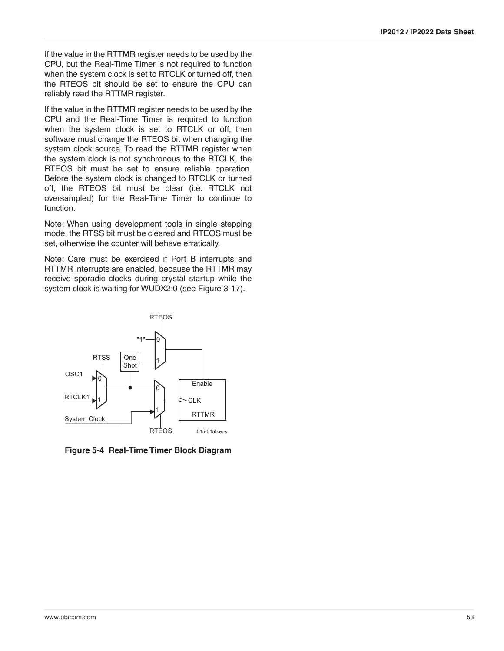If the value in the RTTMR register needs to be used by the CPU, but the Real-Time Timer is not required to function when the system clock is set to RTCLK or turned off, then the RTEOS bit should be set to ensure the CPU can reliably read the RTTMR register.

If the value in the RTTMR register needs to be used by the CPU and the Real-Time Timer is required to function when the system clock is set to RTCLK or off, then software must change the RTEOS bit when changing the system clock source. To read the RTTMR register when the system clock is not synchronous to the RTCLK, the RTEOS bit must be set to ensure reliable operation. Before the system clock is changed to RTCLK or turned off, the RTEOS bit must be clear (i.e. RTCLK not oversampled) for the Real-Time Timer to continue to function.

Note: When using development tools in single stepping mode, the RTSS bit must be cleared and RTEOS must be set, otherwise the counter will behave erratically.

Note: Care must be exercised if Port B interrupts and RTTMR interrupts are enabled, because the RTTMR may receive sporadic clocks during crystal startup while the system clock is waiting for WUDX2:0 (see [Figure 3-17\)](#page-28-0).



<span id="page-52-0"></span>**Figure 5-4 Real-Time Timer Block Diagram**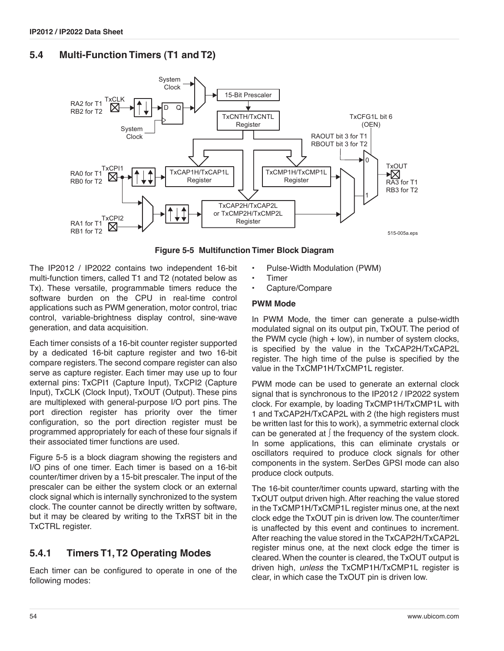## **5.4 Multi-Function Timers (T1 and T2)**



**Figure 5-5 Multifunction Timer Block Diagram**

<span id="page-53-0"></span>The IP2012 / IP2022 contains two independent 16-bit multi-function timers, called T1 and T2 (notated below as Tx). These versatile, programmable timers reduce the software burden on the CPU in real-time control applications such as PWM generation, motor control, triac control, variable-brightness display control, sine-wave generation, and data acquisition.

Each timer consists of a 16-bit counter register supported by a dedicated 16-bit capture register and two 16-bit compare registers. The second compare register can also serve as capture register. Each timer may use up to four external pins: TxCPI1 (Capture Input), TxCPI2 (Capture Input), TxCLK (Clock Input), TxOUT (Output). These pins are multiplexed with general-purpose I/O port pins. The port direction register has priority over the timer configuration, so the port direction register must be programmed appropriately for each of these four signals if their associated timer functions are used.

[Figure 5-5](#page-53-0) is a block diagram showing the registers and I/O pins of one timer. Each timer is based on a 16-bit counter/timer driven by a 15-bit prescaler. The input of the prescaler can be either the system clock or an external clock signal which is internally synchronized to the system clock. The counter cannot be directly written by software, but it may be cleared by writing to the TxRST bit in the TxCTRL register.

## **5.4.1 Timers T1, T2 Operating Modes**

Each timer can be configured to operate in one of the following modes:

- Pulse-Width Modulation (PWM)
- **Timer**
- Capture/Compare

#### **PWM Mode**

In PWM Mode, the timer can generate a pulse-width modulated signal on its output pin, TxOUT. The period of the PWM cycle (high + low), in number of system clocks, is specified by the value in the TxCAP2H/TxCAP2L register. The high time of the pulse is specified by the value in the TxCMP1H/TxCMP1L register.

PWM mode can be used to generate an external clock signal that is synchronous to the IP2012 / IP2022 system clock. For example, by loading TxCMP1H/TxCMP1L with 1 and TxCAP2H/TxCAP2L with 2 (the high registers must be written last for this to work), a symmetric external clock can be generated at ∫ the frequency of the system clock. In some applications, this can eliminate crystals or oscillators required to produce clock signals for other components in the system. SerDes GPSI mode can also produce clock outputs.

The 16-bit counter/timer counts upward, starting with the TxOUT output driven high. After reaching the value stored in the TxCMP1H/TxCMP1L register minus one, at the next clock edge the TxOUT pin is driven low. The counter/timer is unaffected by this event and continues to increment. After reaching the value stored in the TxCAP2H/TxCAP2L register minus one, at the next clock edge the timer is cleared. When the counter is cleared, the TxOUT output is driven high, *unless* the TxCMP1H/TxCMP1L register is clear, in which case the TxOUT pin is driven low.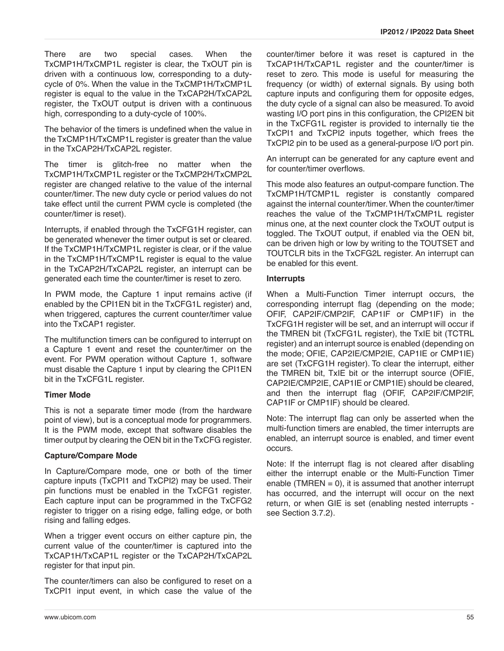There are two special cases. When the TxCMP1H/TxCMP1L register is clear, the TxOUT pin is driven with a continuous low, corresponding to a dutycycle of 0%. When the value in the TxCMP1H/TxCMP1L register is equal to the value in the TxCAP2H/TxCAP2L register, the TxOUT output is driven with a continuous high, corresponding to a duty-cycle of 100%.

The behavior of the timers is undefined when the value in the TxCMP1H/TxCMP1L register is greater than the value in the TxCAP2H/TxCAP2L register.

The timer is glitch-free no matter when the TxCMP1H/TxCMP1L register or the TxCMP2H/TxCMP2L register are changed relative to the value of the internal counter/timer. The new duty cycle or period values do not take effect until the current PWM cycle is completed (the counter/timer is reset).

Interrupts, if enabled through the TxCFG1H register, can be generated whenever the timer output is set or cleared. If the TxCMP1H/TxCMP1L register is clear, or if the value in the TxCMP1H/TxCMP1L register is equal to the value in the TxCAP2H/TxCAP2L register, an interrupt can be generated each time the counter/timer is reset to zero.

In PWM mode, the Capture 1 input remains active (if enabled by the CPI1EN bit in the TxCFG1L register) and, when triggered, captures the current counter/timer value into the TxCAP1 register.

The multifunction timers can be configured to interrupt on a Capture 1 event and reset the counter/timer on the event. For PWM operation without Capture 1, software must disable the Capture 1 input by clearing the CPI1EN bit in the TxCFG1L register.

### **Timer Mode**

This is not a separate timer mode (from the hardware point of view), but is a conceptual mode for programmers. It is the PWM mode, except that software disables the timer output by clearing the OEN bit in the TxCFG register.

### **Capture/Compare Mode**

In Capture/Compare mode, one or both of the timer capture inputs (TxCPI1 and TxCPI2) may be used. Their pin functions must be enabled in the TxCFG1 register. Each capture input can be programmed in the TxCFG2 register to trigger on a rising edge, falling edge, or both rising and falling edges.

When a trigger event occurs on either capture pin, the current value of the counter/timer is captured into the TxCAP1H/TxCAP1L register or the TxCAP2H/TxCAP2L register for that input pin.

The counter/timers can also be configured to reset on a TxCPI1 input event, in which case the value of the

counter/timer before it was reset is captured in the TxCAP1H/TxCAP1L register and the counter/timer is reset to zero. This mode is useful for measuring the frequency (or width) of external signals. By using both capture inputs and configuring them for opposite edges, the duty cycle of a signal can also be measured. To avoid wasting I/O port pins in this configuration, the CPI2EN bit in the TxCFG1L register is provided to internally tie the TxCPI1 and TxCPI2 inputs together, which frees the TxCPI2 pin to be used as a general-purpose I/O port pin.

An interrupt can be generated for any capture event and for counter/timer overflows.

This mode also features an output-compare function. The TxCMP1H/TCMP1L register is constantly compared against the internal counter/timer. When the counter/timer reaches the value of the TxCMP1H/TxCMP1L register minus one, at the next counter clock the TxOUT output is toggled. The TxOUT output, if enabled via the OEN bit, can be driven high or low by writing to the TOUTSET and TOUTCLR bits in the TxCFG2L register. An interrupt can be enabled for this event.

### **Interrupts**

When a Multi-Function Timer interrupt occurs, the corresponding interrupt flag (depending on the mode; OFIF, CAP2IF/CMP2IF, CAP1IF or CMP1IF) in the TxCFG1H register will be set, and an interrupt will occur if the TMREN bit (TxCFG1L register), the TxIE bit (TCTRL register) and an interrupt source is enabled (depending on the mode; OFIE, CAP2IE/CMP2IE, CAP1IE or CMP1IE) are set (TxCFG1H register). To clear the interrupt, either the TMREN bit, TxIE bit or the interrupt source (OFIE, CAP2IE/CMP2IE, CAP1IE or CMP1IE) should be cleared, and then the interrupt flag (OFIF, CAP2IF/CMP2IF, CAP1IF or CMP1IF) should be cleared.

Note: The interrupt flag can only be asserted when the multi-function timers are enabled, the timer interrupts are enabled, an interrupt source is enabled, and timer event occurs.

Note: If the interrupt flag is not cleared after disabling either the interrupt enable or the Multi-Function Timer enable (TMREN  $= 0$ ), it is assumed that another interrupt has occurred, and the interrupt will occur on the next return, or when GIE is set (enabling nested interrupts see [Section 3.7.2](#page-24-1)).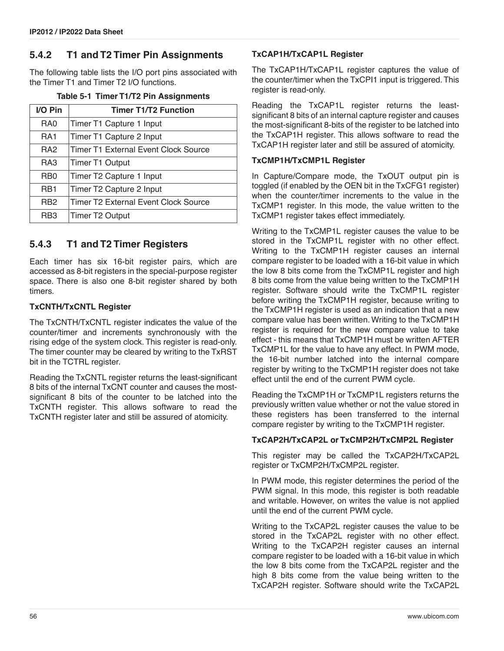### **5.4.2 T1 and T2 Timer Pin Assignments**

The following table lists the I/O port pins associated with the Timer T1 and Timer T2 I/O functions.

|  |  |  |  | Table 5-1 Timer T1/T2 Pin Assignments |
|--|--|--|--|---------------------------------------|
|--|--|--|--|---------------------------------------|

| I/O Pin         | <b>Timer T1/T2 Function</b>                 |
|-----------------|---------------------------------------------|
| RA0             | Timer T1 Capture 1 Input                    |
| RA <sub>1</sub> | Timer T1 Capture 2 Input                    |
| RA <sub>2</sub> | Timer T1 External Event Clock Source        |
| RA <sub>3</sub> | <b>Timer T1 Output</b>                      |
| RB <sub>0</sub> | Timer T2 Capture 1 Input                    |
| RB <sub>1</sub> | Timer T2 Capture 2 Input                    |
| RB <sub>2</sub> | <b>Timer T2 External Event Clock Source</b> |
| RB <sub>3</sub> | <b>Timer T2 Output</b>                      |

### **5.4.3 T1 and T2 Timer Registers**

Each timer has six 16-bit register pairs, which are accessed as 8-bit registers in the special-purpose register space. There is also one 8-bit register shared by both timers.

#### **TxCNTH/TxCNTL Register**

The TxCNTH/TxCNTL register indicates the value of the counter/timer and increments synchronously with the rising edge of the system clock. This register is read-only. The timer counter may be cleared by writing to the TxRST bit in the TCTRL register.

Reading the TxCNTL register returns the least-significant 8 bits of the internal TxCNT counter and causes the mostsignificant 8 bits of the counter to be latched into the TxCNTH register. This allows software to read the TxCNTH register later and still be assured of atomicity.

#### **TxCAP1H/TxCAP1L Register**

The TxCAP1H/TxCAP1L register captures the value of the counter/timer when the TxCPI1 input is triggered. This register is read-only.

Reading the TxCAP1L register returns the leastsignificant 8 bits of an internal capture register and causes the most-significant 8-bits of the register to be latched into the TxCAP1H register. This allows software to read the TxCAP1H register later and still be assured of atomicity.

#### **TxCMP1H/TxCMP1L Register**

In Capture/Compare mode, the TxOUT output pin is toggled (if enabled by the OEN bit in the TxCFG1 register) when the counter/timer increments to the value in the TxCMP1 register. In this mode, the value written to the TxCMP1 register takes effect immediately.

Writing to the TxCMP1L register causes the value to be stored in the TxCMP1L register with no other effect. Writing to the TxCMP1H register causes an internal compare register to be loaded with a 16-bit value in which the low 8 bits come from the TxCMP1L register and high 8 bits come from the value being written to the TxCMP1H register. Software should write the TxCMP1L register before writing the TxCMP1H register, because writing to the TxCMP1H register is used as an indication that a new compare value has been written. Writing to the TxCMP1H register is required for the new compare value to take effect - this means that TxCMP1H must be written AFTER TxCMP1L for the value to have any effect. In PWM mode, the 16-bit number latched into the internal compare register by writing to the TxCMP1H register does not take effect until the end of the current PWM cycle.

Reading the TxCMP1H or TxCMP1L registers returns the previously written value whether or not the value stored in these registers has been transferred to the internal compare register by writing to the TxCMP1H register.

#### **TxCAP2H/TxCAP2L or TxCMP2H/TxCMP2L Register**

This register may be called the TxCAP2H/TxCAP2L register or TxCMP2H/TxCMP2L register.

In PWM mode, this register determines the period of the PWM signal. In this mode, this register is both readable and writable. However, on writes the value is not applied until the end of the current PWM cycle.

Writing to the TxCAP2L register causes the value to be stored in the TxCAP2L register with no other effect. Writing to the TxCAP2H register causes an internal compare register to be loaded with a 16-bit value in which the low 8 bits come from the TxCAP2L register and the high 8 bits come from the value being written to the TxCAP2H register. Software should write the TxCAP2L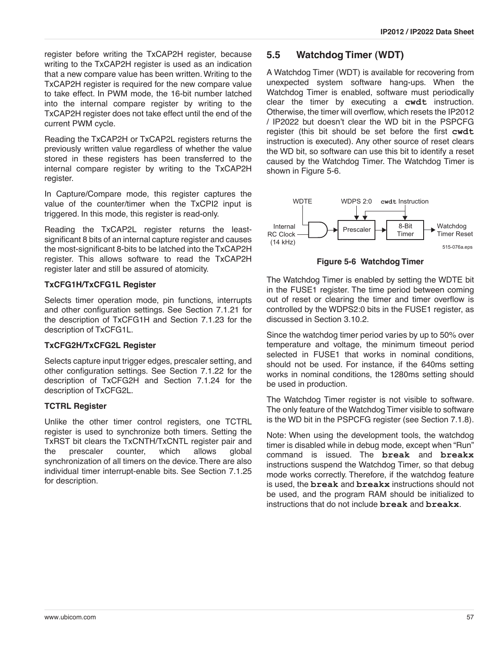register before writing the TxCAP2H register, because writing to the TxCAP2H register is used as an indication that a new compare value has been written. Writing to the TxCAP2H register is required for the new compare value to take effect. In PWM mode, the 16-bit number latched into the internal compare register by writing to the TxCAP2H register does not take effect until the end of the current PWM cycle.

Reading the TxCAP2H or TxCAP2L registers returns the previously written value regardless of whether the value stored in these registers has been transferred to the internal compare register by writing to the TxCAP2H register.

In Capture/Compare mode, this register captures the value of the counter/timer when the TxCPI2 input is triggered. In this mode, this register is read-only.

Reading the TxCAP2L register returns the leastsignificant 8 bits of an internal capture register and causes the most-significant 8-bits to be latched into the TxCAP2H register. This allows software to read the TxCAP2H register later and still be assured of atomicity.

## **TxCFG1H/TxCFG1L Register**

Selects timer operation mode, pin functions, interrupts and other configuration settings. See [Section 7.1.21](#page-100-1) for the description of TxCFG1H and [Section 7.1.23](#page-101-1) for the description of TxCFG1L.

### **TxCFG2H/TxCFG2L Register**

Selects capture input trigger edges, prescaler setting, and other configuration settings. See [Section 7.1.22](#page-101-0) for the description of TxCFG2H and [Section 7.1.24](#page-102-0) for the description of TxCFG2L.

## **TCTRL Register**

Unlike the other timer control registers, one TCTRL register is used to synchronize both timers. Setting the TxRST bit clears the TxCNTH/TxCNTL register pair and the prescaler counter, which allows global synchronization of all timers on the device. There are also individual timer interrupt-enable bits. See [Section 7.1.25](#page-103-1) for description.

# **5.5 Watchdog Timer (WDT)**

A Watchdog Timer (WDT) is available for recovering from unexpected system software hang-ups. When the Watchdog Timer is enabled, software must periodically clear the timer by executing a **cwdt** instruction. Otherwise, the timer will overflow, which resets the IP2012 / IP2022 but doesn't clear the WD bit in the PSPCFG register (this bit should be set before the first **cwdt** instruction is executed). Any other source of reset clears the WD bit, so software can use this bit to identify a reset caused by the Watchdog Timer. The Watchdog Timer is shown in [Figure 5-6.](#page-56-0)



**Figure 5-6 Watchdog Timer**

<span id="page-56-0"></span>The Watchdog Timer is enabled by setting the WDTE bit in the FUSE1 register. The time period between coming out of reset or clearing the timer and timer overflow is controlled by the WDPS2:0 bits in the FUSE1 register, as discussed in [Section 3.10.2.](#page-32-0)

Since the watchdog timer period varies by up to 50% over temperature and voltage, the minimum timeout period selected in FUSE1 that works in nominal conditions, should not be used. For instance, if the 640ms setting works in nominal conditions, the 1280ms setting should be used in production.

The Watchdog Timer register is not visible to software. The only feature of the Watchdog Timer visible to software is the WD bit in the PSPCFG register (see [Section 7.1.8\)](#page-92-0).

Note: When using the development tools, the watchdog timer is disabled while in debug mode, except when "Run" command is issued. The **break** and **breakx** instructions suspend the Watchdog Timer, so that debug mode works correctly. Therefore, if the watchdog feature is used, the **break** and **breakx** instructions should not be used, and the program RAM should be initialized to instructions that do not include **break** and **breakx**.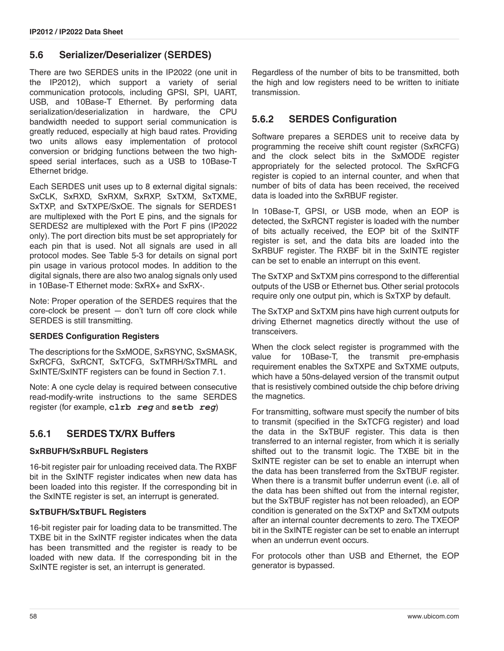### **5.6 Serializer/Deserializer (SERDES)**

There are two SERDES units in the IP2022 (one unit in the IP2012), which support a variety of serial communication protocols, including GPSI, SPI, UART, USB, and 10Base-T Ethernet. By performing data serialization/deserialization in hardware, the CPU bandwidth needed to support serial communication is greatly reduced, especially at high baud rates. Providing two units allows easy implementation of protocol conversion or bridging functions between the two highspeed serial interfaces, such as a USB to 10Base-T Ethernet bridge.

Each SERDES unit uses up to 8 external digital signals: SxCLK, SxRXD, SxRXM, SxRXP, SxTXM, SxTXME, SxTXP, and SxTXPE/SxOE. The signals for SERDES1 are multiplexed with the Port E pins, and the signals for SERDES2 are multiplexed with the Port F pins (IP2022 only). The port direction bits must be set appropriately for each pin that is used. Not all signals are used in all protocol modes. See [Table 5-3](#page-59-0) for details on signal port pin usage in various protocol modes. In addition to the digital signals, there are also two analog signals only used in 10Base-T Ethernet mode: SxRX+ and SxRX-.

Note: Proper operation of the SERDES requires that the core-clock be present — don't turn off core clock while SERDES is still transmitting.

#### **SERDES Configuration Registers**

The descriptions for the SxMODE, SxRSYNC, SxSMASK, SxRCFG, SxRCNT, SxTCFG, SxTMRH/SxTMRL and SxINTE/SxINTF registers can be found in [Section 7.1.](#page-88-0)

Note: A one cycle delay is required between consecutive read-modify-write instructions to the same SERDES register (for example, **clrb** *reg* and **setb** *reg*)

### **5.6.1 SERDES TX/RX Buffers**

### **SxRBUFH/SxRBUFL Registers**

16-bit register pair for unloading received data. The RXBF bit in the SxINTF register indicates when new data has been loaded into this register. If the corresponding bit in the SxINTE register is set, an interrupt is generated.

#### **SxTBUFH/SxTBUFL Registers**

16-bit register pair for loading data to be transmitted. The TXBE bit in the SxINTF register indicates when the data has been transmitted and the register is ready to be loaded with new data. If the corresponding bit in the SxINTE register is set, an interrupt is generated.

Regardless of the number of bits to be transmitted, both the high and low registers need to be written to initiate transmission.

### **5.6.2 SERDES Configuration**

Software prepares a SERDES unit to receive data by programming the receive shift count register (SxRCFG) and the clock select bits in the SxMODE register appropriately for the selected protocol. The SxRCFG register is copied to an internal counter, and when that number of bits of data has been received, the received data is loaded into the SxRBUF register.

In 10Base-T, GPSI, or USB mode, when an EOP is detected, the SxRCNT register is loaded with the number of bits actually received, the EOP bit of the SxINTF register is set, and the data bits are loaded into the SxRBUF register. The RXBF bit in the SxINTE register can be set to enable an interrupt on this event.

The SxTXP and SxTXM pins correspond to the differential outputs of the USB or Ethernet bus. Other serial protocols require only one output pin, which is SxTXP by default.

The SxTXP and SxTXM pins have high current outputs for driving Ethernet magnetics directly without the use of transceivers.

When the clock select register is programmed with the value for 10Base-T, the transmit pre-emphasis requirement enables the SxTXPE and SxTXME outputs, which have a 50ns-delayed version of the transmit output that is resistively combined outside the chip before driving the magnetics.

For transmitting, software must specify the number of bits to transmit (specified in the SxTCFG register) and load the data in the SxTBUF register. This data is then transferred to an internal register, from which it is serially shifted out to the transmit logic. The TXBE bit in the SxINTE register can be set to enable an interrupt when the data has been transferred from the SxTBUF register. When there is a transmit buffer underrun event (i.e. all of the data has been shifted out from the internal register, but the SxTBUF register has not been reloaded), an EOP condition is generated on the SxTXP and SxTXM outputs after an internal counter decrements to zero. The TXEOP bit in the SxINTE register can be set to enable an interrupt when an underrun event occurs.

For protocols other than USB and Ethernet, the EOP generator is bypassed.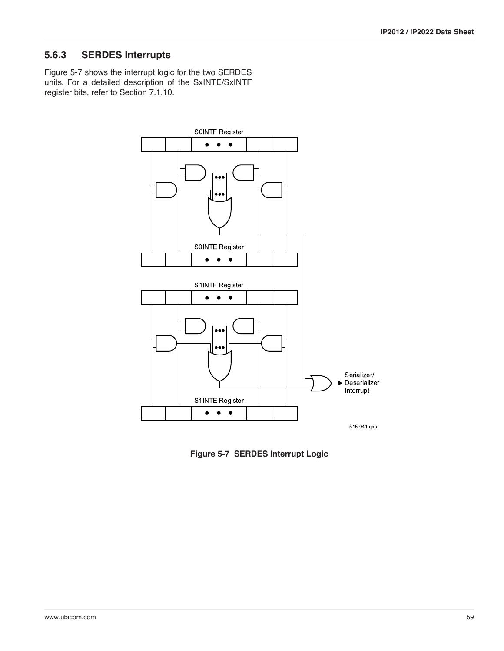## **5.6.3 SERDES Interrupts**

[Figure 5-7](#page-58-0) shows the interrupt logic for the two SERDES units. For a detailed description of the SxINTE/SxINTF register bits, refer to [Section 7.1.10](#page-94-0).



<span id="page-58-0"></span>**Figure 5-7 SERDES Interrupt Logic**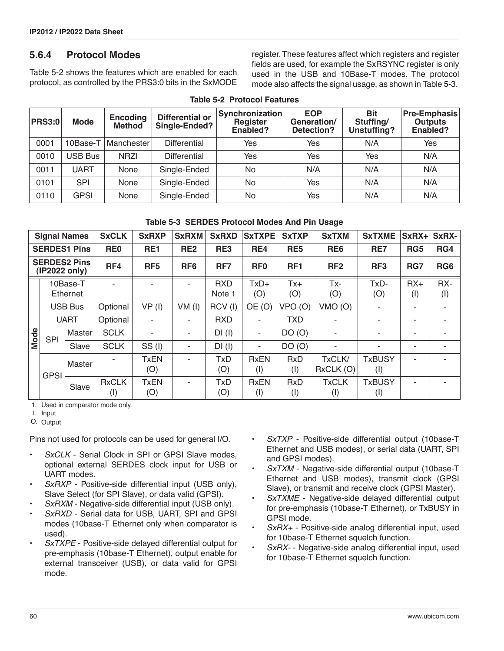### **5.6.4 Protocol Modes**

[Table 5-2](#page-59-1) shows the features which are enabled for each protocol, as controlled by the PRS3:0 bits in the SxMODE

register. These features affect which registers and register fields are used, for example the SxRSYNC register is only used in the USB and 10Base-T modes. The protocol mode also affects the signal usage, as shown in [Table 5-3.](#page-59-0)

<span id="page-59-1"></span>

| <b>PRS3:0</b> | <b>Mode</b> | <b>Encoding</b><br><b>Method</b> | <b>Differential or</b><br>Single-Ended? | Synchronization<br>Register<br>Enabled? | <b>EOP</b><br>Generation/<br>Detection? | <b>Bit</b><br>Stuffing/<br>Unstuffing? | <b>Pre-Emphasis</b><br><b>Outputs</b><br>Enabled? |  |  |  |
|---------------|-------------|----------------------------------|-----------------------------------------|-----------------------------------------|-----------------------------------------|----------------------------------------|---------------------------------------------------|--|--|--|
| 0001          | 10Base-T    | <b>Manchester</b>                | Differential                            | Yes                                     | Yes                                     | N/A                                    | Yes                                               |  |  |  |
| 0010          | USB Bus     | <b>NRZI</b>                      | <b>Differential</b>                     | Yes                                     | Yes                                     | Yes                                    | N/A                                               |  |  |  |
| 0011          | UART        | None                             | Single-Ended                            | No                                      | N/A                                     | N/A                                    | N/A                                               |  |  |  |
| 0101          | <b>SPI</b>  | None                             | Single-Ended                            | No                                      | Yes                                     | N/A                                    | N/A                                               |  |  |  |
| 0110          | <b>GPSI</b> | None                             | Single-Ended                            | No                                      | Yes                                     | N/A                                    | N/A                                               |  |  |  |

#### **Table 5-2 Protocol Features**

|  | Table 5-3 SERDES Protocol Modes And Pin Usage |  |  |  |  |
|--|-----------------------------------------------|--|--|--|--|
|--|-----------------------------------------------|--|--|--|--|

<span id="page-59-0"></span>

| <b>Signal Names</b>                  |                | <b>SxCLK</b>         | <b>SxRXP</b>        | <b>SxRXM</b>       | <b>SxRXD</b>    | <b>SxTXPE</b>        | <b>SxTXP</b>       | <b>SxTXM</b>            | <b>SxTXME</b>       | SxRX+                | SxRX-           |            |
|--------------------------------------|----------------|----------------------|---------------------|--------------------|-----------------|----------------------|--------------------|-------------------------|---------------------|----------------------|-----------------|------------|
| <b>SERDES1 Pins</b>                  |                |                      | RE <sub>0</sub>     | RE <sub>1</sub>    | RE <sub>2</sub> | RE3                  | RE4                | RE <sub>5</sub>         | RE <sub>6</sub>     | RE7                  | RG5             | RG4        |
| <b>SERDES2 Pins</b><br>(IP2022 only) |                | RF4                  | RF <sub>5</sub>     | RF <sub>6</sub>    | RF7             | RF <sub>0</sub>      | RF <sub>1</sub>    | RF <sub>2</sub>         | RF <sub>3</sub>     | RG7                  | RG <sub>6</sub> |            |
|                                      |                | 10Base-T<br>Ethernet |                     |                    |                 | <b>RXD</b><br>Note 1 | $TxD+$<br>(O)      | $Tx +$<br>(O)           | $Tx -$<br>(O)       | TxD-<br>(O)          | $RX+$<br>(1)    | RX-<br>(1) |
|                                      | <b>USB Bus</b> |                      | Optional            | VP(I)              | $VM$ (I)        | RCV(I)               | OE(0)              | VPO <sub>(O)</sub>      | VMO (O)             |                      |                 |            |
|                                      | <b>UART</b>    |                      | Optional            | ۰                  |                 | <b>RXD</b>           |                    | <b>TXD</b>              |                     |                      |                 |            |
| Mode                                 | <b>SPI</b>     | Master               | <b>SCLK</b>         |                    |                 | $DI$ (I)             | ۰                  | DO (O)                  |                     |                      |                 |            |
|                                      |                | Slave                | <b>SCLK</b>         | SS(1)              |                 | $DI$ (I)             | ٠                  | DO(O)                   | ۰                   |                      |                 |            |
|                                      |                | Master               |                     | <b>TxEN</b><br>(O) |                 | <b>TxD</b><br>(O)    | <b>RxEN</b><br>(1) | <b>RxD</b><br>(1)       | TxCLK/<br>RxCLK (O) | <b>TxBUSY</b><br>(1) |                 |            |
|                                      | <b>GPSI</b>    | Slave                | <b>RxCLK</b><br>(1) | <b>TxEN</b><br>(O) |                 | <b>TxD</b><br>(O)    | <b>RxEN</b><br>(1) | <b>RxD</b><br>$($ l $)$ | <b>TxCLK</b><br>(1) | <b>TxBUSY</b><br>(1) |                 |            |

1. Used in comparator mode only.

I. Input

O. Output

Pins not used for protocols can be used for general I/O.

- SxCLK Serial Clock in SPI or GPSI Slave modes, optional external SERDES clock input for USB or UART modes.
- SxRXP Positive-side differential input (USB only), Slave Select (for SPI Slave), or data valid (GPSI).
- SxRXM Negative-side differential input (USB only).
- *SxRXD* Serial data for USB, UART, SPI and GPSI modes (10base-T Ethernet only when comparator is used).
- *SxTXPE* Positive-side delayed differential output for pre-emphasis (10base-T Ethernet), output enable for external transceiver (USB), or data valid for GPSI mode.
- *SxTXP* Positive-side differential output (10base-T Ethernet and USB modes), or serial data (UART, SPI and GPSI modes).
- *SxTXM* Negative-side differential output (10base-T Ethernet and USB modes), transmit clock (GPSI Slave), or transmit and receive clock (GPSI Master).
- *SxTXME* Negative-side delayed differential output for pre-emphasis (10base-T Ethernet), or TxBUSY in GPSI mode.
- *SxRX+* Positive-side analog differential input, used for 10base-T Ethernet squelch function.
- *SxRX-* Negative-side analog differential input, used for 10base-T Ethernet squelch function.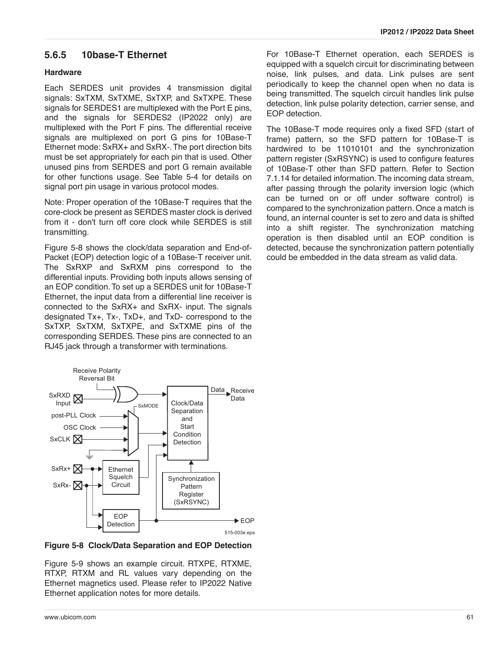## **5.6.5 10base-T Ethernet**

### **Hardware**

Each SERDES unit provides 4 transmission digital signals: SxTXM, SxTXME, SxTXP, and SxTXPE. These signals for SERDES1 are multiplexed with the Port E pins, and the signals for SERDES2 (IP2022 only) are multiplexed with the Port F pins. The differential receive signals are multiplexed on port G pins for 10Base-T Ethernet mode: SxRX+ and SxRX-. The port direction bits must be set appropriately for each pin that is used. Other unused pins from SERDES and port G remain available for other functions usage. See Table 5-4 for details on signal port pin usage in various protocol modes.

Note: Proper operation of the 10Base-T requires that the core-clock be present as SERDES master clock is derived from it - don't turn off core clock while SERDES is still transmitting.

Figure 5-8 shows the clock/data separation and End-of-Packet (EOP) detection logic of a 10Base-T receiver unit. The SxRXP and SxRXM pins correspond to the differential inputs. Providing both inputs allows sensing of an EOP condition. To set up a SERDES unit for 10Base-T Ethernet, the input data from a differential line receiver is connected to the SxRX+ and SxRX- input. The signals designated Tx+, Tx-, TxD+, and TxD- correspond to the SxTXP, SxTXM, SxTXPE, and SxTXME pins of the corresponding SERDES. These pins are connected to an RJ45 jack through a transformer with terminations.



**Figure 5-8 Clock/Data Separation and EOP Detection**

Figure 5-9 shows an example circuit. RTXPE, RTXME, RTXP, RTXM and RL values vary depending on the Ethernet magnetics used. Please refer to IP2022 Native Ethernet application notes for more details.

For 10Base-T Ethernet operation, each SERDES is equipped with a squelch circuit for discriminating between noise, link pulses, and data. Link pulses are sent periodically to keep the channel open when no data is being transmitted. The squelch circuit handles link pulse detection, link pulse polarity detection, carrier sense, and EOP detection.

The 10Base-T mode requires only a fixed SFD (start of frame) pattern, so the SFD pattern for 10Base-T is hardwired to be 11010101 and the synchronization pattern register (SxRSYNC) is used to configure features of 10Base-T other than SFD pattern. Refer to [Section](#page-96-0) [7.1.14](#page-96-0) for detailed information. The incoming data stream, after passing through the polarity inversion logic (which can be turned on or off under software control) is compared to the synchronization pattern. Once a match is found, an internal counter is set to zero and data is shifted into a shift register. The synchronization matching operation is then disabled until an EOP condition is detected, because the synchronization pattern potentially could be embedded in the data stream as valid data.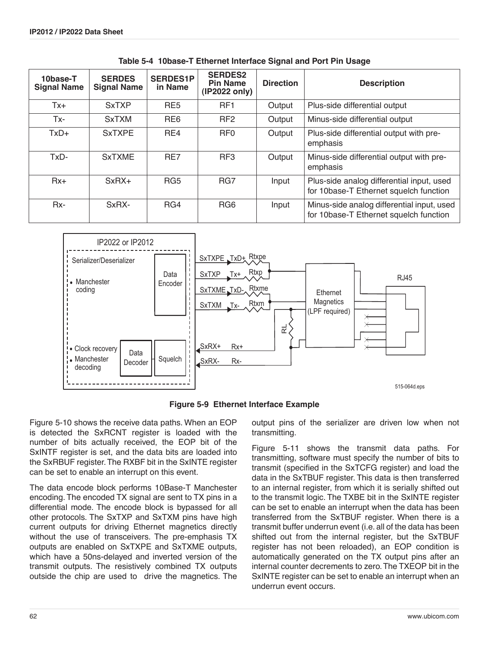| 10base-T<br><b>Signal Name</b> | <b>SERDES</b><br><b>Signal Name</b> | <b>SERDES1P</b><br>in Name | <b>SERDES2</b><br><b>Pin Name</b><br>(IP2022 only) | <b>Direction</b> | <b>Description</b>                                                                   |
|--------------------------------|-------------------------------------|----------------------------|----------------------------------------------------|------------------|--------------------------------------------------------------------------------------|
| $Tx +$                         | <b>SxTXP</b>                        | RE <sub>5</sub>            | RF <sub>1</sub>                                    | Output           | Plus-side differential output                                                        |
| Tx-                            | <b>SxTXM</b>                        | RE <sub>6</sub>            | RF <sub>2</sub>                                    | Output           | Minus-side differential output                                                       |
| $TxD+$                         | <b>SxTXPE</b>                       | RE4                        | RF <sub>0</sub>                                    | Output           | Plus-side differential output with pre-<br>emphasis                                  |
| TxD-                           | <b>SxTXME</b>                       | RE7                        | RF <sub>3</sub>                                    | Output           | Minus-side differential output with pre-<br>emphasis                                 |
| $Rx+$                          | $SxRX+$                             | RG <sub>5</sub>            | RG7                                                | Input            | Plus-side analog differential input, used<br>for 10base-T Ethernet squelch function  |
| $Rx-$                          | SxRX-                               | RG4                        | RG <sub>6</sub>                                    | Input            | Minus-side analog differential input, used<br>for 10base-T Ethernet squelch function |

**Table 5-4 10base-T Ethernet Interface Signal and Port Pin Usage** 



**Figure 5-9 Ethernet Interface Example**

Figure 5-10 shows the receive data paths. When an EOP is detected the SxRCNT register is loaded with the number of bits actually received, the EOP bit of the SxINTF register is set, and the data bits are loaded into the SxRBUF register. The RXBF bit in the SxINTE register can be set to enable an interrupt on this event.

The data encode block performs 10Base-T Manchester encoding. The encoded TX signal are sent to TX pins in a differential mode. The encode block is bypassed for all other protocols. The SxTXP and SxTXM pins have high current outputs for driving Ethernet magnetics directly without the use of transceivers. The pre-emphasis TX outputs are enabled on SxTXPE and SxTXME outputs, which have a 50ns-delayed and inverted version of the transmit outputs. The resistively combined TX outputs outside the chip are used to drive the magnetics. The output pins of the serializer are driven low when not transmitting.

Figure 5-11 shows the transmit data paths. For transmitting, software must specify the number of bits to transmit (specified in the SxTCFG register) and load the data in the SxTBUF register. This data is then transferred to an internal register, from which it is serially shifted out to the transmit logic. The TXBE bit in the SxINTE register can be set to enable an interrupt when the data has been transferred from the SxTBUF register. When there is a transmit buffer underrun event (i.e. all of the data has been shifted out from the internal register, but the SxTBUF register has not been reloaded), an EOP condition is automatically generated on the TX output pins after an internal counter decrements to zero. The TXEOP bit in the SxINTE register can be set to enable an interrupt when an underrun event occurs.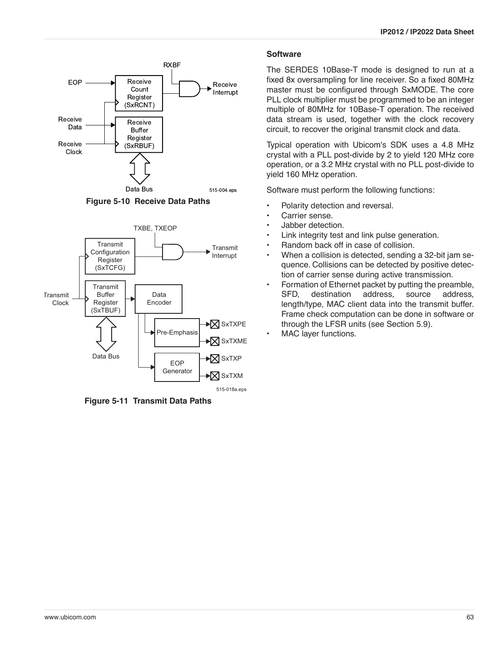





**Figure 5-11 Transmit Data Paths**

#### **Software**

The SERDES 10Base-T mode is designed to run at a fixed 8x oversampling for line receiver. So a fixed 80MHz master must be configured through SxMODE. The core PLL clock multiplier must be programmed to be an integer multiple of 80MHz for 10Base-T operation. The received data stream is used, together with the clock recovery circuit, to recover the original transmit clock and data.

Typical operation with Ubicom's SDK uses a 4.8 MHz crystal with a PLL post-divide by 2 to yield 120 MHz core operation, or a 3.2 MHz crystal with no PLL post-divide to yield 160 MHz operation.

Software must perform the following functions:

- Polarity detection and reversal.
- Carrier sense.
- Jabber detection.
- Link integrity test and link pulse generation.
- Random back off in case of collision.
- When a collision is detected, sending a 32-bit jam sequence. Collisions can be detected by positive detection of carrier sense during active transmission.
- Formation of Ethernet packet by putting the preamble, SFD, destination address, source address, length/type, MAC client data into the transmit buffer. Frame check computation can be done in software or through the LFSR units (see [Section 5.9\)](#page-73-0).
- MAC layer functions.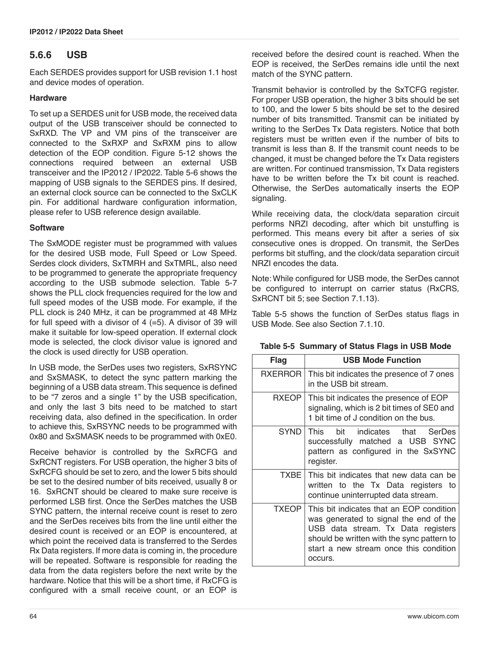## **5.6.6 USB**

Each SERDES provides support for USB revision 1.1 host and device modes of operation.

### **Hardware**

To set up a SERDES unit for USB mode, the received data output of the USB transceiver should be connected to SxRXD. The VP and VM pins of the transceiver are connected to the SxRXP and SxRXM pins to allow detection of the EOP condition. [Figure 5-12](#page-64-0) shows the connections required between an external USB transceiver and the IP2012 / IP2022. [Table 5-6](#page-64-1) shows the mapping of USB signals to the SERDES pins. If desired, an external clock source can be connected to the SxCLK pin. For additional hardware configuration information, please refer to USB reference design available.

### **Software**

The SxMODE register must be programmed with values for the desired USB mode, Full Speed or Low Speed. Serdes clock dividers, SxTMRH and SxTMRL, also need to be programmed to generate the appropriate frequency according to the USB submode selection. [Table 5-7](#page-65-0) shows the PLL clock frequencies required for the low and full speed modes of the USB mode. For example, if the PLL clock is 240 MHz, it can be programmed at 48 MHz for full speed with a divisor of  $4$  (=5). A divisor of 39 will make it suitable for low-speed operation. If external clock mode is selected, the clock divisor value is ignored and the clock is used directly for USB operation.

In USB mode, the SerDes uses two registers, SxRSYNC and SxSMASK, to detect the sync pattern marking the beginning of a USB data stream. This sequence is defined to be "7 zeros and a single 1" by the USB specification, and only the last 3 bits need to be matched to start receiving data, also defined in the specification. In order to achieve this, SxRSYNC needs to be programmed with 0x80 and SxSMASK needs to be programmed with 0xE0.

Receive behavior is controlled by the SxRCFG and SxRCNT registers. For USB operation, the higher 3 bits of SxRCFG should be set to zero, and the lower 5 bits should be set to the desired number of bits received, usually 8 or 16. SxRCNT should be cleared to make sure receive is performed LSB first. Once the SerDes matches the USB SYNC pattern, the internal receive count is reset to zero and the SerDes receives bits from the line until either the desired count is received or an EOP is encountered, at which point the received data is transferred to the Serdes Rx Data registers. If more data is coming in, the procedure will be repeated. Software is responsible for reading the data from the data registers before the next write by the hardware. Notice that this will be a short time, if RxCFG is configured with a small receive count, or an EOP is received before the desired count is reached. When the EOP is received, the SerDes remains idle until the next match of the SYNC pattern.

Transmit behavior is controlled by the SxTCFG register. For proper USB operation, the higher 3 bits should be set to 100, and the lower 5 bits should be set to the desired number of bits transmitted. Transmit can be initiated by writing to the SerDes Tx Data registers. Notice that both registers must be written even if the number of bits to transmit is less than 8. If the transmit count needs to be changed, it must be changed before the Tx Data registers are written. For continued transmission, Tx Data registers have to be written before the Tx bit count is reached. Otherwise, the SerDes automatically inserts the EOP signaling.

While receiving data, the clock/data separation circuit performs NRZI decoding, after which bit unstuffing is performed. This means every bit after a series of six consecutive ones is dropped. On transmit, the SerDes performs bit stuffing, and the clock/data separation circuit NRZI encodes the data.

Note: While configured for USB mode, the SerDes cannot be configured to interrupt on carrier status (RxCRS, SxRCNT bit 5; see [Section 7.1.13](#page-96-1)).

[Table 5-5](#page-63-0) shows the function of SerDes status flags in USB Mode. See also [Section 7.1.10.](#page-94-0)

| Flag           | <b>USB Mode Function</b>                                                                                                                                                                                                    |  |  |  |  |
|----------------|-----------------------------------------------------------------------------------------------------------------------------------------------------------------------------------------------------------------------------|--|--|--|--|
| <b>RXERROR</b> | This bit indicates the presence of 7 ones<br>in the USB bit stream.                                                                                                                                                         |  |  |  |  |
| <b>RXEOP</b>   | This bit indicates the presence of EOP<br>signaling, which is 2 bit times of SE0 and<br>1 bit time of J condition on the bus.                                                                                               |  |  |  |  |
| <b>SYND</b>    | This bit indicates that SerDes<br>successfully matched a USB SYNC<br>pattern as configured in the SxSYNC<br>register.                                                                                                       |  |  |  |  |
|                | TXBE   This bit indicates that new data can be<br>written to the Tx Data registers to<br>continue uninterrupted data stream.                                                                                                |  |  |  |  |
| <b>TXEOP</b>   | This bit indicates that an EOP condition<br>was generated to signal the end of the<br>USB data stream. Tx Data registers<br>should be written with the sync pattern to<br>start a new stream once this condition<br>occurs. |  |  |  |  |

### <span id="page-63-0"></span>**Table 5-5 Summary of Status Flags in USB Mode**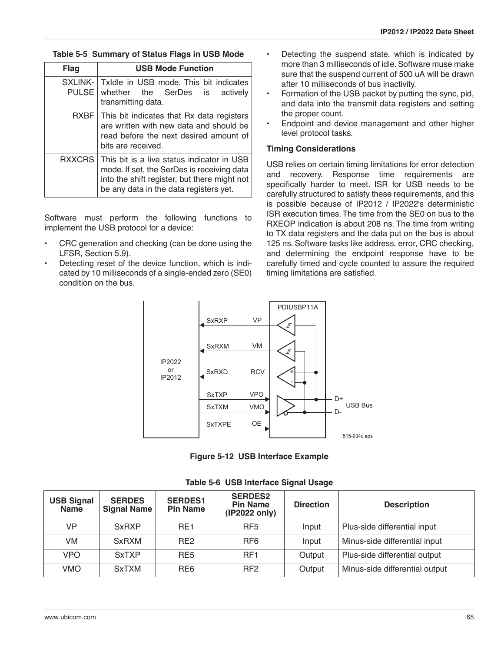#### **Table 5-5 Summary of Status Flags in USB Mode**

| <b>Flag</b>              | <b>USB Mode Function</b>                                                                                                                                                           |  |  |  |  |  |
|--------------------------|------------------------------------------------------------------------------------------------------------------------------------------------------------------------------------|--|--|--|--|--|
| SXLINK-1<br><b>PULSE</b> | Txidle in USB mode. This bit indicates<br>whether the SerDes is<br>actively<br>transmitting data.                                                                                  |  |  |  |  |  |
| <b>RXBF</b>              | This bit indicates that Rx data registers<br>are written with new data and should be<br>read before the next desired amount of<br>bits are received.                               |  |  |  |  |  |
| <b>RXXCRS</b>            | This bit is a live status indicator in USB<br>mode. If set, the SerDes is receiving data<br>into the shift register, but there might not<br>be any data in the data registers yet. |  |  |  |  |  |

Software must perform the following functions to implement the USB protocol for a device:

- CRC generation and checking (can be done using the LFSR, [Section 5.9](#page-73-0)).
- Detecting reset of the device function, which is indicated by 10 milliseconds of a single-ended zero (SE0) condition on the bus.
- Detecting the suspend state, which is indicated by more than 3 milliseconds of idle. Software muse make sure that the suspend current of 500 uA will be drawn after 10 milliseconds of bus inactivity.
- Formation of the USB packet by putting the sync, pid, and data into the transmit data registers and setting the proper count.
- Endpoint and device management and other higher level protocol tasks.

### **Timing Considerations**

USB relies on certain timing limitations for error detection and recovery. Response time requirements are specifically harder to meet. ISR for USB needs to be carefully structured to satisfy these requirements, and this is possible because of IP2012 / IP2022's deterministic ISR execution times. The time from the SE0 on bus to the RXEOP indication is about 208 ns. The time from writing to TX data registers and the data put on the bus is about 125 ns. Software tasks like address, error, CRC checking, and determining the endpoint response have to be carefully timed and cycle counted to assure the required timing limitations are satisfied.



**Figure 5-12 USB Interface Example**

<span id="page-64-1"></span><span id="page-64-0"></span>

| <b>USB Signal</b><br><b>Name</b> | <b>SERDES</b><br><b>Signal Name</b> | <b>SERDES1</b><br><b>Pin Name</b> | <b>SERDES2</b><br><b>Pin Name</b><br>(IP2022 only) | <b>Direction</b> | <b>Description</b>             |
|----------------------------------|-------------------------------------|-----------------------------------|----------------------------------------------------|------------------|--------------------------------|
| VP                               | <b>SxRXP</b>                        | RE <sub>1</sub>                   | RF <sub>5</sub>                                    | Input            | Plus-side differential input   |
| VM                               | <b>SxRXM</b>                        | RF <sub>2</sub>                   | RF <sub>6</sub>                                    | Input            | Minus-side differential input  |
| <b>VPO</b>                       | <b>SxTXP</b>                        | RE <sub>5</sub>                   | RF <sub>1</sub>                                    | Output           | Plus-side differential output  |
| <b>VMO</b>                       | <b>SxTXM</b>                        | RE <sub>6</sub>                   | RF <sub>2</sub>                                    | Output           | Minus-side differential output |

**Table 5-6 USB Interface Signal Usage**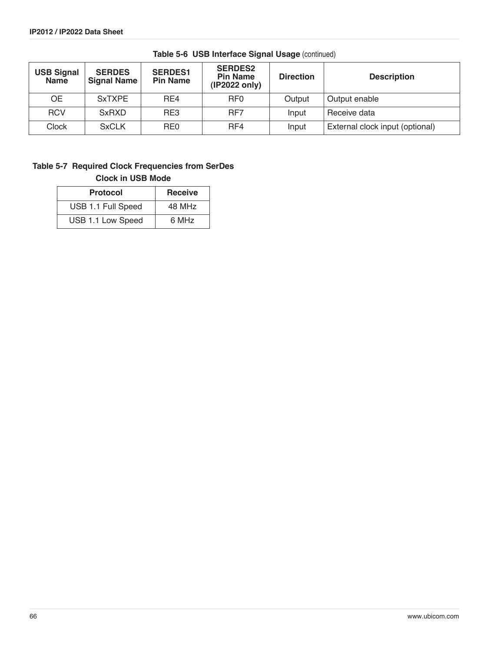| <b>USB Signal</b><br><b>Name</b> | <b>SERDES</b><br><b>Signal Name</b> | <b>SERDES1</b><br><b>Pin Name</b> | <b>SERDES2</b><br><b>Pin Name</b><br>(IP2022 only) | <b>Direction</b> | <b>Description</b>              |
|----------------------------------|-------------------------------------|-----------------------------------|----------------------------------------------------|------------------|---------------------------------|
| <b>OE</b>                        | <b>SxTXPE</b>                       | RF4                               | RF <sub>0</sub>                                    | Output           | Output enable                   |
| <b>RCV</b>                       | <b>SxRXD</b>                        | RE3                               | RF7                                                | Input            | Receive data                    |
| <b>Clock</b>                     | <b>SxCLK</b>                        | RE <sub>0</sub>                   | RF4                                                | Input            | External clock input (optional) |

**Table 5-6 USB Interface Signal Usage** (continued)

### <span id="page-65-0"></span>**Table 5-7 Required Clock Frequencies from SerDes Clock in USB Mode**

| <b>Protocol</b>    | <b>Receive</b> |
|--------------------|----------------|
| USB 1.1 Full Speed | 48 MHz         |
| USB 1.1 Low Speed  | 6 MHz          |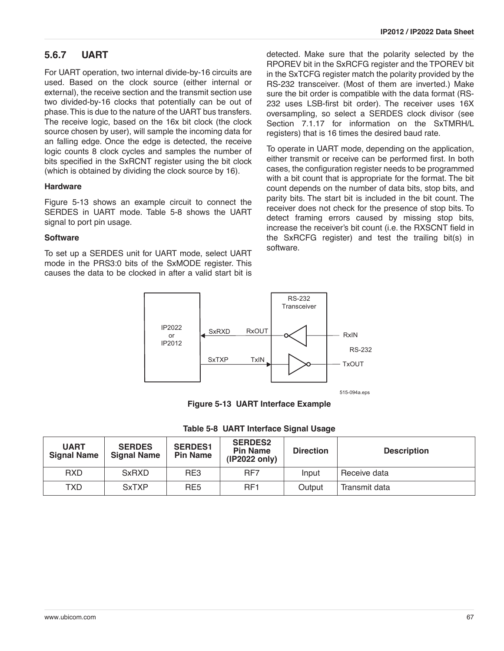## **5.6.7 UART**

For UART operation, two internal divide-by-16 circuits are used. Based on the clock source (either internal or external), the receive section and the transmit section use two divided-by-16 clocks that potentially can be out of phase. This is due to the nature of the UART bus transfers. The receive logic, based on the 16x bit clock (the clock source chosen by user), will sample the incoming data for an falling edge. Once the edge is detected, the receive logic counts 8 clock cycles and samples the number of bits specified in the SxRCNT register using the bit clock (which is obtained by dividing the clock source by 16).

#### **Hardware**

[Figure 5-13](#page-66-1) shows an example circuit to connect the SERDES in UART mode. [Table 5-8](#page-66-0) shows the UART signal to port pin usage.

#### **Software**

To set up a SERDES unit for UART mode, select UART mode in the PRS3:0 bits of the SxMODE register. This causes the data to be clocked in after a valid start bit is

detected. Make sure that the polarity selected by the RPOREV bit in the SxRCFG register and the TPOREV bit in the SxTCFG register match the polarity provided by the RS-232 transceiver. (Most of them are inverted.) Make sure the bit order is compatible with the data format (RS-232 uses LSB-first bit order). The receiver uses 16X oversampling, so select a SERDES clock divisor (see [Section 7.1.17](#page-98-0) for information on the SxTMRH/L registers) that is 16 times the desired baud rate.

To operate in UART mode, depending on the application, either transmit or receive can be performed first. In both cases, the configuration register needs to be programmed with a bit count that is appropriate for the format. The bit count depends on the number of data bits, stop bits, and parity bits. The start bit is included in the bit count. The receiver does not check for the presence of stop bits. To detect framing errors caused by missing stop bits, increase the receiver's bit count (i.e. the RXSCNT field in the SxRCFG register) and test the trailing bit(s) in software.



**Figure 5-13 UART Interface Example**

|  |  | Table 5-8 UART Interface Signal Usage |  |  |
|--|--|---------------------------------------|--|--|
|--|--|---------------------------------------|--|--|

<span id="page-66-1"></span><span id="page-66-0"></span>

| <b>UART</b><br><b>Signal Name</b> | <b>SERDES</b><br><b>Signal Name</b> | <b>SERDES1</b><br><b>Pin Name</b> | <b>SERDES2</b><br><b>Pin Name</b><br>(IP2022 only) | <b>Direction</b> | <b>Description</b> |
|-----------------------------------|-------------------------------------|-----------------------------------|----------------------------------------------------|------------------|--------------------|
| <b>RXD</b>                        | <b>SxRXD</b>                        | RE3                               | RF7                                                | Input            | Receive data       |
| TXD                               | <b>SxTXP</b>                        | RE <sub>5</sub>                   | RF <sub>1</sub>                                    | Output           | Transmit data      |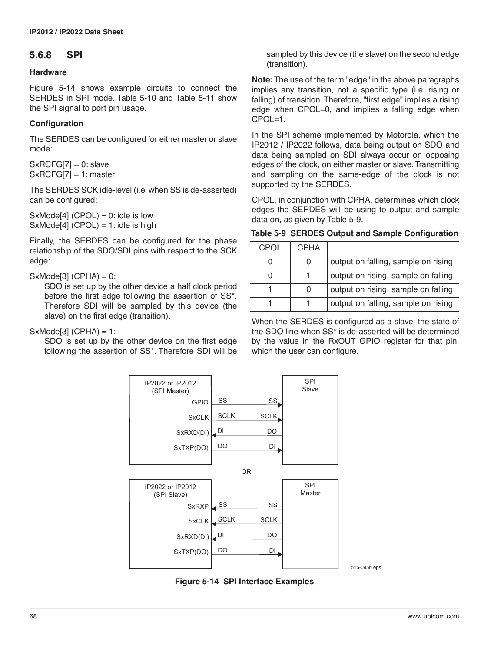### **5.6.8 SPI**

#### **Hardware**

[Figure 5-14](#page-67-0) shows example circuits to connect the SERDES in SPI mode. [Table 5-10](#page-68-1) and [Table 5-11](#page-68-0) show the SPI signal to port pin usage.

### **Configuration**

The SERDES can be configured for either master or slave mode:

 $SxRCFG[7] = 0$ : slave  $SxRCFG[7] = 1:$  master

The SERDES SCK idle-level (i.e. when  $\overline{SS}$  is de-asserted) can be configured:

 $SxModel[4] (CPOL) = 0$ : idle is low  $SxMode[4] (CPOL) = 1$ : idle is high

Finally, the SERDES can be configured for the phase relationship of the SDO/SDI pins with respect to the SCK edge:

### $SxModel[3] (CPHA) = 0$ :

SDO is set up by the other device a half clock period before the first edge following the assertion of SS\*. Therefore SDI will be sampled by this device (the slave) on the first edge (transition).

SxMode[3] (CPHA) = 1:

SDO is set up by the other device on the first edge following the assertion of SS\*. Therefore SDI will be sampled by this device (the slave) on the second edge (transition).

**Note:**The use of the term "edge" in the above paragraphs implies any transition, not a specific type (i.e. rising or falling) of transition. Therefore, "first edge" implies a rising edge when CPOL=0, and implies a falling edge when CPOL=1.

In the SPI scheme implemented by Motorola, which the IP2012 / IP2022 follows, data being output on SDO and data being sampled on SDI always occur on opposing edges of the clock, on either master or slave. Transmitting and sampling on the same-edge of the clock is not supported by the SERDES.

CPOL, in conjunction with CPHA, determines which clock edges the SERDES will be using to output and sample data on, as given by [Table 5-9.](#page-67-1)

#### <span id="page-67-1"></span>**Table 5-9 SERDES Output and Sample Configuration**

| CPOL | CPHA |                                     |
|------|------|-------------------------------------|
|      |      | output on falling, sample on rising |
|      |      | output on rising, sample on falling |
|      |      | output on rising, sample on falling |
|      |      | output on falling, sample on rising |

When the SERDES is configured as a slave, the state of the SDO line when SS\* is de-asserted will be determined by the value in the RxOUT GPIO register for that pin, which the user can configure.



<span id="page-67-0"></span>**Figure 5-14 SPI Interface Examples**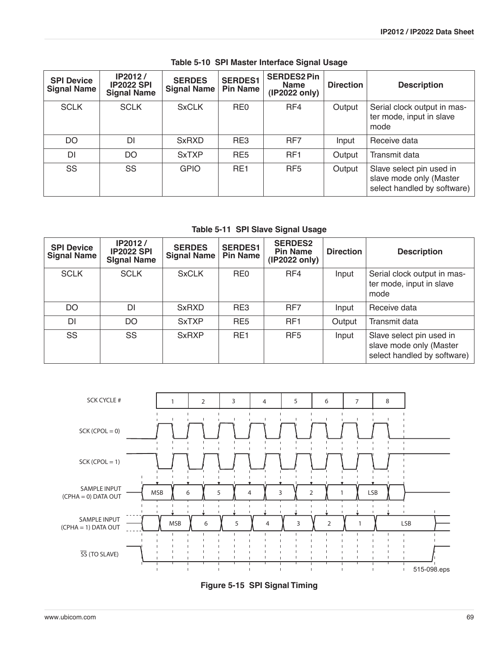<span id="page-68-1"></span>

| <b>SPI Device</b><br><b>Signal Name</b> | <b>IP2012/</b><br><b>IP2022 SPI</b><br><b>Signal Name</b> | <b>SERDES</b><br><b>Signal Name</b> | <b>SERDES1</b><br><b>Pin Name</b> | <b>SERDES2 Pin</b><br><b>Name</b><br>(IP2022 only) | <b>Direction</b> | <b>Description</b>                                                                 |
|-----------------------------------------|-----------------------------------------------------------|-------------------------------------|-----------------------------------|----------------------------------------------------|------------------|------------------------------------------------------------------------------------|
| <b>SCLK</b>                             | <b>SCLK</b>                                               | <b>SxCLK</b>                        | RE <sub>0</sub>                   | RF4                                                | Output           | Serial clock output in mas-<br>ter mode, input in slave<br>mode                    |
| DO                                      | DI                                                        | <b>SxRXD</b>                        | RE3                               | RF7                                                | Input            | Receive data                                                                       |
| <b>DI</b>                               | DO                                                        | <b>SxTXP</b>                        | RE <sub>5</sub>                   | RF <sub>1</sub>                                    | Output           | Transmit data                                                                      |
| SS                                      | SS                                                        | <b>GPIO</b>                         | RF <sub>1</sub>                   | RF <sub>5</sub>                                    | Output           | Slave select pin used in<br>slave mode only (Master<br>select handled by software) |

### **Table 5-10 SPI Master Interface Signal Usage**

**Table 5-11 SPI Slave Signal Usage** 

<span id="page-68-0"></span>

| <b>SPI Device</b><br><b>Signal Name</b> | IP2012/<br><b>IP2022 SPI</b><br><b>Signal Name</b> | <b>SERDES</b><br><b>Signal Name</b> | <b>SERDES1</b><br><b>Pin Name</b> | <b>SERDES2</b><br><b>Pin Name</b><br>(IP2022 only) | <b>Direction</b> | <b>Description</b>                                                                 |
|-----------------------------------------|----------------------------------------------------|-------------------------------------|-----------------------------------|----------------------------------------------------|------------------|------------------------------------------------------------------------------------|
| <b>SCLK</b>                             | <b>SCLK</b>                                        | <b>SxCLK</b>                        | RE <sub>0</sub>                   | RF4                                                | Input            | Serial clock output in mas-<br>ter mode, input in slave<br>mode                    |
| DO                                      | DΙ                                                 | <b>SxRXD</b>                        | RE3                               | RF7                                                | Input            | Receive data                                                                       |
| DI                                      | DO                                                 | <b>SxTXP</b>                        | RE <sub>5</sub>                   | RF <sub>1</sub>                                    | Output           | Transmit data                                                                      |
| SS                                      | SS                                                 | <b>SxRXP</b>                        | RE <sub>1</sub>                   | RF <sub>5</sub>                                    | Input            | Slave select pin used in<br>slave mode only (Master<br>select handled by software) |



**Figure 5-15 SPI Signal Timing**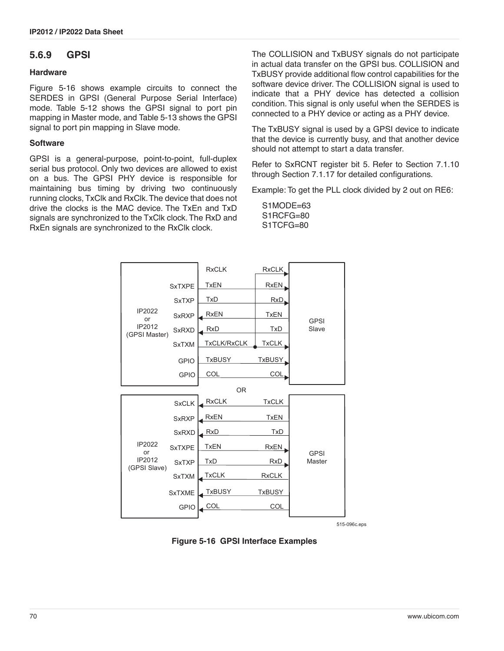### **5.6.9 GPSI**

#### **Hardware**

[Figure 5-16](#page-69-0) shows example circuits to connect the SERDES in GPSI (General Purpose Serial Interface) mode. [Table 5-12](#page-70-0) shows the GPSI signal to port pin mapping in Master mode, and [Table 5-13](#page-70-1) shows the GPSI signal to port pin mapping in Slave mode.

#### **Software**

GPSI is a general-purpose, point-to-point, full-duplex serial bus protocol. Only two devices are allowed to exist on a bus. The GPSI PHY device is responsible for maintaining bus timing by driving two continuously running clocks, TxClk and RxClk. The device that does not drive the clocks is the MAC device. The TxEn and TxD signals are synchronized to the TxClk clock. The RxD and RxEn signals are synchronized to the RxClk clock.

The COLLISION and TxBUSY signals do not participate in actual data transfer on the GPSI bus. COLLISION and TxBUSY provide additional flow control capabilities for the software device driver. The COLLISION signal is used to indicate that a PHY device has detected a collision condition. This signal is only useful when the SERDES is connected to a PHY device or acting as a PHY device.

The TxBUSY signal is used by a GPSI device to indicate that the device is currently busy, and that another device should not attempt to start a data transfer.

Refer to SxRCNT register bit 5. Refer to [Section 7.1.10](#page-94-0) through [Section 7.1.17](#page-98-0) for detailed configurations.

Example: To get the PLL clock divided by 2 out on RE6:

S1MODE=63 S1RCFG=80 S1TCFG=80



515-096c.eps

<span id="page-69-0"></span>**Figure 5-16 GPSI Interface Examples**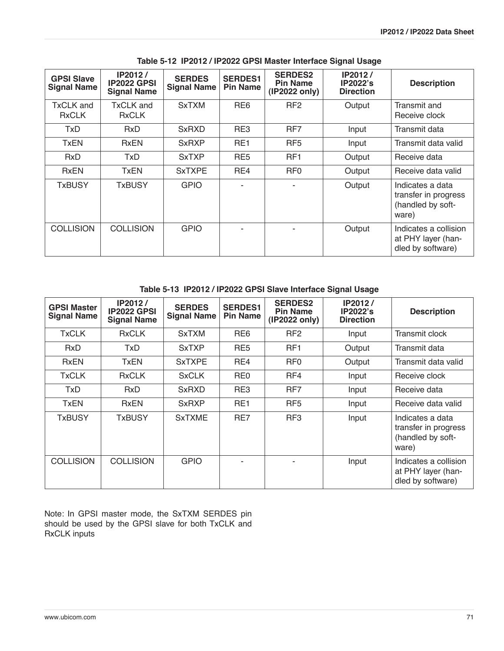<span id="page-70-0"></span>

| <b>GPSI Slave</b><br><b>Signal Name</b> | IP2012/<br><b>IP2022 GPSI</b><br><b>Signal Name</b> | <b>SERDES</b><br><b>Signal Name</b> | <b>SERDES1</b><br><b>Pin Name</b> | <b>SERDES2</b><br><b>Pin Name</b><br>(IP2022 only) | IP2012/<br><b>IP2022's</b><br><b>Direction</b> | <b>Description</b>                                                     |
|-----------------------------------------|-----------------------------------------------------|-------------------------------------|-----------------------------------|----------------------------------------------------|------------------------------------------------|------------------------------------------------------------------------|
| TxCLK and<br><b>RxCLK</b>               | TxCLK and<br><b>RxCLK</b>                           | <b>SxTXM</b>                        | RE <sub>6</sub>                   | RF <sub>2</sub>                                    | Output                                         | Transmit and<br>Receive clock                                          |
| <b>TxD</b>                              | <b>RxD</b>                                          | <b>SxRXD</b>                        | RE3                               | RF7                                                | Input                                          | Transmit data                                                          |
| <b>TxEN</b>                             | <b>RxEN</b>                                         | <b>SxRXP</b>                        | RE <sub>1</sub>                   | RF <sub>5</sub>                                    | Input                                          | Transmit data valid                                                    |
| <b>RxD</b>                              | TxD                                                 | <b>SxTXP</b>                        | RE <sub>5</sub>                   | RF <sub>1</sub>                                    | Output                                         | Receive data                                                           |
| <b>RxEN</b>                             | TxEN                                                | <b>SxTXPE</b>                       | RE4                               | RF <sub>0</sub>                                    | Output                                         | Receive data valid                                                     |
| <b>TxBUSY</b>                           | <b>TxBUSY</b>                                       | <b>GPIO</b>                         | ۰                                 |                                                    | Output                                         | Indicates a data<br>transfer in progress<br>(handled by soft-<br>ware) |
| <b>COLLISION</b>                        | <b>COLLISION</b>                                    | <b>GPIO</b>                         |                                   |                                                    | Output                                         | Indicates a collision<br>at PHY layer (han-<br>dled by software)       |

**Table 5-12 IP2012 / IP2022 GPSI Master Interface Signal Usage** 

### **Table 5-13 IP2012 / IP2022 GPSI Slave Interface Signal Usage**

<span id="page-70-1"></span>

| <b>GPSI Master</b><br><b>Signal Name</b> | IP2012/<br><b>IP2022 GPSI</b><br><b>Signal Name</b> | <b>SERDES</b><br><b>Signal Name</b> | <b>SERDES1</b><br><b>Pin Name</b> | <b>SERDES2</b><br><b>Pin Name</b><br>(IP2022 only) | IP2012/<br><b>IP2022's</b><br><b>Direction</b> | <b>Description</b>                                                     |
|------------------------------------------|-----------------------------------------------------|-------------------------------------|-----------------------------------|----------------------------------------------------|------------------------------------------------|------------------------------------------------------------------------|
| <b>TxCLK</b>                             | <b>RxCLK</b>                                        | <b>SxTXM</b>                        | RE <sub>6</sub>                   | RF <sub>2</sub>                                    | Input                                          | Transmit clock                                                         |
| <b>RxD</b>                               | <b>TxD</b>                                          | <b>SxTXP</b>                        | RE <sub>5</sub>                   | RF <sub>1</sub>                                    | Output                                         | Transmit data                                                          |
| <b>RxEN</b>                              | TxEN                                                | <b>SxTXPE</b>                       | RE4                               | RF <sub>0</sub>                                    | Output                                         | Transmit data valid                                                    |
| <b>TxCLK</b>                             | <b>RxCLK</b>                                        | <b>SxCLK</b>                        | RE <sub>0</sub>                   | RF4                                                | Input                                          | Receive clock                                                          |
| TxD                                      | <b>RxD</b>                                          | <b>SxRXD</b>                        | RE3                               | RF7                                                | Input                                          | Receive data                                                           |
| <b>TxEN</b>                              | <b>RxEN</b>                                         | <b>SxRXP</b>                        | RE <sub>1</sub>                   | RF <sub>5</sub>                                    | Input                                          | Receive data valid                                                     |
| TxBUSY                                   | <b>TxBUSY</b>                                       | <b>SxTXME</b>                       | RE7                               | RF3                                                | Input                                          | Indicates a data<br>transfer in progress<br>(handled by soft-<br>ware) |
| <b>COLLISION</b>                         | <b>COLLISION</b>                                    | <b>GPIO</b>                         |                                   |                                                    | Input                                          | Indicates a collision<br>at PHY layer (han-<br>dled by software)       |

Note: In GPSI master mode, the SxTXM SERDES pin should be used by the GPSI slave for both TxCLK and RxCLK inputs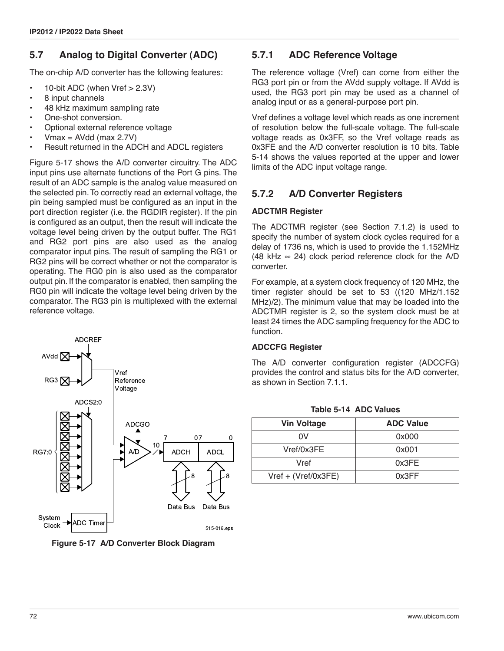## **5.7 Analog to Digital Converter (ADC)**

The on-chip A/D converter has the following features:

- 10-bit ADC (when Vref > 2.3V)
- 8 input channels
- 48 kHz maximum sampling rate
- One-shot conversion.
- Optional external reference voltage
- $Vmax = AVdd$  (max 2.7V)
- Result returned in the ADCH and ADCL registers

[Figure 5-17](#page-71-1) shows the A/D converter circuitry. The ADC input pins use alternate functions of the Port G pins. The result of an ADC sample is the analog value measured on the selected pin. To correctly read an external voltage, the pin being sampled must be configured as an input in the port direction register (i.e. the RGDIR register). If the pin is configured as an output, then the result will indicate the voltage level being driven by the output buffer. The RG1 and RG2 port pins are also used as the analog comparator input pins. The result of sampling the RG1 or RG2 pins will be correct whether or not the comparator is operating. The RG0 pin is also used as the comparator output pin. If the comparator is enabled, then sampling the RG0 pin will indicate the voltage level being driven by the comparator. The RG3 pin is multiplexed with the external reference voltage.



<span id="page-71-1"></span>**Figure 5-17 A/D Converter Block Diagram**

## **5.7.1 ADC Reference Voltage**

The reference voltage (Vref) can come from either the RG3 port pin or from the AVdd supply voltage. If AVdd is used, the RG3 port pin may be used as a channel of analog input or as a general-purpose port pin.

Vref defines a voltage level which reads as one increment of resolution below the full-scale voltage. The full-scale voltage reads as 0x3FF, so the Vref voltage reads as 0x3FE and the A/D converter resolution is 10 bits. [Table](#page-71-0) [5-14](#page-71-0) shows the values reported at the upper and lower limits of the ADC input voltage range.

## **5.7.2 A/D Converter Registers**

### **ADCTMR Register**

The ADCTMR register (see [Section 7.1.2](#page-88-2)) is used to specify the number of system clock cycles required for a delay of 1736 ns, which is used to provide the 1.152MHz (48 kHz  $\infty$  24) clock period reference clock for the A/D converter.

For example, at a system clock frequency of 120 MHz, the timer register should be set to 53 ((120 MHz/1.152 MHz)/2). The minimum value that may be loaded into the ADCTMR register is 2, so the system clock must be at least 24 times the ADC sampling frequency for the ADC to function.

### **ADCCFG Register**

The A/D converter configuration register (ADCCFG) provides the control and status bits for the A/D converter, as shown in [Section 7.1.1.](#page-88-1)

<span id="page-71-0"></span>

| <b>Vin Voltage</b>  | <b>ADC Value</b> |  |  |
|---------------------|------------------|--|--|
| 0V                  | 0x000            |  |  |
| Vref/0x3FE          | 0x001            |  |  |
| Vref                | 0x3FE            |  |  |
| Vref + (Vref/0x3FE) | 0x3FF            |  |  |

**Table 5-14 ADC Values**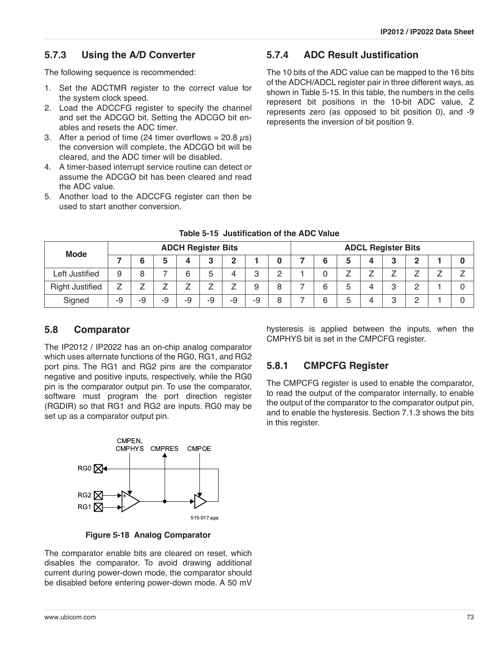### **5.7.3 Using the A/D Converter**

The following sequence is recommended:

- 1. Set the ADCTMR register to the correct value for the system clock speed.
- 2. Load the ADCCFG register to specify the channel and set the ADCGO bit. Setting the ADCGO bit enables and resets the ADC timer.
- 3. After a period of time (24 timer overflows =  $20.8 \,\mu s$ ) the conversion will complete, the ADCGO bit will be cleared, and the ADC timer will be disabled.
- 4. A timer-based interrupt service routine can detect or assume the ADCGO bit has been cleared and read the ADC value.
- 5. Another load to the ADCCFG register can then be used to start another conversion.

#### **5.7.4 ADC Result Justification**

The 10 bits of the ADC value can be mapped to the 16 bits of the ADCH/ADCL register pair in three different ways, as shown in [Table 5-15.](#page-72-0) In this table, the numbers in the cells represent bit positions in the 10-bit ADC value, Z represents zero (as opposed to bit position 0), and -9 represents the inversion of bit position 9.

<span id="page-72-0"></span>

| <b>ADCH Register Bits</b><br>Mode |    |    |    | <b>ADCL Register Bits</b> |    |    |    |            |  |   |   |  |   |                 |  |  |
|-----------------------------------|----|----|----|---------------------------|----|----|----|------------|--|---|---|--|---|-----------------|--|--|
|                                   |    |    |    |                           |    |    |    |            |  |   |   |  | 3 | ŋ               |  |  |
| Left Justified                    | 9  | O  |    | R                         |    |    | റ  | $\sqrt{2}$ |  |   |   |  |   |                 |  |  |
| <b>Right Justified</b>            |    |    |    |                           |    |    | 9  | 8          |  |   | G |  | 3 | $\sqrt{2}$<br>_ |  |  |
| Signed                            | -9 | -9 | -9 | -9                        | -9 | -9 | -9 |            |  | 6 | G |  | З | $\sqrt{2}$      |  |  |

#### **Table 5-15 Justification of the ADC Value**

#### **5.8 Comparator**

The IP2012 / IP2022 has an on-chip analog comparator which uses alternate functions of the RG0, RG1, and RG2 port pins. The RG1 and RG2 pins are the comparator negative and positive inputs, respectively, while the RG0 pin is the comparator output pin. To use the comparator, software must program the port direction register (RGDIR) so that RG1 and RG2 are inputs. RG0 may be set up as a comparator output pin.



**Figure 5-18 Analog Comparator**

The comparator enable bits are cleared on reset, which disables the comparator. To avoid drawing additional current during power-down mode, the comparator should be disabled before entering power-down mode. A 50 mV

hysteresis is applied between the inputs, when the CMPHYS bit is set in the CMPCFG register.

### **5.8.1 CMPCFG Register**

The CMPCFG register is used to enable the comparator, to read the output of the comparator internally, to enable the output of the comparator to the comparator output pin, and to enable the hysteresis. [Section 7.1.3](#page-88-0) shows the bits in this register.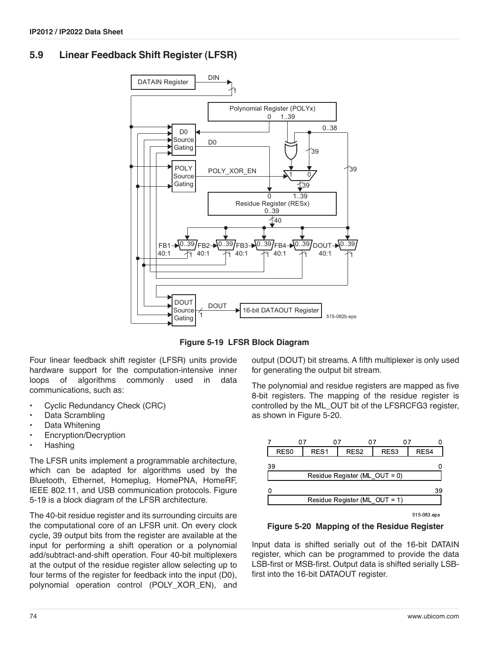### **5.9 Linear Feedback Shift Register (LFSR)**



**Figure 5-19 LFSR Block Diagram**

Four linear feedback shift register (LFSR) units provide hardware support for the computation-intensive inner loops of algorithms commonly used in data communications, such as:

- Cyclic Redundancy Check (CRC)
- Data Scrambling
- Data Whitening
- Encryption/Decryption
- Hashing

The LFSR units implement a programmable architecture, which can be adapted for algorithms used by the Bluetooth, Ethernet, Homeplug, HomePNA, HomeRF, IEEE 802.11, and USB communication protocols. Figure 5-19 is a block diagram of the LFSR architecture.

The 40-bit residue register and its surrounding circuits are the computational core of an LFSR unit. On every clock cycle, 39 output bits from the register are available at the input for performing a shift operation or a polynomial add/subtract-and-shift operation. Four 40-bit multiplexers at the output of the residue register allow selecting up to four terms of the register for feedback into the input (D0), polynomial operation control (POLY\_XOR\_EN), and

output (DOUT) bit streams. A fifth multiplexer is only used for generating the output bit stream.

The polynomial and residue registers are mapped as five 8-bit registers. The mapping of the residue register is controlled by the ML\_OUT bit of the LFSRCFG3 register, as shown in [Figure 5-20.](#page-73-0)



**Figure 5-20 Mapping of the Residue Register**

<span id="page-73-0"></span>Input data is shifted serially out of the 16-bit DATAIN register, which can be programmed to provide the data LSB-first or MSB-first. Output data is shifted serially LSBfirst into the 16-bit DATAOUT register.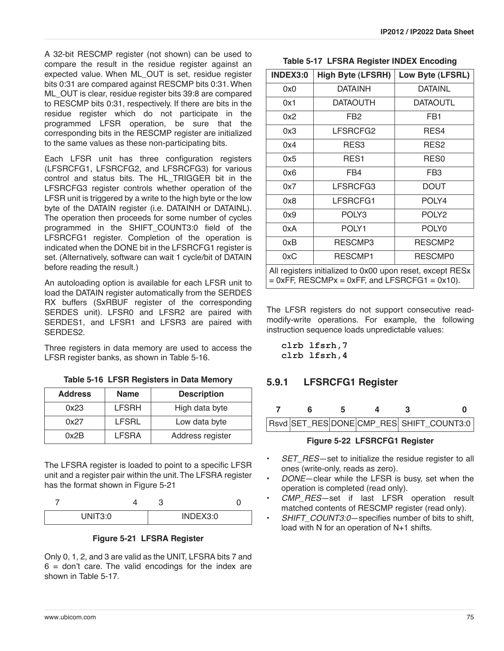A 32-bit RESCMP register (not shown) can be used to compare the result in the residue register against an expected value. When ML\_OUT is set, residue register bits 0:31 are compared against RESCMP bits 0:31. When ML OUT is clear, residue register bits 39:8 are compared to RESCMP bits 0:31, respectively. If there are bits in the residue register which do not participate in the programmed LFSR operation, be sure that the corresponding bits in the RESCMP register are initialized to the same values as these non-participating bits.

Each LFSR unit has three configuration registers (LFSRCFG1, LFSRCFG2, and LFSRCFG3) for various control and status bits. The HL\_TRIGGER bit in the LFSRCFG3 register controls whether operation of the LFSR unit is triggered by a write to the high byte or the low byte of the DATAIN register (i.e. DATAINH or DATAINL). The operation then proceeds for some number of cycles programmed in the SHIFT\_COUNT3:0 field of the LFSRCFG1 register. Completion of the operation is indicated when the DONE bit in the LFSRCFG1 register is set. (Alternatively, software can wait 1 cycle/bit of DATAIN before reading the result.)

An autoloading option is available for each LFSR unit to load the DATAIN register automatically from the SERDES RX buffers (SxRBUF register of the corresponding SERDES unit). LFSR0 and LFSR2 are paired with SERDES1, and LFSR1 and LFSR3 are paired with SERDES2.

Three registers in data memory are used to access the LFSR register banks, as shown in [Table 5-16](#page-74-2).

**Table 5-16 LFSR Registers in Data Memory** 

<span id="page-74-2"></span>

| <b>Address</b>       | <b>Name</b>  | <b>Description</b> |
|----------------------|--------------|--------------------|
| 0x23                 | <b>LFSRH</b> | High data byte     |
| <b>LFSRL</b><br>0x27 |              | Low data byte      |
| 0x2B                 | <b>LFSRA</b> | Address register   |

The LFSRA register is loaded to point to a specific LFSR unit and a register pair within the unit. The LFSRA register has the format shown in [Figure 5-21](#page-74-1)

| JNIT30 |  | INDEX3:0 |  |
|--------|--|----------|--|

#### **Figure 5-21 LFSRA Register**

<span id="page-74-1"></span>Only 0, 1, 2, and 3 are valid as the UNIT, LFSRA bits 7 and  $6 =$  don't care. The valid encodings for the index are shown in [Table 5-17](#page-74-0).

|  |  | Table 5-17 LFSRA Register INDEX Encoding |
|--|--|------------------------------------------|
|--|--|------------------------------------------|

<span id="page-74-0"></span>

| <b>INDEX3:0</b>                                                                                               | <b>High Byte (LFSRH)</b> | Low Byte (LFSRL)  |  |  |  |
|---------------------------------------------------------------------------------------------------------------|--------------------------|-------------------|--|--|--|
| 0x0                                                                                                           | <b>DATAINH</b>           | <b>DATAINL</b>    |  |  |  |
| 0x1                                                                                                           | DATAOUTH                 | DATAOUTL          |  |  |  |
| 0x2                                                                                                           | FB <sub>2</sub>          | FB <sub>1</sub>   |  |  |  |
| 0x3                                                                                                           | LFSRCFG2                 | RES4              |  |  |  |
| 0x4                                                                                                           | RES <sub>3</sub>         | RES2              |  |  |  |
| 0x5                                                                                                           | RES <sub>1</sub>         | RES <sub>0</sub>  |  |  |  |
| 0x6                                                                                                           | FB4                      | FB <sub>3</sub>   |  |  |  |
| 0x7                                                                                                           | LFSRCFG3                 | <b>DOUT</b>       |  |  |  |
| 0x8                                                                                                           | LFSRCFG1                 | POLY4             |  |  |  |
| 0x9                                                                                                           | POLY3                    | POLY <sub>2</sub> |  |  |  |
| 0xA                                                                                                           | POLY1                    | POLY0             |  |  |  |
| 0xB                                                                                                           | RESCMP3                  | RESCMP2           |  |  |  |
| 0xC<br>RESCMP1<br>RESCMP0                                                                                     |                          |                   |  |  |  |
| All registers initialized to 0x00 upon reset, except RESx<br>$= 0xFF$ , RESCMPx = 0xFF, and LFSRCFG1 = 0x10). |                          |                   |  |  |  |

The LFSR registers do not support consecutive readmodify-write operations. For example, the following instruction sequence loads unpredictable values:

**clrb lfsrh,7 clrb lfsrh,4**

## **5.9.1 LFSRCFG1 Register**

|                               | к. | 5 |  |  |                                          |  |
|-------------------------------|----|---|--|--|------------------------------------------|--|
|                               |    |   |  |  | Rsvd SET_RES DONE CMP_RES SHIFT_COUNT3:0 |  |
| Figure 5-22 LFSRCFG1 Register |    |   |  |  |                                          |  |

- **SET\_RES**—set to initialize the residue register to all ones (write-only, reads as zero).
- *DONE*—clear while the LFSR is busy, set when the operation is completed (read only).
- *CMP\_RES*—set if last LFSR operation result matched contents of RESCMP register (read only).
- SHIFT\_COUNT3:0-specifies number of bits to shift, load with N for an operation of N+1 shifts.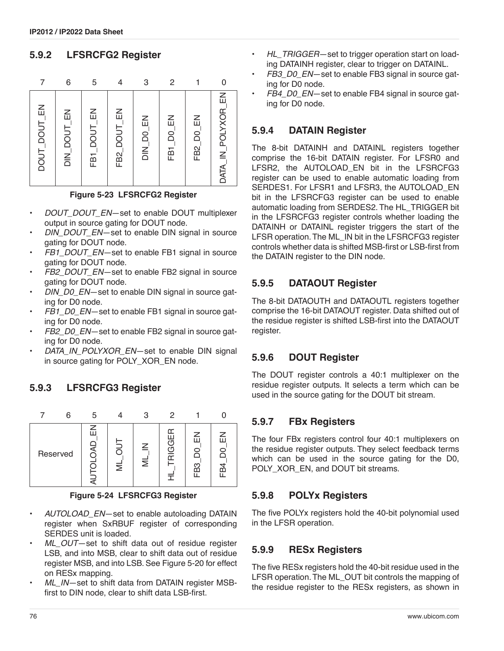### **5.9.2 LFSRCFG2 Register**





- *DOUT\_DOUT\_EN*—set to enable DOUT multiplexer output in source gating for DOUT node.
- DIN\_DOUT\_EN-set to enable DIN signal in source gating for DOUT node.
- *FB1\_DOUT\_EN*—set to enable FB1 signal in source gating for DOUT node.
- FB2\_DOUT\_EN-set to enable FB2 signal in source gating for DOUT node.
- DIN\_D0\_EN-set to enable DIN signal in source gating for D0 node.
- *FB1\_D0\_EN*—set to enable FB1 signal in source gating for D0 node.
- *FB2\_D0\_EN*—set to enable FB2 signal in source gating for D0 node.
- DATA\_IN\_POLYXOR\_EN-set to enable DIN signal in source gating for POLY\_XOR\_EN node.

### **5.9.3 LFSRCFG3 Register**



**Figure 5-24 LFSRCFG3 Register**

- *AUTOLOAD\_EN*—set to enable autoloading DATAIN register when SxRBUF register of corresponding SERDES unit is loaded.
- ML OUT-set to shift data out of residue register LSB, and into MSB, clear to shift data out of residue register MSB, and into LSB. See [Figure 5-20](#page-73-0) for effect on RESx mapping.
- ML IN-set to shift data from DATAIN register MSBfirst to DIN node, clear to shift data LSB-first.
- *HL\_TRIGGER*—set to trigger operation start on loading DATAINH register, clear to trigger on DATAINL.
- *FB3\_D0\_EN*—set to enable FB3 signal in source gating for D0 node.
- *FB4\_D0\_EN*—set to enable FB4 signal in source gating for D0 node.

#### **5.9.4 DATAIN Register**

The 8-bit DATAINH and DATAINL registers together comprise the 16-bit DATAIN register. For LFSR0 and LFSR2, the AUTOLOAD EN bit in the LFSRCFG3 register can be used to enable automatic loading from SERDES1. For LFSR1 and LFSR3, the AUTOLOAD\_EN bit in the LFSRCFG3 register can be used to enable automatic loading from SERDES2. The HL\_TRIGGER bit in the LFSRCFG3 register controls whether loading the DATAINH or DATAINL register triggers the start of the LFSR operation. The ML\_IN bit in the LFSRCFG3 register controls whether data is shifted MSB-first or LSB-first from the DATAIN register to the DIN node.

### **5.9.5 DATAOUT Register**

The 8-bit DATAOUTH and DATAOUTL registers together comprise the 16-bit DATAOUT register. Data shifted out of the residue register is shifted LSB-first into the DATAOUT register.

### **5.9.6 DOUT Register**

The DOUT register controls a 40:1 multiplexer on the residue register outputs. It selects a term which can be used in the source gating for the DOUT bit stream.

#### **5.9.7 FBx Registers**

The four FBx registers control four 40:1 multiplexers on the residue register outputs. They select feedback terms which can be used in the source gating for the D0, POLY XOR EN, and DOUT bit streams.

#### **5.9.8 POLYx Registers**

The five POLYx registers hold the 40-bit polynomial used in the LFSR operation.

#### **5.9.9 RESx Registers**

The five RESx registers hold the 40-bit residue used in the LFSR operation. The ML\_OUT bit controls the mapping of the residue register to the RESx registers, as shown in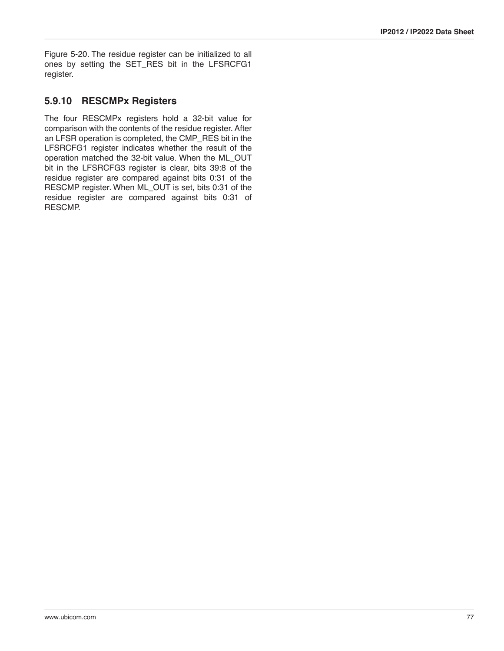[Figure 5-20.](#page-73-0) The residue register can be initialized to all ones by setting the SET\_RES bit in the LFSRCFG1 register.

#### **5.9.10 RESCMPx Registers**

The four RESCMPx registers hold a 32-bit value for comparison with the contents of the residue register. After an LFSR operation is completed, the CMP\_RES bit in the LFSRCFG1 register indicates whether the result of the operation matched the 32-bit value. When the ML\_OUT bit in the LFSRCFG3 register is clear, bits 39:8 of the residue register are compared against bits 0:31 of the RESCMP register. When ML\_OUT is set, bits 0:31 of the residue register are compared against bits 0:31 of RESCMP.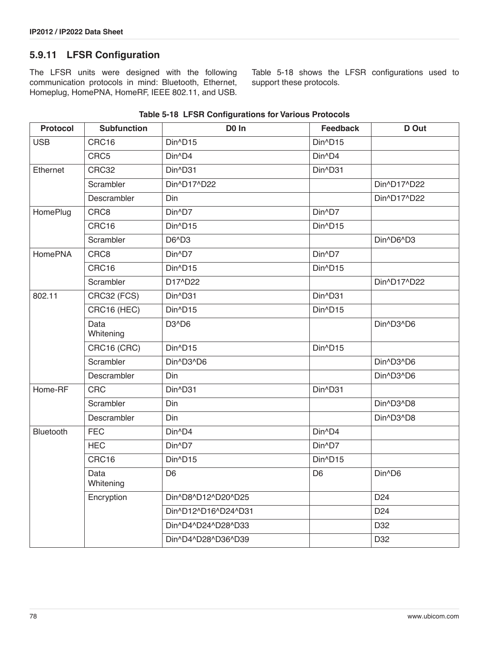### **5.9.11 LFSR Configuration**

The LFSR units were designed with the following communication protocols in mind: Bluetooth, Ethernet, Homeplug, HomePNA, HomeRF, IEEE 802.11, and USB.

[Table 5-18](#page-77-0) shows the LFSR configurations used to support these protocols.

<span id="page-77-0"></span>

| <b>Protocol</b> | <b>Subfunction</b> | D <sub>0</sub> In              | <b>Feedback</b>     | D Out           |
|-----------------|--------------------|--------------------------------|---------------------|-----------------|
| <b>USB</b>      | CRC16              | Din^D15                        | Din^D15             |                 |
|                 | CRC5               | Din^D4                         | Din^D4              |                 |
| Ethernet        | CRC32              | Din^D31                        | Din^D31             |                 |
|                 | Scrambler          | Din^D17^D22                    |                     | Din^D17^D22     |
|                 | Descrambler        | Din                            |                     | Din^D17^D22     |
| HomePlug        | CRC8               | Din^D7                         | Din^D7              |                 |
|                 | CRC16              | Din^D15                        | Din^D15             |                 |
|                 | Scrambler          | D6^D3                          |                     | Din^D6^D3       |
| <b>HomePNA</b>  | CRC8               | Din^D7                         | Din^D7              |                 |
|                 | CRC16              | Din^D15                        | Din^D15             |                 |
|                 | Scrambler          | D17^D22                        |                     | Din^D17^D22     |
| 802.11          | CRC32 (FCS)        | Din^D31                        | Din^D31             |                 |
|                 | CRC16 (HEC)        | Din^D15                        | Din^D15             |                 |
|                 | Data<br>Whitening  | D <sub>3</sub> ^D <sub>6</sub> |                     | Din^D3^D6       |
|                 | CRC16 (CRC)        | Din^D15                        | Din^D15             |                 |
|                 | Scrambler          | Din^D3^D6                      |                     | Din^D3^D6       |
|                 | Descrambler        | Din                            |                     | Din^D3^D6       |
| Home-RF         | <b>CRC</b>         | Din^D31                        | Din^D31             |                 |
|                 | Scrambler          | Din                            |                     | Din^D3^D8       |
|                 | Descrambler        | Din                            |                     | Din^D3^D8       |
| Bluetooth       | <b>FEC</b>         | Din <sup>^</sup> D4            | Din <sup>^</sup> D4 |                 |
|                 | <b>HEC</b>         | Din^D7                         | Din^D7              |                 |
|                 | CRC16              | Din^D15                        | Din^D15             |                 |
|                 | Data<br>Whitening  | D <sub>6</sub>                 | D <sub>6</sub>      | Din^D6          |
|                 | Encryption         | Din^D8^D12^D20^D25             |                     | D <sub>24</sub> |
|                 |                    | Din^D12^D16^D24^D31            |                     | D <sub>24</sub> |
|                 |                    | Din^D4^D24^D28^D33             |                     | D32             |
|                 |                    | Din^D4^D28^D36^D39             |                     | D32             |

#### **Table 5-18 LFSR Configurations for Various Protocols**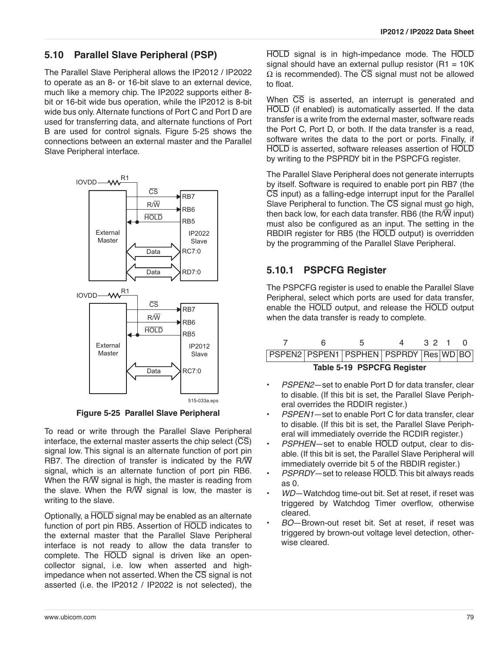#### **5.10 Parallel Slave Peripheral (PSP)**

The Parallel Slave Peripheral allows the IP2012 / IP2022 to operate as an 8- or 16-bit slave to an external device, much like a memory chip. The IP2022 supports either 8 bit or 16-bit wide bus operation, while the IP2012 is 8-bit wide bus only. Alternate functions of Port C and Port D are used for transferring data, and alternate functions of Port B are used for control signals. [Figure 5-25](#page-78-0) shows the connections between an external master and the Parallel Slave Peripheral interface.



**Figure 5-25 Parallel Slave Peripheral**

<span id="page-78-0"></span>To read or write through the Parallel Slave Peripheral interface, the external master asserts the chip select  $(\overline{CS})$ signal low. This signal is an alternate function of port pin RB7. The direction of transfer is indicated by the R/ $\overline{W}$ signal, which is an alternate function of port pin RB6. When the R/ $\overline{W}$  signal is high, the master is reading from the slave. When the R $\overline{W}$  signal is low, the master is writing to the slave.

Optionally, a HOLD signal may be enabled as an alternate function of port pin RB5. Assertion of HOLD indicates to the external master that the Parallel Slave Peripheral interface is not ready to allow the data transfer to complete. The HOLD signal is driven like an opencollector signal, i.e. low when asserted and highimpedance when not asserted. When the  $\overline{CS}$  signal is not asserted (i.e. the IP2012 / IP2022 is not selected), the

HOLD signal is in high-impedance mode. The HOLD signal should have an external pullup resistor  $(R1 = 10K)$  $\Omega$  is recommended). The  $\overline{\text{CS}}$  signal must not be allowed to float.

When  $\overline{CS}$  is asserted, an interrupt is generated and HOLD (if enabled) is automatically asserted. If the data transfer is a write from the external master, software reads the Port C, Port D, or both. If the data transfer is a read, software writes the data to the port or ports. Finally, if HOLD is asserted, software releases assertion of HOLD by writing to the PSPRDY bit in the PSPCFG register.

The Parallel Slave Peripheral does not generate interrupts by itself. Software is required to enable port pin RB7 (the  $\overline{CS}$  input) as a falling-edge interrupt input for the Parallel Slave Peripheral to function. The CS signal must go high, then back low, for each data transfer. RB6 (the R $\overline{W}$  input) must also be configured as an input. The setting in the RBDIR register for RB5 (the HOLD output) is overridden by the programming of the Parallel Slave Peripheral.

## **5.10.1 PSPCFG Register**

The PSPCFG register is used to enable the Parallel Slave Peripheral, select which ports are used for data transfer, enable the HOLD output, and release the HOLD output when the data transfer is ready to complete.

|                            |  |  | 4                                     | 32 1 |  |  |  |
|----------------------------|--|--|---------------------------------------|------|--|--|--|
|                            |  |  | PSPEN2 PSPEN1 PSPHEN PSPRDY Res WD BO |      |  |  |  |
| Table 5-19 PSPCFG Register |  |  |                                       |      |  |  |  |

- *PSPEN2*—set to enable Port D for data transfer, clear to disable. (If this bit is set, the Parallel Slave Peripheral overrides the RDDIR register.)
- *PSPEN1*—set to enable Port C for data transfer, clear to disable. (If this bit is set, the Parallel Slave Peripheral will immediately override the RCDIR register.)
- *PSPHEN*—set to enable HOLD output, clear to disable. (If this bit is set, the Parallel Slave Peripheral will immediately override bit 5 of the RBDIR register.)
- *PSPRDY*—set to release HOLD. This bit always reads as 0.
- *WD*—Watchdog time-out bit. Set at reset, if reset was triggered by Watchdog Timer overflow, otherwise cleared.
- *BO*—Brown-out reset bit. Set at reset, if reset was triggered by brown-out voltage level detection, otherwise cleared.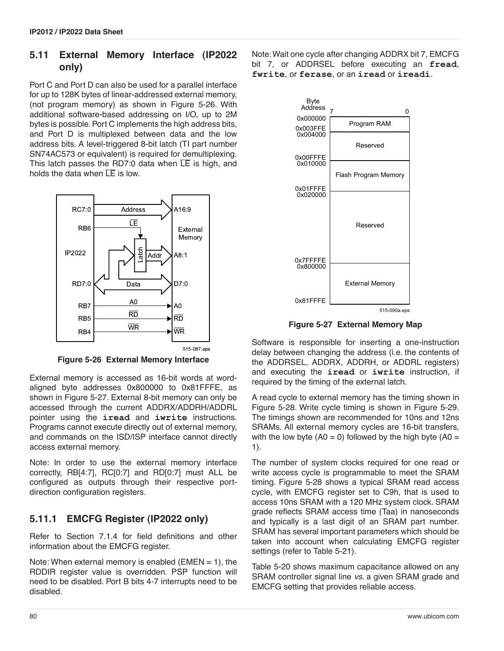### <span id="page-79-2"></span>**5.11 External Memory Interface (IP2022 only)**

Port C and Port D can also be used for a parallel interface for up to 128K bytes of linear-addressed external memory, (not program memory) as shown in [Figure 5-26](#page-79-0). With additional software-based addressing on I/O, up to 2M bytes is possible. Port C implements the high address bits, and Port D is multiplexed between data and the low address bits. A level-triggered 8-bit latch (TI part number SN74AC573 or equivalent) is required for demultiplexing. This latch passes the RD7:0 data when  $\overline{LE}$  is high, and holds the data when  $\overline{LE}$  is low.



**Figure 5-26 External Memory Interface**

<span id="page-79-0"></span>External memory is accessed as 16-bit words at wordaligned byte addresses 0x800000 to 0x81FFFE, as shown in [Figure 5-27.](#page-79-1) External 8-bit memory can only be accessed through the current ADDRX/ADDRH/ADDRL pointer using the **iread** and **iwrite** instructions. Programs cannot execute directly out of external memory, and commands on the ISD/ISP interface cannot directly access external memory.

Note: In order to use the external memory interface correctly, RB[4:7], RC[0:7] and RD[0:7] must ALL be configured as outputs through their respective portdirection configuration registers.

### **5.11.1 EMCFG Register (IP2022 only)**

Refer to [Section 7.1.4](#page-89-0) for field definitions and other information about the EMCFG register.

Note: When external memory is enabled ( $EMEN = 1$ ), the RDDIR register value is overridden. PSP function will need to be disabled. Port B bits 4-7 interrupts need to be disabled.

Note: Wait one cycle after changing ADDRX bit 7, EMCFG bit 7, or ADDRSEL before executing an **fread**, **fwrite**, or **ferase**, or an **iread** or **ireadi**.



**Figure 5-27 External Memory Map**

<span id="page-79-1"></span>Software is responsible for inserting a one-instruction delay between changing the address (i.e. the contents of the ADDRSEL, ADDRX, ADDRH, or ADDRL registers) and executing the **iread** or **iwrite** instruction, if required by the timing of the external latch.

A read cycle to external memory has the timing shown in Figure 5-28. Write cycle timing is shown in Figure 5-29. The timings shown are recommended for 10ns and 12ns SRAMs. All external memory cycles are 16-bit transfers, with the low byte  $(A0 = 0)$  followed by the high byte  $(A0 = 0)$ 1).

The number of system clocks required for one read or write access cycle is programmable to meet the SRAM timing. Figure 5-28 shows a typical SRAM read access cycle, with EMCFG register set to C9h, that is used to access 10ns SRAM with a 120 MHz system clock. SRAM grade reflects SRAM access time (Taa) in nanoseconds and typically is a last digit of an SRAM part number. SRAM has several important parameters which should be taken into account when calculating EMCFG register settings (refer to Table 5-21).

[Table 5-20](#page-80-0) shows maximum capacitance allowed on any SRAM controller signal line *vs*. a given SRAM grade and EMCFG setting that provides reliable access.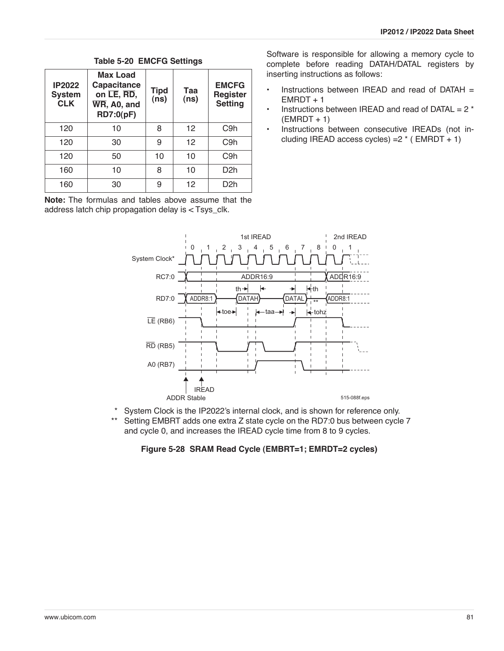<span id="page-80-0"></span>

| <b>IP2022</b><br><b>System</b><br><b>CLK</b> | <b>Max Load</b><br>Capacitance<br>on LE, RD,<br>WR, A0, and<br>RD7:0(pF) | <b>Tipd</b><br>(ns) | Taa<br>(ns) | <b>EMCFG</b><br><b>Register</b><br><b>Setting</b> |
|----------------------------------------------|--------------------------------------------------------------------------|---------------------|-------------|---------------------------------------------------|
| 120                                          | 10                                                                       | 8                   | 12          | C9h                                               |
| 120                                          | 30                                                                       | 9                   | 12          | C <sub>9</sub> h                                  |
| 120                                          | 50                                                                       | 10                  | 10          | C <sub>9</sub> h                                  |
| 160                                          | 10                                                                       | 8                   | 10          | D <sub>2</sub> h                                  |
| 160                                          | 30                                                                       | 9                   | 12          | D <sub>2</sub> h                                  |

#### **Table 5-20 EMCFG Settings**

**Note:** The formulas and tables above assume that the address latch chip propagation delay is < Tsys\_clk.

Software is responsible for allowing a memory cycle to complete before reading DATAH/DATAL registers by inserting instructions as follows:

- Instructions between IREAD and read of DATAH =  $EMRDT + 1$
- Instructions between IREAD and read of DATAL =  $2 *$  $(EMENT + 1)$
- Instructions between consecutive IREADs (not including IREAD access cycles) =  $2 * (EMRDT + 1)$



- \* \*\* System Clock is the IP2022's internal clock, and is shown for reference only. Setting EMBRT adds one extra Z state cycle on the RD7:0 bus between cycle 7
	- and cycle 0, and increases the IREAD cycle time from 8 to 9 cycles.

**Figure 5-28 SRAM Read Cycle (EMBRT=1; EMRDT=2 cycles)**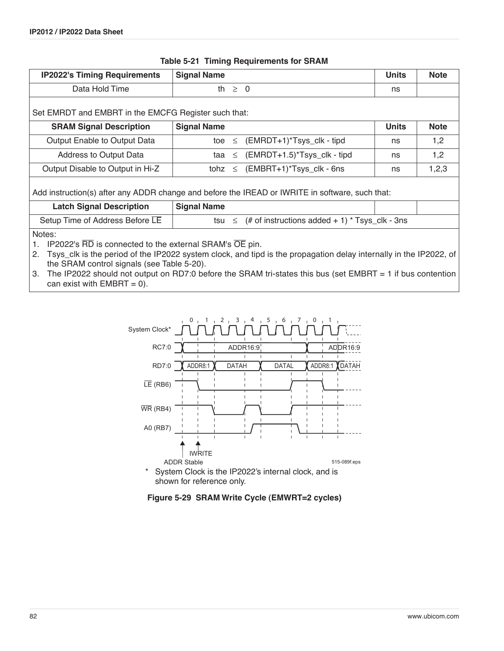| <b>IP2022's Timing Requirements</b>                                                                                                                                                                                                                                                                                                                               | <b>Signal Name</b> |             |                                                          | <b>Units</b> | <b>Note</b> |  |  |  |  |
|-------------------------------------------------------------------------------------------------------------------------------------------------------------------------------------------------------------------------------------------------------------------------------------------------------------------------------------------------------------------|--------------------|-------------|----------------------------------------------------------|--------------|-------------|--|--|--|--|
| Data Hold Time                                                                                                                                                                                                                                                                                                                                                    |                    | th $\geq 0$ |                                                          | ns           |             |  |  |  |  |
| Set EMRDT and EMBRT in the EMCFG Register such that:                                                                                                                                                                                                                                                                                                              |                    |             |                                                          |              |             |  |  |  |  |
| <b>SRAM Signal Description</b>                                                                                                                                                                                                                                                                                                                                    | <b>Signal Name</b> |             |                                                          | <b>Units</b> | <b>Note</b> |  |  |  |  |
| Output Enable to Output Data                                                                                                                                                                                                                                                                                                                                      |                    |             | toe $\leq$ (EMRDT+1)*Tsys_clk - tipd                     | ns           | 1,2         |  |  |  |  |
| Address to Output Data                                                                                                                                                                                                                                                                                                                                            |                    |             | $taa \leq (EMRDT+1.5)^*Tsys_clk - tipd$                  | ns           | 1,2         |  |  |  |  |
| Output Disable to Output in Hi-Z                                                                                                                                                                                                                                                                                                                                  |                    |             | tohz $\leq$ (EMBRT+1)*Tsys_clk - 6ns                     | ns           | 1,2,3       |  |  |  |  |
| Add instruction(s) after any ADDR change and before the IREAD or IWRITE in software, such that:                                                                                                                                                                                                                                                                   |                    |             |                                                          |              |             |  |  |  |  |
| <b>Latch Signal Description</b>                                                                                                                                                                                                                                                                                                                                   | <b>Signal Name</b> |             |                                                          |              |             |  |  |  |  |
| Setup Time of Address Before LE                                                                                                                                                                                                                                                                                                                                   |                    |             | tsu $\le$ (# of instructions added + 1) * Tsys_clk - 3ns |              |             |  |  |  |  |
| Notes:<br>IP2022's RD is connected to the external SRAM's OE pin.<br>1.<br>2. Tsys_clk is the period of the IP2022 system clock, and tipd is the propagation delay internally in the IP2022, of<br>the SRAM control signals (see Table 5-20).<br>The IP2022 should not output on RDZ:0 before the SRAM tri-states this bus (set EMRRT $-1$ if bus contention<br>↷ |                    |             |                                                          |              |             |  |  |  |  |

#### **Table 5-21 Timing Requirements for SRAM**

3. The IP2022 should not output on RD7:0 before the SRAM tri-states this bus (set EMBRT = 1 if bus contention can exist with  $EMBRT = 0$ ).



**Figure 5-29 SRAM Write Cycle (EMWRT=2 cycles)**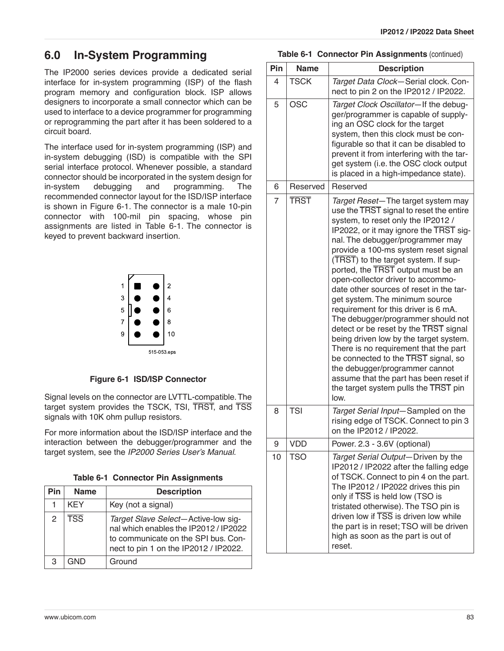# **6.0 In-System Programming**

The IP2000 series devices provide a dedicated serial interface for in-system programming (ISP) of the flash program memory and configuration block. ISP allows designers to incorporate a small connector which can be used to interface to a device programmer for programming or reprogramming the part after it has been soldered to a circuit board.

The interface used for in-system programming (ISP) and in-system debugging (ISD) is compatible with the SPI serial interface protocol. Whenever possible, a standard connector should be incorporated in the system design for in-system debugging and programming. The recommended connector layout for the ISD/ISP interface is shown in [Figure 6-1.](#page-82-0) The connector is a male 10-pin connector with 100-mil pin spacing, whose pin assignments are listed in [Table 6-1](#page-82-1). The connector is keyed to prevent backward insertion.



#### **Figure 6-1 ISD/ISP Connector**

<span id="page-82-0"></span>Signal levels on the connector are LVTTL-compatible. The target system provides the TSCK, TSI, TRST, and TSS signals with 10K ohm pullup resistors.

For more information about the ISD/ISP interface and the interaction between the debugger/programmer and the target system, see the *IP2000 Series User's Manual*.

|  |  |  | Table 6-1 Connector Pin Assignments |
|--|--|--|-------------------------------------|
|--|--|--|-------------------------------------|

<span id="page-82-1"></span>

| Pin | <b>Name</b>             | <b>Description</b>                                                                                                                                           |
|-----|-------------------------|--------------------------------------------------------------------------------------------------------------------------------------------------------------|
|     | <b>KEY</b>              | Key (not a signal)                                                                                                                                           |
| 2   | $\overline{\text{TSS}}$ | Target Slave Select-Active-low sig-<br>nal which enables the IP2012 / IP2022<br>to communicate on the SPI bus. Con-<br>nect to pin 1 on the IP2012 / IP2022. |
| З   | GND                     | Ground                                                                                                                                                       |

#### **Table 6-1 Connector Pin Assignments (continued)**

| Pin            | <b>Name</b> | <b>Description</b>                                                                                                                                                                                                                                                                                                                                                                                                                                                                                                                                                                                                                                                                                                                                                                                                     |
|----------------|-------------|------------------------------------------------------------------------------------------------------------------------------------------------------------------------------------------------------------------------------------------------------------------------------------------------------------------------------------------------------------------------------------------------------------------------------------------------------------------------------------------------------------------------------------------------------------------------------------------------------------------------------------------------------------------------------------------------------------------------------------------------------------------------------------------------------------------------|
| 4              | <b>TSCK</b> | Target Data Clock-Serial clock. Con-<br>nect to pin 2 on the IP2012 / IP2022.                                                                                                                                                                                                                                                                                                                                                                                                                                                                                                                                                                                                                                                                                                                                          |
| 5              | OSC         | Target Clock Oscillator-If the debug-<br>ger/programmer is capable of supply-<br>ing an OSC clock for the target<br>system, then this clock must be con-<br>figurable so that it can be disabled to<br>prevent it from interfering with the tar-<br>get system (i.e. the OSC clock output<br>is placed in a high-impedance state).                                                                                                                                                                                                                                                                                                                                                                                                                                                                                     |
| 6              | Reserved    | Reserved                                                                                                                                                                                                                                                                                                                                                                                                                                                                                                                                                                                                                                                                                                                                                                                                               |
| $\overline{7}$ | <b>TRST</b> | Target Reset-The target system may<br>use the TRST signal to reset the entire<br>system, to reset only the IP2012 /<br>IP2022, or it may ignore the TRST sig-<br>nal. The debugger/programmer may<br>provide a 100-ms system reset signal<br>(TRST) to the target system. If sup-<br>ported, the TRST output must be an<br>open-collector driver to accommo-<br>date other sources of reset in the tar-<br>get system. The minimum source<br>requirement for this driver is 6 mA.<br>The debugger/programmer should not<br>detect or be reset by the TRST signal<br>being driven low by the target system.<br>There is no requirement that the part<br>be connected to the TRST signal, so<br>the debugger/programmer cannot<br>assume that the part has been reset if<br>the target system pulls the TRST pin<br>low. |
| 8              | <b>TSI</b>  | Target Serial Input-Sampled on the<br>rising edge of TSCK. Connect to pin 3<br>on the IP2012 / IP2022.                                                                                                                                                                                                                                                                                                                                                                                                                                                                                                                                                                                                                                                                                                                 |
| 9              | VDD         | Power. 2.3 - 3.6V (optional)                                                                                                                                                                                                                                                                                                                                                                                                                                                                                                                                                                                                                                                                                                                                                                                           |
| 10             | <b>TSO</b>  | Target Serial Output-Driven by the<br>IP2012 / IP2022 after the falling edge<br>of TSCK. Connect to pin 4 on the part.<br>The IP2012 / IP2022 drives this pin<br>only if TSS is held low (TSO is<br>tristated otherwise). The TSO pin is<br>driven low if TSS is driven low while<br>the part is in reset; TSO will be driven<br>high as soon as the part is out of<br>reset.                                                                                                                                                                                                                                                                                                                                                                                                                                          |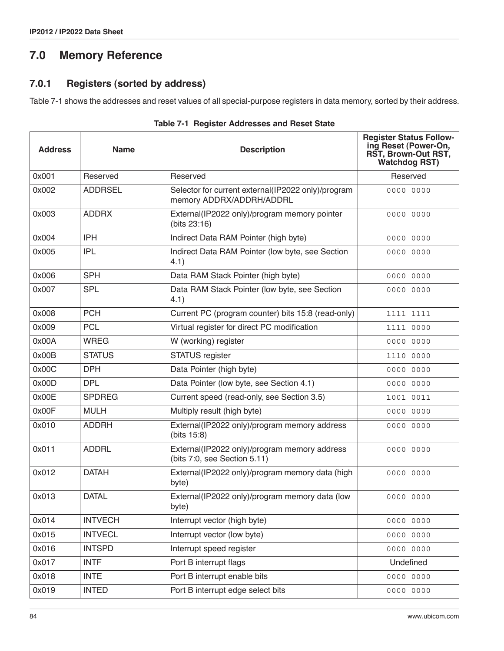# **7.0 Memory Reference**

# **7.0.1 Registers (sorted by address)**

[Table 7-1](#page-83-0) shows the addresses and reset values of all special-purpose registers in data memory, sorted by their address.

<span id="page-83-0"></span>

| <b>Address</b> | <b>Name</b>    | <b>Description</b>                                                             | <b>Register Status Follow-</b><br>ing Reset (Power-On,<br>RST, Brown-Out RST,<br><b>Watchdog RST)</b> |
|----------------|----------------|--------------------------------------------------------------------------------|-------------------------------------------------------------------------------------------------------|
| 0x001          | Reserved       | Reserved                                                                       | Reserved                                                                                              |
| 0x002          | <b>ADDRSEL</b> | Selector for current external(IP2022 only)/program<br>memory ADDRX/ADDRH/ADDRL | 0000 0000                                                                                             |
| 0x003          | <b>ADDRX</b>   | External(IP2022 only)/program memory pointer<br>(bits 23:16)                   | 0000 0000                                                                                             |
| 0x004          | <b>IPH</b>     | Indirect Data RAM Pointer (high byte)                                          | 0000 0000                                                                                             |
| 0x005          | <b>IPL</b>     | Indirect Data RAM Pointer (low byte, see Section<br>4.1)                       | 0000 0000                                                                                             |
| 0x006          | <b>SPH</b>     | Data RAM Stack Pointer (high byte)                                             | 0000 0000                                                                                             |
| 0x007          | <b>SPL</b>     | Data RAM Stack Pointer (low byte, see Section<br>4.1)                          | 0000 0000                                                                                             |
| 0x008          | <b>PCH</b>     | Current PC (program counter) bits 15:8 (read-only)                             | 1111 1111                                                                                             |
| 0x009          | <b>PCL</b>     | Virtual register for direct PC modification                                    | 1111 0000                                                                                             |
| 0x00A          | <b>WREG</b>    | W (working) register                                                           | 0000 0000                                                                                             |
| 0x00B          | <b>STATUS</b>  | STATUS register                                                                | 1110 0000                                                                                             |
| 0x00C          | <b>DPH</b>     | Data Pointer (high byte)                                                       | 0000 0000                                                                                             |
| 0x00D          | <b>DPL</b>     | Data Pointer (low byte, see Section 4.1)                                       | 0000 0000                                                                                             |
| 0x00E          | <b>SPDREG</b>  | Current speed (read-only, see Section 3.5)                                     | 1001 0011                                                                                             |
| 0x00F          | <b>MULH</b>    | Multiply result (high byte)                                                    | 0000 0000                                                                                             |
| 0x010          | <b>ADDRH</b>   | External(IP2022 only)/program memory address<br>(bits 15:8)                    | 0000 0000                                                                                             |
| 0x011          | <b>ADDRL</b>   | External(IP2022 only)/program memory address<br>(bits 7:0, see Section 5.11)   | 0000 0000                                                                                             |
| 0x012          | <b>DATAH</b>   | External(IP2022 only)/program memory data (high<br>byte)                       | 0000 0000                                                                                             |
| 0x013          | <b>DATAL</b>   | External(IP2022 only)/program memory data (low<br>byte)                        | 0000 0000                                                                                             |
| 0x014          | <b>INTVECH</b> | Interrupt vector (high byte)                                                   | 0000 0000                                                                                             |
| 0x015          | <b>INTVECL</b> | Interrupt vector (low byte)                                                    | 0000 0000                                                                                             |
| 0x016          | <b>INTSPD</b>  | Interrupt speed register                                                       | 0000 0000                                                                                             |
| 0x017          | <b>INTF</b>    | Port B interrupt flags                                                         | Undefined                                                                                             |
| 0x018          | <b>INTE</b>    | Port B interrupt enable bits                                                   | 0000 0000                                                                                             |
| 0x019          | <b>INTED</b>   | Port B interrupt edge select bits                                              | 0000 0000                                                                                             |

| Table 7-1 Register Addresses and Reset State |  |  |  |  |  |
|----------------------------------------------|--|--|--|--|--|
|----------------------------------------------|--|--|--|--|--|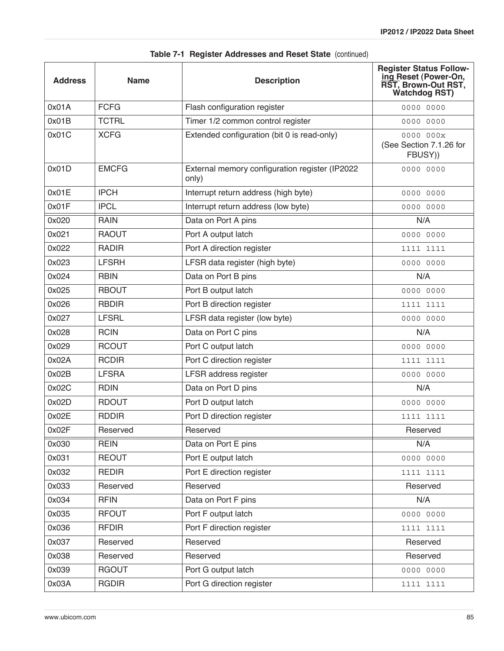| <b>Address</b> | <b>Name</b>  | <b>Description</b>                                      | <b>Register Status Follow-</b><br>ing Reset (Power-On,<br>RST, Brown-Out RST,<br><b>Watchdog RST)</b> |
|----------------|--------------|---------------------------------------------------------|-------------------------------------------------------------------------------------------------------|
| 0x01A          | <b>FCFG</b>  | Flash configuration register                            | 0000 0000                                                                                             |
| 0x01B          | <b>TCTRL</b> | Timer 1/2 common control register                       | 0000 0000                                                                                             |
| 0x01C          | <b>XCFG</b>  | Extended configuration (bit 0 is read-only)             | 0000 000x<br>(See Section 7.1.26 for<br>FBUSY))                                                       |
| 0x01D          | <b>EMCFG</b> | External memory configuration register (IP2022<br>only) | 0000 0000                                                                                             |
| 0x01E          | <b>IPCH</b>  | Interrupt return address (high byte)                    | 0000 0000                                                                                             |
| 0x01F          | <b>IPCL</b>  | Interrupt return address (low byte)                     | 0000 0000                                                                                             |
| 0x020          | <b>RAIN</b>  | Data on Port A pins                                     | N/A                                                                                                   |
| 0x021          | <b>RAOUT</b> | Port A output latch                                     | 0000 0000                                                                                             |
| 0x022          | <b>RADIR</b> | Port A direction register                               | 1111 1111                                                                                             |
| 0x023          | <b>LFSRH</b> | LFSR data register (high byte)                          | 0000 0000                                                                                             |
| 0x024          | <b>RBIN</b>  | Data on Port B pins                                     | N/A                                                                                                   |
| 0x025          | <b>RBOUT</b> | Port B output latch                                     | 0000 0000                                                                                             |
| 0x026          | <b>RBDIR</b> | Port B direction register                               | 1111 1111                                                                                             |
| 0x027          | <b>LFSRL</b> | LFSR data register (low byte)                           | 0000 0000                                                                                             |
| 0x028          | <b>RCIN</b>  | Data on Port C pins                                     | N/A                                                                                                   |
| 0x029          | <b>RCOUT</b> | Port C output latch                                     | 0000 0000                                                                                             |
| 0x02A          | <b>RCDIR</b> | Port C direction register                               | 1111 1111                                                                                             |
| 0x02B          | <b>LFSRA</b> | LFSR address register                                   | 0000 0000                                                                                             |
| 0x02C          | <b>RDIN</b>  | Data on Port D pins                                     | N/A                                                                                                   |
| 0x02D          | <b>RDOUT</b> | Port D output latch                                     | 0000 0000                                                                                             |
| 0x02E          | <b>RDDIR</b> | Port D direction register                               | 1111 1111                                                                                             |
| 0x02F          | Reserved     | Reserved                                                | Reserved                                                                                              |
| 0x030          | <b>REIN</b>  | Data on Port E pins                                     | N/A                                                                                                   |
| 0x031          | <b>REOUT</b> | Port E output latch                                     | 0000 0000                                                                                             |
| 0x032          | <b>REDIR</b> | Port E direction register                               | 1111 1111                                                                                             |
| 0x033          | Reserved     | Reserved                                                | Reserved                                                                                              |
| 0x034          | <b>RFIN</b>  | Data on Port F pins                                     | N/A                                                                                                   |
| 0x035          | <b>RFOUT</b> | Port F output latch                                     | 0000 0000                                                                                             |
| 0x036          | <b>RFDIR</b> | Port F direction register                               | 1111 1111                                                                                             |
| 0x037          | Reserved     | Reserved                                                | Reserved                                                                                              |
| 0x038          | Reserved     | Reserved                                                | Reserved                                                                                              |
| 0x039          | <b>RGOUT</b> | Port G output latch                                     | 0000 0000                                                                                             |
| 0x03A          | <b>RGDIR</b> | Port G direction register                               | 1111 1111                                                                                             |

|  |  | Table 7-1 Register Addresses and Reset State (continued) |  |  |  |  |
|--|--|----------------------------------------------------------|--|--|--|--|
|--|--|----------------------------------------------------------|--|--|--|--|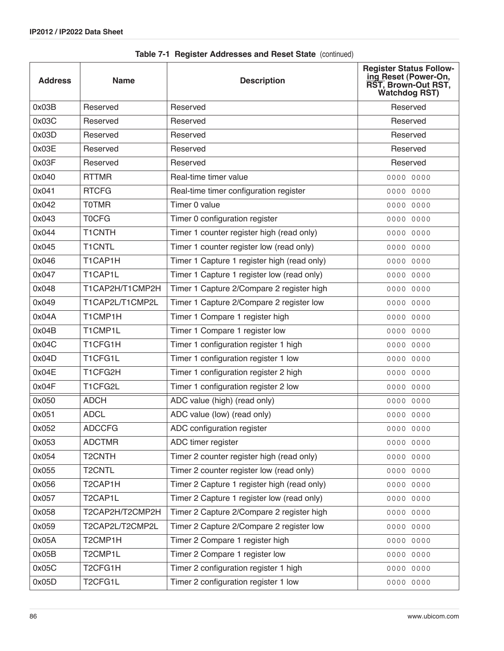| <b>Address</b> | <b>Name</b>         | <b>Description</b>                          | <b>Register Status Follow-</b><br>ing Reset (Power-On,<br>RST, Brown-Out RST,<br><b>Watchdog RST)</b> |
|----------------|---------------------|---------------------------------------------|-------------------------------------------------------------------------------------------------------|
| 0x03B          | Reserved            | Reserved                                    | Reserved                                                                                              |
| 0x03C          | Reserved            | Reserved                                    | Reserved                                                                                              |
| 0x03D          | Reserved            | Reserved                                    | Reserved                                                                                              |
| 0x03E          | Reserved            | Reserved                                    | Reserved                                                                                              |
| 0x03F          | Reserved            | Reserved                                    | Reserved                                                                                              |
| 0x040          | <b>RTTMR</b>        | Real-time timer value                       | 0000 0000                                                                                             |
| 0x041          | <b>RTCFG</b>        | Real-time timer configuration register      | 0000 0000                                                                                             |
| 0x042          | <b>TOTMR</b>        | Timer 0 value                               | 0000 0000                                                                                             |
| 0x043          | <b>TOCFG</b>        | Timer 0 configuration register              | 0000 0000                                                                                             |
| 0x044          | T1CNTH              | Timer 1 counter register high (read only)   | 0000 0000                                                                                             |
| 0x045          | <b>T1CNTL</b>       | Timer 1 counter register low (read only)    | 0000 0000                                                                                             |
| 0x046          | T1CAP1H             | Timer 1 Capture 1 register high (read only) | 0000 0000                                                                                             |
| 0x047          | T1CAP1L             | Timer 1 Capture 1 register low (read only)  | 0000 0000                                                                                             |
| 0x048          | T1CAP2H/T1CMP2H     | Timer 1 Capture 2/Compare 2 register high   | 0000 0000                                                                                             |
| 0x049          | T1CAP2L/T1CMP2L     | Timer 1 Capture 2/Compare 2 register low    | 0000 0000                                                                                             |
| 0x04A          | T1CMP1H             | Timer 1 Compare 1 register high             | 0000 0000                                                                                             |
| 0x04B          | T1CMP1L             | Timer 1 Compare 1 register low              | 0000 0000                                                                                             |
| 0x04C          | T1CFG1H             | Timer 1 configuration register 1 high       | 0000 0000                                                                                             |
| 0x04D          | T1CFG1L             | Timer 1 configuration register 1 low        | 0000 0000                                                                                             |
| 0x04E          | T1CFG2H             | Timer 1 configuration register 2 high       | 0000 0000                                                                                             |
| 0x04F          | T1CFG2L             | Timer 1 configuration register 2 low        | 0000 0000                                                                                             |
| 0x050          | <b>ADCH</b>         | ADC value (high) (read only)                | 0000 0000                                                                                             |
| 0x051          | <b>ADCL</b>         | ADC value (low) (read only)                 | 0000 0000                                                                                             |
| 0x052          | <b>ADCCFG</b>       | ADC configuration register                  | 0000 0000                                                                                             |
| 0x053          | <b>ADCTMR</b>       | ADC timer register                          | 0000 0000                                                                                             |
| 0x054          | T <sub>2</sub> CNTH | Timer 2 counter register high (read only)   | 0000 0000                                                                                             |
| 0x055          | <b>T2CNTL</b>       | Timer 2 counter register low (read only)    | 0000 0000                                                                                             |
| 0x056          | T2CAP1H             | Timer 2 Capture 1 register high (read only) | 0000 0000                                                                                             |
| 0x057          | T2CAP1L             | Timer 2 Capture 1 register low (read only)  | 0000 0000                                                                                             |
| 0x058          | T2CAP2H/T2CMP2H     | Timer 2 Capture 2/Compare 2 register high   | 0000 0000                                                                                             |
| 0x059          | T2CAP2L/T2CMP2L     | Timer 2 Capture 2/Compare 2 register low    | 0000 0000                                                                                             |
| 0x05A          | T2CMP1H             | Timer 2 Compare 1 register high             | 0000 0000                                                                                             |
| 0x05B          | T2CMP1L             | Timer 2 Compare 1 register low              | 0000 0000                                                                                             |
| 0x05C          | T2CFG1H             | Timer 2 configuration register 1 high       | 0000 0000                                                                                             |
| 0x05D          | T2CFG1L             | Timer 2 configuration register 1 low        | 0000 0000                                                                                             |

**Table 7-1 Register Addresses and Reset State** (continued)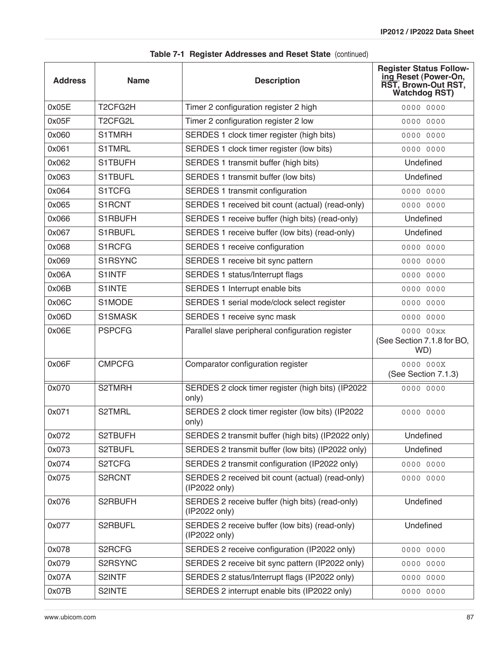| <b>Address</b> | <b>Name</b>                       | <b>Description</b>                                                | <b>Register Status Follow-</b><br>ing Reset (Power-On,<br>RST, Brown-Out RST,<br><b>Watchdog RST)</b> |
|----------------|-----------------------------------|-------------------------------------------------------------------|-------------------------------------------------------------------------------------------------------|
| 0x05E          | T <sub>2</sub> CFG <sub>2</sub> H | Timer 2 configuration register 2 high                             | 0000 0000                                                                                             |
| 0x05F          | T <sub>2</sub> CFG <sub>2L</sub>  | Timer 2 configuration register 2 low                              | 0000 0000                                                                                             |
| 0x060          | S1TMRH                            | SERDES 1 clock timer register (high bits)                         | 0000 0000                                                                                             |
| 0x061          | <b>S1TMRL</b>                     | SERDES 1 clock timer register (low bits)                          | 0000 0000                                                                                             |
| 0x062          | S1TBUFH                           | SERDES 1 transmit buffer (high bits)                              | Undefined                                                                                             |
| 0x063          | S1TBUFL                           | SERDES 1 transmit buffer (low bits)                               | Undefined                                                                                             |
| 0x064          | S1TCFG                            | SERDES 1 transmit configuration                                   | 0000 0000                                                                                             |
| 0x065          | S1RCNT                            | SERDES 1 received bit count (actual) (read-only)                  | 0000 0000                                                                                             |
| 0x066          | S1RBUFH                           | SERDES 1 receive buffer (high bits) (read-only)                   | Undefined                                                                                             |
| 0x067          | S1RBUFL                           | SERDES 1 receive buffer (low bits) (read-only)                    | Undefined                                                                                             |
| 0x068          | S1RCFG                            | SERDES 1 receive configuration                                    | 0000 0000                                                                                             |
| 0x069          | S1RSYNC                           | SERDES 1 receive bit sync pattern                                 | 0000 0000                                                                                             |
| 0x06A          | <b>S1INTF</b>                     | SERDES 1 status/Interrupt flags                                   | 0000 0000                                                                                             |
| 0x06B          | S1INTE                            | SERDES 1 Interrupt enable bits                                    | 0000 0000                                                                                             |
| 0x06C          | S1MODE                            | SERDES 1 serial mode/clock select register                        | 0000 0000                                                                                             |
| 0x06D          | S1SMASK                           | SERDES 1 receive sync mask                                        | 0000 0000                                                                                             |
| 0x06E          | <b>PSPCFG</b>                     | Parallel slave peripheral configuration register                  | 0000 00xx<br>(See Section 7.1.8 for BO,<br>WD)                                                        |
| 0x06F          | <b>CMPCFG</b>                     | Comparator configuration register                                 | 0000 000X<br>(See Section 7.1.3)                                                                      |
| 0x070          | S2TMRH                            | SERDES 2 clock timer register (high bits) (IP2022<br>only)        | 0000 0000                                                                                             |
| 0x071          | S2TMRL                            | SERDES 2 clock timer register (low bits) (IP2022<br>only)         | 0000 0000                                                                                             |
| 0x072          | S2TBUFH                           | SERDES 2 transmit buffer (high bits) (IP2022 only)                | Undefined                                                                                             |
| 0x073          | S2TBUFL                           | SERDES 2 transmit buffer (low bits) (IP2022 only)                 | Undefined                                                                                             |
| 0x074          | S2TCFG                            | SERDES 2 transmit configuration (IP2022 only)                     | 0000 0000                                                                                             |
| 0x075          | S2RCNT                            | SERDES 2 received bit count (actual) (read-only)<br>(IP2022 only) | 0000 0000                                                                                             |
| 0x076          | S2RBUFH                           | SERDES 2 receive buffer (high bits) (read-only)<br>(IP2022 only)  | Undefined                                                                                             |
| 0x077          | S2RBUFL                           | SERDES 2 receive buffer (low bits) (read-only)<br>(IP2022 only)   | Undefined                                                                                             |
| 0x078          | S2RCFG                            | SERDES 2 receive configuration (IP2022 only)                      | 0000 0000                                                                                             |
| 0x079          | S2RSYNC                           | SERDES 2 receive bit sync pattern (IP2022 only)                   | 0000 0000                                                                                             |
| 0x07A          | S2INTF                            | SERDES 2 status/Interrupt flags (IP2022 only)                     | 0000 0000                                                                                             |
| 0x07B          | S2INTE                            | SERDES 2 interrupt enable bits (IP2022 only)                      | 0000 0000                                                                                             |

|  |  | Table 7-1 Register Addresses and Reset State (continued) |  |  |  |  |
|--|--|----------------------------------------------------------|--|--|--|--|
|--|--|----------------------------------------------------------|--|--|--|--|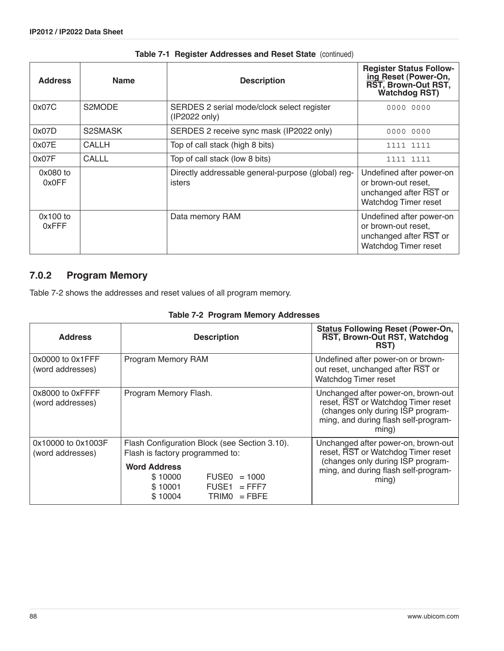| <b>Address</b>      | <b>Name</b>  | <b>Description</b>                                           | <b>Register Status Follow-</b><br>ing Reset (Power-On,<br>RST, Brown-Out RST,<br><b>Watchdog RST)</b> |
|---------------------|--------------|--------------------------------------------------------------|-------------------------------------------------------------------------------------------------------|
| 0x07C               | S2MODE       | SERDES 2 serial mode/clock select register<br>(IP2022 only)  | 0000 0000                                                                                             |
| 0x07D               | S2SMASK      | SERDES 2 receive sync mask (IP2022 only)                     | 0000 0000                                                                                             |
| 0x07E               | CALLH        | Top of call stack (high 8 bits)                              | 1111 1111                                                                                             |
| 0x07F               | <b>CALLL</b> | Top of call stack (low 8 bits)                               | 1111 1111                                                                                             |
| 0x080 to<br>0x0FF   |              | Directly addressable general-purpose (global) reg-<br>isters | Undefined after power-on<br>or brown-out reset,<br>unchanged after RST or<br>Watchdog Timer reset     |
| $0x100$ to<br>0xFFF |              | Data memory RAM                                              | Undefined after power-on<br>or brown-out reset,<br>unchanged after RST or<br>Watchdog Timer reset     |

#### **Table 7-1 Register Addresses and Reset State** (continued)

### **7.0.2 Program Memory**

[Table 7-2](#page-87-0) shows the addresses and reset values of all program memory.

| <b>Table 7-2 Program Memory Addresses</b> |  |  |  |  |
|-------------------------------------------|--|--|--|--|
|-------------------------------------------|--|--|--|--|

<span id="page-87-0"></span>

| <b>Address</b>                            | <b>Description</b>                                                                                         | <b>Status Following Reset (Power-On,</b><br>RST, Brown-Out RST, Watchdog<br>RST)                                                                                |
|-------------------------------------------|------------------------------------------------------------------------------------------------------------|-----------------------------------------------------------------------------------------------------------------------------------------------------------------|
| $0x0000$ to $0x1$ FFF<br>(word addresses) | Program Memory RAM                                                                                         | Undefined after power-on or brown-<br>out reset, unchanged after RST or<br><b>Watchdog Timer reset</b>                                                          |
| 0x8000 to 0xFFFF<br>(word addresses)      | Program Memory Flash.                                                                                      | Unchanged after power-on, brown-out<br>reset, RST or Watchdog Timer reset<br>(changes only during ISP program-<br>ming, and during flash self-program-<br>ming) |
| 0x10000 to 0x1003F<br>(word addresses)    | Flash Configuration Block (see Section 3.10).<br>Flash is factory programmed to:                           | Unchanged after power-on, brown-out<br>reset, RST or Watchdog Timer reset                                                                                       |
|                                           | <b>Word Address</b><br>\$10000<br>$FUSE0 = 1000$<br>\$10001<br>$FUSE1 = FFF7$<br>$TRIMO = FBFE$<br>\$10004 | (changes only during ISP program-<br>ming, and during flash self-program-<br>ming)                                                                              |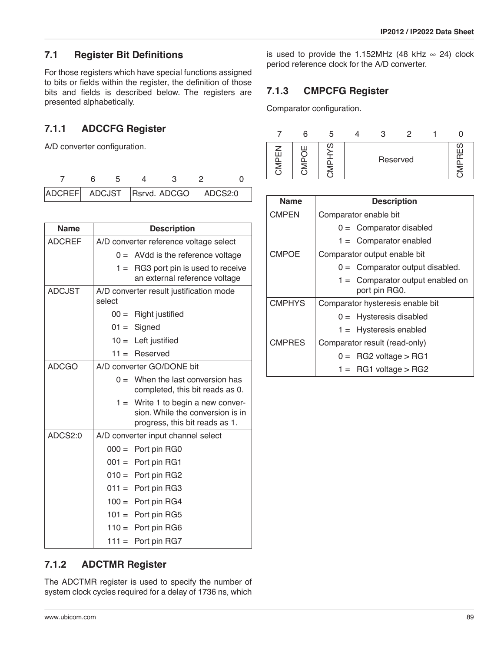### **7.1 Register Bit Definitions**

For those registers which have special functions assigned to bits or fields within the register, the definition of those bits and fields is described below. The registers are presented alphabetically.

## **7.1.1 ADCCFG Register**

A/D converter configuration.

| ADCREF ADCJST Rsrvd. ADCGO ADCS2:0 |  |  |  |  |
|------------------------------------|--|--|--|--|

| <b>Name</b>   |        | <b>Description</b>                                                                                   |
|---------------|--------|------------------------------------------------------------------------------------------------------|
| <b>ADCREF</b> |        | A/D converter reference voltage select                                                               |
|               |        | $0 =$ AVdd is the reference voltage                                                                  |
|               | $1 =$  | RG3 port pin is used to receive<br>an external reference voltage                                     |
| <b>ADCJST</b> | select | A/D converter result justification mode                                                              |
|               | $00 =$ | Right justified                                                                                      |
|               |        | $01 =$ Signed                                                                                        |
|               |        | $10 =$ Left justified                                                                                |
|               |        | $11 =$ Reserved                                                                                      |
| <b>ADCGO</b>  |        | A/D converter GO/DONE bit                                                                            |
|               | $0 =$  | When the last conversion has<br>completed, this bit reads as 0.                                      |
|               | $1 =$  | Write 1 to begin a new conver-<br>sion. While the conversion is in<br>progress, this bit reads as 1. |
| ADCS2:0       |        | A/D converter input channel select                                                                   |
|               |        | $000 =$ Port pin RG0                                                                                 |
|               |        | $001 =$ Port pin RG1                                                                                 |
|               |        | $010 =$ Port pin RG2                                                                                 |
|               |        | $011 =$ Port pin RG3                                                                                 |
|               |        | $100 =$ Port pin RG4                                                                                 |
|               |        | $101 =$ Port pin RG5                                                                                 |
|               |        | $110 =$ Port pin RG6                                                                                 |
|               |        | $111 =$ Port pin RG7                                                                                 |

is used to provide the 1.152MHz (48 kHz  $\infty$  24) clock period reference clock for the A/D converter.

### <span id="page-88-0"></span>**7.1.3 CMPCFG Register**

Comparator configuration.



| <b>Name</b>   | <b>Description</b>                                  |
|---------------|-----------------------------------------------------|
| <b>CMPEN</b>  | Comparator enable bit                               |
|               | $0 =$ Comparator disabled                           |
|               | $1 =$ Comparator enabled                            |
| <b>CMPOE</b>  | Comparator output enable bit                        |
|               | $0 =$ Comparator output disabled.                   |
|               | $1 =$ Comparator output enabled on<br>port pin RG0. |
| <b>CMPHYS</b> | Comparator hysteresis enable bit                    |
|               | $0 =$ Hysteresis disabled                           |
|               | $1 =$ Hysteresis enabled                            |
| <b>CMPRES</b> | Comparator result (read-only)                       |
|               | $0 = \text{RG2 voltage} > \text{RG1}$               |
|               | $1 = \text{RG1 voltage} > \text{RG2}$               |

#### **7.1.2 ADCTMR Register**

The ADCTMR register is used to specify the number of system clock cycles required for a delay of 1736 ns, which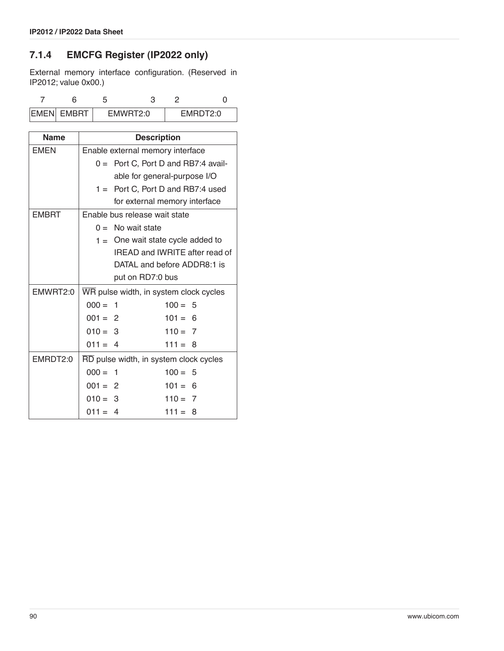### <span id="page-89-0"></span>**7.1.4 EMCFG Register (IP2022 only)**

External memory interface configuration. (Reserved in IP2012; value 0x00.)

| <b>EMEN EMBRT</b> | FMWRT2:0 |  | EMRDT2:0 |
|-------------------|----------|--|----------|

| <b>Name</b>  | <b>Description</b>          |                                        |           |  |  |
|--------------|-----------------------------|----------------------------------------|-----------|--|--|
| <b>EMEN</b>  |                             | Enable external memory interface       |           |  |  |
|              |                             | $0 =$ Port C, Port D and RB7:4 avail-  |           |  |  |
|              |                             | able for general-purpose I/O           |           |  |  |
|              |                             | $1 =$ Port C, Port D and RB7:4 used    |           |  |  |
|              |                             | for external memory interface          |           |  |  |
| <b>EMBRT</b> |                             | Enable bus release wait state          |           |  |  |
|              |                             | $0 =$ No wait state                    |           |  |  |
|              |                             | $1 =$ One wait state cycle added to    |           |  |  |
|              |                             | IREAD and IWRITE after read of         |           |  |  |
|              | DATAL and before ADDR8:1 is |                                        |           |  |  |
|              |                             | put on RD7:0 bus                       |           |  |  |
| EMWRT2:0     |                             | WR pulse width, in system clock cycles |           |  |  |
|              | $000 = 1$                   |                                        | $100 = 5$ |  |  |
|              | $001 = 2$                   |                                        | $101 = 6$ |  |  |
|              | $010 = 3$                   |                                        | $110 = 7$ |  |  |
|              | $011 = 4$                   |                                        | $111 = 8$ |  |  |
| EMRDT2:0     |                             | RD pulse width, in system clock cycles |           |  |  |
|              | $000 = 1$                   |                                        | $100 = 5$ |  |  |
|              | $001 = 2$                   |                                        | $101 = 6$ |  |  |
|              | $010 = 3$                   |                                        | $110 = 7$ |  |  |
|              | $011 = 4$                   |                                        | $111 = 8$ |  |  |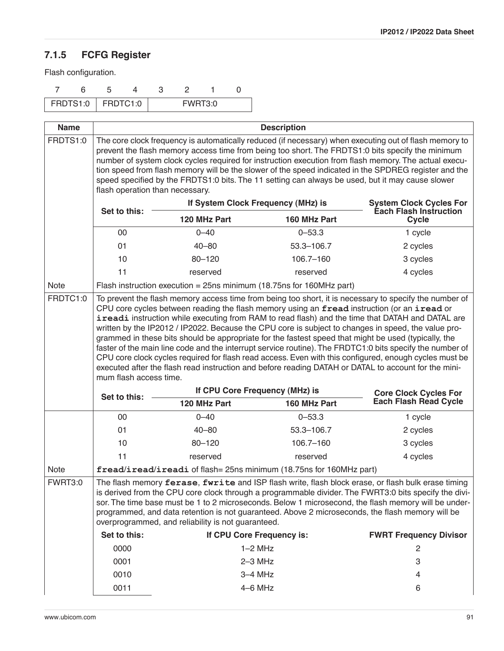## <span id="page-90-0"></span>**7.1.5 FCFG Register**

Flash configuration.

|  | FRDTS1:0   FRDTC1:0 |  | FWRT3:0 |  |
|--|---------------------|--|---------|--|

| <b>Name</b> |                                                                                                                                                                                                                                                                                                                                                                                                                                                                                                                                                                                                                                                                                                                                                                                                                                                                                  | <b>Description</b>                                                       |              |                                                                 |  |  |  |  |
|-------------|----------------------------------------------------------------------------------------------------------------------------------------------------------------------------------------------------------------------------------------------------------------------------------------------------------------------------------------------------------------------------------------------------------------------------------------------------------------------------------------------------------------------------------------------------------------------------------------------------------------------------------------------------------------------------------------------------------------------------------------------------------------------------------------------------------------------------------------------------------------------------------|--------------------------------------------------------------------------|--------------|-----------------------------------------------------------------|--|--|--|--|
| FRDTS1:0    | The core clock frequency is automatically reduced (if necessary) when executing out of flash memory to<br>prevent the flash memory access time from being too short. The FRDTS1:0 bits specify the minimum<br>number of system clock cycles required for instruction execution from flash memory. The actual execu-<br>tion speed from flash memory will be the slower of the speed indicated in the SPDREG register and the<br>speed specified by the FRDTS1:0 bits. The 11 setting can always be used, but it may cause slower<br>flash operation than necessary.                                                                                                                                                                                                                                                                                                              |                                                                          |              |                                                                 |  |  |  |  |
|             | Set to this:                                                                                                                                                                                                                                                                                                                                                                                                                                                                                                                                                                                                                                                                                                                                                                                                                                                                     | If System Clock Frequency (MHz) is                                       |              | <b>System Clock Cycles For</b><br><b>Éach Flash Instruction</b> |  |  |  |  |
|             |                                                                                                                                                                                                                                                                                                                                                                                                                                                                                                                                                                                                                                                                                                                                                                                                                                                                                  | 120 MHz Part                                                             | <b>Cycle</b> |                                                                 |  |  |  |  |
|             | 00                                                                                                                                                                                                                                                                                                                                                                                                                                                                                                                                                                                                                                                                                                                                                                                                                                                                               | $0 - 40$                                                                 | $0 - 53.3$   | 1 cycle                                                         |  |  |  |  |
|             | 01                                                                                                                                                                                                                                                                                                                                                                                                                                                                                                                                                                                                                                                                                                                                                                                                                                                                               | $40 - 80$                                                                | 53.3-106.7   | 2 cycles                                                        |  |  |  |  |
|             | 10                                                                                                                                                                                                                                                                                                                                                                                                                                                                                                                                                                                                                                                                                                                                                                                                                                                                               | $80 - 120$                                                               | 106.7-160    | 3 cycles                                                        |  |  |  |  |
|             | 11                                                                                                                                                                                                                                                                                                                                                                                                                                                                                                                                                                                                                                                                                                                                                                                                                                                                               | reserved                                                                 | reserved     | 4 cycles                                                        |  |  |  |  |
| <b>Note</b> |                                                                                                                                                                                                                                                                                                                                                                                                                                                                                                                                                                                                                                                                                                                                                                                                                                                                                  | Flash instruction execution = $25$ ns minimum (18.75 ns for 160MHz part) |              |                                                                 |  |  |  |  |
| FRDTC1:0    | To prevent the flash memory access time from being too short, it is necessary to specify the number of<br>CPU core cycles between reading the flash memory using an fread instruction (or an iread or<br>ireadi instruction while executing from RAM to read flash) and the time that DATAH and DATAL are<br>written by the IP2012 / IP2022. Because the CPU core is subject to changes in speed, the value pro-<br>grammed in these bits should be appropriate for the fastest speed that might be used (typically, the<br>faster of the main line code and the interrupt service routine). The FRDTC1:0 bits specify the number of<br>CPU core clock cycles required for flash read access. Even with this configured, enough cycles must be<br>executed after the flash read instruction and before reading DATAH or DATAL to account for the mini-<br>mum flash access time. |                                                                          |              |                                                                 |  |  |  |  |
|             | Set to this:                                                                                                                                                                                                                                                                                                                                                                                                                                                                                                                                                                                                                                                                                                                                                                                                                                                                     | If CPU Core Frequency (MHz) is<br>120 MHz Part                           | 160 MHz Part | <b>Core Clock Cycles For</b><br><b>Each Flash Read Cycle</b>    |  |  |  |  |
|             | 00                                                                                                                                                                                                                                                                                                                                                                                                                                                                                                                                                                                                                                                                                                                                                                                                                                                                               | $0 - 40$                                                                 | $0 - 53.3$   | 1 cycle                                                         |  |  |  |  |
|             | 01                                                                                                                                                                                                                                                                                                                                                                                                                                                                                                                                                                                                                                                                                                                                                                                                                                                                               | $40 - 80$                                                                | 53.3-106.7   | 2 cycles                                                        |  |  |  |  |
|             | 10                                                                                                                                                                                                                                                                                                                                                                                                                                                                                                                                                                                                                                                                                                                                                                                                                                                                               | $80 - 120$                                                               | 106.7-160    | 3 cycles                                                        |  |  |  |  |
|             | 11                                                                                                                                                                                                                                                                                                                                                                                                                                                                                                                                                                                                                                                                                                                                                                                                                                                                               | reserved                                                                 | reserved     | 4 cycles                                                        |  |  |  |  |
| <b>Note</b> |                                                                                                                                                                                                                                                                                                                                                                                                                                                                                                                                                                                                                                                                                                                                                                                                                                                                                  | fread/iread/ireadi of flash= 25ns minimum (18.75ns for 160MHz part)      |              |                                                                 |  |  |  |  |
| FWRT3:0     | The flash memory ferase, fwrite and ISP flash write, flash block erase, or flash bulk erase timing<br>is derived from the CPU core clock through a programmable divider. The FWRT3:0 bits specify the divi-<br>sor. The time base must be 1 to 2 microseconds. Below 1 microsecond, the flash memory will be under-<br>programmed, and data retention is not guaranteed. Above 2 microseconds, the flash memory will be<br>overprogrammed, and reliability is not guaranteed.                                                                                                                                                                                                                                                                                                                                                                                                    |                                                                          |              |                                                                 |  |  |  |  |
|             | Set to this:                                                                                                                                                                                                                                                                                                                                                                                                                                                                                                                                                                                                                                                                                                                                                                                                                                                                     | If CPU Core Frequency is:                                                |              | <b>FWRT Frequency Divisor</b>                                   |  |  |  |  |
|             | 0000                                                                                                                                                                                                                                                                                                                                                                                                                                                                                                                                                                                                                                                                                                                                                                                                                                                                             | $1-2$ MHz                                                                |              | 2                                                               |  |  |  |  |
|             | 0001                                                                                                                                                                                                                                                                                                                                                                                                                                                                                                                                                                                                                                                                                                                                                                                                                                                                             | $2-3$ MHz                                                                |              | 3                                                               |  |  |  |  |
|             | 0010                                                                                                                                                                                                                                                                                                                                                                                                                                                                                                                                                                                                                                                                                                                                                                                                                                                                             | $3-4$ MHz                                                                |              | 4                                                               |  |  |  |  |
|             | 0011                                                                                                                                                                                                                                                                                                                                                                                                                                                                                                                                                                                                                                                                                                                                                                                                                                                                             | $4-6$ MHz                                                                |              | 6                                                               |  |  |  |  |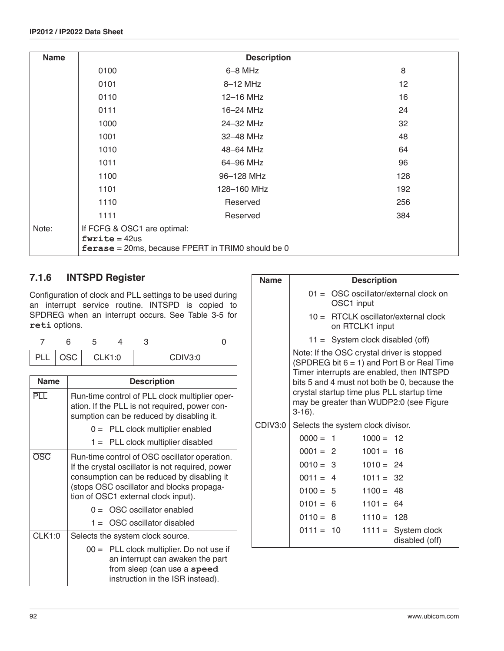| <b>Name</b> |                                                | <b>Description</b>                                       |                 |
|-------------|------------------------------------------------|----------------------------------------------------------|-----------------|
|             | 0100                                           | $6 - 8$ MHz                                              | 8               |
|             | 0101                                           | 8-12 MHz                                                 | 12 <sup>2</sup> |
|             | 0110                                           | 12-16 MHz                                                | 16              |
|             | 0111                                           | 16-24 MHz                                                | 24              |
|             | 1000                                           | 24-32 MHz                                                | 32              |
|             | 1001                                           | 32-48 MHz                                                | 48              |
|             | 1010                                           | 48-64 MHz                                                | 64              |
|             | 1011                                           | 64-96 MHz                                                | 96              |
|             | 1100                                           | 96-128 MHz                                               | 128             |
|             | 1101                                           | 128-160 MHz                                              | 192             |
|             | 1110                                           | Reserved                                                 | 256             |
|             | 1111                                           | Reserved                                                 | 384             |
| Note:       | If FCFG & OSC1 are optimal:<br>$fwrite = 42us$ | <b>ferase</b> = 20ms, because FPERT in TRIM0 should be 0 |                 |

## **7.1.6 INTSPD Register**

Configuration of clock and PLL settings to be used during an interrupt service routine. INTSPD is copied to SPDREG when an interrupt occurs. See [Table 3-5](#page-24-0) for **reti** options.

| DI | $\overline{{\rm OSC}}$ | <b>CLK1:0</b> |  | CDIV3:0 |  |
|----|------------------------|---------------|--|---------|--|

| <b>Name</b> | <b>Description</b>                                                                                                                                                                                                                  |
|-------------|-------------------------------------------------------------------------------------------------------------------------------------------------------------------------------------------------------------------------------------|
| PTT         | Run-time control of PLL clock multiplier oper-<br>ation. If the PLL is not required, power con-<br>sumption can be reduced by disabling it.                                                                                         |
|             | $0 =$ PLL clock multiplier enabled                                                                                                                                                                                                  |
|             | $1 =$ PLL clock multiplier disabled                                                                                                                                                                                                 |
| osc         | Run-time control of OSC oscillator operation.<br>If the crystal oscillator is not required, power<br>consumption can be reduced by disabling it<br>(stops OSC oscillator and blocks propaga-<br>tion of OSC1 external clock input). |
|             | $0 =$ OSC oscillator enabled                                                                                                                                                                                                        |
|             | $1 =$ OSC oscillator disabled                                                                                                                                                                                                       |
| CLK1:0      | Selects the system clock source.                                                                                                                                                                                                    |
|             | $00 =$ PLL clock multiplier. Do not use if<br>an interrupt can awaken the part<br>from sleep (can use a speed<br>instruction in the ISR instead).                                                                                   |

| <b>Name</b> |                                   |                                                                                                                                                                                                                                                                                   | <b>Description</b> |                                         |  |  |  |
|-------------|-----------------------------------|-----------------------------------------------------------------------------------------------------------------------------------------------------------------------------------------------------------------------------------------------------------------------------------|--------------------|-----------------------------------------|--|--|--|
|             |                                   | $01 = \overline{OSC}$ oscillator/external clock on<br>OSC1 input                                                                                                                                                                                                                  |                    |                                         |  |  |  |
|             |                                   | $10 =$ RTCLK oscillator/external clock<br>on RTCLK1 input                                                                                                                                                                                                                         |                    |                                         |  |  |  |
|             |                                   | $11 =$ System clock disabled (off)                                                                                                                                                                                                                                                |                    |                                         |  |  |  |
|             | $3-16$ ).                         | Note: If the OSC crystal driver is stopped<br>(SPDREG bit $6 = 1$ ) and Port B or Real Time<br>Timer interrupts are enabled, then INTSPD<br>bits 5 and 4 must not both be 0, because the<br>crystal startup time plus PLL startup time<br>may be greater than WUDP2:0 (see Figure |                    |                                         |  |  |  |
| CDIV3:0     | Selects the system clock divisor. |                                                                                                                                                                                                                                                                                   |                    |                                         |  |  |  |
|             | $0000 = 1$                        |                                                                                                                                                                                                                                                                                   | $1000 = 12$        |                                         |  |  |  |
|             | $0001 = 2$                        |                                                                                                                                                                                                                                                                                   | $1001 = 16$        |                                         |  |  |  |
|             | $0010 = 3$                        |                                                                                                                                                                                                                                                                                   | $1010 = 24$        |                                         |  |  |  |
|             | $0011 = 4$                        |                                                                                                                                                                                                                                                                                   | $1011 = 32$        |                                         |  |  |  |
|             |                                   | $0100 = 5$                                                                                                                                                                                                                                                                        | $1100 = 48$        |                                         |  |  |  |
|             | $0101 = 6$                        |                                                                                                                                                                                                                                                                                   | $1101 = 64$        |                                         |  |  |  |
|             | $0110 = 8$                        |                                                                                                                                                                                                                                                                                   | $1110 = 128$       |                                         |  |  |  |
|             |                                   | $0111 = 10$                                                                                                                                                                                                                                                                       |                    | $1111 =$ System clock<br>disabled (off) |  |  |  |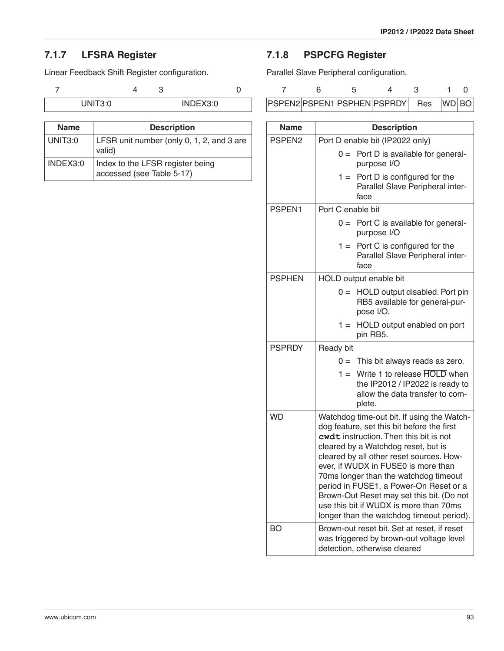### **7.1.7 LFSRA Register**

Linear Feedback Shift Register configuration.

7 43 0 UNIT3:0 INDEX3:0

| <b>Name</b> | <b>Description</b>                                            |
|-------------|---------------------------------------------------------------|
| UNIT3:0     | LFSR unit number (only 0, 1, 2, and 3 are<br>valid)           |
| INDEX3:0    | Index to the LFSR register being<br>accessed (see Table 5-17) |

## <span id="page-92-0"></span>**7.1.8 PSPCFG Register**

Parallel Slave Peripheral configuration.

|  | PSPEN2 PSPEN1 PSPHEN PSPRDY Res WD BO |  |  |
|--|---------------------------------------|--|--|

| <b>Name</b>        | <b>Description</b>                                                                                                                                                                                                                                                                                                                                                                                                                                                                  |
|--------------------|-------------------------------------------------------------------------------------------------------------------------------------------------------------------------------------------------------------------------------------------------------------------------------------------------------------------------------------------------------------------------------------------------------------------------------------------------------------------------------------|
| PSPEN <sub>2</sub> | Port D enable bit (IP2022 only)                                                                                                                                                                                                                                                                                                                                                                                                                                                     |
|                    | Port D is available for general-<br>$0 =$<br>purpose I/O                                                                                                                                                                                                                                                                                                                                                                                                                            |
|                    | Port D is configured for the<br>$1 =$<br>Parallel Slave Peripheral inter-<br>face                                                                                                                                                                                                                                                                                                                                                                                                   |
| PSPEN1             | Port C enable bit                                                                                                                                                                                                                                                                                                                                                                                                                                                                   |
|                    | Port C is available for general-<br>$0 =$<br>purpose I/O                                                                                                                                                                                                                                                                                                                                                                                                                            |
|                    | $1 =$ Port C is configured for the<br>Parallel Slave Peripheral inter-<br>face                                                                                                                                                                                                                                                                                                                                                                                                      |
| <b>PSPHEN</b>      | <b>HOLD</b> output enable bit                                                                                                                                                                                                                                                                                                                                                                                                                                                       |
|                    | HOLD output disabled. Port pin<br>$0 =$<br>RB5 available for general-pur-<br>pose I/O.                                                                                                                                                                                                                                                                                                                                                                                              |
|                    | <b>HOLD</b> output enabled on port<br>$1 =$<br>pin RB5.                                                                                                                                                                                                                                                                                                                                                                                                                             |
| <b>PSPRDY</b>      | Ready bit                                                                                                                                                                                                                                                                                                                                                                                                                                                                           |
|                    | $0 =$ This bit always reads as zero.                                                                                                                                                                                                                                                                                                                                                                                                                                                |
|                    | $1 =$ Write 1 to release $\overline{HOLD}$ when<br>the IP2012 / IP2022 is ready to<br>allow the data transfer to com-<br>plete.                                                                                                                                                                                                                                                                                                                                                     |
| <b>WD</b>          | Watchdog time-out bit. If using the Watch-<br>dog feature, set this bit before the first<br>cwdt instruction. Then this bit is not<br>cleared by a Watchdog reset, but is<br>cleared by all other reset sources. How-<br>ever, if WUDX in FUSE0 is more than<br>70ms longer than the watchdog timeout<br>period in FUSE1, a Power-On Reset or a<br>Brown-Out Reset may set this bit. (Do not<br>use this bit if WUDX is more than 70ms<br>longer than the watchdog timeout period). |
| BO                 | Brown-out reset bit. Set at reset, if reset<br>was triggered by brown-out voltage level<br>detection, otherwise cleared                                                                                                                                                                                                                                                                                                                                                             |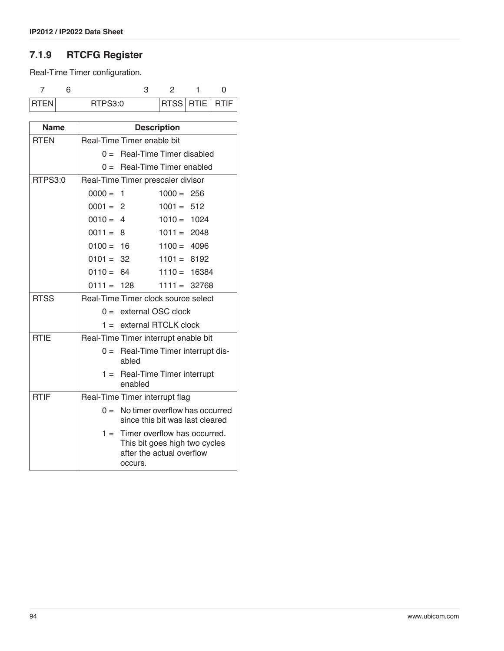# **7.1.9 RTCFG Register**

Real-Time Timer configuration.

| 1 R I FN | RTPS3:0 |  | RTSS  RTIE   RTIF |
|----------|---------|--|-------------------|

| Name        |                            |                                            | <b>Description</b> |                                                                         |
|-------------|----------------------------|--------------------------------------------|--------------------|-------------------------------------------------------------------------|
| <b>RTEN</b> | Real-Time Timer enable bit |                                            |                    |                                                                         |
|             |                            | $0 =$ Real-Time Timer disabled             |                    |                                                                         |
|             |                            | $0 =$ Real-Time Timer enabled              |                    |                                                                         |
| RTPS3:0     |                            | Real-Time Timer prescaler divisor          |                    |                                                                         |
|             | $0000 = 1$                 |                                            | $1000 = 256$       |                                                                         |
|             | $0001 =$                   | $\overline{2}$                             | $1001 = 512$       |                                                                         |
|             | $0010 = 4$                 |                                            | $1010 = 1024$      |                                                                         |
|             | $0011 = 8$                 |                                            | $1011 = 2048$      |                                                                         |
|             | $0100 = 16$                |                                            | $1100 = 4096$      |                                                                         |
|             | $0101 = 32$                |                                            | $1101 = 8192$      |                                                                         |
|             | $0110 = 64$                |                                            | $1110 = 16384$     |                                                                         |
|             | $0111 = 128$               |                                            | $1111 = 32768$     |                                                                         |
| <b>RTSS</b> |                            | Real-Time Timer clock source select        |                    |                                                                         |
|             |                            | $0 =$ external OSC clock                   |                    |                                                                         |
|             |                            | $1 =$ external RTCLK clock                 |                    |                                                                         |
| <b>RTIE</b> |                            | Real-Time Timer interrupt enable bit       |                    |                                                                         |
|             |                            | abled                                      |                    | 0 = Real-Time Timer interrupt dis-                                      |
|             |                            | $1 =$ Real-Time Timer interrupt<br>enabled |                    |                                                                         |
| <b>RTIF</b> |                            | Real-Time Timer interrupt flag             |                    |                                                                         |
|             |                            |                                            |                    | $0 =$ No timer overflow has occurred<br>since this bit was last cleared |
|             |                            | after the actual overflow<br>occurs.       |                    | $1 =$ Timer overflow has occurred.<br>This bit goes high two cycles     |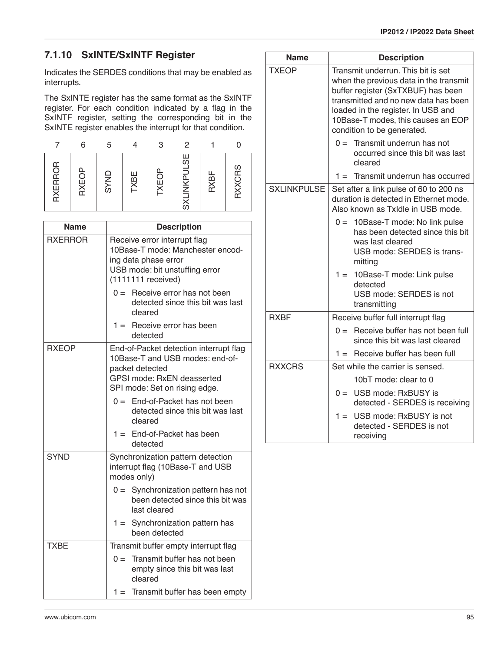## **7.1.10 SxINTE/SxINTF Register**

Indicates the SERDES conditions that may be enabled as interrupts.

The SxINTE register has the same format as the SxINTF register. For each condition indicated by a flag in the SxINTF register, setting the corresponding bit in the SxINTE register enables the interrupt for that condition.

|         | 6     | 5           |      | 3     | 2                  |      |               |
|---------|-------|-------------|------|-------|--------------------|------|---------------|
| RXERROR | RXEOP | <b>GYND</b> | TXBE | TXEOP | <b>SXLINKPULSE</b> | RXBF | <b>RXXCRS</b> |

| <b>Name</b>    | <b>Description</b>                                                                                                                                          |
|----------------|-------------------------------------------------------------------------------------------------------------------------------------------------------------|
| <b>RXERROR</b> | Receive error interrupt flag<br>10Base-T mode: Manchester encod-<br>ing data phase error<br>USB mode: bit unstuffing error<br>$(1111111$ received)          |
|                | $0 =$ Receive error has not been<br>detected since this bit was last<br>cleared                                                                             |
|                | $1 =$ Receive error has been<br>detected                                                                                                                    |
| <b>RXEOP</b>   | End-of-Packet detection interrupt flag<br>10Base-T and USB modes: end-of-<br>packet detected<br>GPSI mode: RxEN deasserted<br>SPI mode: Set on rising edge. |
|                | $0 =$ End-of-Packet has not been<br>detected since this bit was last<br>cleared                                                                             |
|                | $1 =$ End-of-Packet has been<br>detected                                                                                                                    |
| <b>SYND</b>    | Synchronization pattern detection<br>interrupt flag (10Base-T and USB<br>modes only)                                                                        |
|                | Synchronization pattern has not<br>$0 =$<br>been detected since this bit was<br>last cleared                                                                |
|                | Synchronization pattern has<br>$1 =$<br>been detected                                                                                                       |
| <b>TXBE</b>    | Transmit buffer empty interrupt flag                                                                                                                        |
|                | Transmit buffer has not been<br>$0 =$<br>empty since this bit was last<br>cleared                                                                           |
|                | $1 =$ Transmit buffer has been empty                                                                                                                        |

| <b>Name</b>        | <b>Description</b>                                                                                                                                                                                                                                                   |
|--------------------|----------------------------------------------------------------------------------------------------------------------------------------------------------------------------------------------------------------------------------------------------------------------|
| <b>TXEOP</b>       | Transmit underrun. This bit is set<br>when the previous data in the transmit<br>buffer register (SxTXBUF) has been<br>transmitted and no new data has been<br>loaded in the register. In USB and<br>10Base-T modes, this causes an EOP<br>condition to be generated. |
|                    | $0 =$ Transmit underrun has not<br>occurred since this bit was last<br>cleared                                                                                                                                                                                       |
|                    | $1 =$ Transmit underrun has occurred                                                                                                                                                                                                                                 |
| <b>SXLINKPULSE</b> | Set after a link pulse of 60 to 200 ns<br>duration is detected in Ethernet mode.<br>Also known as Txidle in USB mode.                                                                                                                                                |
|                    | $0 = 10$ Base-T mode: No link pulse<br>has been detected since this bit<br>was last cleared<br>USB mode: SERDES is trans-<br>mitting                                                                                                                                 |
|                    | 1 = 10Base-T mode: Link pulse<br>detected<br>USB mode: SERDES is not<br>transmitting                                                                                                                                                                                 |
| <b>RXBF</b>        | Receive buffer full interrupt flag                                                                                                                                                                                                                                   |
|                    | $0 =$ Receive buffer has not been full<br>since this bit was last cleared                                                                                                                                                                                            |
|                    | $1 =$ Receive buffer has been full                                                                                                                                                                                                                                   |
| <b>RXXCRS</b>      | Set while the carrier is sensed.                                                                                                                                                                                                                                     |
|                    | 10bT mode: clear to 0                                                                                                                                                                                                                                                |
|                    | $0 = \text{USB mode}$ : RxBUSY is<br>detected - SERDES is receiving                                                                                                                                                                                                  |
|                    | USB mode: RxBUSY is not<br>$1 =$<br>detected - SERDES is not<br>receiving                                                                                                                                                                                            |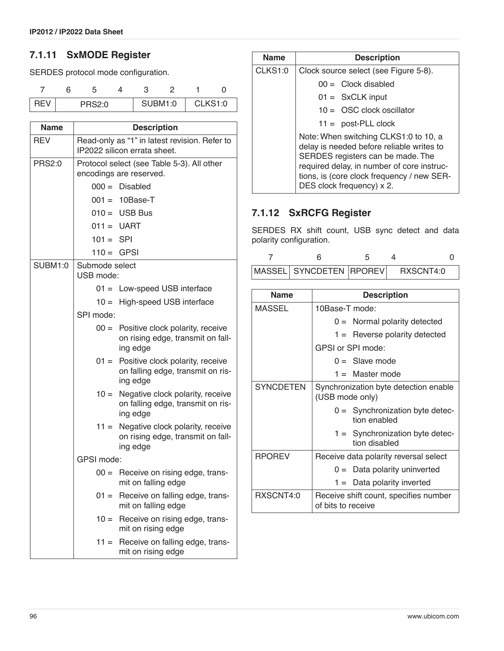### <span id="page-95-0"></span>**7.1.11 SxMODE Register**

SERDES protocol mode configuration.

| 3EV | PRS2:0 |  | <b>SUBM1:0</b> | CLKS1:0 |  |
|-----|--------|--|----------------|---------|--|

| <b>Name</b>    | <b>Description</b>                                                                          |
|----------------|---------------------------------------------------------------------------------------------|
| <b>REV</b>     | Read-only as "1" in latest revision. Refer to<br>IP2022 silicon errata sheet.               |
| <b>PRS2:0</b>  | Protocol select (see Table 5-3). All other<br>encodings are reserved.                       |
|                | $000 =$ Disabled                                                                            |
|                | $001 = 10$ Base-T                                                                           |
|                | $010 = \text{USB Bus}$                                                                      |
|                | $011 = UART$                                                                                |
|                | $101 = SPI$                                                                                 |
|                | $110 = GPSI$                                                                                |
| <b>SUBM1:0</b> | Submode select<br>USB mode:                                                                 |
|                | $01 =$ Low-speed USB interface                                                              |
|                | $10 =$ High-speed USB interface                                                             |
|                | SPI mode:                                                                                   |
|                | $00 =$ Positive clock polarity, receive<br>on rising edge, transmit on fall-<br>ing edge    |
|                | $01 =$ Positive clock polarity, receive<br>on falling edge, transmit on ris-<br>ing edge    |
|                | $10 =$<br>Negative clock polarity, receive<br>on falling edge, transmit on ris-<br>ing edge |
|                | Negative clock polarity, receive<br>$11 =$<br>on rising edge, transmit on fall-<br>ing edge |
|                | GPSI mode:                                                                                  |
|                | $00 =$ Receive on rising edge, trans-<br>mit on falling edge                                |
|                | $01 =$ Receive on falling edge, trans-<br>mit on falling edge                               |
|                | Receive on rising edge, trans-<br>$10 =$<br>mit on rising edge                              |
|                | $11 =$<br>Receive on falling edge, trans-<br>mit on rising edge                             |

| <b>Name</b> | <b>Description</b>                                                                                                                                                                                                                               |
|-------------|--------------------------------------------------------------------------------------------------------------------------------------------------------------------------------------------------------------------------------------------------|
| CLKS1:0     | Clock source select (see Figure 5-8).                                                                                                                                                                                                            |
|             | $00 =$ Clock disabled                                                                                                                                                                                                                            |
|             | $01 = SxCLK$ input                                                                                                                                                                                                                               |
|             | $10 = \overline{OSC}$ clock oscillator                                                                                                                                                                                                           |
|             | $11 =$ post-PLL clock                                                                                                                                                                                                                            |
|             | Note: When switching CLKS1:0 to 10, a<br>delay is needed before reliable writes to<br>SERDES registers can be made. The<br>required delay, in number of core instruc-<br>tions, is (core clock frequency / new SER-<br>DES clock frequency) x 2. |

### **7.1.12 SxRCFG Register**

SERDES RX shift count, USB sync detect and data polarity configuration.

| MASSEL  SYNCDETEN  RPOREV | RXSCNT4:0 |  |
|---------------------------|-----------|--|

| <b>Name</b>      | <b>Description</b>                                          |  |  |
|------------------|-------------------------------------------------------------|--|--|
| MASSEL           | 10Base-T mode:                                              |  |  |
|                  | $0 =$ Normal polarity detected                              |  |  |
|                  | $1 =$ Reverse polarity detected                             |  |  |
|                  | GPSI or SPI mode:                                           |  |  |
|                  | $0 =$ Slave mode                                            |  |  |
|                  | $1 =$ Master mode                                           |  |  |
| <b>SYNCDETEN</b> | Synchronization byte detection enable<br>(USB mode only)    |  |  |
|                  | $0 =$ Synchronization byte detec-<br>tion enabled           |  |  |
|                  | $1 =$ Synchronization byte detec-<br>tion disabled          |  |  |
| <b>RPOREV</b>    | Receive data polarity reversal select                       |  |  |
|                  | $0 =$ Data polarity uninverted                              |  |  |
|                  | $1 =$ Data polarity inverted                                |  |  |
| RXSCNT4:0        | Receive shift count, specifies number<br>of bits to receive |  |  |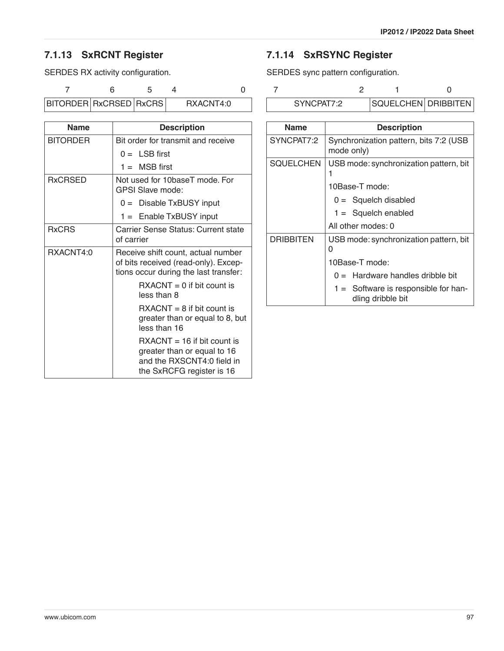# **7.1.13 SxRCNT Register**

SERDES RX activity configuration.

7 6 54 0

BITORDER RxCRSED RxCRS RXACNT4:0

| <b>Name</b>     | <b>Description</b>                                                                                                             |
|-----------------|--------------------------------------------------------------------------------------------------------------------------------|
| <b>BITORDER</b> | Bit order for transmit and receive                                                                                             |
|                 | $0 = \text{LSB}$ first                                                                                                         |
|                 | $1 = \text{MSB}$ first                                                                                                         |
| <b>RxCRSED</b>  | Not used for 10baseT mode. For<br>GPSI Slave mode:                                                                             |
|                 | $0 =$ Disable TxBUSY input                                                                                                     |
|                 | 1 = Enable TxBUSY input                                                                                                        |
| <b>RxCRS</b>    | Carrier Sense Status: Current state<br>of carrier                                                                              |
| RXACNT4:0       | Receive shift count, actual number<br>of bits received (read-only). Excep-<br>tions occur during the last transfer:            |
|                 | $\text{RXACNT} = 0$ if bit count is<br>less than 8                                                                             |
|                 | $\text{RXACNT} = 8$ if bit count is<br>greater than or equal to 8, but<br>less than 16                                         |
|                 | $\text{RXACNT} = 16$ if bit count is<br>greater than or equal to 16<br>and the RXSCNT4:0 field in<br>the SxRCFG register is 16 |

## **7.1.14 SxRSYNC Register**

SERDES sync pattern configuration.

| SYNCPAT7:2 | <b>ISOUELCHEN DRIBBITEN</b> |  |
|------------|-----------------------------|--|

| Name             | <b>Description</b>                                          |  |  |  |  |
|------------------|-------------------------------------------------------------|--|--|--|--|
| SYNCPAT7:2       | Synchronization pattern, bits 7:2 (USB<br>mode only)        |  |  |  |  |
| <b>SQUELCHEN</b> | USB mode: synchronization pattern, bit                      |  |  |  |  |
|                  | 10Base-T mode:                                              |  |  |  |  |
|                  | $0 =$ Squelch disabled                                      |  |  |  |  |
|                  | $1 =$ Squelch enabled                                       |  |  |  |  |
|                  | All other modes: 0                                          |  |  |  |  |
| DRIBBITEN        | USB mode: synchronization pattern, bit<br>0                 |  |  |  |  |
|                  | 10Base-T mode:                                              |  |  |  |  |
|                  | $0 =$ Hardware handles dribble bit                          |  |  |  |  |
|                  | $1 =$ Software is responsible for han-<br>dling dribble bit |  |  |  |  |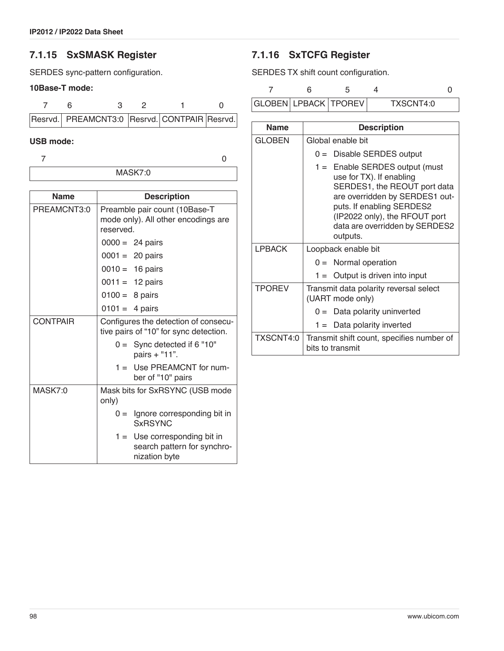#### **7.1.15 SxSMASK Register**

SERDES sync-pattern configuration.

#### **10Base-T mode:**

|  |  | Resrvd. PREAMCNT3:0 Resrvd. CONTPAIR Resrvd. |  |
|--|--|----------------------------------------------|--|

MASK7:0

#### **USB mode:**

7 0

| <b>Name</b>     |                                                                                   | <b>Description</b>                                                             |  |  |  |
|-----------------|-----------------------------------------------------------------------------------|--------------------------------------------------------------------------------|--|--|--|
| PREAMCNT3:0     | Preamble pair count (10Base-T<br>mode only). All other encodings are<br>reserved. |                                                                                |  |  |  |
|                 | $0000 = 24 \text{ pairs}$                                                         |                                                                                |  |  |  |
|                 | $0001 = 20 \text{ pairs}$                                                         |                                                                                |  |  |  |
|                 | $0010 = 16 \text{ pairs}$                                                         |                                                                                |  |  |  |
|                 | $0011 = 12 \text{ pairs}$                                                         |                                                                                |  |  |  |
|                 | $0100 = 8 \text{ pairs}$                                                          |                                                                                |  |  |  |
|                 | $0101 = 4 \text{ pairs}$                                                          |                                                                                |  |  |  |
| <b>CONTPAIR</b> | Configures the detection of consecu-<br>tive pairs of "10" for sync detection.    |                                                                                |  |  |  |
|                 | $0 =$ Sync detected if 6 "10"<br>pairs + "11".                                    |                                                                                |  |  |  |
|                 |                                                                                   | 1 = Use PREAMCNT for num-<br>ber of "10" pairs                                 |  |  |  |
| MASK7:0         | Mask bits for SxRSYNC (USB mode<br>only)                                          |                                                                                |  |  |  |
|                 |                                                                                   | $0 =$ Ignore corresponding bit in<br><b>SxRSYNC</b>                            |  |  |  |
|                 |                                                                                   | $1 =$ Use corresponding bit in<br>search pattern for synchro-<br>nization byte |  |  |  |

### **7.1.16 SxTCFG Register**

SERDES TX shift count configuration.

|  | GLOBEN LPBACK   TPOREV | TXSCNT4:0 |  |
|--|------------------------|-----------|--|

Name **Description** GLOBEN | Global enable bit 0 = Disable SERDES output 1 = Enable SERDES output (must use for TX). If enabling SERDES1, the REOUT port data are overridden by SERDES1 outputs. If enabling SERDES2 (IP2022 only), the RFOUT port data are overridden by SERDES2 outputs. LPBACK | Loopback enable bit  $0 =$  Normal operation  $1 =$  Output is driven into input  $TPOREV$  Transmit data polarity reversal select (UART mode only)  $0 =$  Data polarity uninverted 1 = Data polarity inverted TXSCNT4:0 Transmit shift count, specifies number of bits to transmit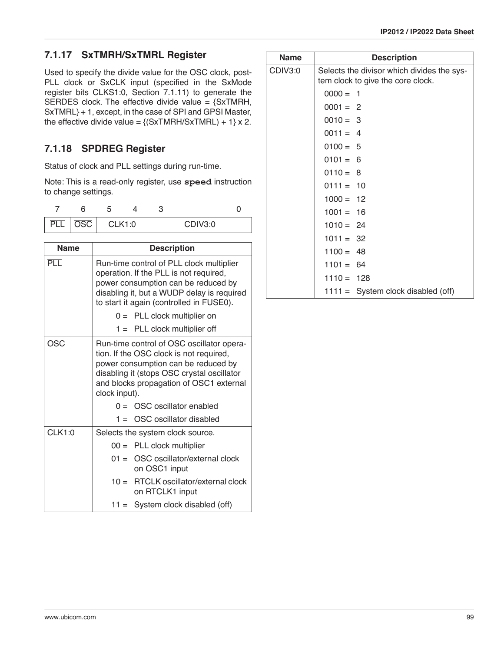### **7.1.17 SxTMRH/SxTMRL Register**

Used to specify the divide value for the OSC clock, post-PLL clock or SxCLK input (specified in the SxMode register bits CLKS1:0, [Section 7.1.11](#page-95-0)) to generate the SERDES clock. The effective divide value =  ${SxTMRH}$ , SxTMRL} + 1, except, in the case of SPI and GPSI Master, the effective divide value =  $\{(SxTMRH/SxTMRL) + 1\} x 2$ .

## **7.1.18 SPDREG Register**

Status of clock and PLL settings during run-time.

Note: This is a read-only register, use **speed** instruction to change settings.

|     | ∽<br>х.       |  |         |  |
|-----|---------------|--|---------|--|
| רפה | <b>CLK1:0</b> |  | CDIV3:0 |  |

| <b>Name</b>   | <b>Description</b>                                                                                                                                                                                                                    |  |  |  |  |
|---------------|---------------------------------------------------------------------------------------------------------------------------------------------------------------------------------------------------------------------------------------|--|--|--|--|
| PLL           | Run-time control of PLL clock multiplier<br>operation. If the PLL is not required,<br>power consumption can be reduced by<br>disabling it, but a WUDP delay is required<br>to start it again (controlled in FUSE0).                   |  |  |  |  |
|               | $0 =$ PLL clock multiplier on                                                                                                                                                                                                         |  |  |  |  |
|               | $1 =$ PLL clock multiplier off                                                                                                                                                                                                        |  |  |  |  |
| <b>OSC</b>    | Run-time control of OSC oscillator opera-<br>tion. If the OSC clock is not required,<br>power consumption can be reduced by<br>disabling it (stops OSC crystal oscillator<br>and blocks propagation of OSC1 external<br>clock input). |  |  |  |  |
|               | $0 = \overline{O}$ OSC oscillator enabled                                                                                                                                                                                             |  |  |  |  |
|               | $1 =$ OSC oscillator disabled                                                                                                                                                                                                         |  |  |  |  |
| <b>CLK1:0</b> | Selects the system clock source.                                                                                                                                                                                                      |  |  |  |  |
|               | $00 =$ PLL clock multiplier                                                                                                                                                                                                           |  |  |  |  |
|               | OSC oscillator/external clock<br>$01 =$<br>on OSC1 input                                                                                                                                                                              |  |  |  |  |
|               | RTCLK oscillator/external clock<br>$10 =$<br>on RTCLK1 input                                                                                                                                                                          |  |  |  |  |
|               | $11 =$ System clock disabled (off)                                                                                                                                                                                                    |  |  |  |  |

| <b>Name</b> |              | <b>Description</b>                                                              |
|-------------|--------------|---------------------------------------------------------------------------------|
| CDIV3:0     |              | Selects the divisor which divides the sys-<br>tem clock to give the core clock. |
|             | $0000 = 1$   |                                                                                 |
|             | $0001 = 2$   |                                                                                 |
|             | $0010 = 3$   |                                                                                 |
|             | $0011 = 4$   |                                                                                 |
|             | $0100 = 5$   |                                                                                 |
|             | $0101 = 6$   |                                                                                 |
|             | $0110 = 8$   |                                                                                 |
|             | $0111 = 10$  |                                                                                 |
|             | $1000 = 12$  |                                                                                 |
|             | $1001 = 16$  |                                                                                 |
|             | $1010 = 24$  |                                                                                 |
|             | $1011 = 32$  |                                                                                 |
|             | $1100 = 48$  |                                                                                 |
|             | $1101 = 64$  |                                                                                 |
|             | $1110 = 128$ |                                                                                 |
|             |              | $1111 =$ System clock disabled (off)                                            |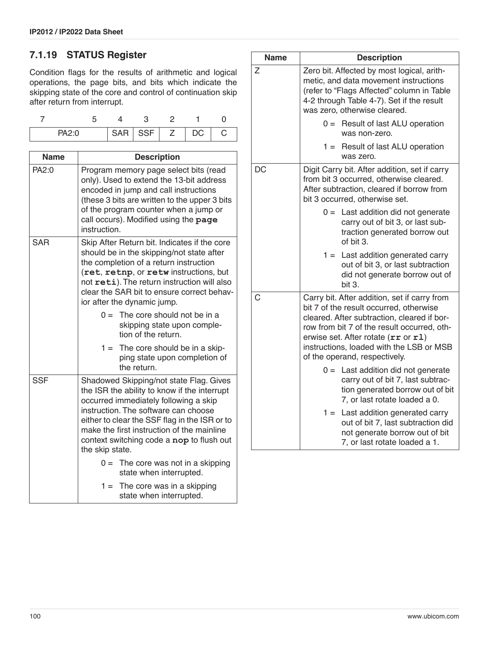## **7.1.19 STATUS Register**

Condition flags for the results of arithmetic and logical operations, the page bits, and bits which indicate the skipping state of the core and control of continuation skip after return from interrupt.

| <b>PA21</b> |  | $SAR$ $SSF$ $Z$ | DC | U |
|-------------|--|-----------------|----|---|

| <b>Name</b> | <b>Description</b>                                                                                                                                                                                                                                                                                                                      |  |  |  |  |  |
|-------------|-----------------------------------------------------------------------------------------------------------------------------------------------------------------------------------------------------------------------------------------------------------------------------------------------------------------------------------------|--|--|--|--|--|
| PA2:0       | Program memory page select bits (read<br>only). Used to extend the 13-bit address<br>encoded in jump and call instructions<br>(these 3 bits are written to the upper 3 bits<br>of the program counter when a jump or<br>call occurs). Modified using the page<br>instruction.                                                           |  |  |  |  |  |
| <b>SAR</b>  | Skip After Return bit. Indicates if the core<br>should be in the skipping/not state after<br>the completion of a return instruction<br>(ret, retnp, or retw instructions, but<br>not reti). The return instruction will also<br>clear the SAR bit to ensure correct behav-<br>ior after the dynamic jump.                               |  |  |  |  |  |
|             | $0 =$ The core should not be in a<br>skipping state upon comple-<br>tion of the return.                                                                                                                                                                                                                                                 |  |  |  |  |  |
|             | $1 =$ The core should be in a skip-<br>ping state upon completion of<br>the return.                                                                                                                                                                                                                                                     |  |  |  |  |  |
| <b>SSF</b>  | Shadowed Skipping/not state Flag. Gives<br>the ISR the ability to know if the interrupt<br>occurred immediately following a skip<br>instruction. The software can choose<br>either to clear the SSF flag in the ISR or to<br>make the first instruction of the mainline<br>context switching code a nop to flush out<br>the skip state. |  |  |  |  |  |
|             | $0 =$ The core was not in a skipping<br>state when interrupted.                                                                                                                                                                                                                                                                         |  |  |  |  |  |
|             | $1 =$<br>The core was in a skipping<br>state when interrupted.                                                                                                                                                                                                                                                                          |  |  |  |  |  |

| <b>Name</b> | <b>Description</b>                                                                                                                                                                                                                                                                                        |
|-------------|-----------------------------------------------------------------------------------------------------------------------------------------------------------------------------------------------------------------------------------------------------------------------------------------------------------|
| Z           | Zero bit. Affected by most logical, arith-<br>metic, and data movement instructions<br>(refer to "Flags Affected" column in Table<br>4-2 through Table 4-7). Set if the result<br>was zero, otherwise cleared.                                                                                            |
|             | $0 =$ Result of last ALU operation<br>was non-zero.                                                                                                                                                                                                                                                       |
|             | Result of last ALU operation<br>$1 =$<br>was zero.                                                                                                                                                                                                                                                        |
| DC          | Digit Carry bit. After addition, set if carry<br>from bit 3 occurred, otherwise cleared.<br>After subtraction, cleared if borrow from<br>bit 3 occurred, otherwise set.                                                                                                                                   |
|             | $0 =$ Last addition did not generate<br>carry out of bit 3, or last sub-<br>traction generated borrow out<br>of bit 3.                                                                                                                                                                                    |
|             | $1 =$ Last addition generated carry<br>out of bit 3, or last subtraction<br>did not generate borrow out of<br>bit 3.                                                                                                                                                                                      |
| C           | Carry bit. After addition, set if carry from<br>bit 7 of the result occurred, otherwise<br>cleared. After subtraction, cleared if bor-<br>row from bit 7 of the result occurred, oth-<br>erwise set. After rotate (rr or r1)<br>instructions, loaded with the LSB or MSB<br>of the operand, respectively. |
|             | Last addition did not generate<br>$0 =$<br>carry out of bit 7, last subtrac-<br>tion generated borrow out of bit<br>7, or last rotate loaded a 0.                                                                                                                                                         |
|             | $1 =$<br>Last addition generated carry<br>out of bit 7, last subtraction did<br>not generate borrow out of bit<br>7, or last rotate loaded a 1.                                                                                                                                                           |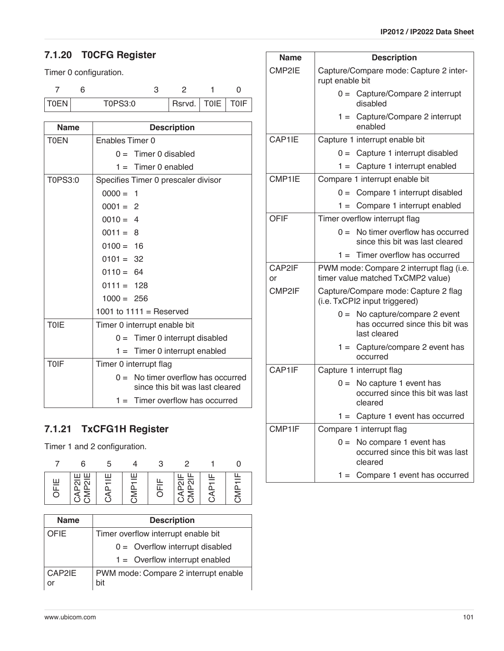## **7.1.20 T0CFG Register**

#### Timer 0 configuration.

| TOEN | T0PS3:0 | Rsrvd.   T0IE   T0IF |  |
|------|---------|----------------------|--|

| <b>Name</b> | <b>Description</b>                                                              |
|-------------|---------------------------------------------------------------------------------|
| <b>T0EN</b> | Enables Timer 0                                                                 |
|             | $0 =$ Timer 0 disabled                                                          |
|             | $1 =$ Timer 0 enabled                                                           |
| T0PS3:0     | Specifies Timer 0 prescaler divisor                                             |
|             | $0000 =$<br>- 1                                                                 |
|             | $0001 = 2$                                                                      |
|             | $0010 = 4$                                                                      |
|             | $0011 = 8$                                                                      |
|             | $0100 = 16$                                                                     |
|             | $0101 = 32$                                                                     |
|             | $0110 = 64$                                                                     |
|             | $0111 = 128$                                                                    |
|             | $1000 = 256$                                                                    |
|             | 1001 to $1111 =$ Reserved                                                       |
| <b>TOIE</b> | Timer 0 interrupt enable bit                                                    |
|             | $0 =$ Timer 0 interrupt disabled                                                |
|             | $1 =$ Timer 0 interrupt enabled                                                 |
| <b>TOIF</b> | Timer 0 interrupt flag                                                          |
|             | No timer overflow has occurred<br>$\Omega =$<br>since this bit was last cleared |
|             | $1 =$ Timer overflow has occurred                                               |

### **7.1.21 TxCFG1H Register**

Timer 1 and 2 configuration.

| 뿐<br>⋽ | 씡<br>≒<br>௨<br>= | 쁘 | 쁮<br>SINS | $\overline{\overline{\Omega}}$<br>నే<br>∠ | ≑<br>₫ | ≑<br>௳<br>≅ |
|--------|------------------|---|-----------|-------------------------------------------|--------|-------------|

| <b>Name</b>  | <b>Description</b>                          |
|--------------|---------------------------------------------|
| <b>OFIE</b>  | Timer overflow interrupt enable bit         |
|              | $0 =$ Overflow interrupt disabled           |
|              | $1 =$ Overflow interrupt enabled            |
| CAP2IE<br>or | PWM mode: Compare 2 interrupt enable<br>bit |

| Name         | <b>Description</b>                                                                     |  |  |  |
|--------------|----------------------------------------------------------------------------------------|--|--|--|
| CMP2IE       | Capture/Compare mode: Capture 2 inter-<br>rupt enable bit                              |  |  |  |
|              | $0 =$ Capture/Compare 2 interrupt<br>disabled                                          |  |  |  |
|              | Capture/Compare 2 interrupt<br>$1 =$<br>enabled                                        |  |  |  |
| CAP1IE       | Capture 1 interrupt enable bit                                                         |  |  |  |
|              | $0 =$ Capture 1 interrupt disabled                                                     |  |  |  |
|              | Capture 1 interrupt enabled<br>$1 =$                                                   |  |  |  |
| CMP1IE       | Compare 1 interrupt enable bit                                                         |  |  |  |
|              | $0 =$ Compare 1 interrupt disabled                                                     |  |  |  |
|              | Compare 1 interrupt enabled<br>$1 =$                                                   |  |  |  |
| <b>OFIF</b>  | Timer overflow interrupt flag                                                          |  |  |  |
|              | No timer overflow has occurred<br>$0 =$<br>since this bit was last cleared             |  |  |  |
|              | Timer overflow has occurred<br>$1 =$                                                   |  |  |  |
| CAP2IF<br>or | PWM mode: Compare 2 interrupt flag (i.e.<br>timer value matched TxCMP2 value)          |  |  |  |
| CMP2IF       | Capture/Compare mode: Capture 2 flag<br>(i.e. TxCPI2 input triggered)                  |  |  |  |
|              | No capture/compare 2 event<br>$0 =$<br>has occurred since this bit was<br>last cleared |  |  |  |
|              | $1 =$ Capture/compare 2 event has<br>occurred                                          |  |  |  |
| CAP1IF       | Capture 1 interrupt flag                                                               |  |  |  |
|              | No capture 1 event has<br>$0 =$<br>occurred since this bit was last<br>cleared         |  |  |  |
|              | $1 =$ Capture 1 event has occurred                                                     |  |  |  |
| CMP1IF       | Compare 1 interrupt flag                                                               |  |  |  |
|              | No compare 1 event has<br>$0 =$<br>occurred since this bit was last<br>cleared         |  |  |  |
|              | $1 =$ Compare 1 event has occurred                                                     |  |  |  |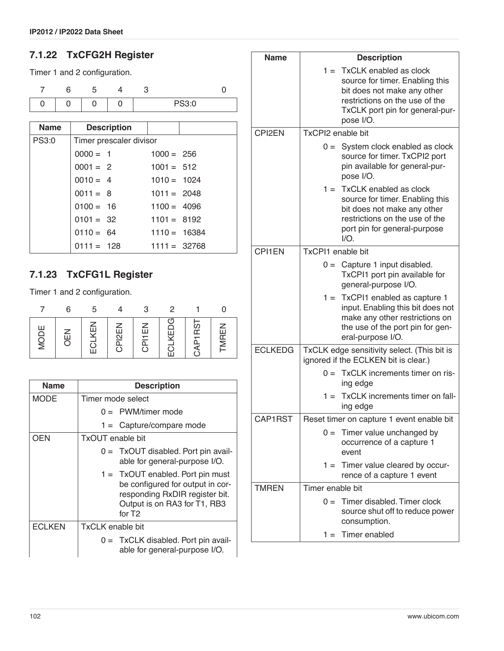## **7.1.22 TxCFG2H Register**

Timer 1 and 2 configuration.

|  |  | PS3:0 |  |
|--|--|-------|--|

| <b>Name</b>  |              | <b>Description</b>      |                |  |
|--------------|--------------|-------------------------|----------------|--|
| <b>PS3:0</b> |              | Timer prescaler divisor |                |  |
|              | $0000 = 1$   |                         | $1000 = 256$   |  |
|              | $0001 = 2$   |                         | $1001 = 512$   |  |
|              | $0010 = 4$   |                         | $1010 = 1024$  |  |
|              | $0011 = 8$   |                         | $1011 = 2048$  |  |
|              | $0100 = 16$  |                         | $1100 = 4096$  |  |
|              | $0101 = 32$  |                         | $1101 = 8192$  |  |
|              | $0110 = 64$  |                         | $1110 = 16384$ |  |
|              | $0111 = 128$ |                         | $1111 = 32768$ |  |

## **7.1.23 TxCFG1L Register**

Timer 1 and 2 configuration.

|          |     | 5    |        |        |       |                       |       |
|----------|-----|------|--------|--------|-------|-----------------------|-------|
| 岂<br>DIN | ŪEI | LKEN | CPI2EN | CPITEN | LKEDG | P <sub>1RS</sub><br>⋜ | TMREN |

| <b>Name</b>   | <b>Description</b>                                                                                                                                             |
|---------------|----------------------------------------------------------------------------------------------------------------------------------------------------------------|
| <b>MODE</b>   | Timer mode select                                                                                                                                              |
|               | $0 =$ PWM/timer mode                                                                                                                                           |
|               | $1 =$ Capture/compare mode                                                                                                                                     |
| OEN           | TxOUT enable bit                                                                                                                                               |
|               | $0 =$ TxOUT disabled. Port pin avail-<br>able for general-purpose I/O.                                                                                         |
|               | $1 =$ TxOUT enabled. Port pin must<br>be configured for output in cor-<br>responding RxDIR register bit.<br>Output is on RA3 for T1, RB3<br>for T <sub>2</sub> |
| <b>ECLKEN</b> | <b>TxCLK</b> enable bit                                                                                                                                        |
|               | $0 =$ TxCLK disabled. Port pin avail-<br>able for general-purpose I/O.                                                                                         |

| Name               | <b>Description</b>                                                                                                                                                               |  |
|--------------------|----------------------------------------------------------------------------------------------------------------------------------------------------------------------------------|--|
|                    | $1 =$ TxCLK enabled as clock<br>source for timer. Enabling this<br>bit does not make any other<br>restrictions on the use of the<br>TxCLK port pin for general-pur-<br>pose I/O. |  |
| CPI <sub>2EN</sub> | TxCPI2 enable bit                                                                                                                                                                |  |
|                    | $0 =$ System clock enabled as clock<br>source for timer. TxCPI2 port<br>pin available for general-pur-<br>pose I/O.                                                              |  |
|                    | $1 =$ TxCLK enabled as clock<br>source for timer. Enabling this<br>bit does not make any other<br>restrictions on the use of the<br>port pin for general-purpose<br>$1/O$ .      |  |
| <b>CPI1EN</b>      | <b>TxCPI1</b> enable bit                                                                                                                                                         |  |
|                    | $0 =$ Capture 1 input disabled.<br>TxCPI1 port pin available for<br>general-purpose I/O.                                                                                         |  |
|                    | $1 =$ TxCPI1 enabled as capture 1<br>input. Enabling this bit does not<br>make any other restrictions on<br>the use of the port pin for gen-<br>eral-purpose I/O.                |  |
| <b>ECLKEDG</b>     | TxCLK edge sensitivity select. (This bit is<br>ignored if the ECLKEN bit is clear.)                                                                                              |  |
|                    | $0 =$ TxCLK increments timer on ris-<br>ing edge                                                                                                                                 |  |
|                    | TxCLK increments timer on fall-<br>$1 =$<br>ing edge                                                                                                                             |  |
| CAP1RSI            | Reset timer on capture 1 event enable bit                                                                                                                                        |  |
|                    | $0 =$<br>Timer value unchanged by<br>occurrence of a capture 1<br>event                                                                                                          |  |
|                    | Timer value cleared by occur-<br>$1 =$<br>rence of a capture 1 event                                                                                                             |  |
| <b>TMREN</b>       | Timer enable bit                                                                                                                                                                 |  |
|                    | Timer disabled. Timer clock<br>$0 =$<br>source shut off to reduce power<br>consumption.                                                                                          |  |
|                    | Timer enabled<br>$1 =$                                                                                                                                                           |  |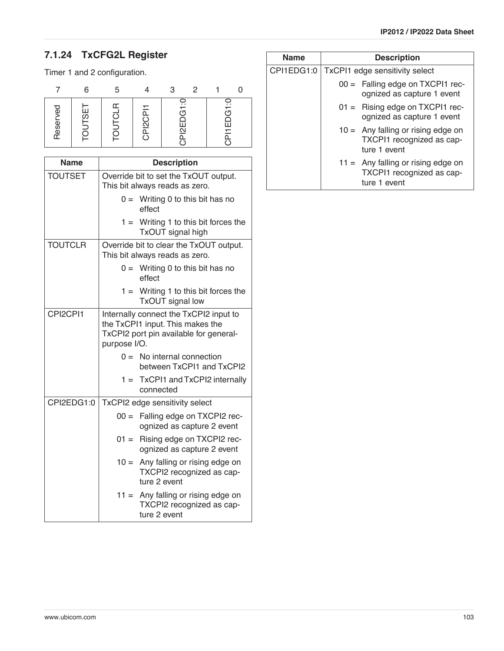# **7.1.24 TxCFG2L Register**

Timer 1 and 2 configuration.

|                 | ี่ค      |                                             | 3                                  | $\mathcal{P}$ |               |
|-----------------|----------|---------------------------------------------|------------------------------------|---------------|---------------|
| ਨ<br>ğ<br>Reser | <u>რ</u> | ⋍<br>൨<br>ក<br>N<br>N<br>$\overline{\circ}$ | ∺<br>(ŋ<br>Ш<br>$\bar{\mathbb{2}}$ |               | ∓<br>ŕΠ<br>三二 |

| <b>Name</b>    |              | <b>Description</b>                                                                                                   |
|----------------|--------------|----------------------------------------------------------------------------------------------------------------------|
| <b>TOUTSET</b> |              | Override bit to set the TxOUT output.<br>This bit always reads as zero.                                              |
|                |              | $0 =$ Writing 0 to this bit has no<br>effect                                                                         |
|                |              | $1 =$ Writing 1 to this bit forces the<br>TxOUT signal high                                                          |
| <b>TOUTCLR</b> |              | Override bit to clear the TxOUT output.<br>This bit always reads as zero.                                            |
|                |              | $0 =$ Writing 0 to this bit has no<br>effect                                                                         |
|                |              | $1 =$ Writing 1 to this bit forces the<br>TxOUT signal low                                                           |
| CPI2CPI1       | purpose I/O. | Internally connect the TxCPI2 input to<br>the TxCPI1 input. This makes the<br>TxCPI2 port pin available for general- |
|                | $0 =$        | No internal connection<br>between TxCPI1 and TxCPI2                                                                  |
|                |              | $1 =$ TxCPI1 and TxCPI2 internally<br>connected                                                                      |
| CPI2EDG1:0     |              | TxCPI2 edge sensitivity select                                                                                       |
|                | $00 =$       | Falling edge on TXCPI2 rec-<br>ognized as capture 2 event                                                            |
|                |              | 01 = Rising edge on TXCPI2 rec-<br>ognized as capture 2 event                                                        |
|                | $10 =$       | Any falling or rising edge on<br>TXCPI2 recognized as cap-<br>ture 2 event                                           |
|                |              | $11 =$ Any falling or rising edge on<br>TXCPI2 recognized as cap-<br>ture 2 event                                    |

| <b>Name</b> |                                | <b>Description</b>                                                                |  |  |  |  |
|-------------|--------------------------------|-----------------------------------------------------------------------------------|--|--|--|--|
| CPI1EDG1:0  | TxCPI1 edge sensitivity select |                                                                                   |  |  |  |  |
|             |                                | 00 = Falling edge on TXCPI1 rec-<br>ognized as capture 1 event                    |  |  |  |  |
|             |                                | $01 =$ Rising edge on TXCPI1 rec-<br>ognized as capture 1 event                   |  |  |  |  |
|             |                                | $10 =$ Any falling or rising edge on<br>TXCPI1 recognized as cap-<br>ture 1 event |  |  |  |  |
|             |                                | $11 =$ Any falling or rising edge on<br>TXCPI1 recognized as cap-<br>ture 1 event |  |  |  |  |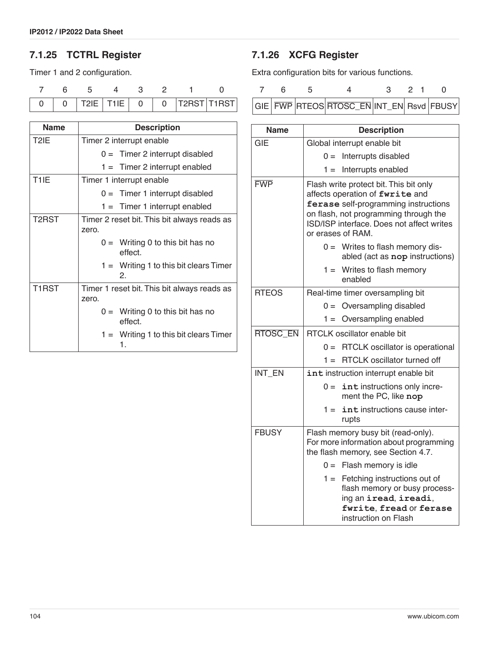## **7.1.25 TCTRL Register**

Timer 1 and 2 configuration.

| <b>Name</b>        | <b>Description</b>                                   |  |  |  |  |  |  |
|--------------------|------------------------------------------------------|--|--|--|--|--|--|
| T <sub>2</sub> IE  | Timer 2 interrupt enable                             |  |  |  |  |  |  |
|                    | $0 =$ Timer 2 interrupt disabled                     |  |  |  |  |  |  |
|                    | $1 =$ Timer 2 interrupt enabled                      |  |  |  |  |  |  |
| T <sub>1</sub> IE  | Timer 1 interrupt enable                             |  |  |  |  |  |  |
|                    | $0 =$ Timer 1 interrupt disabled                     |  |  |  |  |  |  |
|                    | $1 =$ Timer 1 interrupt enabled                      |  |  |  |  |  |  |
| T <sub>2</sub> RST | Timer 2 reset bit. This bit always reads as<br>zero. |  |  |  |  |  |  |
|                    | $0 =$ Writing 0 to this bit has no<br>effect.        |  |  |  |  |  |  |
|                    | $1 =$ Writing 1 to this bit clears Timer<br>2.       |  |  |  |  |  |  |
| T <sub>1</sub> RST | Timer 1 reset bit. This bit always reads as<br>zero. |  |  |  |  |  |  |
|                    | $0 =$ Writing 0 to this bit has no<br>effect.        |  |  |  |  |  |  |
|                    | $1 =$ Writing 1 to this bit clears Timer<br>1.       |  |  |  |  |  |  |

## <span id="page-103-0"></span>**7.1.26 XCFG Register**

Extra configuration bits for various functions.

|  | $\sim$ |                                          | 3 2 1 |  |  |
|--|--------|------------------------------------------|-------|--|--|
|  |        | GIE FWP RTEOS RTOSC_EN INT_EN Rsvd FBUSY |       |  |  |

| <b>Name</b>     | <b>Description</b>                                                                                                                                                                                                           |
|-----------------|------------------------------------------------------------------------------------------------------------------------------------------------------------------------------------------------------------------------------|
| <b>GIE</b>      | Global interrupt enable bit                                                                                                                                                                                                  |
|                 | Interrupts disabled<br>$0 =$                                                                                                                                                                                                 |
|                 | Interrupts enabled<br>$1 =$                                                                                                                                                                                                  |
| <b>FWP</b>      | Flash write protect bit. This bit only<br>affects operation of fwrite and<br>ferase self-programming instructions<br>on flash, not programming through the<br>ISD/ISP interface. Does not affect writes<br>or erases of RAM. |
|                 | $0 =$ Writes to flash memory dis-<br>abled (act as nop instructions)                                                                                                                                                         |
|                 | $1 =$ Writes to flash memory<br>enabled                                                                                                                                                                                      |
| <b>RTEOS</b>    | Real-time timer oversampling bit                                                                                                                                                                                             |
|                 | Oversampling disabled<br>$0 =$                                                                                                                                                                                               |
|                 | Oversampling enabled<br>$1 =$                                                                                                                                                                                                |
| <b>RTOSC EN</b> | RTCLK oscillator enable bit                                                                                                                                                                                                  |
|                 | RTCLK oscillator is operational<br>$0 =$                                                                                                                                                                                     |
|                 | <b>RTCLK</b> oscillator turned off<br>$1 =$                                                                                                                                                                                  |
| INT EN          | int instruction interrupt enable bit                                                                                                                                                                                         |
|                 | int instructions only incre-<br>$0 =$<br>ment the PC, like nop                                                                                                                                                               |
|                 | $1 =$<br>int instructions cause inter-<br>rupts                                                                                                                                                                              |
| <b>FBUSY</b>    | Flash memory busy bit (read-only).<br>For more information about programming<br>the flash memory, see Section 4.7.                                                                                                           |
|                 | $0 =$ Flash memory is idle                                                                                                                                                                                                   |
|                 | Fetching instructions out of<br>$1 =$<br>flash memory or busy process-<br>ing an iread, ireadi,<br>fwrite, fread or ferase<br>instruction on Flash                                                                           |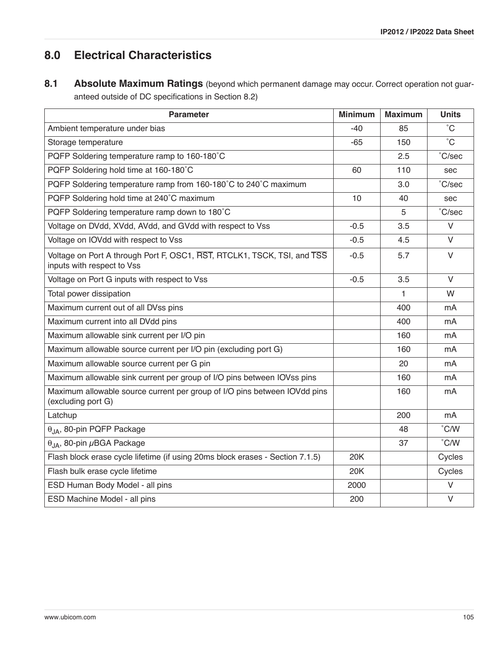# **8.0 Electrical Characteristics**

8.1 Absolute Maximum Ratings (beyond which permanent damage may occur. Correct operation not guaranteed outside of DC specifications in [Section 8.2](#page-105-0))

| <b>Parameter</b>                                                                                      | <b>Minimum</b> | <b>Maximum</b> | <b>Units</b>    |
|-------------------------------------------------------------------------------------------------------|----------------|----------------|-----------------|
| Ambient temperature under bias                                                                        | $-40$          | 85             | $^{\circ}$ C    |
| Storage temperature                                                                                   | -65            | 150            | $^{\circ}$ C    |
| PQFP Soldering temperature ramp to 160-180°C                                                          |                | 2.5            | $\degree$ C/sec |
| PQFP Soldering hold time at 160-180°C                                                                 | 60             | 110            | sec             |
| PQFP Soldering temperature ramp from 160-180°C to 240°C maximum                                       |                | 3.0            | $\degree$ C/sec |
| PQFP Soldering hold time at 240°C maximum                                                             | 10             | 40             | sec             |
| PQFP Soldering temperature ramp down to 180°C                                                         |                | 5              | °C/sec          |
| Voltage on DVdd, XVdd, AVdd, and GVdd with respect to Vss                                             | $-0.5$         | 3.5            | $\vee$          |
| Voltage on IOVdd with respect to Vss                                                                  | $-0.5$         | 4.5            | $\vee$          |
| Voltage on Port A through Port F, OSC1, RST, RTCLK1, TSCK, TSI, and TSS<br>inputs with respect to Vss | $-0.5$         | 5.7            | $\vee$          |
| Voltage on Port G inputs with respect to Vss                                                          | $-0.5$         | 3.5            | $\vee$          |
| Total power dissipation                                                                               |                | 1              | W               |
| Maximum current out of all DVss pins                                                                  |                | 400            | mA              |
| Maximum current into all DVdd pins                                                                    |                | 400            | mA              |
| Maximum allowable sink current per I/O pin                                                            |                | 160            | mA              |
| Maximum allowable source current per I/O pin (excluding port G)                                       |                | 160            | mA              |
| Maximum allowable source current per G pin                                                            |                | 20             | mA              |
| Maximum allowable sink current per group of I/O pins between IOVss pins                               |                | 160            | mA              |
| Maximum allowable source current per group of I/O pins between IOVdd pins<br>(excluding port G)       |                | 160            | mA              |
| Latchup                                                                                               |                | 200            | mA              |
| $\theta$ <sub>JA</sub> , 80-pin PQFP Package                                                          |                | 48             | $\degree$ C/W   |
| $\theta_{IA}$ , 80-pin µBGA Package                                                                   |                | 37             | $^{\circ}$ C/W  |
| Flash block erase cycle lifetime (if using 20ms block erases - Section 7.1.5)                         | 20K            |                | Cycles          |
| Flash bulk erase cycle lifetime                                                                       | 20K            |                | Cycles          |
| ESD Human Body Model - all pins                                                                       | 2000           |                | $\vee$          |
| ESD Machine Model - all pins                                                                          | 200            |                | $\vee$          |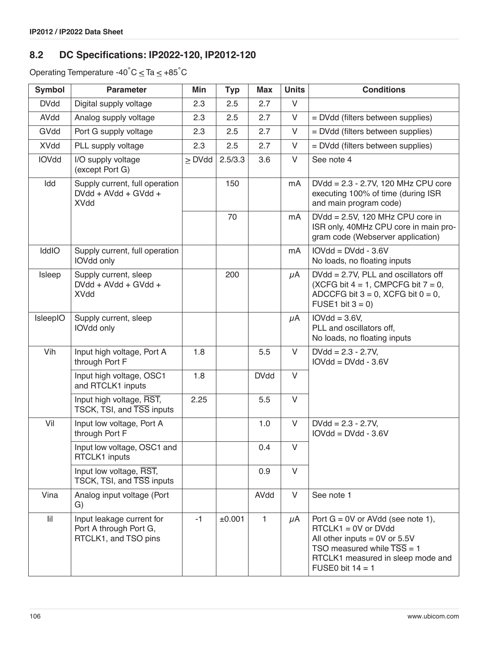# <span id="page-105-0"></span>**8.2 DC Specifications: IP2022-120, IP2012-120**

Operating Temperature -40 $^{\circ}$ C  $\leq$  Ta  $\leq$  +85 $^{\circ}$ C

| <b>Symbol</b> | <b>Parameter</b>                                                            | Min         | <b>Typ</b> | <b>Max</b>   | <b>Units</b> | <b>Conditions</b>                                                                                                                                                                                     |
|---------------|-----------------------------------------------------------------------------|-------------|------------|--------------|--------------|-------------------------------------------------------------------------------------------------------------------------------------------------------------------------------------------------------|
| <b>DVdd</b>   | Digital supply voltage                                                      | 2.3         | 2.5        | 2.7          | V            |                                                                                                                                                                                                       |
| AVdd          | Analog supply voltage                                                       | 2.3         | 2.5        | 2.7          | V            | = DVdd (filters between supplies)                                                                                                                                                                     |
| GVdd          | Port G supply voltage                                                       | 2.3         | 2.5        | 2.7          | V            | = DVdd (filters between supplies)                                                                                                                                                                     |
| <b>XVdd</b>   | PLL supply voltage                                                          | 2.3         | 2.5        | 2.7          | V            | = DVdd (filters between supplies)                                                                                                                                                                     |
| <b>IOVdd</b>  | I/O supply voltage<br>(except Port G)                                       | $\geq$ DVdd | 2.5/3.3    | 3.6          | $\vee$       | See note 4                                                                                                                                                                                            |
| Idd           | Supply current, full operation<br>DVdd + AVdd + GVdd +<br><b>XVdd</b>       |             | 150        |              | mA           | DVdd = 2.3 - 2.7V, 120 MHz CPU core<br>executing 100% of time (during ISR<br>and main program code)                                                                                                   |
|               |                                                                             |             | 70         |              | mA           | DVdd = 2.5V, 120 MHz CPU core in<br>ISR only, 40MHz CPU core in main pro-<br>gram code (Webserver application)                                                                                        |
| IddIO         | Supply current, full operation<br>IOVdd only                                |             |            |              | mA           | $IOVdd = DVdd - 3.6V$<br>No loads, no floating inputs                                                                                                                                                 |
| Isleep        | Supply current, sleep<br>$DVdd + AVdd + GVdd +$<br><b>XVdd</b>              |             | 200        |              | $\mu$ A      | $DVdd = 2.7V$ , PLL and oscillators off<br>(XCFG bit $4 = 1$ , CMPCFG bit $7 = 0$ ,<br>ADCCFG bit $3 = 0$ , XCFG bit $0 = 0$ ,<br>FUSE1 bit $3 = 0$ )                                                 |
| IsleepIO      | Supply current, sleep<br>IOVdd only                                         |             |            |              | $\mu$ A      | $IOVdd = 3.6V,$<br>PLL and oscillators off,<br>No loads, no floating inputs                                                                                                                           |
| Vih           | Input high voltage, Port A<br>through Port F                                | 1.8         |            | 5.5          | V            | $DVdd = 2.3 - 2.7V$ ,<br>$IOVdd = DVdd - 3.6V$                                                                                                                                                        |
|               | Input high voltage, OSC1<br>and RTCLK1 inputs                               | 1.8         |            | <b>DVdd</b>  | $\vee$       |                                                                                                                                                                                                       |
|               | Input high voltage, RST,<br>TSCK, TSI, and TSS inputs                       | 2.25        |            | 5.5          | V            |                                                                                                                                                                                                       |
| Vil           | Input low voltage, Port A<br>through Port F                                 |             |            | 1.0          | V            | $DVdd = 2.3 - 2.7V,$<br>$IOVdd = DVdd - 3.6V$                                                                                                                                                         |
|               | Input low voltage, OSC1 and<br>RTCLK1 inputs                                |             |            | 0.4          | V            |                                                                                                                                                                                                       |
|               | Input low voltage, RST,<br>TSCK, TSI, and TSS inputs                        |             |            | 0.9          | $\vee$       |                                                                                                                                                                                                       |
| Vina          | Analog input voltage (Port<br>G)                                            |             |            | AVdd         | V            | See note 1                                                                                                                                                                                            |
| lil           | Input leakage current for<br>Port A through Port G,<br>RTCLK1, and TSO pins | $-1$        | ±0.001     | $\mathbf{1}$ | $\mu$ A      | Port $G = 0V$ or AVdd (see note 1),<br>$RTCLK1 = 0V$ or DVdd<br>All other inputs $= 0V$ or 5.5V<br>TSO measured while $\overline{TSS} = 1$<br>RTCLK1 measured in sleep mode and<br>FUSE0 bit $14 = 1$ |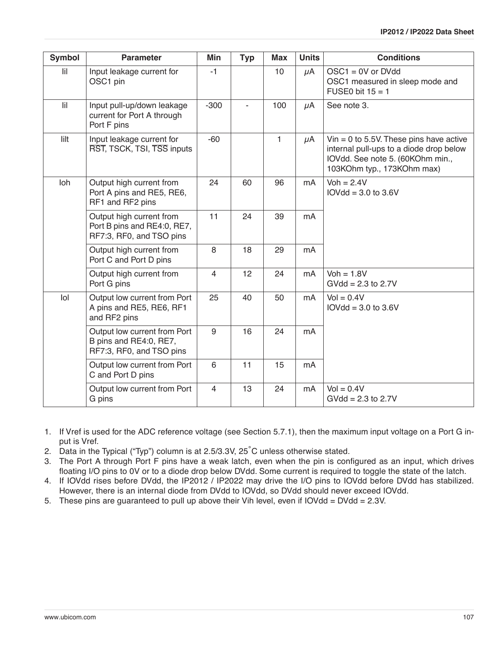| Symbol                   | <b>Parameter</b>                                                                    | <b>Min</b>     | <b>Typ</b> | <b>Max</b> | <b>Units</b> | <b>Conditions</b>                                                                                                                                    |
|--------------------------|-------------------------------------------------------------------------------------|----------------|------------|------------|--------------|------------------------------------------------------------------------------------------------------------------------------------------------------|
| $\overline{\mathbf{ii}}$ | Input leakage current for<br>OSC1 pin                                               | $-1$           |            | 10         | $\mu$ A      | $OSC1 = 0V$ or DVdd<br>OSC1 measured in sleep mode and<br>FUSE0 bit $15 = 1$                                                                         |
| $\overline{\mathbf{ii}}$ | Input pull-up/down leakage<br>current for Port A through<br>Port F pins             | $-300$         |            | 100        | $\mu$ A      | See note 3.                                                                                                                                          |
| lilt                     | Input leakage current for<br>RST, TSCK, TSI, TSS inputs                             | $-60$          |            | 1          | $\mu$ A      | Vin = 0 to 5.5V. These pins have active<br>internal pull-ups to a diode drop below<br>IOVdd. See note 5. (60KOhm min.,<br>103KOhm typ., 173KOhm max) |
| Ioh                      | Output high current from<br>Port A pins and RE5, RE6,<br>RF1 and RF2 pins           | 24             | 60         | 96         | mA           | $Voh = 2.4V$<br>$IOVdd = 3.0$ to $3.6V$                                                                                                              |
|                          | Output high current from<br>Port B pins and RE4:0, RE7,<br>RF7:3, RF0, and TSO pins | 11             | 24         | 39         | mA           |                                                                                                                                                      |
|                          | Output high current from<br>Port C and Port D pins                                  | 8              | 18         | 29         | mA           |                                                                                                                                                      |
|                          | Output high current from<br>Port G pins                                             | $\overline{4}$ | 12         | 24         | mA           | $Voh = 1.8V$<br>$GVdd = 2.3$ to 2.7V                                                                                                                 |
| $I$ ol                   | Output low current from Port<br>A pins and RE5, RE6, RF1<br>and RF2 pins            | 25             | 40         | 50         | mA           | $Vol = 0.4V$<br>$IOVdd = 3.0$ to $3.6V$                                                                                                              |
|                          | Output low current from Port<br>B pins and RE4:0, RE7,<br>RF7:3, RF0, and TSO pins  | 9              | 16         | 24         | mA           |                                                                                                                                                      |
|                          | Output low current from Port<br>C and Port D pins                                   | 6              | 11         | 15         | mA           |                                                                                                                                                      |
|                          | Output low current from Port<br>G pins                                              | $\overline{4}$ | 13         | 24         | mA           | $Vol = 0.4V$<br>$GVdd = 2.3$ to 2.7V                                                                                                                 |

- 1. If Vref is used for the ADC reference voltage (see [Section 5.7.1\)](#page-71-0), then the maximum input voltage on a Port G input is Vref.
- 2. Data in the Typical ("Typ") column is at 2.5/3.3V, 25˚C unless otherwise stated.
- 3. The Port A through Port F pins have a weak latch, even when the pin is configured as an input, which drives floating I/O pins to 0V or to a diode drop below DVdd. Some current is required to toggle the state of the latch.
- 4. If IOVdd rises before DVdd, the IP2012 / IP2022 may drive the I/O pins to IOVdd before DVdd has stabilized. However, there is an internal diode from DVdd to IOVdd, so DVdd should never exceed IOVdd.
- 5. These pins are guaranteed to pull up above their Vih level, even if IOVdd = DVdd = 2.3V.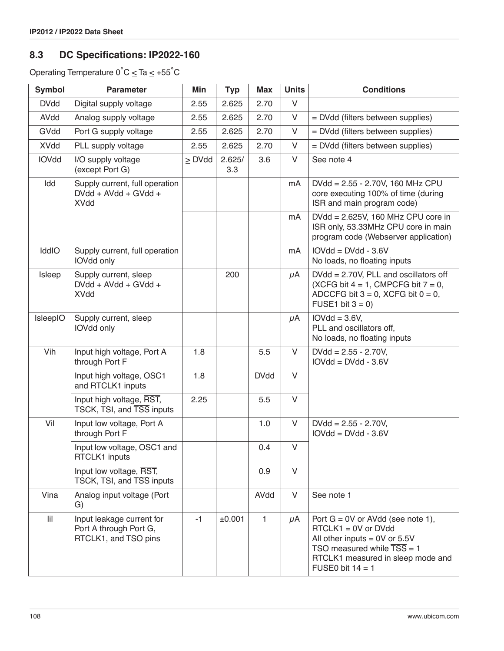# **8.3 DC Specifications: IP2022-160**

Operating Temperature  $0^{\circ}C \leq Ta \leq +55^{\circ}C$ 

| <b>Symbol</b> | <b>Parameter</b>                                                            | Min         | <b>Typ</b>    | <b>Max</b>   | <b>Units</b> | <b>Conditions</b>                                                                                                                                                                                     |
|---------------|-----------------------------------------------------------------------------|-------------|---------------|--------------|--------------|-------------------------------------------------------------------------------------------------------------------------------------------------------------------------------------------------------|
| <b>DVdd</b>   | Digital supply voltage                                                      | 2.55        | 2.625         | 2.70         | V            |                                                                                                                                                                                                       |
| AVdd          | Analog supply voltage                                                       | 2.55        | 2.625         | 2.70         | $\vee$       | = DVdd (filters between supplies)                                                                                                                                                                     |
| GVdd          | Port G supply voltage                                                       | 2.55        | 2.625         | 2.70         | $\vee$       | = DVdd (filters between supplies)                                                                                                                                                                     |
| <b>XVdd</b>   | PLL supply voltage                                                          | 2.55        | 2.625         | 2.70         | V            | = DVdd (filters between supplies)                                                                                                                                                                     |
| <b>IOVdd</b>  | I/O supply voltage<br>(except Port G)                                       | $\geq$ DVdd | 2.625/<br>3.3 | 3.6          | $\vee$       | See note 4                                                                                                                                                                                            |
| Idd           | Supply current, full operation<br>DVdd + AVdd + GVdd +<br><b>XVdd</b>       |             |               |              | mA           | DVdd = 2.55 - 2.70V, 160 MHz CPU<br>core executing 100% of time (during<br>ISR and main program code)                                                                                                 |
|               |                                                                             |             |               |              | mA           | DVdd = 2.625V, 160 MHz CPU core in<br>ISR only, 53.33MHz CPU core in main<br>program code (Webserver application)                                                                                     |
| IddIO         | Supply current, full operation<br>IOVdd only                                |             |               |              | mA           | $IOVdd = DVdd - 3.6V$<br>No loads, no floating inputs                                                                                                                                                 |
| Isleep        | Supply current, sleep<br>DVdd + AVdd + GVdd +<br><b>XVdd</b>                |             | 200           |              | $\mu$ A      | $DVdd = 2.70V$ , PLL and oscillators off<br>(XCFG bit $4 = 1$ , CMPCFG bit $7 = 0$ ,<br>ADCCFG bit $3 = 0$ , XCFG bit $0 = 0$ ,<br>FUSE1 bit $3 = 0$ )                                                |
| IsleepIO      | Supply current, sleep<br>IOVdd only                                         |             |               |              | $\mu$ A      | $IOVdd = 3.6V,$<br>PLL and oscillators off,<br>No loads, no floating inputs                                                                                                                           |
| Vih           | Input high voltage, Port A<br>through Port F                                | 1.8         |               | 5.5          | $\vee$       | $DVdd = 2.55 - 2.70V,$<br>$IOVdd = DVdd - 3.6V$                                                                                                                                                       |
|               | Input high voltage, OSC1<br>and RTCLK1 inputs                               | 1.8         |               | <b>DVdd</b>  | $\vee$       |                                                                                                                                                                                                       |
|               | Input high voltage, RST,<br>TSCK, TSI, and TSS inputs                       | 2.25        |               | 5.5          | $\vee$       |                                                                                                                                                                                                       |
| Vil           | Input low voltage, Port A<br>through Port F                                 |             |               | 1.0          | $\vee$       | $DVdd = 2.55 - 2.70V,$<br>$IOVdd = DVdd - 3.6V$                                                                                                                                                       |
|               | Input low voltage, OSC1 and<br>RTCLK1 inputs                                |             |               | 0.4          | V            |                                                                                                                                                                                                       |
|               | Input low voltage, RST,<br>TSCK, TSI, and TSS inputs                        |             |               | 0.9          | $\vee$       |                                                                                                                                                                                                       |
| Vina          | Analog input voltage (Port<br>G)                                            |             |               | AVdd         | $\vee$       | See note 1                                                                                                                                                                                            |
| $\mathsf{I}$  | Input leakage current for<br>Port A through Port G,<br>RTCLK1, and TSO pins | $-1$        | ±0.001        | $\mathbf{1}$ | $\mu$ A      | Port $G = 0V$ or AVdd (see note 1),<br>$RTCLK1 = 0V$ or DVdd<br>All other inputs $= 0V$ or 5.5V<br>TSO measured while $\overline{TSS} = 1$<br>RTCLK1 measured in sleep mode and<br>FUSE0 bit $14 = 1$ |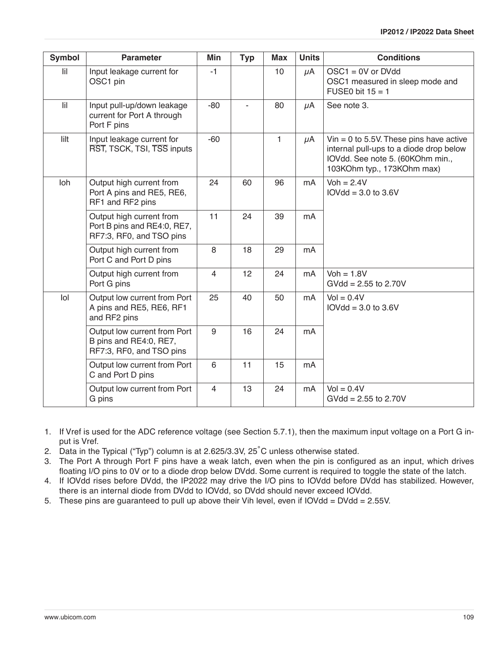| Symbol                   | <b>Parameter</b>                                                                    | <b>Min</b>     | <b>Typ</b> | <b>Max</b> | <b>Units</b> | <b>Conditions</b>                                                                                                                                    |
|--------------------------|-------------------------------------------------------------------------------------|----------------|------------|------------|--------------|------------------------------------------------------------------------------------------------------------------------------------------------------|
| $\overline{\mathbf{ii}}$ | Input leakage current for<br>OSC1 pin                                               | $-1$           |            | 10         | $\mu$ A      | $OSC1 = 0V$ or DVdd<br>OSC1 measured in sleep mode and<br>FUSE0 bit $15 = 1$                                                                         |
| $\overline{\mathbf{ii}}$ | Input pull-up/down leakage<br>current for Port A through<br>Port F pins             | $-80$          |            | 80         | $\mu$ A      | See note 3.                                                                                                                                          |
| lilt                     | Input leakage current for<br>RST, TSCK, TSI, TSS inputs                             | $-60$          |            | 1          | $\mu$ A      | Vin = 0 to 5.5V. These pins have active<br>internal pull-ups to a diode drop below<br>IOVdd. See note 5. (60KOhm min.,<br>103KOhm typ., 173KOhm max) |
| Ioh                      | Output high current from<br>Port A pins and RE5, RE6,<br>RF1 and RF2 pins           | 24             | 60         | 96         | mA           | $Voh = 2.4V$<br>$IOVdd = 3.0$ to $3.6V$                                                                                                              |
|                          | Output high current from<br>Port B pins and RE4:0, RE7,<br>RF7:3, RF0, and TSO pins | 11             | 24         | 39         | mA           |                                                                                                                                                      |
|                          | Output high current from<br>Port C and Port D pins                                  | 8              | 18         | 29         | mA           |                                                                                                                                                      |
|                          | Output high current from<br>Port G pins                                             | $\overline{4}$ | 12         | 24         | mA           | $Voh = 1.8V$<br>$GVdd = 2.55$ to 2.70V                                                                                                               |
| $I$ ol                   | Output low current from Port<br>A pins and RE5, RE6, RF1<br>and RF2 pins            | 25             | 40         | 50         | mA           | $Vol = 0.4V$<br>$IOVdd = 3.0$ to $3.6V$                                                                                                              |
|                          | Output low current from Port<br>B pins and RE4:0, RE7,<br>RF7:3, RF0, and TSO pins  | 9              | 16         | 24         | mA           |                                                                                                                                                      |
|                          | Output low current from Port<br>C and Port D pins                                   | 6              | 11         | 15         | mA           |                                                                                                                                                      |
|                          | Output low current from Port<br>G pins                                              | $\overline{4}$ | 13         | 24         | mA           | $Vol = 0.4V$<br>$GVdd = 2.55$ to 2.70V                                                                                                               |

- 1. If Vref is used for the ADC reference voltage (see [Section 5.7.1\)](#page-71-0), then the maximum input voltage on a Port G input is Vref.
- 2. Data in the Typical ("Typ") column is at 2.625/3.3V, 25˚C unless otherwise stated.
- 3. The Port A through Port F pins have a weak latch, even when the pin is configured as an input, which drives floating I/O pins to 0V or to a diode drop below DVdd. Some current is required to toggle the state of the latch.
- 4. If IOVdd rises before DVdd, the IP2022 may drive the I/O pins to IOVdd before DVdd has stabilized. However, there is an internal diode from DVdd to IOVdd, so DVdd should never exceed IOVdd.
- 5. These pins are guaranteed to pull up above their Vih level, even if IOVdd = DVdd = 2.55V.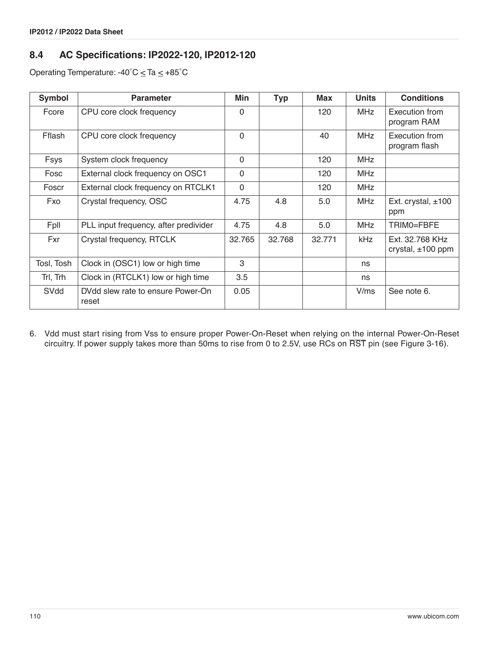# **8.4 AC Specifications: IP2022-120, IP2012-120**

Operating Temperature: -40 $^{\circ}$ C  $\leq$  Ta  $\leq$  +85 $^{\circ}$ C

| Symbol      | <b>Parameter</b>                           | Min          | <b>Typ</b> | <b>Max</b> | <b>Units</b> | <b>Conditions</b>                         |
|-------------|--------------------------------------------|--------------|------------|------------|--------------|-------------------------------------------|
| Fcore       | CPU core clock frequency                   | $\Omega$     |            | 120        | <b>MHz</b>   | Execution from<br>program RAM             |
| Fflash      | CPU core clock frequency                   | $\Omega$     |            | 40         | <b>MHz</b>   | Execution from<br>program flash           |
| <b>Fsys</b> | System clock frequency                     | $\mathbf{0}$ |            | 120        | <b>MHz</b>   |                                           |
| Fosc        | External clock frequency on OSC1           | $\mathbf{0}$ |            | 120        | <b>MHz</b>   |                                           |
| Foscr       | External clock frequency on RTCLK1         | $\mathbf 0$  |            | 120        | <b>MHz</b>   |                                           |
| Fxo         | Crystal frequency, OSC                     | 4.75         | 4.8        | 5.0        | <b>MHz</b>   | Ext. crystal, $±100$<br>ppm               |
| Fpll        | PLL input frequency, after predivider      | 4.75         | 4.8        | 5.0        | <b>MHz</b>   | TRIM0=FBFE                                |
| Fxr         | Crystal frequency, RTCLK                   | 32.765       | 32.768     | 32.771     | kHz          | Ext. 32.768 KHz<br>crystal, $\pm 100$ ppm |
| Tosl, Tosh  | Clock in (OSC1) low or high time           | 3            |            |            | ns           |                                           |
| Trl, Trh    | Clock in (RTCLK1) low or high time         | 3.5          |            |            | ns           |                                           |
| SVdd        | DVdd slew rate to ensure Power-On<br>reset | 0.05         |            |            | V/ms         | See note 6.                               |

6. Vdd must start rising from Vss to ensure proper Power-On-Reset when relying on the internal Power-On-Reset circuitry. If power supply takes more than 50ms to rise from 0 to 2.5V, use RCs on RST pin (see [Figure 3-16](#page-26-0)).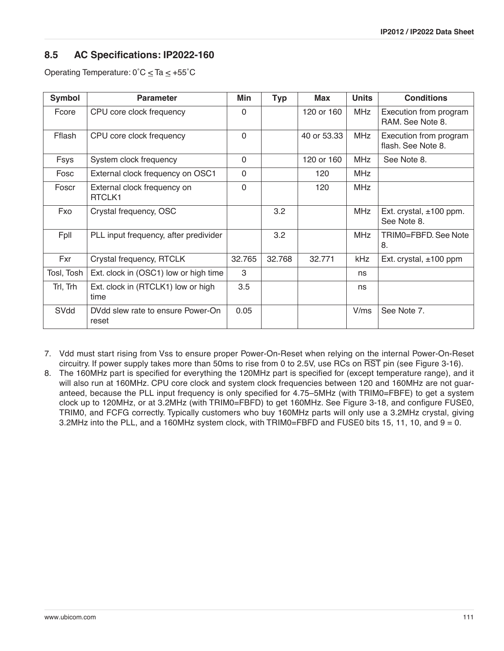# **8.5 AC Specifications: IP2022-160**

Operating Temperature:  $0^{\circ}$ C  $\leq$  Ta  $\leq$  +55 $^{\circ}$ C

| Symbol     | <b>Parameter</b>                                  | Min          | <b>Typ</b> | Max         | <b>Units</b> | <b>Conditions</b>                            |
|------------|---------------------------------------------------|--------------|------------|-------------|--------------|----------------------------------------------|
| Fcore      | CPU core clock frequency                          | $\Omega$     |            | 120 or 160  | <b>MHz</b>   | Execution from program<br>RAM. See Note 8.   |
| Fflash     | CPU core clock frequency                          | $\Omega$     |            | 40 or 53.33 | <b>MHz</b>   | Execution from program<br>flash. See Note 8. |
| Fsys       | System clock frequency                            | $\Omega$     |            | 120 or 160  | <b>MHz</b>   | See Note 8.                                  |
| Fosc       | External clock frequency on OSC1                  | $\mathbf{0}$ |            | 120         | <b>MHz</b>   |                                              |
| Foscr      | External clock frequency on<br>RTCLK <sub>1</sub> | $\Omega$     |            | 120         | <b>MHz</b>   |                                              |
| Fxo        | Crystal frequency, OSC                            |              | 3.2        |             | <b>MHz</b>   | Ext. crystal, $\pm 100$ ppm.<br>See Note 8.  |
| Fpll       | PLL input frequency, after predivider             |              | 3.2        |             | <b>MHz</b>   | TRIMO=FBFD, See Note<br>8.                   |
| Fxr        | Crystal frequency, RTCLK                          | 32.765       | 32.768     | 32.771      | kHz          | Ext. crystal, $\pm 100$ ppm                  |
| Tosl, Tosh | Ext. clock in (OSC1) low or high time             | 3            |            |             | ns           |                                              |
| Trl, Trh   | Ext. clock in (RTCLK1) low or high<br>time        | 3.5          |            |             | ns           |                                              |
| SVdd       | DVdd slew rate to ensure Power-On<br>reset        | 0.05         |            |             | V/ms         | See Note 7.                                  |

7. Vdd must start rising from Vss to ensure proper Power-On-Reset when relying on the internal Power-On-Reset circuitry. If power supply takes more than 50ms to rise from 0 to 2.5V, use RCs on RST pin (see [Figure 3-16](#page-26-0)).

8. The 160MHz part is specified for everything the 120MHz part is specified for (except temperature range), and it will also run at 160MHz. CPU core clock and system clock frequencies between 120 and 160MHz are not guaranteed, because the PLL input frequency is only specified for 4.75–5MHz (with TRIM0=FBFE) to get a system clock up to 120MHz, or at 3.2MHz (with TRIM0=FBFD) to get 160MHz. See [Figure 3-18](#page-29-0), and configure FUSE0, TRIM0, and FCFG correctly. Typically customers who buy 160MHz parts will only use a 3.2MHz crystal, giving 3.2MHz into the PLL, and a 160MHz system clock, with TRIM0=FBFD and FUSE0 bits 15, 11, 10, and 9 = 0.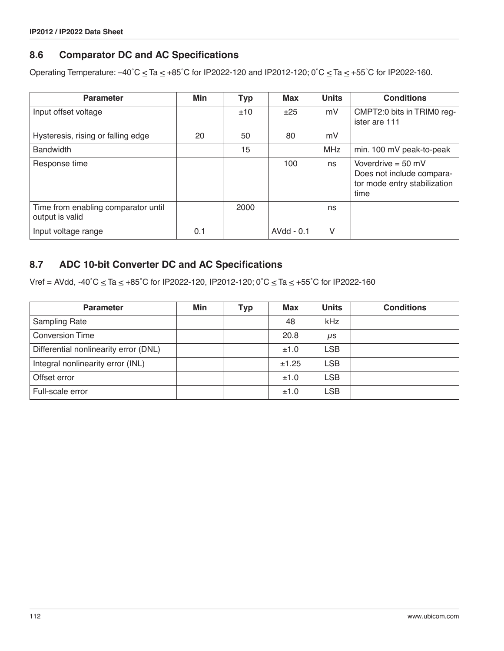# **8.6 Comparator DC and AC Specifications**

Operating Temperature:  $-40^{\circ}$ C  $\leq$  Ta  $\leq$  +85°C for IP2022-120 and IP2012-120; 0°C  $\leq$  Ta  $\leq$  +55°C for IP2022-160.

| <b>Parameter</b>                                       | Min | <b>Typ</b> | Max        | <b>Units</b> | <b>Conditions</b>                                                                         |
|--------------------------------------------------------|-----|------------|------------|--------------|-------------------------------------------------------------------------------------------|
| Input offset voltage                                   |     | ±10        | ±25        | mV           | CMPT2:0 bits in TRIM0 reg-<br>ister are 111                                               |
| Hysteresis, rising or falling edge                     | 20  | 50         | 80         | mV           |                                                                                           |
| <b>Bandwidth</b>                                       |     | 15         |            | MHz          | min. 100 mV peak-to-peak                                                                  |
| Response time                                          |     |            | 100        | ns           | Voverdrive = $50$ mV<br>Does not include compara-<br>tor mode entry stabilization<br>time |
| Time from enabling comparator until<br>output is valid |     | 2000       |            | ns           |                                                                                           |
| Input voltage range                                    | 0.1 |            | AVdd - 0.1 | V            |                                                                                           |

# **8.7 ADC 10-bit Converter DC and AC Specifications**

Vref = AVdd, -40°C  $\leq$  Ta  $\leq$  +85°C for IP2022-120, IP2012-120; 0°C  $\leq$  Ta  $\leq$  +55°C for IP2022-160

| <b>Parameter</b>                      | Min | Typ | <b>Max</b> | <b>Units</b> | <b>Conditions</b> |
|---------------------------------------|-----|-----|------------|--------------|-------------------|
| <b>Sampling Rate</b>                  |     |     | 48         | kHz          |                   |
| <b>Conversion Time</b>                |     |     | 20.8       | $\mu$ s      |                   |
| Differential nonlinearity error (DNL) |     |     | ±1.0       | <b>LSB</b>   |                   |
| Integral nonlinearity error (INL)     |     |     | ±1.25      | <b>LSB</b>   |                   |
| Offset error                          |     |     | ±1.0       | <b>LSB</b>   |                   |
| Full-scale error                      |     |     | ±1.0       | <b>LSB</b>   |                   |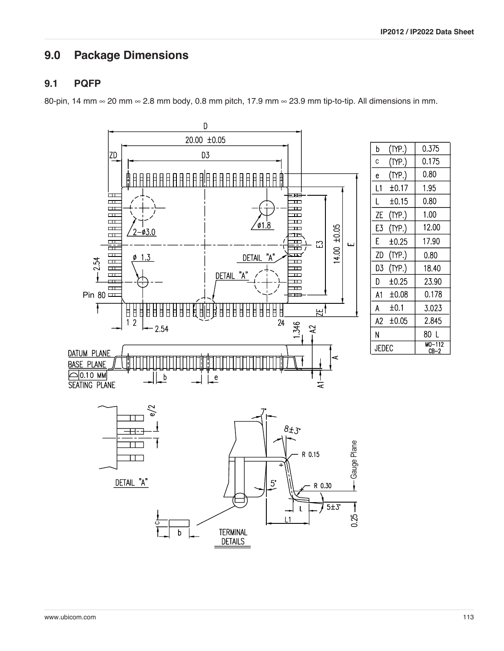0.375

0.175

0.80

1.95

 $0.80$ 

1.00

12.00

17.90

0.80

18.40

23.90

0.178

3.023

2.845

80 L

 $\frac{\text{MO}-112}{\text{CB}-2}$ 

# **9.0 Package Dimensions**

#### **9.1 PQFP**

80-pin, 14 mm ∞ 20 mm ∞ 2.8 mm body, 0.8 mm pitch, 17.9 mm ∞ 23.9 mm tip-to-tip. All dimensions in mm.

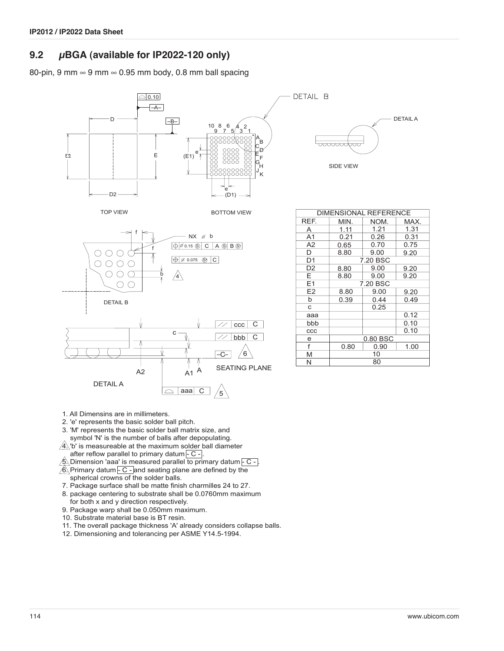# **9.2 µBGA (available for IP2022-120 only)**

80-pin, 9 mm  $\infty$  9 mm  $\infty$  0.95 mm body, 0.8 mm ball spacing





DETAIL A <del>ooooooc</del> SIDE VIEW

| <b>DIMENSIONAL REFERENCE</b> |                      |          |      |  |  |  |
|------------------------------|----------------------|----------|------|--|--|--|
| REF.                         | MIN.                 | NOM.     | MAX. |  |  |  |
| A                            | 1.11                 | 1.21     | 1.31 |  |  |  |
| A <sub>1</sub>               | 0.21                 | 0.26     | 0.31 |  |  |  |
| A2                           | 0.65                 | 0.70     | 0.75 |  |  |  |
| D                            | 8.80                 | 9.00     | 9.20 |  |  |  |
| D <sub>1</sub>               |                      | 7.20 BSC |      |  |  |  |
| D <sub>2</sub>               | 9.00<br>8.80<br>9.20 |          |      |  |  |  |
| E.                           | 8.80                 | 9.00     | 9.20 |  |  |  |
| E1                           | 7.20 BSC             |          |      |  |  |  |
| E <sub>2</sub>               | 8.80                 | 9.00     | 9.20 |  |  |  |
| b                            | 0.39                 | 0.44     | 0.49 |  |  |  |
| C                            |                      | 0.25     |      |  |  |  |
| aaa                          |                      |          | 0.12 |  |  |  |
| bbb                          |                      |          | 0.10 |  |  |  |
| CCC                          |                      |          | 0.10 |  |  |  |
| е                            | 0.80 BSC             |          |      |  |  |  |
| f                            | 1.00<br>0.90<br>0.80 |          |      |  |  |  |
| M                            | 10                   |          |      |  |  |  |
| N                            | 80                   |          |      |  |  |  |

- 1. All Dimensins are in millimeters.
- 2. 'e' represents the basic solder ball pitch.
- 3. 'M' represents the basic solder ball matrix size, and
- symbol 'N' is the number of balls after depopulating.
- $\sqrt{4}$ . 'b' is measureable at the maximum solder ball diameter after reflow parallel to primary datum $\overline{C}$  -.
- $\hat{\mathcal{B}}$ . Dimension 'aaa' is measured parallel to primary datum  $\overline{\mathsf{C}}$  -.
- $\sqrt{6}$  Primary datum  $\overline{-C}$  and seating plane are defined by the spherical crowns of the solder balls.
- 7. Package surface shall be matte finish charmilles 24 to 27.
- 8. package centering to substrate shall be 0.0760mm maximum for both x and y direction respectively.
- 9. Package warp shall be 0.050mm maximum.
- 10. Substrate material base is BT resin.
- 11. The overall package thickness 'A' already considers collapse balls.
- 12. Dimensioning and tolerancing per ASME Y14.5-1994.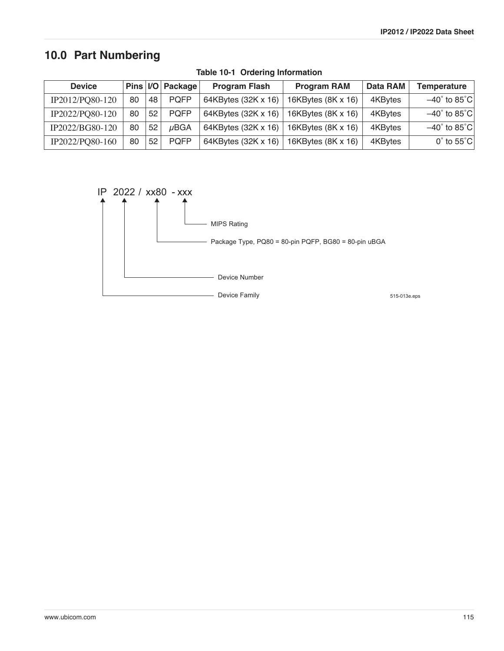# **10.0 Part Numbering**

| <b>Device</b>   | Pins   <i>U</i> O |    | Package     | <b>Program RAM</b><br><b>Program Flash</b> |                    | Data RAM | <b>Temperature</b>               |
|-----------------|-------------------|----|-------------|--------------------------------------------|--------------------|----------|----------------------------------|
| IP2012/PQ80-120 | 80                | 48 | <b>POFP</b> | 64KBytes (32K x 16)                        | 16KBytes (8K x 16) | 4KBytes  | $-40^{\circ}$ to 85 $^{\circ}$ C |
| IP2022/PQ80-120 | 80                | 52 | <b>POFP</b> | 64KBytes (32K x 16)                        | 16KBytes (8K x 16) | 4KBytes  | $-40^{\circ}$ to 85 $^{\circ}$ C |
| IP2022/BG80-120 | 80                | 52 | $\mu$ BGA   | 64KBytes (32K x 16)                        | 16KBytes (8K x 16) | 4KBytes  | $-40^{\circ}$ to 85 $^{\circ}$ C |
| IP2022/PQ80-160 | 80                | 52 | <b>POFP</b> | 64KBytes (32K x 16)                        | 16KBytes (8K x 16) | 4KBytes  | $0^{\circ}$ to 55 $^{\circ}$ C   |

**Table 10-1 Ordering Information**